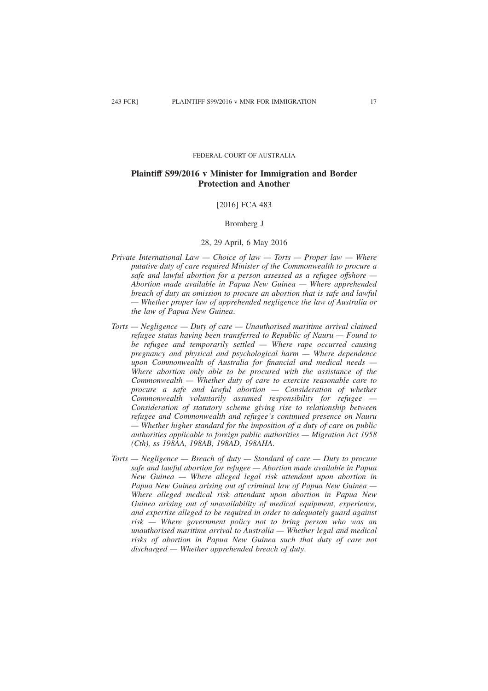#### FEDERAL COURT OF AUSTRALIA

# **Plaintiff S99/2016 v Minister for Immigration and Border Protection and Another**

## [2016] FCA 483

## Bromberg J

## 28, 29 April, 6 May 2016

- *Private International Law Choice of law Torts Proper law Where putative duty of care required Minister of the Commonwealth to procure a safe and lawful abortion for a person assessed as a refugee offshore — Abortion made available in Papua New Guinea — Where apprehended breach of duty an omission to procure an abortion that is safe and lawful — Whether proper law of apprehended negligence the law of Australia or the law of Papua New Guinea*.
- *Torts Negligence Duty of care Unauthorised maritime arrival claimed refugee status having been transferred to Republic of Nauru — Found to be refugee and temporarily settled — Where rape occurred causing pregnancy and physical and psychological harm — Where dependence upon Commonwealth of Australia for financial and medical needs — Where abortion only able to be procured with the assistance of the Commonwealth — Whether duty of care to exercise reasonable care to procure a safe and lawful abortion — Consideration of whether Commonwealth voluntarily assumed responsibility for refugee — Consideration of statutory scheme giving rise to relationship between refugee and Commonwealth and refugee's continued presence on Nauru — Whether higher standard for the imposition of a duty of care on public authorities applicable to foreign public authorities — Migration Act 1958 (Cth), ss 198AA, 198AB, 198AD, 198AHA*.
- *Torts Negligence Breach of duty Standard of care Duty to procure safe and lawful abortion for refugee — Abortion made available in Papua New Guinea — Where alleged legal risk attendant upon abortion in Papua New Guinea arising out of criminal law of Papua New Guinea — Where alleged medical risk attendant upon abortion in Papua New Guinea arising out of unavailability of medical equipment, experience, and expertise alleged to be required in order to adequately guard against risk — Where government policy not to bring person who was an unauthorised maritime arrival to Australia — Whether legal and medical risks of abortion in Papua New Guinea such that duty of care not discharged — Whether apprehended breach of duty*.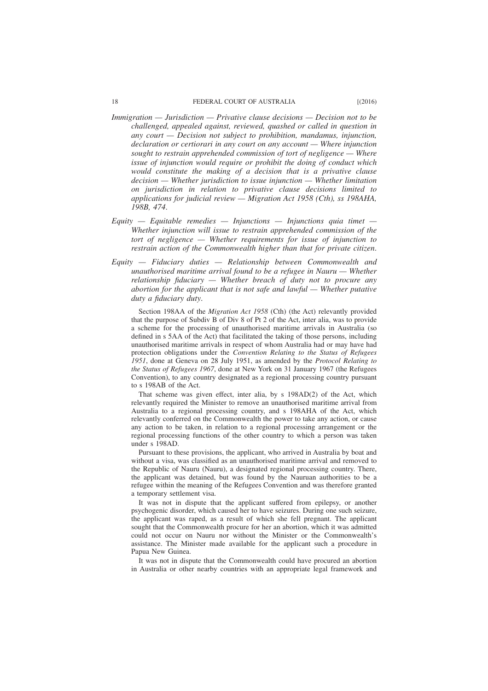- *Immigration Jurisdiction Privative clause decisions Decision not to be challenged, appealed against, reviewed, quashed or called in question in any court — Decision not subject to prohibition, mandamus, injunction, declaration or certiorari in any court on any account — Where injunction sought to restrain apprehended commission of tort of negligence — Where issue of injunction would require or prohibit the doing of conduct which would constitute the making of a decision that is a privative clause decision — Whether jurisdiction to issue injunction — Whether limitation on jurisdiction in relation to privative clause decisions limited to applications for judicial review — Migration Act 1958 (Cth), ss 198AHA, 198B, 474*.
- *Equity Equitable remedies Injunctions Injunctions quia timet — Whether injunction will issue to restrain apprehended commission of the tort of negligence — Whether requirements for issue of injunction to restrain action of the Commonwealth higher than that for private citizen*.
- *Equity Fiduciary duties Relationship between Commonwealth and unauthorised maritime arrival found to be a refugee in Nauru — Whether relationship fiduciary — Whether breach of duty not to procure any abortion for the applicant that is not safe and lawful — Whether putative duty a fiduciary duty*.

Section 198AA of the *Migration Act 1958* (Cth) (the Act) relevantly provided that the purpose of Subdiv B of Div 8 of Pt 2 of the Act, inter alia, was to provide a scheme for the processing of unauthorised maritime arrivals in Australia (so defined in s 5AA of the Act) that facilitated the taking of those persons, including unauthorised maritime arrivals in respect of whom Australia had or may have had protection obligations under the *Convention Relating to the Status of Refugees 1951*, done at Geneva on 28 July 1951, as amended by the *Protocol Relating to the Status of Refugees 1967*, done at New York on 31 January 1967 (the Refugees Convention), to any country designated as a regional processing country pursuant to s 198AB of the Act.

That scheme was given effect, inter alia, by s 198AD(2) of the Act, which relevantly required the Minister to remove an unauthorised maritime arrival from Australia to a regional processing country, and s 198AHA of the Act, which relevantly conferred on the Commonwealth the power to take any action, or cause any action to be taken, in relation to a regional processing arrangement or the regional processing functions of the other country to which a person was taken under s 198AD.

Pursuant to these provisions, the applicant, who arrived in Australia by boat and without a visa, was classified as an unauthorised maritime arrival and removed to the Republic of Nauru (Nauru), a designated regional processing country. There, the applicant was detained, but was found by the Nauruan authorities to be a refugee within the meaning of the Refugees Convention and was therefore granted a temporary settlement visa.

It was not in dispute that the applicant suffered from epilepsy, or another psychogenic disorder, which caused her to have seizures. During one such seizure, the applicant was raped, as a result of which she fell pregnant. The applicant sought that the Commonwealth procure for her an abortion, which it was admitted could not occur on Nauru nor without the Minister or the Commonwealth's assistance. The Minister made available for the applicant such a procedure in Papua New Guinea.

It was not in dispute that the Commonwealth could have procured an abortion in Australia or other nearby countries with an appropriate legal framework and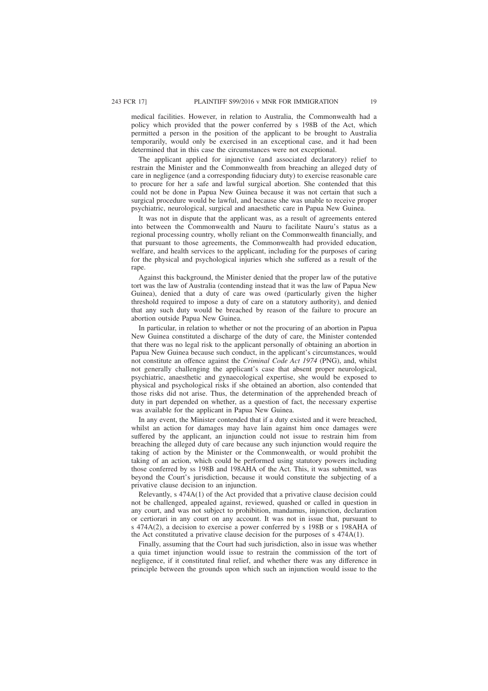medical facilities. However, in relation to Australia, the Commonwealth had a policy which provided that the power conferred by s 198B of the Act, which permitted a person in the position of the applicant to be brought to Australia temporarily, would only be exercised in an exceptional case, and it had been determined that in this case the circumstances were not exceptional.

The applicant applied for injunctive (and associated declaratory) relief to restrain the Minister and the Commonwealth from breaching an alleged duty of care in negligence (and a corresponding fiduciary duty) to exercise reasonable care to procure for her a safe and lawful surgical abortion. She contended that this could not be done in Papua New Guinea because it was not certain that such a surgical procedure would be lawful, and because she was unable to receive proper psychiatric, neurological, surgical and anaesthetic care in Papua New Guinea.

It was not in dispute that the applicant was, as a result of agreements entered into between the Commonwealth and Nauru to facilitate Nauru's status as a regional processing country, wholly reliant on the Commonwealth financially, and that pursuant to those agreements, the Commonwealth had provided education, welfare, and health services to the applicant, including for the purposes of caring for the physical and psychological injuries which she suffered as a result of the rape.

Against this background, the Minister denied that the proper law of the putative tort was the law of Australia (contending instead that it was the law of Papua New Guinea), denied that a duty of care was owed (particularly given the higher threshold required to impose a duty of care on a statutory authority), and denied that any such duty would be breached by reason of the failure to procure an abortion outside Papua New Guinea.

In particular, in relation to whether or not the procuring of an abortion in Papua New Guinea constituted a discharge of the duty of care, the Minister contended that there was no legal risk to the applicant personally of obtaining an abortion in Papua New Guinea because such conduct, in the applicant's circumstances, would not constitute an offence against the *Criminal Code Act 1974* (PNG), and, whilst not generally challenging the applicant's case that absent proper neurological, psychiatric, anaesthetic and gynaecological expertise, she would be exposed to physical and psychological risks if she obtained an abortion, also contended that those risks did not arise. Thus, the determination of the apprehended breach of duty in part depended on whether, as a question of fact, the necessary expertise was available for the applicant in Papua New Guinea.

In any event, the Minister contended that if a duty existed and it were breached, whilst an action for damages may have lain against him once damages were suffered by the applicant, an injunction could not issue to restrain him from breaching the alleged duty of care because any such injunction would require the taking of action by the Minister or the Commonwealth, or would prohibit the taking of an action, which could be performed using statutory powers including those conferred by ss 198B and 198AHA of the Act. This, it was submitted, was beyond the Court's jurisdiction, because it would constitute the subjecting of a privative clause decision to an injunction.

Relevantly, s 474A(1) of the Act provided that a privative clause decision could not be challenged, appealed against, reviewed, quashed or called in question in any court, and was not subject to prohibition, mandamus, injunction, declaration or certiorari in any court on any account. It was not in issue that, pursuant to s 474A(2), a decision to exercise a power conferred by s 198B or s 198AHA of the Act constituted a privative clause decision for the purposes of s 474A(1).

Finally, assuming that the Court had such jurisdiction, also in issue was whether a quia timet injunction would issue to restrain the commission of the tort of negligence, if it constituted final relief, and whether there was any difference in principle between the grounds upon which such an injunction would issue to the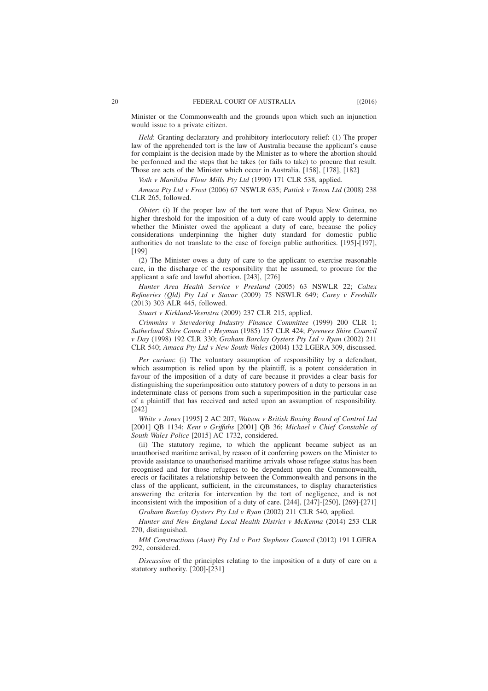Minister or the Commonwealth and the grounds upon which such an injunction would issue to a private citizen.

*Held*: Granting declaratory and prohibitory interlocutory relief: (1) The proper law of the apprehended tort is the law of Australia because the applicant's cause for complaint is the decision made by the Minister as to where the abortion should be performed and the steps that he takes (or fails to take) to procure that result. Those are acts of the Minister which occur in Australia. [158], [178], [182]

*Voth v Manildra Flour Mills Pty Ltd* (1990) 171 CLR 538, applied.

*Amaca Pty Ltd v Frost* (2006) 67 NSWLR 635; *Puttick v Tenon Ltd* (2008) 238 CLR 265, followed.

*Obiter*: (i) If the proper law of the tort were that of Papua New Guinea, no higher threshold for the imposition of a duty of care would apply to determine whether the Minister owed the applicant a duty of care, because the policy considerations underpinning the higher duty standard for domestic public authorities do not translate to the case of foreign public authorities. [195]-[197], [199]

(2) The Minister owes a duty of care to the applicant to exercise reasonable care, in the discharge of the responsibility that he assumed, to procure for the applicant a safe and lawful abortion. [243], [276]

*Hunter Area Health Service v Presland* (2005) 63 NSWLR 22; *Caltex Refineries (Qld) Pty Ltd v Stavar* (2009) 75 NSWLR 649; *Carey v Freehills* (2013) 303 ALR 445, followed.

*Stuart v Kirkland-Veenstra* (2009) 237 CLR 215, applied.

*Crimmins v Stevedoring Industry Finance Committee* (1999) 200 CLR 1; *Sutherland Shire Council v Heyman* (1985) 157 CLR 424; *Pyrenees Shire Council v Day* (1998) 192 CLR 330; *Graham Barclay Oysters Pty Ltd v Ryan* (2002) 211 CLR 540; *Amaca Pty Ltd v New South Wales* (2004) 132 LGERA 309, discussed.

*Per curiam*: (i) The voluntary assumption of responsibility by a defendant, which assumption is relied upon by the plaintiff, is a potent consideration in favour of the imposition of a duty of care because it provides a clear basis for distinguishing the superimposition onto statutory powers of a duty to persons in an indeterminate class of persons from such a superimposition in the particular case of a plaintiff that has received and acted upon an assumption of responsibility. [242]

*White v Jones* [1995] 2 AC 207; *Watson v British Boxing Board of Control Ltd* [2001] QB 1134; *Kent v Griffıths* [2001] QB 36; *Michael v Chief Constable of South Wales Police* [2015] AC 1732, considered.

(ii) The statutory regime, to which the applicant became subject as an unauthorised maritime arrival, by reason of it conferring powers on the Minister to provide assistance to unauthorised maritime arrivals whose refugee status has been recognised and for those refugees to be dependent upon the Commonwealth, erects or facilitates a relationship between the Commonwealth and persons in the class of the applicant, sufficient, in the circumstances, to display characteristics answering the criteria for intervention by the tort of negligence, and is not inconsistent with the imposition of a duty of care. [244], [247]-[250], [269]-[271]

*Graham Barclay Oysters Pty Ltd v Ryan* (2002) 211 CLR 540, applied.

*Hunter and New England Local Health District v McKenna* (2014) 253 CLR 270, distinguished.

*MM Constructions (Aust) Pty Ltd v Port Stephens Council* (2012) 191 LGERA 292, considered.

*Discussion* of the principles relating to the imposition of a duty of care on a statutory authority.  $\widehat{200}$ [231]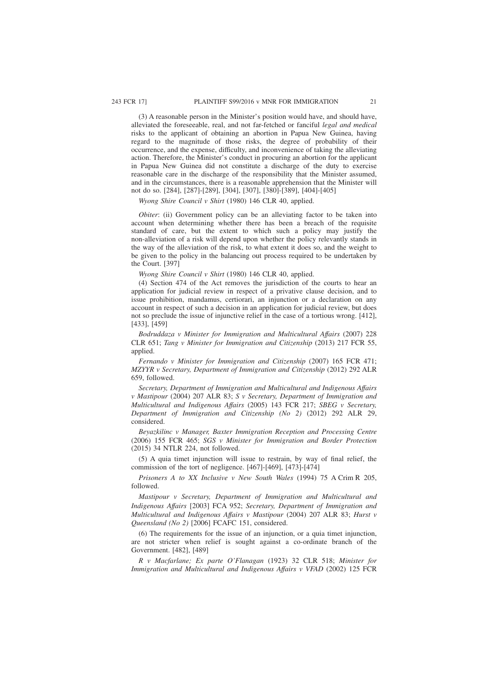(3) A reasonable person in the Minister's position would have, and should have, alleviated the foreseeable, real, and not far-fetched or fanciful *legal and medical* risks to the applicant of obtaining an abortion in Papua New Guinea, having regard to the magnitude of those risks, the degree of probability of their occurrence, and the expense, difficulty, and inconvenience of taking the alleviating action. Therefore, the Minister's conduct in procuring an abortion for the applicant in Papua New Guinea did not constitute a discharge of the duty to exercise reasonable care in the discharge of the responsibility that the Minister assumed, and in the circumstances, there is a reasonable apprehension that the Minister will not do so. [284], [287]-[289], [304], [307], [380]-[389], [404]-[405]

*Wyong Shire Council v Shirt* (1980) 146 CLR 40, applied.

*Obiter*: (ii) Government policy can be an alleviating factor to be taken into account when determining whether there has been a breach of the requisite standard of care, but the extent to which such a policy may justify the non-alleviation of a risk will depend upon whether the policy relevantly stands in the way of the alleviation of the risk, to what extent it does so, and the weight to be given to the policy in the balancing out process required to be undertaken by the Court. [397]

*Wyong Shire Council v Shirt* (1980) 146 CLR 40, applied.

(4) Section 474 of the Act removes the jurisdiction of the courts to hear an application for judicial review in respect of a privative clause decision, and to issue prohibition, mandamus, certiorari, an injunction or a declaration on any account in respect of such a decision in an application for judicial review, but does not so preclude the issue of injunctive relief in the case of a tortious wrong. [412], [433], [459]

*Bodruddaza v Minister for Immigration and Multicultural Affairs* (2007) 228 CLR 651; *Tang v Minister for Immigration and Citizenship* (2013) 217 FCR 55, applied.

*Fernando v Minister for Immigration and Citizenship* (2007) 165 FCR 471; *MZYYR v Secretary, Department of Immigration and Citizenship* (2012) 292 ALR 659, followed.

*Secretary, Department of Immigration and Multicultural and Indigenous Affairs v Mastipour* (2004) 207 ALR 83; *S v Secretary, Department of Immigration and Multicultural and Indigenous Affairs* (2005) 143 FCR 217; *SBEG v Secretary, Department of Immigration and Citizenship (No 2)* (2012) 292 ALR 29, considered.

*Beyazkilinc v Manager, Baxter Immigration Reception and Processing Centre* (2006) 155 FCR 465; *SGS v Minister for Immigration and Border Protection* (2015) 34 NTLR 224, not followed.

(5) A quia timet injunction will issue to restrain, by way of final relief, the commission of the tort of negligence. [467]-[469], [473]-[474]

*Prisoners A to XX Inclusive v New South Wales* (1994) 75 A Crim R 205, followed.

*Mastipour v Secretary, Department of Immigration and Multicultural and Indigenous Affairs* [2003] FCA 952; *Secretary, Department of Immigration and Multicultural and Indigenous Affairs v Mastipour* (2004) 207 ALR 83; *Hurst v Queensland (No 2)* [2006] FCAFC 151, considered.

(6) The requirements for the issue of an injunction, or a quia timet injunction, are not stricter when relief is sought against a co-ordinate branch of the Government. [482], [489]

*R v Macfarlane; Ex parte O'Flanagan* (1923) 32 CLR 518; *Minister for Immigration and Multicultural and Indigenous Affairs v VFAD* (2002) 125 FCR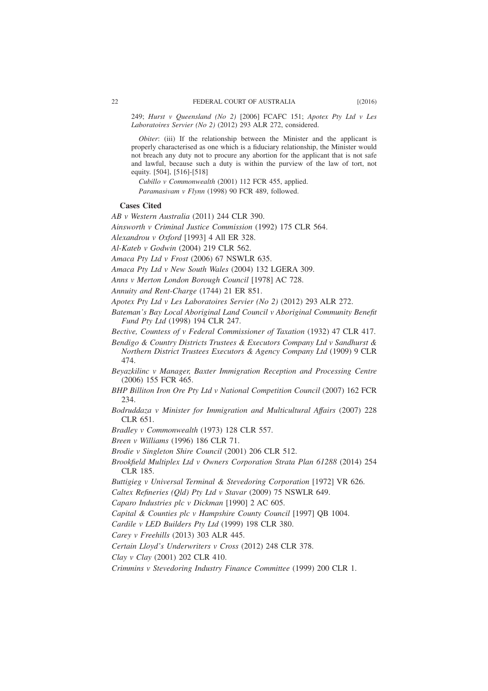249; *Hurst v Queensland (No 2)* [2006] FCAFC 151; *Apotex Pty Ltd v Les Laboratoires Servier (No 2)* (2012) 293 ALR 272, considered.

*Obiter*: (iii) If the relationship between the Minister and the applicant is properly characterised as one which is a fiduciary relationship, the Minister would not breach any duty not to procure any abortion for the applicant that is not safe and lawful, because such a duty is within the purview of the law of tort, not equity. [504], [516]-[518]

*Cubillo v Commonwealth* (2001) 112 FCR 455, applied.

*Paramasivam v Flynn* (1998) 90 FCR 489, followed.

## **Cases Cited**

*AB v Western Australia* (2011) 244 CLR 390.

*Ainsworth v Criminal Justice Commission* (1992) 175 CLR 564.

*Alexandrou v Oxford* [1993] 4 All ER 328.

*Al-Kateb v Godwin* (2004) 219 CLR 562.

*Amaca Pty Ltd v Frost* (2006) 67 NSWLR 635.

*Amaca Pty Ltd v New South Wales* (2004) 132 LGERA 309.

*Anns v Merton London Borough Council* [1978] AC 728.

*Annuity and Rent-Charge* (1744) 21 ER 851.

*Apotex Pty Ltd v Les Laboratoires Servier (No 2)* (2012) 293 ALR 272.

*Bateman's Bay Local Aboriginal Land Council v Aboriginal Community Benefit Fund Pty Ltd* (1998) 194 CLR 247.

*Bective, Countess of v Federal Commissioner of Taxation* (1932) 47 CLR 417.

*Bendigo & Country Districts Trustees & Executors Company Ltd v Sandhurst & Northern District Trustees Executors & Agency Company Ltd* (1909) 9 CLR 474.

*Beyazkilinc v Manager, Baxter Immigration Reception and Processing Centre* (2006) 155 FCR 465.

*BHP Billiton Iron Ore Pty Ltd v National Competition Council* (2007) 162 FCR 234.

*Bodruddaza v Minister for Immigration and Multicultural Affairs* (2007) 228 CLR 651.

*Bradley v Commonwealth* (1973) 128 CLR 557.

*Breen v Williams* (1996) 186 CLR 71.

*Brodie v Singleton Shire Council* (2001) 206 CLR 512.

*Brookfield Multiplex Ltd v Owners Corporation Strata Plan 61288* (2014) 254 CLR 185.

*Buttigieg v Universal Terminal & Stevedoring Corporation* [1972] VR 626.

*Caltex Refineries (Qld) Pty Ltd v Stavar* (2009) 75 NSWLR 649.

*Caparo Industries plc v Dickman* [1990] 2 AC 605.

*Capital & Counties plc v Hampshire County Council* [1997] QB 1004.

*Cardile v LED Builders Pty Ltd* (1999) 198 CLR 380.

*Carey v Freehills* (2013) 303 ALR 445.

*Certain Lloyd's Underwriters v Cross* (2012) 248 CLR 378.

*Clay v Clay* (2001) 202 CLR 410.

*Crimmins v Stevedoring Industry Finance Committee* (1999) 200 CLR 1.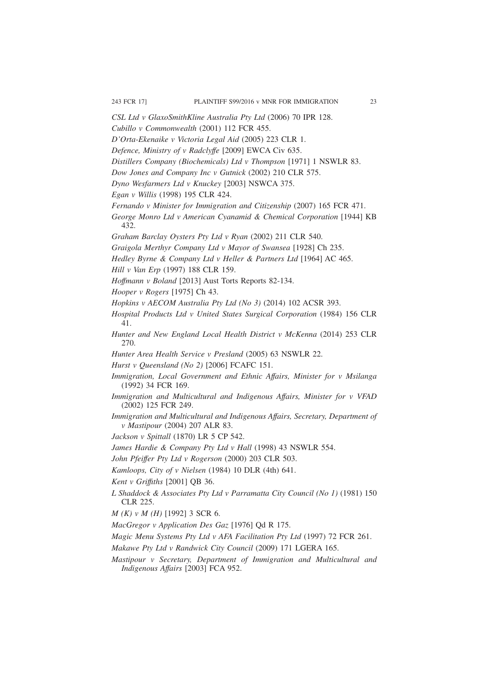*CSL Ltd v GlaxoSmithKline Australia Pty Ltd* (2006) 70 IPR 128.

*Cubillo v Commonwealth* (2001) 112 FCR 455.

*D'Orta-Ekenaike v Victoria Legal Aid* (2005) 223 CLR 1.

*Defence, Ministry of v Radclyffe* [2009] EWCA Civ 635.

*Distillers Company (Biochemicals) Ltd v Thompson* [1971] 1 NSWLR 83.

*Dow Jones and Company Inc v Gutnick* (2002) 210 CLR 575.

*Dyno Wesfarmers Ltd v Knuckey* [2003] NSWCA 375.

*Egan v Willis* (1998) 195 CLR 424.

*Fernando v Minister for Immigration and Citizenship* (2007) 165 FCR 471.

*George Monro Ltd v American Cyanamid & Chemical Corporation* [1944] KB 432.

*Graham Barclay Oysters Pty Ltd v Ryan* (2002) 211 CLR 540.

*Graigola Merthyr Company Ltd v Mayor of Swansea* [1928] Ch 235.

*Hedley Byrne & Company Ltd v Heller & Partners Ltd* [1964] AC 465.

*Hill v Van Erp* (1997) 188 CLR 159.

*Hoffmann v Boland* [2013] Aust Torts Reports 82-134.

*Hooper v Rogers* [1975] Ch 43.

*Hopkins v AECOM Australia Pty Ltd (No 3)* (2014) 102 ACSR 393.

*Hospital Products Ltd v United States Surgical Corporation* (1984) 156 CLR 41.

*Hunter and New England Local Health District v McKenna* (2014) 253 CLR 270.

*Hunter Area Health Service v Presland* (2005) 63 NSWLR 22.

*Hurst v Queensland (No 2)* [2006] FCAFC 151.

*Immigration, Local Government and Ethnic Affairs, Minister for v Msilanga* (1992) 34 FCR 169.

*Immigration and Multicultural and Indigenous Affairs, Minister for v VFAD* (2002) 125 FCR 249.

*Immigration and Multicultural and Indigenous Affairs, Secretary, Department of v Mastipour* (2004) 207 ALR 83.

*Jackson v Spittall* (1870) LR 5 CP 542.

*James Hardie & Company Pty Ltd v Hall* (1998) 43 NSWLR 554.

*John Pfeiffer Pty Ltd v Rogerson* (2000) 203 CLR 503.

*Kamloops, City of v Nielsen* (1984) 10 DLR (4th) 641.

*Kent v Griffıths* [2001] QB 36.

- *L Shaddock & Associates Pty Ltd v Parramatta City Council (No 1)* (1981) 150 CLR 225.
- *M (K) v M (H)* [1992] 3 SCR 6.

*MacGregor v Application Des Gaz* [1976] Qd R 175.

*Magic Menu Systems Pty Ltd v AFA Facilitation Pty Ltd* (1997) 72 FCR 261.

- *Makawe Pty Ltd v Randwick City Council* (2009) 171 LGERA 165.
- *Mastipour v Secretary, Department of Immigration and Multicultural and Indigenous Affairs* [2003] FCA 952.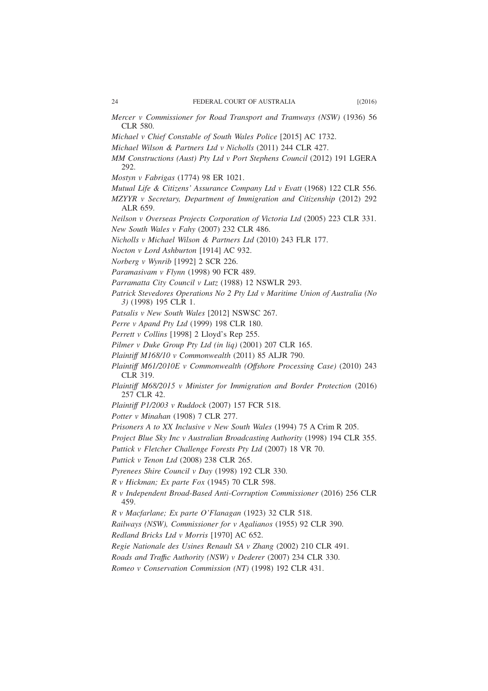*Mercer v Commissioner for Road Transport and Tramways (NSW)* (1936) 56 CLR 580.

*Michael v Chief Constable of South Wales Police* [2015] AC 1732.

*Michael Wilson & Partners Ltd v Nicholls* (2011) 244 CLR 427.

*MM Constructions (Aust) Pty Ltd v Port Stephens Council* (2012) 191 LGERA 292.

*Mostyn v Fabrigas* (1774) 98 ER 1021.

*Mutual Life & Citizens' Assurance Company Ltd v Evatt* (1968) 122 CLR 556.

*MZYYR v Secretary, Department of Immigration and Citizenship* (2012) 292 ALR 659.

*Neilson v Overseas Projects Corporation of Victoria Ltd* (2005) 223 CLR 331. *New South Wales v Fahy* (2007) 232 CLR 486.

*Nicholls v Michael Wilson & Partners Ltd* (2010) 243 FLR 177.

*Nocton v Lord Ashburton* [1914] AC 932.

*Norberg v Wynrib* [1992] 2 SCR 226.

*Paramasivam v Flynn* (1998) 90 FCR 489.

*Parramatta City Council v Lutz* (1988) 12 NSWLR 293.

*Patrick Stevedores Operations No 2 Pty Ltd v Maritime Union of Australia (No 3)* (1998) 195 CLR 1.

*Patsalis v New South Wales* [2012] NSWSC 267.

*Perre v Apand Pty Ltd* (1999) 198 CLR 180.

*Perrett v Collins* [1998] 2 Lloyd's Rep 255.

*Pilmer v Duke Group Pty Ltd (in liq)* (2001) 207 CLR 165.

*Plaintiff M168/10 v Commonwealth* (2011) 85 ALJR 790.

*Plaintiff M61/2010E v Commonwealth (Offshore Processing Case)* (2010) 243 CLR 319.

*Plaintiff M68/2015 v Minister for Immigration and Border Protection* (2016) 257 CLR 42.

*Plaintiff P1/2003 v Ruddock* (2007) 157 FCR 518.

*Potter v Minahan* (1908) 7 CLR 277.

*Prisoners A to XX Inclusive v New South Wales* (1994) 75 A Crim R 205.

*Project Blue Sky Inc v Australian Broadcasting Authority* (1998) 194 CLR 355.

*Puttick v Fletcher Challenge Forests Pty Ltd* (2007) 18 VR 70.

*Puttick v Tenon Ltd* (2008) 238 CLR 265.

*Pyrenees Shire Council v Day* (1998) 192 CLR 330.

*R v Hickman; Ex parte Fox* (1945) 70 CLR 598.

*R v Independent Broad-Based Anti-Corruption Commissioner* (2016) 256 CLR 459.

*R v Macfarlane; Ex parte O'Flanagan* (1923) 32 CLR 518.

*Railways (NSW), Commissioner for v Agalianos* (1955) 92 CLR 390.

*Redland Bricks Ltd v Morris* [1970] AC 652.

*Regie Nationale des Usines Renault SA v Zhang* (2002) 210 CLR 491.

*Roads and Traffıc Authority (NSW) v Dederer* (2007) 234 CLR 330.

*Romeo v Conservation Commission (NT)* (1998) 192 CLR 431.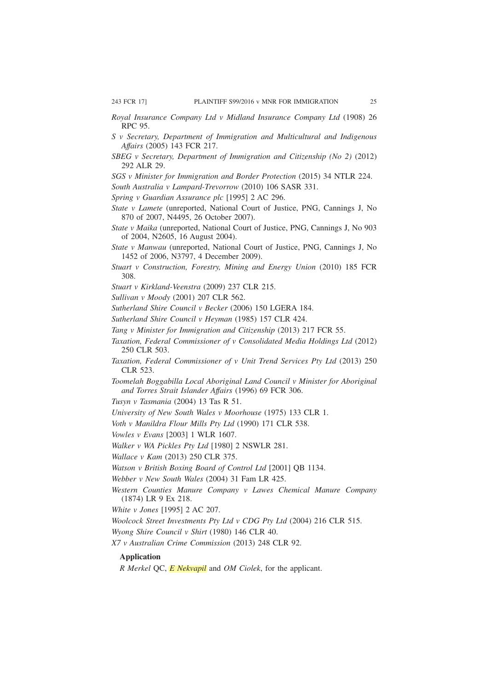- *Royal Insurance Company Ltd v Midland Insurance Company Ltd* (1908) 26 RPC 95.
- *S v Secretary, Department of Immigration and Multicultural and Indigenous Affairs* (2005) 143 FCR 217.
- *SBEG v Secretary, Department of Immigration and Citizenship (No 2)* (2012) 292 ALR 29.
- *SGS v Minister for Immigration and Border Protection* (2015) 34 NTLR 224.
- *South Australia v Lampard-Trevorrow* (2010) 106 SASR 331.
- *Spring v Guardian Assurance plc* [1995] 2 AC 296.
- *State v Lamete* (unreported, National Court of Justice, PNG, Cannings J, No 870 of 2007, N4495, 26 October 2007).
- *State v Maika* (unreported, National Court of Justice, PNG, Cannings J, No 903 of 2004, N2605, 16 August 2004).
- *State v Manwau* (unreported, National Court of Justice, PNG, Cannings J, No 1452 of 2006, N3797, 4 December 2009).
- *Stuart v Construction, Forestry, Mining and Energy Union* (2010) 185 FCR 308.
- *Stuart v Kirkland-Veenstra* (2009) 237 CLR 215.
- *Sullivan v Moody* (2001) 207 CLR 562.
- *Sutherland Shire Council v Becker* (2006) 150 LGERA 184.
- *Sutherland Shire Council v Heyman* (1985) 157 CLR 424.
- *Tang v Minister for Immigration and Citizenship* (2013) 217 FCR 55.
- *Taxation, Federal Commissioner of v Consolidated Media Holdings Ltd* (2012) 250 CLR 503.
- *Taxation, Federal Commissioner of v Unit Trend Services Pty Ltd* (2013) 250 CLR 523.
- *Toomelah Boggabilla Local Aboriginal Land Council v Minister for Aboriginal and Torres Strait Islander Affairs* (1996) 69 FCR 306.
- *Tusyn v Tasmania* (2004) 13 Tas R 51.
- *University of New South Wales v Moorhouse* (1975) 133 CLR 1.
- *Voth v Manildra Flour Mills Pty Ltd* (1990) 171 CLR 538.
- *Vowles v Evans* [2003] 1 WLR 1607.
- *Walker v WA Pickles Pty Ltd* [1980] 2 NSWLR 281.
- *Wallace v Kam* (2013) 250 CLR 375.
- *Watson v British Boxing Board of Control Ltd* [2001] QB 1134.
- *Webber v New South Wales* (2004) 31 Fam LR 425.
- *Western Counties Manure Company v Lawes Chemical Manure Company* (1874) LR 9 Ex 218.
- *White v Jones* [1995] 2 AC 207.
- *Woolcock Street Investments Pty Ltd v CDG Pty Ltd* (2004) 216 CLR 515.
- *Wyong Shire Council v Shirt* (1980) 146 CLR 40.
- *X7 v Australian Crime Commission* (2013) 248 CLR 92.

## **Application**

*R Merkel* QC, *E Nekvapil* and *OM Ciolek*, for the applicant.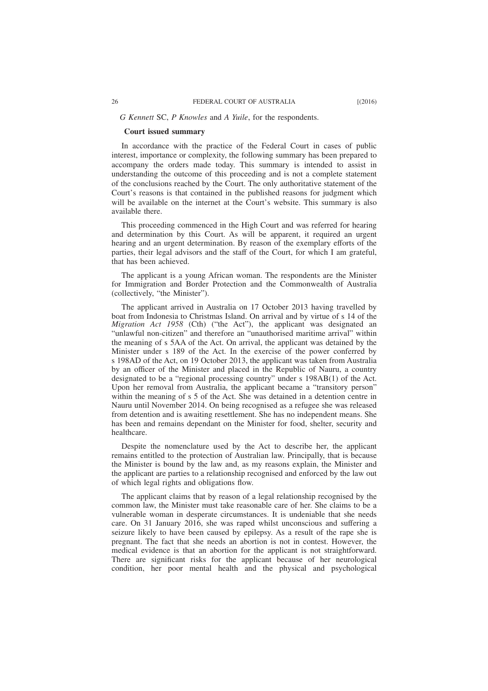## *G Kennett* SC, *P Knowles* and *A Yuile*, for the respondents.

# **Court issued summary**

In accordance with the practice of the Federal Court in cases of public interest, importance or complexity, the following summary has been prepared to accompany the orders made today. This summary is intended to assist in understanding the outcome of this proceeding and is not a complete statement of the conclusions reached by the Court. The only authoritative statement of the Court's reasons is that contained in the published reasons for judgment which will be available on the internet at the Court's website. This summary is also available there.

This proceeding commenced in the High Court and was referred for hearing and determination by this Court. As will be apparent, it required an urgent hearing and an urgent determination. By reason of the exemplary efforts of the parties, their legal advisors and the staff of the Court, for which I am grateful, that has been achieved.

The applicant is a young African woman. The respondents are the Minister for Immigration and Border Protection and the Commonwealth of Australia (collectively, "the Minister").

The applicant arrived in Australia on 17 October 2013 having travelled by boat from Indonesia to Christmas Island. On arrival and by virtue of s 14 of the *Migration Act 1958* (Cth) ("the Act"), the applicant was designated an "unlawful non-citizen" and therefore an "unauthorised maritime arrival" within the meaning of s 5AA of the Act. On arrival, the applicant was detained by the Minister under s 189 of the Act. In the exercise of the power conferred by s 198AD of the Act, on 19 October 2013, the applicant was taken from Australia by an officer of the Minister and placed in the Republic of Nauru, a country designated to be a "regional processing country" under s 198AB(1) of the Act. Upon her removal from Australia, the applicant became a "transitory person" within the meaning of s 5 of the Act. She was detained in a detention centre in Nauru until November 2014. On being recognised as a refugee she was released from detention and is awaiting resettlement. She has no independent means. She has been and remains dependant on the Minister for food, shelter, security and healthcare.

Despite the nomenclature used by the Act to describe her, the applicant remains entitled to the protection of Australian law. Principally, that is because the Minister is bound by the law and, as my reasons explain, the Minister and the applicant are parties to a relationship recognised and enforced by the law out of which legal rights and obligations flow.

The applicant claims that by reason of a legal relationship recognised by the common law, the Minister must take reasonable care of her. She claims to be a vulnerable woman in desperate circumstances. It is undeniable that she needs care. On 31 January 2016, she was raped whilst unconscious and suffering a seizure likely to have been caused by epilepsy. As a result of the rape she is pregnant. The fact that she needs an abortion is not in contest. However, the medical evidence is that an abortion for the applicant is not straightforward. There are significant risks for the applicant because of her neurological condition, her poor mental health and the physical and psychological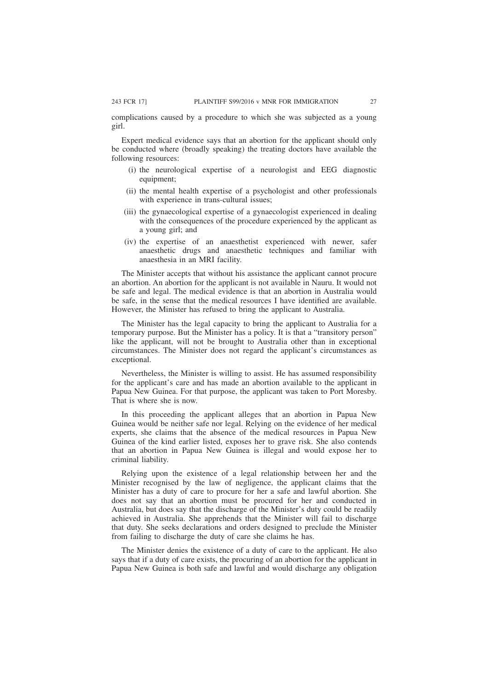complications caused by a procedure to which she was subjected as a young girl.

Expert medical evidence says that an abortion for the applicant should only be conducted where (broadly speaking) the treating doctors have available the following resources:

- (i) the neurological expertise of a neurologist and EEG diagnostic equipment;
- (ii) the mental health expertise of a psychologist and other professionals with experience in trans-cultural issues;
- (iii) the gynaecological expertise of a gynaecologist experienced in dealing with the consequences of the procedure experienced by the applicant as a young girl; and
- (iv) the expertise of an anaesthetist experienced with newer, safer anaesthetic drugs and anaesthetic techniques and familiar with anaesthesia in an MRI facility.

The Minister accepts that without his assistance the applicant cannot procure an abortion. An abortion for the applicant is not available in Nauru. It would not be safe and legal. The medical evidence is that an abortion in Australia would be safe, in the sense that the medical resources I have identified are available. However, the Minister has refused to bring the applicant to Australia.

The Minister has the legal capacity to bring the applicant to Australia for a temporary purpose. But the Minister has a policy. It is that a "transitory person" like the applicant, will not be brought to Australia other than in exceptional circumstances. The Minister does not regard the applicant's circumstances as exceptional.

Nevertheless, the Minister is willing to assist. He has assumed responsibility for the applicant's care and has made an abortion available to the applicant in Papua New Guinea. For that purpose, the applicant was taken to Port Moresby. That is where she is now.

In this proceeding the applicant alleges that an abortion in Papua New Guinea would be neither safe nor legal. Relying on the evidence of her medical experts, she claims that the absence of the medical resources in Papua New Guinea of the kind earlier listed, exposes her to grave risk. She also contends that an abortion in Papua New Guinea is illegal and would expose her to criminal liability.

Relying upon the existence of a legal relationship between her and the Minister recognised by the law of negligence, the applicant claims that the Minister has a duty of care to procure for her a safe and lawful abortion. She does not say that an abortion must be procured for her and conducted in Australia, but does say that the discharge of the Minister's duty could be readily achieved in Australia. She apprehends that the Minister will fail to discharge that duty. She seeks declarations and orders designed to preclude the Minister from failing to discharge the duty of care she claims he has.

The Minister denies the existence of a duty of care to the applicant. He also says that if a duty of care exists, the procuring of an abortion for the applicant in Papua New Guinea is both safe and lawful and would discharge any obligation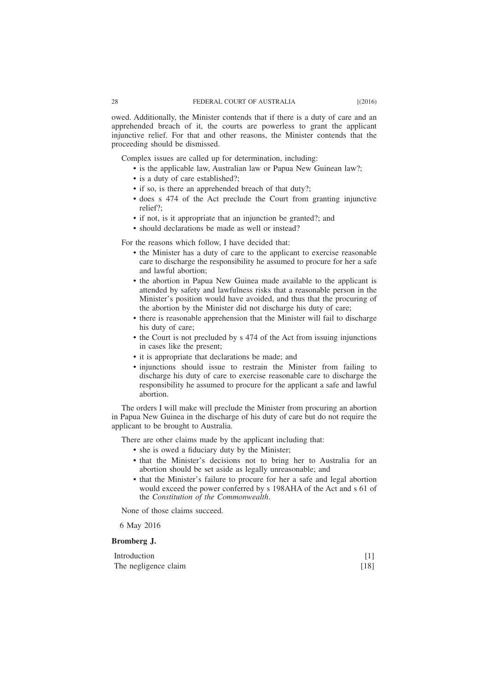owed. Additionally, the Minister contends that if there is a duty of care and an apprehended breach of it, the courts are powerless to grant the applicant injunctive relief. For that and other reasons, the Minister contends that the proceeding should be dismissed.

Complex issues are called up for determination, including:

- is the applicable law, Australian law or Papua New Guinean law?;
	- is a duty of care established?;
	- if so, is there an apprehended breach of that duty?;
	- does s 474 of the Act preclude the Court from granting injunctive relief?;
	- if not, is it appropriate that an injunction be granted?; and
- should declarations be made as well or instead?

For the reasons which follow, I have decided that:

- the Minister has a duty of care to the applicant to exercise reasonable care to discharge the responsibility he assumed to procure for her a safe and lawful abortion;
- the abortion in Papua New Guinea made available to the applicant is attended by safety and lawfulness risks that a reasonable person in the Minister's position would have avoided, and thus that the procuring of the abortion by the Minister did not discharge his duty of care;
- there is reasonable apprehension that the Minister will fail to discharge his duty of care;
- the Court is not precluded by s 474 of the Act from issuing injunctions in cases like the present;
- it is appropriate that declarations be made; and
- injunctions should issue to restrain the Minister from failing to discharge his duty of care to exercise reasonable care to discharge the responsibility he assumed to procure for the applicant a safe and lawful abortion.

The orders I will make will preclude the Minister from procuring an abortion in Papua New Guinea in the discharge of his duty of care but do not require the applicant to be brought to Australia.

There are other claims made by the applicant including that:

- she is owed a fiduciary duty by the Minister;
- that the Minister's decisions not to bring her to Australia for an abortion should be set aside as legally unreasonable; and
- that the Minister's failure to procure for her a safe and legal abortion would exceed the power conferred by s 198AHA of the Act and s 61 of the *Constitution of the Commonwealth*.

None of those claims succeed.

6 May 2016

### **Bromberg J.**

| Introduction         |        |
|----------------------|--------|
| The negligence claim | $[18]$ |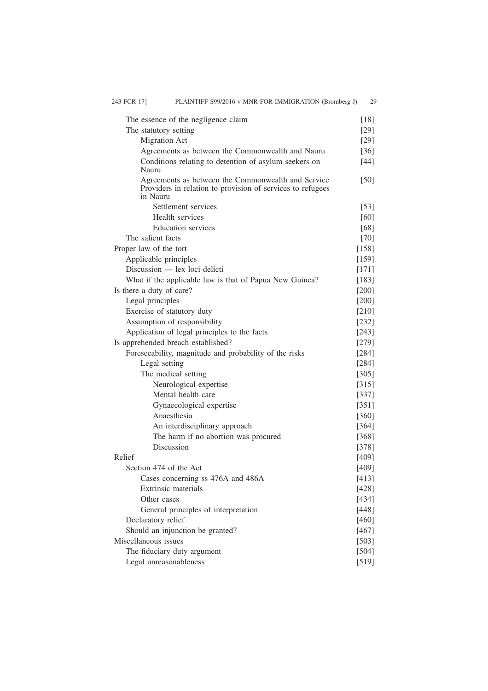| 243 FCR 171                         | PLAINTIFF S99/2016 v MNR FOR IMMIGRATION (Bromberg J)                                                            | 29      |
|-------------------------------------|------------------------------------------------------------------------------------------------------------------|---------|
| The essence of the negligence claim |                                                                                                                  | $[18]$  |
| The statutory setting               |                                                                                                                  | $[29]$  |
| <b>Migration Act</b>                |                                                                                                                  | $[29]$  |
|                                     | Agreements as between the Commonwealth and Nauru                                                                 | $[36]$  |
| Nauru                               | Conditions relating to detention of asylum seekers on                                                            | $[44]$  |
| in Nauru                            | Agreements as between the Commonwealth and Service<br>Providers in relation to provision of services to refugees | $[50]$  |
| Settlement services                 |                                                                                                                  | $[53]$  |
| Health services                     |                                                                                                                  | [60]    |
| <b>Education</b> services           |                                                                                                                  | [68]    |
| The salient facts                   |                                                                                                                  | $[70]$  |
| Proper law of the tort              |                                                                                                                  | $[158]$ |
| Applicable principles               |                                                                                                                  | [159]   |
| Discussion — lex loci delicti       |                                                                                                                  | $[171]$ |
|                                     | What if the applicable law is that of Papua New Guinea?                                                          | $[183]$ |
| Is there a duty of care?            |                                                                                                                  | [200]   |
| Legal principles                    |                                                                                                                  | [200]   |
| Exercise of statutory duty          |                                                                                                                  | $[210]$ |
| Assumption of responsibility        |                                                                                                                  | $[232]$ |
|                                     | Application of legal principles to the facts                                                                     | $[243]$ |
| Is apprehended breach established?  |                                                                                                                  | $[279]$ |
|                                     | Foreseeability, magnitude and probability of the risks                                                           | [284]   |
| Legal setting                       |                                                                                                                  | $[284]$ |
| The medical setting                 |                                                                                                                  | $[305]$ |
|                                     | Neurological expertise                                                                                           | [315]   |
| Mental health care                  |                                                                                                                  | [337]   |
|                                     | Gynaecological expertise                                                                                         | [351]   |
| Anaesthesia                         |                                                                                                                  | $[360]$ |
|                                     | An interdisciplinary approach                                                                                    | $[364]$ |
|                                     | The harm if no abortion was procured                                                                             | $[368]$ |
| Discussion                          |                                                                                                                  | $[378]$ |
| Relief                              |                                                                                                                  | [409]   |
| Section 474 of the Act              |                                                                                                                  | $[409]$ |
|                                     | Cases concerning ss 476A and 486A                                                                                | [413]   |
| Extrinsic materials                 |                                                                                                                  | [428]   |
| Other cases                         |                                                                                                                  | $[434]$ |
|                                     | General principles of interpretation                                                                             | [448]   |
| Declaratory relief                  |                                                                                                                  | [460]   |
| Should an injunction be granted?    |                                                                                                                  | [467]   |
| Miscellaneous issues                |                                                                                                                  | $[503]$ |
| The fiduciary duty argument         |                                                                                                                  | $[504]$ |
| Legal unreasonableness              |                                                                                                                  | [519]   |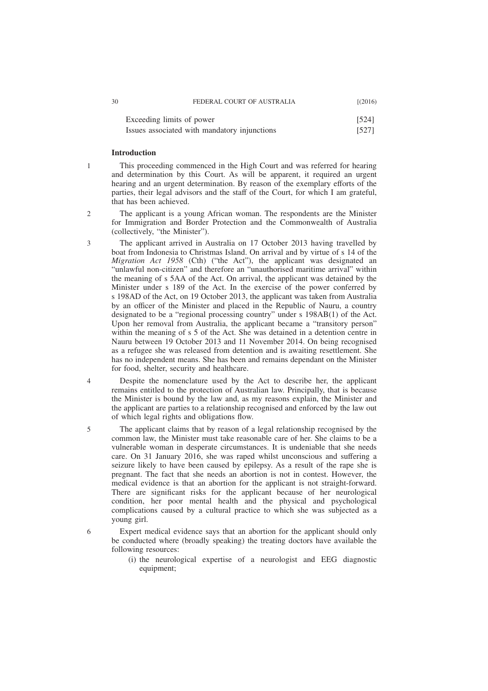| 30 | FEDERAL COURT OF AUSTRALIA | (2016) |  |
|----|----------------------------|--------|--|
|    | Exceeding limits of power  | [524]  |  |

|  | Issues associated with mandatory injunctions | $[527]$ |  |
|--|----------------------------------------------|---------|--|

# **Introduction**

- This proceeding commenced in the High Court and was referred for hearing and determination by this Court. As will be apparent, it required an urgent hearing and an urgent determination. By reason of the exemplary efforts of the parties, their legal advisors and the staff of the Court, for which I am grateful, that has been achieved.
- The applicant is a young African woman. The respondents are the Minister for Immigration and Border Protection and the Commonwealth of Australia (collectively, "the Minister").
- The applicant arrived in Australia on 17 October 2013 having travelled by boat from Indonesia to Christmas Island. On arrival and by virtue of s 14 of the *Migration Act 1958* (Cth) ("the Act"), the applicant was designated an "unlawful non-citizen" and therefore an "unauthorised maritime arrival" within the meaning of s 5AA of the Act. On arrival, the applicant was detained by the Minister under s 189 of the Act. In the exercise of the power conferred by s 198AD of the Act, on 19 October 2013, the applicant was taken from Australia by an officer of the Minister and placed in the Republic of Nauru, a country designated to be a "regional processing country" under s 198AB(1) of the Act. Upon her removal from Australia, the applicant became a "transitory person" within the meaning of s 5 of the Act. She was detained in a detention centre in Nauru between 19 October 2013 and 11 November 2014. On being recognised as a refugee she was released from detention and is awaiting resettlement. She has no independent means. She has been and remains dependant on the Minister for food, shelter, security and healthcare. 3

Despite the nomenclature used by the Act to describe her, the applicant remains entitled to the protection of Australian law. Principally, that is because the Minister is bound by the law and, as my reasons explain, the Minister and the applicant are parties to a relationship recognised and enforced by the law out of which legal rights and obligations flow. 4

- The applicant claims that by reason of a legal relationship recognised by the common law, the Minister must take reasonable care of her. She claims to be a vulnerable woman in desperate circumstances. It is undeniable that she needs care. On 31 January 2016, she was raped whilst unconscious and suffering a seizure likely to have been caused by epilepsy. As a result of the rape she is pregnant. The fact that she needs an abortion is not in contest. However, the medical evidence is that an abortion for the applicant is not straight-forward. There are significant risks for the applicant because of her neurological condition, her poor mental health and the physical and psychological complications caused by a cultural practice to which she was subjected as a young girl.
	- Expert medical evidence says that an abortion for the applicant should only be conducted where (broadly speaking) the treating doctors have available the following resources:
		- (i) the neurological expertise of a neurologist and EEG diagnostic equipment;

1

 $\mathcal{L}$ 

5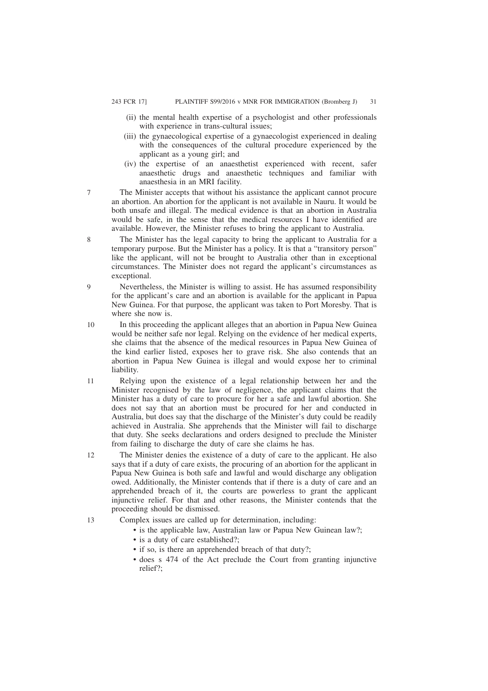- (ii) the mental health expertise of a psychologist and other professionals with experience in trans-cultural issues;
- (iii) the gynaecological expertise of a gynaecologist experienced in dealing with the consequences of the cultural procedure experienced by the applicant as a young girl; and
- (iv) the expertise of an anaesthetist experienced with recent, safer anaesthetic drugs and anaesthetic techniques and familiar with anaesthesia in an MRI facility.
- The Minister accepts that without his assistance the applicant cannot procure an abortion. An abortion for the applicant is not available in Nauru. It would be both unsafe and illegal. The medical evidence is that an abortion in Australia would be safe, in the sense that the medical resources I have identified are available. However, the Minister refuses to bring the applicant to Australia.
- The Minister has the legal capacity to bring the applicant to Australia for a temporary purpose. But the Minister has a policy. It is that a "transitory person" like the applicant, will not be brought to Australia other than in exceptional circumstances. The Minister does not regard the applicant's circumstances as exceptional.
- Nevertheless, the Minister is willing to assist. He has assumed responsibility for the applicant's care and an abortion is available for the applicant in Papua New Guinea. For that purpose, the applicant was taken to Port Moresby. That is where she now is.  $\alpha$
- In this proceeding the applicant alleges that an abortion in Papua New Guinea would be neither safe nor legal. Relying on the evidence of her medical experts, she claims that the absence of the medical resources in Papua New Guinea of the kind earlier listed, exposes her to grave risk. She also contends that an abortion in Papua New Guinea is illegal and would expose her to criminal liability. 10
- Relying upon the existence of a legal relationship between her and the Minister recognised by the law of negligence, the applicant claims that the Minister has a duty of care to procure for her a safe and lawful abortion. She does not say that an abortion must be procured for her and conducted in Australia, but does say that the discharge of the Minister's duty could be readily achieved in Australia. She apprehends that the Minister will fail to discharge that duty. She seeks declarations and orders designed to preclude the Minister from failing to discharge the duty of care she claims he has. 11
- The Minister denies the existence of a duty of care to the applicant. He also says that if a duty of care exists, the procuring of an abortion for the applicant in Papua New Guinea is both safe and lawful and would discharge any obligation owed. Additionally, the Minister contends that if there is a duty of care and an apprehended breach of it, the courts are powerless to grant the applicant injunctive relief. For that and other reasons, the Minister contends that the proceeding should be dismissed. 12
- Complex issues are called up for determination, including: 13
	- is the applicable law, Australian law or Papua New Guinean law?;
	- is a duty of care established?;
	- if so, is there an apprehended breach of that duty?;
	- does s 474 of the Act preclude the Court from granting injunctive relief?;

7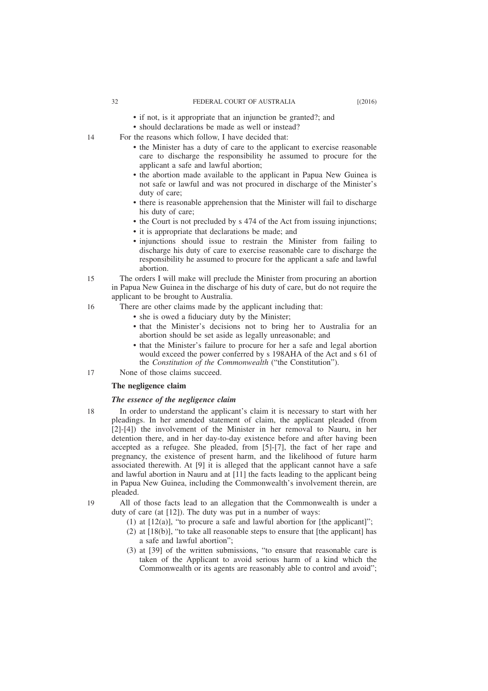- if not, is it appropriate that an injunction be granted?; and
- should declarations be made as well or instead?
- For the reasons which follow, I have decided that:
	- the Minister has a duty of care to the applicant to exercise reasonable care to discharge the responsibility he assumed to procure for the applicant a safe and lawful abortion;
	- the abortion made available to the applicant in Papua New Guinea is not safe or lawful and was not procured in discharge of the Minister's duty of care;
	- there is reasonable apprehension that the Minister will fail to discharge his duty of care;
	- the Court is not precluded by s 474 of the Act from issuing injunctions;
	- it is appropriate that declarations be made; and
	- injunctions should issue to restrain the Minister from failing to discharge his duty of care to exercise reasonable care to discharge the responsibility he assumed to procure for the applicant a safe and lawful abortion.
- The orders I will make will preclude the Minister from procuring an abortion in Papua New Guinea in the discharge of his duty of care, but do not require the applicant to be brought to Australia. 15
- There are other claims made by the applicant including that: 16
	- she is owed a fiduciary duty by the Minister;
	- that the Minister's decisions not to bring her to Australia for an abortion should be set aside as legally unreasonable; and
	- that the Minister's failure to procure for her a safe and legal abortion would exceed the power conferred by s 198AHA of the Act and s 61 of the *Constitution of the Commonwealth* ("the Constitution").
	- None of those claims succeed.

## **The negligence claim**

### *The essence of the negligence claim*

- In order to understand the applicant's claim it is necessary to start with her pleadings. In her amended statement of claim, the applicant pleaded (from [2]-[4]) the involvement of the Minister in her removal to Nauru, in her detention there, and in her day-to-day existence before and after having been accepted as a refugee. She pleaded, from [5]-[7], the fact of her rape and pregnancy, the existence of present harm, and the likelihood of future harm associated therewith. At [9] it is alleged that the applicant cannot have a safe and lawful abortion in Nauru and at [11] the facts leading to the applicant being in Papua New Guinea, including the Commonwealth's involvement therein, are pleaded. 18
- All of those facts lead to an allegation that the Commonwealth is under a duty of care (at [12]). The duty was put in a number of ways: 19
	- (1) at  $[12(a)]$ , "to procure a safe and lawful abortion for [the applicant]";
	- (2) at  $[18(b)]$ , "to take all reasonable steps to ensure that  $[the$  applicant $]$  has a safe and lawful abortion";
	- (3) at [39] of the written submissions, "to ensure that reasonable care is taken of the Applicant to avoid serious harm of a kind which the Commonwealth or its agents are reasonably able to control and avoid";

14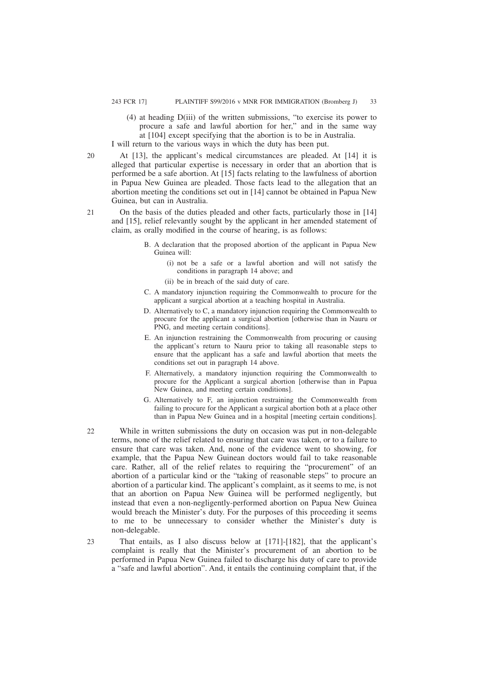- (4) at heading D(iii) of the written submissions, "to exercise its power to procure a safe and lawful abortion for her," and in the same way at [104] except specifying that the abortion is to be in Australia.
- I will return to the various ways in which the duty has been put.

At [13], the applicant's medical circumstances are pleaded. At [14] it is alleged that particular expertise is necessary in order that an abortion that is performed be a safe abortion. At [15] facts relating to the lawfulness of abortion in Papua New Guinea are pleaded. Those facts lead to the allegation that an abortion meeting the conditions set out in [14] cannot be obtained in Papua New Guinea, but can in Australia.

21

20

On the basis of the duties pleaded and other facts, particularly those in [14] and [15], relief relevantly sought by the applicant in her amended statement of claim, as orally modified in the course of hearing, is as follows:

- B. A declaration that the proposed abortion of the applicant in Papua New Guinea will:
	- (i) not be a safe or a lawful abortion and will not satisfy the conditions in paragraph 14 above; and
	- (ii) be in breach of the said duty of care.
- C. A mandatory injunction requiring the Commonwealth to procure for the applicant a surgical abortion at a teaching hospital in Australia.
- D. Alternatively to C, a mandatory injunction requiring the Commonwealth to procure for the applicant a surgical abortion [otherwise than in Nauru or PNG, and meeting certain conditions].
- E. An injunction restraining the Commonwealth from procuring or causing the applicant's return to Nauru prior to taking all reasonable steps to ensure that the applicant has a safe and lawful abortion that meets the conditions set out in paragraph 14 above.
- F. Alternatively, a mandatory injunction requiring the Commonwealth to procure for the Applicant a surgical abortion [otherwise than in Papua New Guinea, and meeting certain conditions].
- G. Alternatively to F, an injunction restraining the Commonwealth from failing to procure for the Applicant a surgical abortion both at a place other than in Papua New Guinea and in a hospital [meeting certain conditions].
- While in written submissions the duty on occasion was put in non-delegable terms, none of the relief related to ensuring that care was taken, or to a failure to ensure that care was taken. And, none of the evidence went to showing, for example, that the Papua New Guinean doctors would fail to take reasonable care. Rather, all of the relief relates to requiring the "procurement" of an abortion of a particular kind or the "taking of reasonable steps" to procure an abortion of a particular kind. The applicant's complaint, as it seems to me, is not that an abortion on Papua New Guinea will be performed negligently, but instead that even a non-negligently-performed abortion on Papua New Guinea would breach the Minister's duty. For the purposes of this proceeding it seems to me to be unnecessary to consider whether the Minister's duty is non-delegable.
- That entails, as I also discuss below at [171]-[182], that the applicant's complaint is really that the Minister's procurement of an abortion to be performed in Papua New Guinea failed to discharge his duty of care to provide a "safe and lawful abortion". And, it entails the continuing complaint that, if the

22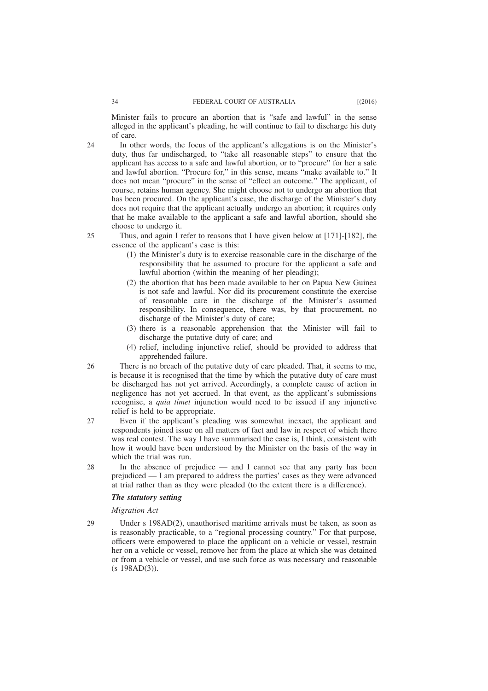Minister fails to procure an abortion that is "safe and lawful" in the sense alleged in the applicant's pleading, he will continue to fail to discharge his duty of care.

In other words, the focus of the applicant's allegations is on the Minister's duty, thus far undischarged, to "take all reasonable steps" to ensure that the applicant has access to a safe and lawful abortion, or to "procure" for her a safe and lawful abortion. "Procure for," in this sense, means "make available to." It does not mean "procure" in the sense of "effect an outcome." The applicant, of course, retains human agency. She might choose not to undergo an abortion that has been procured. On the applicant's case, the discharge of the Minister's duty does not require that the applicant actually undergo an abortion; it requires only that he make available to the applicant a safe and lawful abortion, should she choose to undergo it.

- Thus, and again I refer to reasons that I have given below at [171]-[182], the essence of the applicant's case is this:
	- (1) the Minister's duty is to exercise reasonable care in the discharge of the responsibility that he assumed to procure for the applicant a safe and lawful abortion (within the meaning of her pleading);
	- (2) the abortion that has been made available to her on Papua New Guinea is not safe and lawful. Nor did its procurement constitute the exercise of reasonable care in the discharge of the Minister's assumed responsibility. In consequence, there was, by that procurement, no discharge of the Minister's duty of care;
	- (3) there is a reasonable apprehension that the Minister will fail to discharge the putative duty of care; and
	- (4) relief, including injunctive relief, should be provided to address that apprehended failure.

There is no breach of the putative duty of care pleaded. That, it seems to me, is because it is recognised that the time by which the putative duty of care must be discharged has not yet arrived. Accordingly, a complete cause of action in negligence has not yet accrued. In that event, as the applicant's submissions recognise, a *quia timet* injunction would need to be issued if any injunctive relief is held to be appropriate.

- Even if the applicant's pleading was somewhat inexact, the applicant and respondents joined issue on all matters of fact and law in respect of which there was real contest. The way I have summarised the case is, I think, consistent with how it would have been understood by the Minister on the basis of the way in which the trial was run. 27
- In the absence of prejudice  $-$  and I cannot see that any party has been prejudiced — I am prepared to address the parties' cases as they were advanced at trial rather than as they were pleaded (to the extent there is a difference). 28

## *The statutory setting*

### *Migration Act*

Under s 198AD(2), unauthorised maritime arrivals must be taken, as soon as is reasonably practicable, to a "regional processing country." For that purpose, officers were empowered to place the applicant on a vehicle or vessel, restrain her on a vehicle or vessel, remove her from the place at which she was detained or from a vehicle or vessel, and use such force as was necessary and reasonable (s 198AD(3)).

25

24

26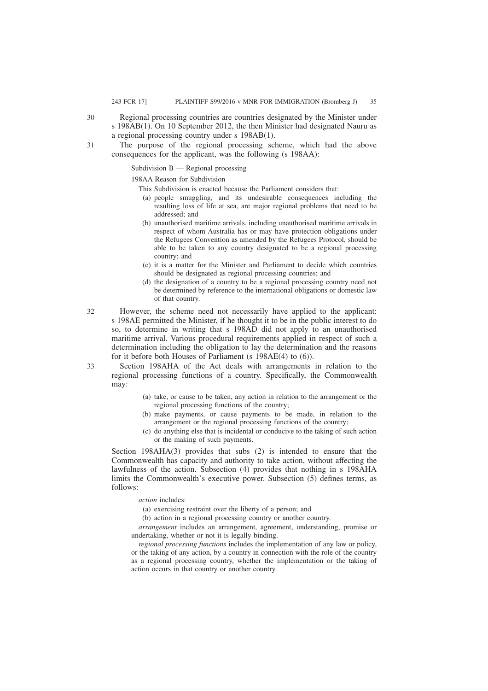Regional processing countries are countries designated by the Minister under s 198AB(1). On 10 September 2012, the then Minister had designated Nauru as a regional processing country under s 198AB(1).

The purpose of the regional processing scheme, which had the above consequences for the applicant, was the following (s 198AA):

Subdivision B — Regional processing

198AA Reason for Subdivision

- This Subdivision is enacted because the Parliament considers that:
- (a) people smuggling, and its undesirable consequences including the resulting loss of life at sea, are major regional problems that need to be addressed; and
- (b) unauthorised maritime arrivals, including unauthorised maritime arrivals in respect of whom Australia has or may have protection obligations under the Refugees Convention as amended by the Refugees Protocol, should be able to be taken to any country designated to be a regional processing country; and
- (c) it is a matter for the Minister and Parliament to decide which countries should be designated as regional processing countries; and
- (d) the designation of a country to be a regional processing country need not be determined by reference to the international obligations or domestic law of that country.
- However, the scheme need not necessarily have applied to the applicant: s 198AE permitted the Minister, if he thought it to be in the public interest to do so, to determine in writing that s 198AD did not apply to an unauthorised maritime arrival. Various procedural requirements applied in respect of such a determination including the obligation to lay the determination and the reasons for it before both Houses of Parliament (s 198AE(4) to (6)). 32

Section 198AHA of the Act deals with arrangements in relation to the regional processing functions of a country. Specifically, the Commonwealth may:

- (a) take, or cause to be taken, any action in relation to the arrangement or the regional processing functions of the country;
- (b) make payments, or cause payments to be made, in relation to the arrangement or the regional processing functions of the country;
- (c) do anything else that is incidental or conducive to the taking of such action or the making of such payments.

Section 198AHA(3) provides that subs (2) is intended to ensure that the Commonwealth has capacity and authority to take action, without affecting the lawfulness of the action. Subsection (4) provides that nothing in s 198AHA limits the Commonwealth's executive power. Subsection (5) defines terms, as follows:

*action* includes:

(a) exercising restraint over the liberty of a person; and

(b) action in a regional processing country or another country.

*arrangement* includes an arrangement, agreement, understanding, promise or undertaking, whether or not it is legally binding.

*regional processing functions* includes the implementation of any law or policy, or the taking of any action, by a country in connection with the role of the country as a regional processing country, whether the implementation or the taking of action occurs in that country or another country.

30

31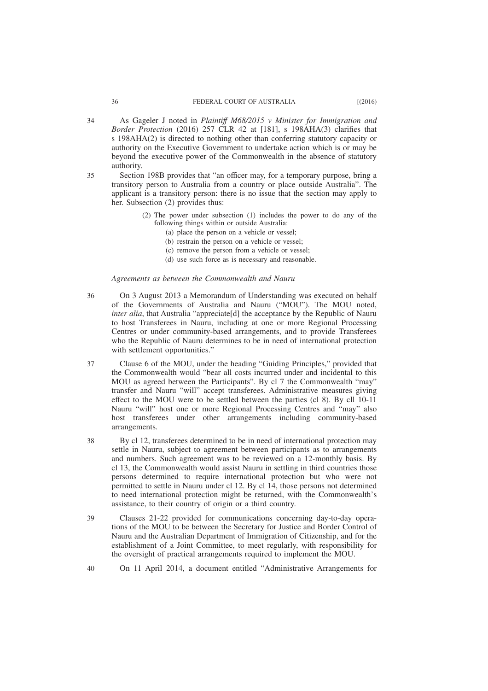#### 36 FEDERAL COURT OF AUSTRALIA [(2016)

- As Gageler J noted in *Plaintiff M68/2015 v Minister for Immigration and Border Protection* (2016) 257 CLR 42 at [181], s 198AHA(3) clarifies that s 198AHA(2) is directed to nothing other than conferring statutory capacity or authority on the Executive Government to undertake action which is or may be beyond the executive power of the Commonwealth in the absence of statutory authority.
- Section 198B provides that "an officer may, for a temporary purpose, bring a transitory person to Australia from a country or place outside Australia". The applicant is a transitory person: there is no issue that the section may apply to her. Subsection (2) provides thus: 35
	- (2) The power under subsection (1) includes the power to do any of the following things within or outside Australia:
		- (a) place the person on a vehicle or vessel;
		- (b) restrain the person on a vehicle or vessel;
		- (c) remove the person from a vehicle or vessel;
		- (d) use such force as is necessary and reasonable.

### *Agreements as between the Commonwealth and Nauru*

- On 3 August 2013 a Memorandum of Understanding was executed on behalf of the Governments of Australia and Nauru ("MOU"). The MOU noted, *inter alia*, that Australia "appreciate[d] the acceptance by the Republic of Nauru to host Transferees in Nauru, including at one or more Regional Processing Centres or under community-based arrangements, and to provide Transferees who the Republic of Nauru determines to be in need of international protection with settlement opportunities." 36
- Clause 6 of the MOU, under the heading "Guiding Principles," provided that the Commonwealth would "bear all costs incurred under and incidental to this MOU as agreed between the Participants". By cl 7 the Commonwealth "may" transfer and Nauru "will" accept transferees. Administrative measures giving effect to the MOU were to be settled between the parties (cl 8). By cll 10-11 Nauru "will" host one or more Regional Processing Centres and "may" also host transferees under other arrangements including community-based arrangements. 37
- By cl 12, transferees determined to be in need of international protection may settle in Nauru, subject to agreement between participants as to arrangements and numbers. Such agreement was to be reviewed on a 12-monthly basis. By cl 13, the Commonwealth would assist Nauru in settling in third countries those persons determined to require international protection but who were not permitted to settle in Nauru under cl 12. By cl 14, those persons not determined to need international protection might be returned, with the Commonwealth's assistance, to their country of origin or a third country. 38
- Clauses 21-22 provided for communications concerning day-to-day operations of the MOU to be between the Secretary for Justice and Border Control of Nauru and the Australian Department of Immigration of Citizenship, and for the establishment of a Joint Committee, to meet regularly, with responsibility for the oversight of practical arrangements required to implement the MOU. 39
- On 11 April 2014, a document entitled "Administrative Arrangements for 40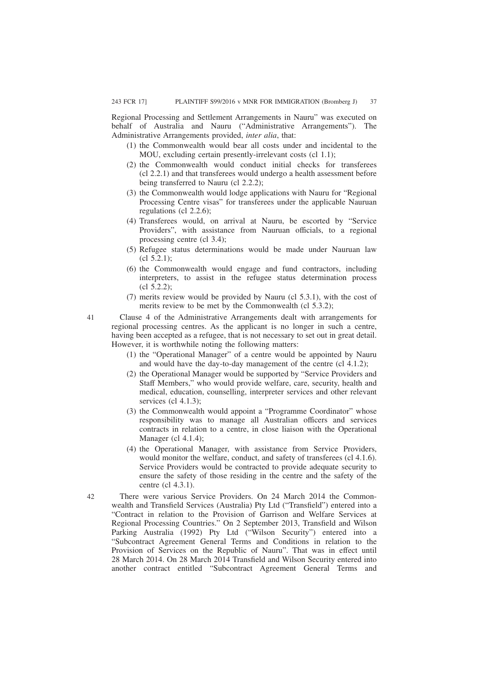Regional Processing and Settlement Arrangements in Nauru" was executed on behalf of Australia and Nauru ("Administrative Arrangements"). The Administrative Arrangements provided, *inter alia*, that:

- (1) the Commonwealth would bear all costs under and incidental to the MOU, excluding certain presently-irrelevant costs (cl 1.1);
- (2) the Commonwealth would conduct initial checks for transferees (cl 2.2.1) and that transferees would undergo a health assessment before being transferred to Nauru (cl 2.2.2);
- (3) the Commonwealth would lodge applications with Nauru for "Regional Processing Centre visas" for transferees under the applicable Nauruan regulations (cl 2.2.6);
- (4) Transferees would, on arrival at Nauru, be escorted by "Service Providers", with assistance from Nauruan officials, to a regional processing centre (cl 3.4);
- (5) Refugee status determinations would be made under Nauruan law  $(c1.5.2.1)$ :
- (6) the Commonwealth would engage and fund contractors, including interpreters, to assist in the refugee status determination process (cl 5.2.2);
- (7) merits review would be provided by Nauru (cl 5.3.1), with the cost of merits review to be met by the Commonwealth (cl 5.3.2);
- Clause 4 of the Administrative Arrangements dealt with arrangements for regional processing centres. As the applicant is no longer in such a centre, having been accepted as a refugee, that is not necessary to set out in great detail. However, it is worthwhile noting the following matters:
	- (1) the "Operational Manager" of a centre would be appointed by Nauru and would have the day-to-day management of the centre (cl 4.1.2);
	- (2) the Operational Manager would be supported by "Service Providers and Staff Members," who would provide welfare, care, security, health and medical, education, counselling, interpreter services and other relevant services (cl 4.1.3):
	- (3) the Commonwealth would appoint a "Programme Coordinator" whose responsibility was to manage all Australian officers and services contracts in relation to a centre, in close liaison with the Operational Manager (cl 4.1.4);
	- (4) the Operational Manager, with assistance from Service Providers, would monitor the welfare, conduct, and safety of transferees (cl 4.1.6). Service Providers would be contracted to provide adequate security to ensure the safety of those residing in the centre and the safety of the centre (cl 4.3.1).

There were various Service Providers. On 24 March 2014 the Commonwealth and Transfield Services (Australia) Pty Ltd ("Transfield") entered into a "Contract in relation to the Provision of Garrison and Welfare Services at Regional Processing Countries." On 2 September 2013, Transfield and Wilson Parking Australia (1992) Pty Ltd ("Wilson Security") entered into a "Subcontract Agreement General Terms and Conditions in relation to the Provision of Services on the Republic of Nauru". That was in effect until 28 March 2014. On 28 March 2014 Transfield and Wilson Security entered into another contract entitled "Subcontract Agreement General Terms and

41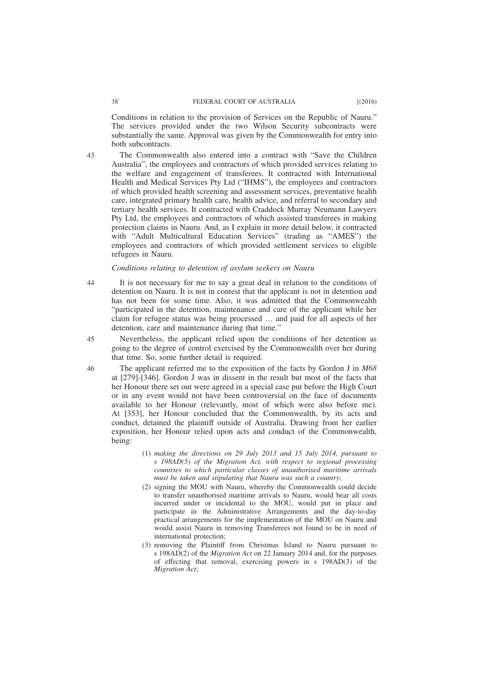Conditions in relation to the provision of Services on the Republic of Nauru." The services provided under the two Wilson Security subcontracts were substantially the same. Approval was given by the Commonwealth for entry into both subcontracts.

The Commonwealth also entered into a contract with "Save the Children Australia", the employees and contractors of which provided services relating to the welfare and engagement of transferees. It contracted with International Health and Medical Services Pty Ltd ("IHMS"), the employees and contractors of which provided health screening and assessment services, preventative health care, integrated primary health care, health advice, and referral to secondary and tertiary health services. It contracted with Craddock Murray Neumann Lawyers Pty Ltd, the employees and contractors of which assisted transferees in making protection claims in Nauru. And, as I explain in more detail below, it contracted with "Adult Multicultural Education Services" (trading as "AMES") the employees and contractors of which provided settlement services to eligible refugees in Nauru.

## *Conditions relating to detention of asylum seekers on Nauru*

- It is not necessary for me to say a great deal in relation to the conditions of detention on Nauru. It is not in contest that the applicant is not in detention and has not been for some time. Also, it was admitted that the Commonwealth "participated in the detention, maintenance and care of the applicant while her claim for refugee status was being processed … and paid for all aspects of her detention, care and maintenance during that time." 44
	- Nevertheless, the applicant relied upon the conditions of her detention as going to the degree of control exercised by the Commonwealth over her during that time. So, some further detail is required.

The applicant referred me to the exposition of the facts by Gordon J in *M68* at [279]-[346]. Gordon J was in dissent in the result but most of the facts that her Honour there set out were agreed in a special case put before the High Court or in any event would not have been controversial on the face of documents available to her Honour (relevantly, most of which were also before me). At [353], her Honour concluded that the Commonwealth, by its acts and conduct, detained the plaintiff outside of Australia. Drawing from her earlier exposition, her Honour relied upon acts and conduct of the Commonwealth, being:

- (1) *making the directions on 29 July 2013 and 15 July 2014, pursuant to s 198AD(5) of the Migration Act, with respect to regional processing countries to which particular classes of unauthorised maritime arrivals must be taken and stipulating that Nauru was such a country*;
- (2) signing the MOU with Nauru, whereby the Commonwealth could decide to transfer unauthorised maritime arrivals to Nauru, would bear all costs incurred under or incidental to the MOU, would put in place and participate in the Administrative Arrangements and the day-to-day practical arrangements for the implementation of the MOU on Nauru and would assist Nauru in removing Transferees not found to be in need of international protection;
- (3) removing the Plaintiff from Christmas Island to Nauru pursuant to s 198AD(2) of the *Migration Act* on 22 January 2014 and, for the purposes of effecting that removal, exercising powers in s 198AD(3) of the *Migration Act*;

43

46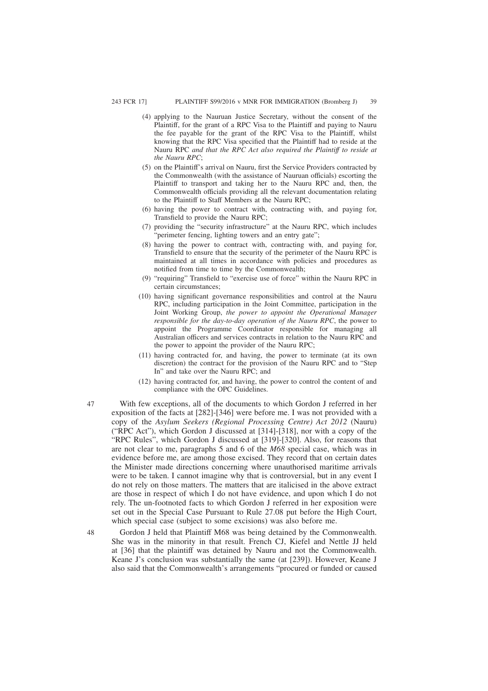- (4) applying to the Nauruan Justice Secretary, without the consent of the Plaintiff, for the grant of a RPC Visa to the Plaintiff and paying to Nauru the fee payable for the grant of the RPC Visa to the Plaintiff, whilst knowing that the RPC Visa specified that the Plaintiff had to reside at the Nauru RPC *and that the RPC Act also required the Plaintiff to reside at the Nauru RPC*;
- (5) on the Plaintiff's arrival on Nauru, first the Service Providers contracted by the Commonwealth (with the assistance of Nauruan officials) escorting the Plaintiff to transport and taking her to the Nauru RPC and, then, the Commonwealth officials providing all the relevant documentation relating to the Plaintiff to Staff Members at the Nauru RPC;
- (6) having the power to contract with, contracting with, and paying for, Transfield to provide the Nauru RPC;
- (7) providing the "security infrastructure" at the Nauru RPC, which includes "perimeter fencing, lighting towers and an entry gate";
- (8) having the power to contract with, contracting with, and paying for, Transfield to ensure that the security of the perimeter of the Nauru RPC is maintained at all times in accordance with policies and procedures as notified from time to time by the Commonwealth;
- (9) "requiring" Transfield to "exercise use of force" within the Nauru RPC in certain circumstances;
- (10) having significant governance responsibilities and control at the Nauru RPC, including participation in the Joint Committee, participation in the Joint Working Group, *the power to appoint the Operational Manager responsible for the day-to-day operation of the Nauru RPC*, the power to appoint the Programme Coordinator responsible for managing all Australian officers and services contracts in relation to the Nauru RPC and the power to appoint the provider of the Nauru RPC;
- (11) having contracted for, and having, the power to terminate (at its own discretion) the contract for the provision of the Nauru RPC and to "Step In" and take over the Nauru RPC; and
- (12) having contracted for, and having, the power to control the content of and compliance with the OPC Guidelines.
- With few exceptions, all of the documents to which Gordon J referred in her exposition of the facts at [282]-[346] were before me. I was not provided with a copy of the *Asylum Seekers (Regional Processing Centre) Act 2012* (Nauru) ("RPC Act"), which Gordon J discussed at [314]-[318], nor with a copy of the "RPC Rules", which Gordon J discussed at [319]-[320]. Also, for reasons that are not clear to me, paragraphs 5 and 6 of the *M68* special case, which was in evidence before me, are among those excised. They record that on certain dates the Minister made directions concerning where unauthorised maritime arrivals were to be taken. I cannot imagine why that is controversial, but in any event I do not rely on those matters. The matters that are italicised in the above extract are those in respect of which I do not have evidence, and upon which I do not rely. The un-footnoted facts to which Gordon J referred in her exposition were set out in the Special Case Pursuant to Rule 27.08 put before the High Court, which special case (subject to some excisions) was also before me. 47
	- Gordon J held that Plaintiff M68 was being detained by the Commonwealth. She was in the minority in that result. French CJ, Kiefel and Nettle JJ held at [36] that the plaintiff was detained by Nauru and not the Commonwealth. Keane J's conclusion was substantially the same (at [239]). However, Keane J also said that the Commonwealth's arrangements "procured or funded or caused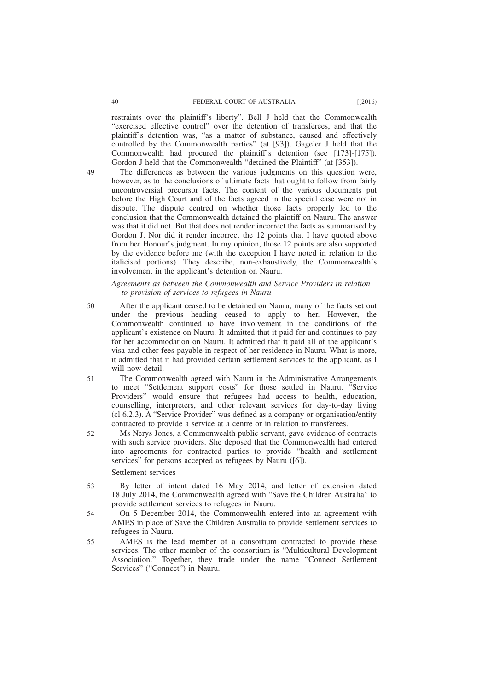restraints over the plaintiff's liberty". Bell J held that the Commonwealth "exercised effective control" over the detention of transferees, and that the plaintiff's detention was, "as a matter of substance, caused and effectively controlled by the Commonwealth parties" (at [93]). Gageler J held that the Commonwealth had procured the plaintiff's detention (see [173]-[175]). Gordon J held that the Commonwealth "detained the Plaintiff" (at [353]).

49

50

The differences as between the various judgments on this question were, however, as to the conclusions of ultimate facts that ought to follow from fairly uncontroversial precursor facts. The content of the various documents put before the High Court and of the facts agreed in the special case were not in dispute. The dispute centred on whether those facts properly led to the conclusion that the Commonwealth detained the plaintiff on Nauru. The answer was that it did not. But that does not render incorrect the facts as summarised by Gordon J. Nor did it render incorrect the 12 points that I have quoted above from her Honour's judgment. In my opinion, those 12 points are also supported by the evidence before me (with the exception I have noted in relation to the italicised portions). They describe, non-exhaustively, the Commonwealth's involvement in the applicant's detention on Nauru.

# *Agreements as between the Commonwealth and Service Providers in relation to provision of services to refugees in Nauru*

- After the applicant ceased to be detained on Nauru, many of the facts set out under the previous heading ceased to apply to her. However, the Commonwealth continued to have involvement in the conditions of the applicant's existence on Nauru. It admitted that it paid for and continues to pay for her accommodation on Nauru. It admitted that it paid all of the applicant's visa and other fees payable in respect of her residence in Nauru. What is more, it admitted that it had provided certain settlement services to the applicant, as I will now detail.
- The Commonwealth agreed with Nauru in the Administrative Arrangements to meet "Settlement support costs" for those settled in Nauru. "Service Providers" would ensure that refugees had access to health, education, counselling, interpreters, and other relevant services for day-to-day living (cl 6.2.3). A "Service Provider" was defined as a company or organisation/entity contracted to provide a service at a centre or in relation to transferees. 51
- Ms Nerys Jones, a Commonwealth public servant, gave evidence of contracts with such service providers. She deposed that the Commonwealth had entered into agreements for contracted parties to provide "health and settlement services" for persons accepted as refugees by Nauru ([6]). 52

## Settlement services

- By letter of intent dated 16 May 2014, and letter of extension dated 18 July 2014, the Commonwealth agreed with "Save the Children Australia" to provide settlement services to refugees in Nauru. 53
- On 5 December 2014, the Commonwealth entered into an agreement with AMES in place of Save the Children Australia to provide settlement services to refugees in Nauru. 54
- AMES is the lead member of a consortium contracted to provide these services. The other member of the consortium is "Multicultural Development Association." Together, they trade under the name "Connect Settlement Services" ("Connect") in Nauru. 55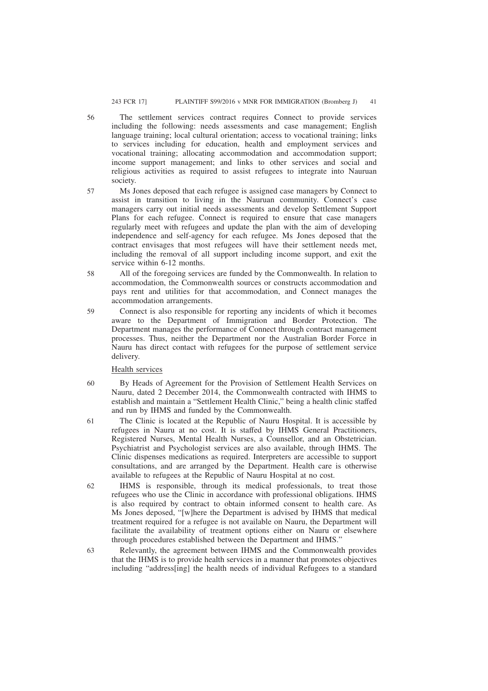- The settlement services contract requires Connect to provide services including the following: needs assessments and case management; English language training; local cultural orientation; access to vocational training; links to services including for education, health and employment services and vocational training; allocating accommodation and accommodation support; income support management; and links to other services and social and religious activities as required to assist refugees to integrate into Nauruan society. 56
- Ms Jones deposed that each refugee is assigned case managers by Connect to assist in transition to living in the Nauruan community. Connect's case managers carry out initial needs assessments and develop Settlement Support Plans for each refugee. Connect is required to ensure that case managers regularly meet with refugees and update the plan with the aim of developing independence and self-agency for each refugee. Ms Jones deposed that the contract envisages that most refugees will have their settlement needs met, including the removal of all support including income support, and exit the service within 6-12 months. 57
- All of the foregoing services are funded by the Commonwealth. In relation to accommodation, the Commonwealth sources or constructs accommodation and pays rent and utilities for that accommodation, and Connect manages the accommodation arrangements. 58
- Connect is also responsible for reporting any incidents of which it becomes aware to the Department of Immigration and Border Protection. The Department manages the performance of Connect through contract management processes. Thus, neither the Department nor the Australian Border Force in Nauru has direct contact with refugees for the purpose of settlement service delivery. 59

### Health services

- By Heads of Agreement for the Provision of Settlement Health Services on Nauru, dated 2 December 2014, the Commonwealth contracted with IHMS to establish and maintain a "Settlement Health Clinic," being a health clinic staffed and run by IHMS and funded by the Commonwealth. 60
- The Clinic is located at the Republic of Nauru Hospital. It is accessible by refugees in Nauru at no cost. It is staffed by IHMS General Practitioners, Registered Nurses, Mental Health Nurses, a Counsellor, and an Obstetrician. Psychiatrist and Psychologist services are also available, through IHMS. The Clinic dispenses medications as required. Interpreters are accessible to support consultations, and are arranged by the Department. Health care is otherwise available to refugees at the Republic of Nauru Hospital at no cost. 61
- IHMS is responsible, through its medical professionals, to treat those refugees who use the Clinic in accordance with professional obligations. IHMS is also required by contract to obtain informed consent to health care. As Ms Jones deposed, "[w]here the Department is advised by IHMS that medical treatment required for a refugee is not available on Nauru, the Department will facilitate the availability of treatment options either on Nauru or elsewhere through procedures established between the Department and IHMS." 62
- Relevantly, the agreement between IHMS and the Commonwealth provides that the IHMS is to provide health services in a manner that promotes objectives including "address[ing] the health needs of individual Refugees to a standard 63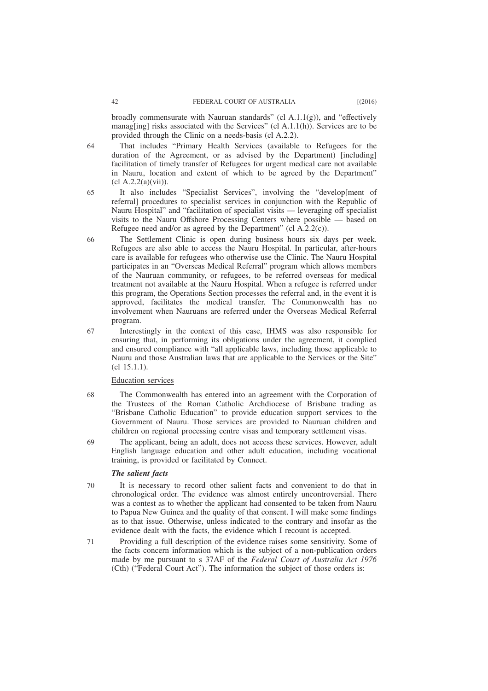broadly commensurate with Nauruan standards" (cl A.1.1(g)), and "effectively manag[ing] risks associated with the Services" (cl A.1.1(h)). Services are to be provided through the Clinic on a needs-basis (cl A.2.2).

That includes "Primary Health Services (available to Refugees for the duration of the Agreement, or as advised by the Department) [including] facilitation of timely transfer of Refugees for urgent medical care not available in Nauru, location and extent of which to be agreed by the Department"  $cl A.2.2(a)(vii)$ .

65

It also includes "Specialist Services", involving the "develop[ment of referral] procedures to specialist services in conjunction with the Republic of Nauru Hospital" and "facilitation of specialist visits — leveraging off specialist visits to the Nauru Offshore Processing Centers where possible — based on Refugee need and/or as agreed by the Department" (cl A.2.2(c)).

The Settlement Clinic is open during business hours six days per week. Refugees are also able to access the Nauru Hospital. In particular, after-hours care is available for refugees who otherwise use the Clinic. The Nauru Hospital participates in an "Overseas Medical Referral" program which allows members of the Nauruan community, or refugees, to be referred overseas for medical treatment not available at the Nauru Hospital. When a refugee is referred under this program, the Operations Section processes the referral and, in the event it is approved, facilitates the medical transfer. The Commonwealth has no involvement when Nauruans are referred under the Overseas Medical Referral program. 66

67

68

Interestingly in the context of this case, IHMS was also responsible for ensuring that, in performing its obligations under the agreement, it complied and ensured compliance with "all applicable laws, including those applicable to Nauru and those Australian laws that are applicable to the Services or the Site" (cl 15.1.1).

# Education services

- The Commonwealth has entered into an agreement with the Corporation of the Trustees of the Roman Catholic Archdiocese of Brisbane trading as "Brisbane Catholic Education" to provide education support services to the Government of Nauru. Those services are provided to Nauruan children and children on regional processing centre visas and temporary settlement visas.
- The applicant, being an adult, does not access these services. However, adult English language education and other adult education, including vocational training, is provided or facilitated by Connect. 69

### *The salient facts*

- It is necessary to record other salient facts and convenient to do that in chronological order. The evidence was almost entirely uncontroversial. There was a contest as to whether the applicant had consented to be taken from Nauru to Papua New Guinea and the quality of that consent. I will make some findings as to that issue. Otherwise, unless indicated to the contrary and insofar as the evidence dealt with the facts, the evidence which I recount is accepted. 70
- Providing a full description of the evidence raises some sensitivity. Some of the facts concern information which is the subject of a non-publication orders made by me pursuant to s 37AF of the *Federal Court of Australia Act 1976* (Cth) ("Federal Court Act"). The information the subject of those orders is: 71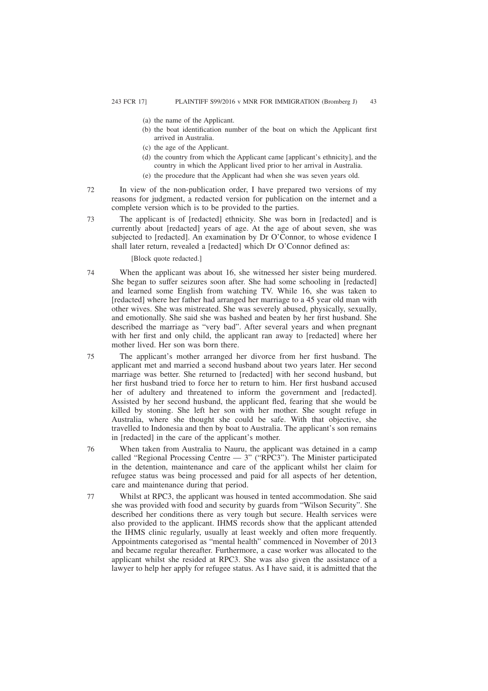- (a) the name of the Applicant.
- (b) the boat identification number of the boat on which the Applicant first arrived in Australia.
- (c) the age of the Applicant.
- (d) the country from which the Applicant came [applicant's ethnicity], and the country in which the Applicant lived prior to her arrival in Australia.
- (e) the procedure that the Applicant had when she was seven years old.
- In view of the non-publication order, I have prepared two versions of my reasons for judgment, a redacted version for publication on the internet and a complete version which is to be provided to the parties. 72
- The applicant is of [redacted] ethnicity. She was born in [redacted] and is currently about [redacted] years of age. At the age of about seven, she was subjected to [redacted]. An examination by Dr O'Connor, to whose evidence I shall later return, revealed a [redacted] which Dr O'Connor defined as: 73

[Block quote redacted.]

- When the applicant was about 16, she witnessed her sister being murdered. She began to suffer seizures soon after. She had some schooling in [redacted] and learned some English from watching TV. While 16, she was taken to [redacted] where her father had arranged her marriage to a 45 year old man with other wives. She was mistreated. She was severely abused, physically, sexually, and emotionally. She said she was bashed and beaten by her first husband. She described the marriage as "very bad". After several years and when pregnant with her first and only child, the applicant ran away to [redacted] where her mother lived. Her son was born there. 74
- The applicant's mother arranged her divorce from her first husband. The applicant met and married a second husband about two years later. Her second marriage was better. She returned to [redacted] with her second husband, but her first husband tried to force her to return to him. Her first husband accused her of adultery and threatened to inform the government and [redacted]. Assisted by her second husband, the applicant fled, fearing that she would be killed by stoning. She left her son with her mother. She sought refuge in Australia, where she thought she could be safe. With that objective, she travelled to Indonesia and then by boat to Australia. The applicant's son remains in [redacted] in the care of the applicant's mother. 75
- When taken from Australia to Nauru, the applicant was detained in a camp called "Regional Processing Centre  $-$  3" ("RPC3"). The Minister participated in the detention, maintenance and care of the applicant whilst her claim for refugee status was being processed and paid for all aspects of her detention, care and maintenance during that period. 76
	- Whilst at RPC3, the applicant was housed in tented accommodation. She said she was provided with food and security by guards from "Wilson Security". She described her conditions there as very tough but secure. Health services were also provided to the applicant. IHMS records show that the applicant attended the IHMS clinic regularly, usually at least weekly and often more frequently. Appointments categorised as "mental health" commenced in November of 2013 and became regular thereafter. Furthermore, a case worker was allocated to the applicant whilst she resided at RPC3. She was also given the assistance of a lawyer to help her apply for refugee status. As I have said, it is admitted that the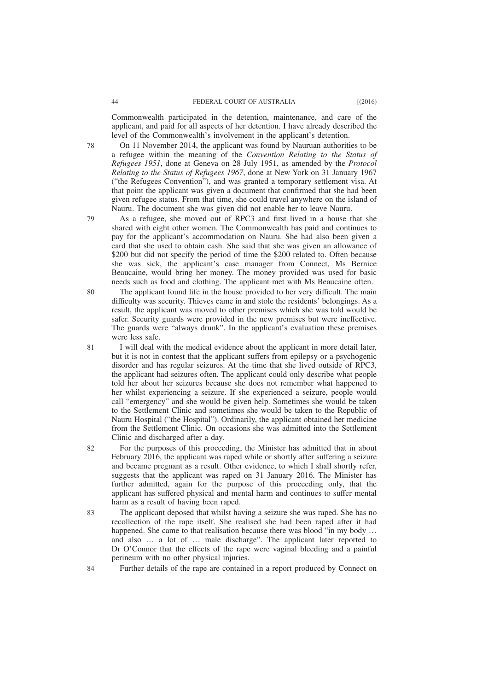Commonwealth participated in the detention, maintenance, and care of the applicant, and paid for all aspects of her detention. I have already described the level of the Commonwealth's involvement in the applicant's detention.

On 11 November 2014, the applicant was found by Nauruan authorities to be a refugee within the meaning of the *Convention Relating to the Status of Refugees 1951*, done at Geneva on 28 July 1951, as amended by the *Protocol Relating to the Status of Refugees 1967*, done at New York on 31 January 1967 ("the Refugees Convention"), and was granted a temporary settlement visa. At that point the applicant was given a document that confirmed that she had been given refugee status. From that time, she could travel anywhere on the island of Nauru. The document she was given did not enable her to leave Nauru.

As a refugee, she moved out of RPC3 and first lived in a house that she shared with eight other women. The Commonwealth has paid and continues to pay for the applicant's accommodation on Nauru. She had also been given a card that she used to obtain cash. She said that she was given an allowance of \$200 but did not specify the period of time the \$200 related to. Often because she was sick, the applicant's case manager from Connect, Ms Bernice Beaucaine, would bring her money. The money provided was used for basic needs such as food and clothing. The applicant met with Ms Beaucaine often.

The applicant found life in the house provided to her very difficult. The main difficulty was security. Thieves came in and stole the residents' belongings. As a result, the applicant was moved to other premises which she was told would be safer. Security guards were provided in the new premises but were ineffective. The guards were "always drunk". In the applicant's evaluation these premises were less safe.

I will deal with the medical evidence about the applicant in more detail later, but it is not in contest that the applicant suffers from epilepsy or a psychogenic disorder and has regular seizures. At the time that she lived outside of RPC3, the applicant had seizures often. The applicant could only describe what people told her about her seizures because she does not remember what happened to her whilst experiencing a seizure. If she experienced a seizure, people would call "emergency" and she would be given help. Sometimes she would be taken to the Settlement Clinic and sometimes she would be taken to the Republic of Nauru Hospital ("the Hospital"). Ordinarily, the applicant obtained her medicine from the Settlement Clinic. On occasions she was admitted into the Settlement Clinic and discharged after a day.

For the purposes of this proceeding, the Minister has admitted that in about February 2016, the applicant was raped while or shortly after suffering a seizure and became pregnant as a result. Other evidence, to which I shall shortly refer, suggests that the applicant was raped on 31 January 2016. The Minister has further admitted, again for the purpose of this proceeding only, that the applicant has suffered physical and mental harm and continues to suffer mental harm as a result of having been raped.

The applicant deposed that whilst having a seizure she was raped. She has no recollection of the rape itself. She realised she had been raped after it had happened. She came to that realisation because there was blood "in my body ... and also … a lot of … male discharge". The applicant later reported to Dr O'Connor that the effects of the rape were vaginal bleeding and a painful perineum with no other physical injuries. 83

78

80

79

81

 $82$ 

84

Further details of the rape are contained in a report produced by Connect on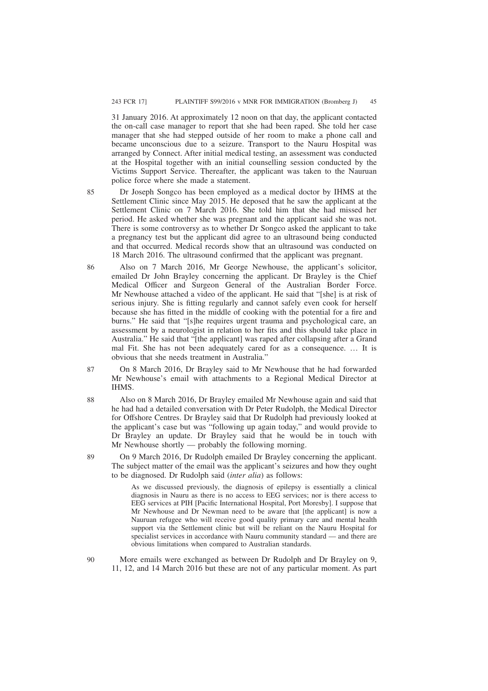#### 243 FCR 17] PLAINTIFF S99/2016 v MNR FOR IMMIGRATION (Bromberg J) 45

31 January 2016. At approximately 12 noon on that day, the applicant contacted the on-call case manager to report that she had been raped. She told her case manager that she had stepped outside of her room to make a phone call and became unconscious due to a seizure. Transport to the Nauru Hospital was arranged by Connect. After initial medical testing, an assessment was conducted at the Hospital together with an initial counselling session conducted by the Victims Support Service. Thereafter, the applicant was taken to the Nauruan police force where she made a statement.

85

Dr Joseph Songco has been employed as a medical doctor by IHMS at the Settlement Clinic since May 2015. He deposed that he saw the applicant at the Settlement Clinic on 7 March 2016. She told him that she had missed her period. He asked whether she was pregnant and the applicant said she was not. There is some controversy as to whether Dr Songco asked the applicant to take a pregnancy test but the applicant did agree to an ultrasound being conducted and that occurred. Medical records show that an ultrasound was conducted on 18 March 2016. The ultrasound confirmed that the applicant was pregnant.

- Also on 7 March 2016, Mr George Newhouse, the applicant's solicitor, emailed Dr John Brayley concerning the applicant. Dr Brayley is the Chief Medical Officer and Surgeon General of the Australian Border Force. Mr Newhouse attached a video of the applicant. He said that "[she] is at risk of serious injury. She is fitting regularly and cannot safely even cook for herself because she has fitted in the middle of cooking with the potential for a fire and burns." He said that "[s]he requires urgent trauma and psychological care, an assessment by a neurologist in relation to her fits and this should take place in Australia." He said that "[the applicant] was raped after collapsing after a Grand mal Fit. She has not been adequately cared for as a consequence. … It is obvious that she needs treatment in Australia."
- On 8 March 2016, Dr Brayley said to Mr Newhouse that he had forwarded Mr Newhouse's email with attachments to a Regional Medical Director at IHMS. 87
- Also on 8 March 2016, Dr Brayley emailed Mr Newhouse again and said that he had had a detailed conversation with Dr Peter Rudolph, the Medical Director for Offshore Centres. Dr Brayley said that Dr Rudolph had previously looked at the applicant's case but was "following up again today," and would provide to Dr Brayley an update. Dr Brayley said that he would be in touch with Mr Newhouse shortly — probably the following morning. 88
	- On 9 March 2016, Dr Rudolph emailed Dr Brayley concerning the applicant. The subject matter of the email was the applicant's seizures and how they ought to be diagnosed. Dr Rudolph said (*inter alia*) as follows:

As we discussed previously, the diagnosis of epilepsy is essentially a clinical diagnosis in Nauru as there is no access to EEG services; nor is there access to EEG services at PIH [Pacific International Hospital, Port Moresby]. I suppose that Mr Newhouse and Dr Newman need to be aware that [the applicant] is now a Nauruan refugee who will receive good quality primary care and mental health support via the Settlement clinic but will be reliant on the Nauru Hospital for specialist services in accordance with Nauru community standard — and there are obvious limitations when compared to Australian standards.

More emails were exchanged as between Dr Rudolph and Dr Brayley on 9, 11, 12, and 14 March 2016 but these are not of any particular moment. As part  $9<sub>0</sub>$ 

86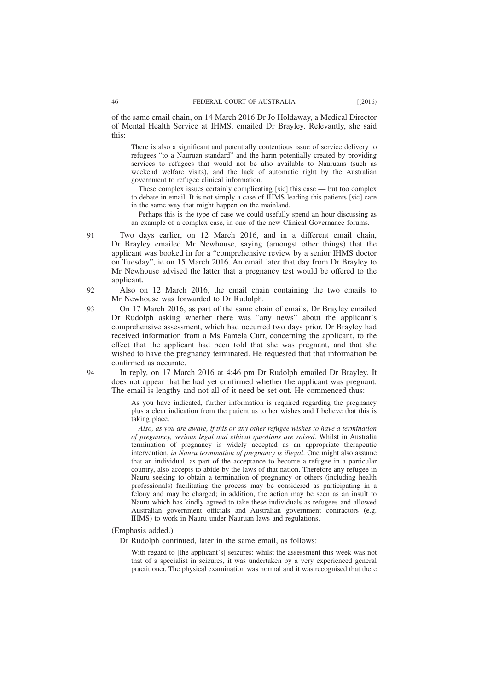of the same email chain, on 14 March 2016 Dr Jo Holdaway, a Medical Director of Mental Health Service at IHMS, emailed Dr Brayley. Relevantly, she said this:

There is also a significant and potentially contentious issue of service delivery to refugees "to a Nauruan standard" and the harm potentially created by providing services to refugees that would not be also available to Nauruans (such as weekend welfare visits), and the lack of automatic right by the Australian government to refugee clinical information.

These complex issues certainly complicating [sic] this case — but too complex to debate in email. It is not simply a case of IHMS leading this patients [sic] care in the same way that might happen on the mainland.

Perhaps this is the type of case we could usefully spend an hour discussing as an example of a complex case, in one of the new Clinical Governance forums.

- Two days earlier, on 12 March 2016, and in a different email chain, Dr Brayley emailed Mr Newhouse, saying (amongst other things) that the applicant was booked in for a "comprehensive review by a senior IHMS doctor on Tuesday", ie on 15 March 2016. An email later that day from Dr Brayley to Mr Newhouse advised the latter that a pregnancy test would be offered to the applicant.
- Also on 12 March 2016, the email chain containing the two emails to Mr Newhouse was forwarded to Dr Rudolph. 92
- On 17 March 2016, as part of the same chain of emails, Dr Brayley emailed Dr Rudolph asking whether there was "any news" about the applicant's comprehensive assessment, which had occurred two days prior. Dr Brayley had received information from a Ms Pamela Curr, concerning the applicant, to the effect that the applicant had been told that she was pregnant, and that she wished to have the pregnancy terminated. He requested that that information be confirmed as accurate. 93

In reply, on 17 March 2016 at 4:46 pm Dr Rudolph emailed Dr Brayley. It does not appear that he had yet confirmed whether the applicant was pregnant. The email is lengthy and not all of it need be set out. He commenced thus:

As you have indicated, further information is required regarding the pregnancy plus a clear indication from the patient as to her wishes and I believe that this is taking place.

*Also, as you are aware, if this or any other refugee wishes to have a termination of pregnancy, serious legal and ethical questions are raised*. Whilst in Australia termination of pregnancy is widely accepted as an appropriate therapeutic intervention, *in Nauru termination of pregnancy is illegal*. One might also assume that an individual, as part of the acceptance to become a refugee in a particular country, also accepts to abide by the laws of that nation. Therefore any refugee in Nauru seeking to obtain a termination of pregnancy or others (including health professionals) facilitating the process may be considered as participating in a felony and may be charged; in addition, the action may be seen as an insult to Nauru which has kindly agreed to take these individuals as refugees and allowed Australian government officials and Australian government contractors (e.g. IHMS) to work in Nauru under Nauruan laws and regulations.

(Emphasis added.)

Dr Rudolph continued, later in the same email, as follows:

With regard to [the applicant's] seizures: whilst the assessment this week was not that of a specialist in seizures, it was undertaken by a very experienced general practitioner. The physical examination was normal and it was recognised that there

91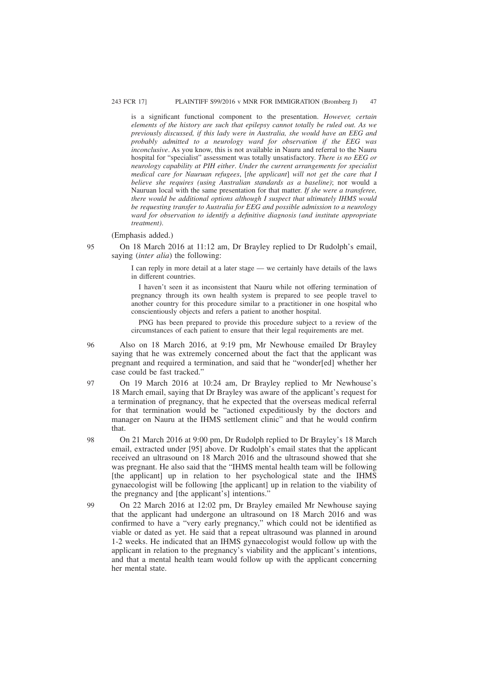#### 243 FCR 17] PLAINTIFF S99/2016 v MNR FOR IMMIGRATION (Bromberg J) 47

is a significant functional component to the presentation. *However, certain elements of the history are such that epilepsy cannot totally be ruled out. As we previously discussed, if this lady were in Australia, she would have an EEG and probably admitted to a neurology ward for observation if the EEG was inconclusive*. As you know, this is not available in Nauru and referral to the Nauru hospital for "specialist" assessment was totally unsatisfactory. *There is no EEG or neurology capability at PIH either*. *Under the current arrangements for specialist medical care for Nauruan refugees*, [*the applicant*] *will not get the care that I believe she requires (using Australian standards as a baseline)*; nor would a Nauruan local with the same presentation for that matter. *If she were a transferee, there would be additional options although I suspect that ultimately IHMS would be requesting transfer to Australia for EEG and possible admission to a neurology ward for observation to identify a definitive diagnosis (and institute appropriate treatment)*.

(Emphasis added.)

95

On 18 March 2016 at 11:12 am, Dr Brayley replied to Dr Rudolph's email, saying (*inter alia*) the following:

I can reply in more detail at a later stage — we certainly have details of the laws in different countries.

I haven't seen it as inconsistent that Nauru while not offering termination of pregnancy through its own health system is prepared to see people travel to another country for this procedure similar to a practitioner in one hospital who conscientiously objects and refers a patient to another hospital.

PNG has been prepared to provide this procedure subject to a review of the circumstances of each patient to ensure that their legal requirements are met.

- Also on 18 March 2016, at 9:19 pm, Mr Newhouse emailed Dr Brayley saying that he was extremely concerned about the fact that the applicant was pregnant and required a termination, and said that he "wonder[ed] whether her case could be fast tracked." 96
- On 19 March 2016 at 10:24 am, Dr Brayley replied to Mr Newhouse's 18 March email, saying that Dr Brayley was aware of the applicant's request for a termination of pregnancy, that he expected that the overseas medical referral for that termination would be "actioned expeditiously by the doctors and manager on Nauru at the IHMS settlement clinic" and that he would confirm that. 97
- On 21 March 2016 at 9:00 pm, Dr Rudolph replied to Dr Brayley's 18 March email, extracted under [95] above. Dr Rudolph's email states that the applicant received an ultrasound on 18 March 2016 and the ultrasound showed that she was pregnant. He also said that the "IHMS mental health team will be following [the applicant] up in relation to her psychological state and the IHMS gynaecologist will be following [the applicant] up in relation to the viability of the pregnancy and [the applicant's] intentions." 98
	- On 22 March 2016 at 12:02 pm, Dr Brayley emailed Mr Newhouse saying that the applicant had undergone an ultrasound on 18 March 2016 and was confirmed to have a "very early pregnancy," which could not be identified as viable or dated as yet. He said that a repeat ultrasound was planned in around 1-2 weeks. He indicated that an IHMS gynaecologist would follow up with the applicant in relation to the pregnancy's viability and the applicant's intentions, and that a mental health team would follow up with the applicant concerning her mental state.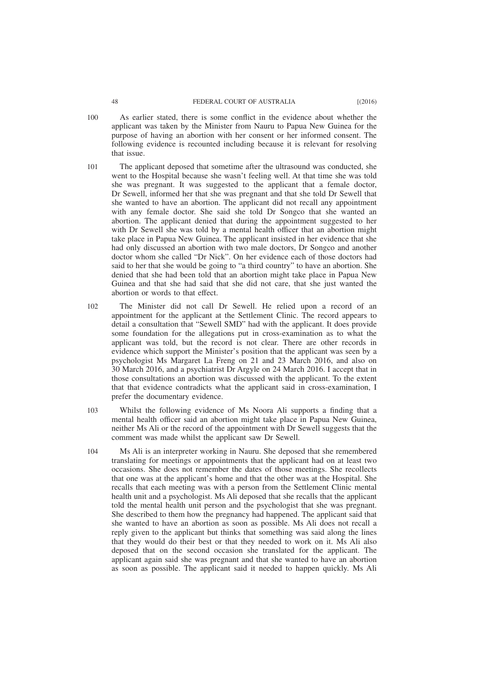#### 48 FEDERAL COURT OF AUSTRALIA [(2016)

- As earlier stated, there is some conflict in the evidence about whether the applicant was taken by the Minister from Nauru to Papua New Guinea for the purpose of having an abortion with her consent or her informed consent. The following evidence is recounted including because it is relevant for resolving that issue. 100
- The applicant deposed that sometime after the ultrasound was conducted, she went to the Hospital because she wasn't feeling well. At that time she was told she was pregnant. It was suggested to the applicant that a female doctor, Dr Sewell, informed her that she was pregnant and that she told Dr Sewell that she wanted to have an abortion. The applicant did not recall any appointment with any female doctor. She said she told Dr Songco that she wanted an abortion. The applicant denied that during the appointment suggested to her with Dr Sewell she was told by a mental health officer that an abortion might take place in Papua New Guinea. The applicant insisted in her evidence that she had only discussed an abortion with two male doctors, Dr Songco and another doctor whom she called "Dr Nick". On her evidence each of those doctors had said to her that she would be going to "a third country" to have an abortion. She denied that she had been told that an abortion might take place in Papua New Guinea and that she had said that she did not care, that she just wanted the abortion or words to that effect. 101
- The Minister did not call Dr Sewell. He relied upon a record of an appointment for the applicant at the Settlement Clinic. The record appears to detail a consultation that "Sewell SMD" had with the applicant. It does provide some foundation for the allegations put in cross-examination as to what the applicant was told, but the record is not clear. There are other records in evidence which support the Minister's position that the applicant was seen by a psychologist Ms Margaret La Freng on 21 and 23 March 2016, and also on 30 March 2016, and a psychiatrist Dr Argyle on 24 March 2016. I accept that in those consultations an abortion was discussed with the applicant. To the extent that that evidence contradicts what the applicant said in cross-examination, I prefer the documentary evidence. 102
- Whilst the following evidence of Ms Noora Ali supports a finding that a mental health officer said an abortion might take place in Papua New Guinea, neither Ms Ali or the record of the appointment with Dr Sewell suggests that the comment was made whilst the applicant saw Dr Sewell. 103
- Ms Ali is an interpreter working in Nauru. She deposed that she remembered translating for meetings or appointments that the applicant had on at least two occasions. She does not remember the dates of those meetings. She recollects that one was at the applicant's home and that the other was at the Hospital. She recalls that each meeting was with a person from the Settlement Clinic mental health unit and a psychologist. Ms Ali deposed that she recalls that the applicant told the mental health unit person and the psychologist that she was pregnant. She described to them how the pregnancy had happened. The applicant said that she wanted to have an abortion as soon as possible. Ms Ali does not recall a reply given to the applicant but thinks that something was said along the lines that they would do their best or that they needed to work on it. Ms Ali also deposed that on the second occasion she translated for the applicant. The applicant again said she was pregnant and that she wanted to have an abortion as soon as possible. The applicant said it needed to happen quickly. Ms Ali 104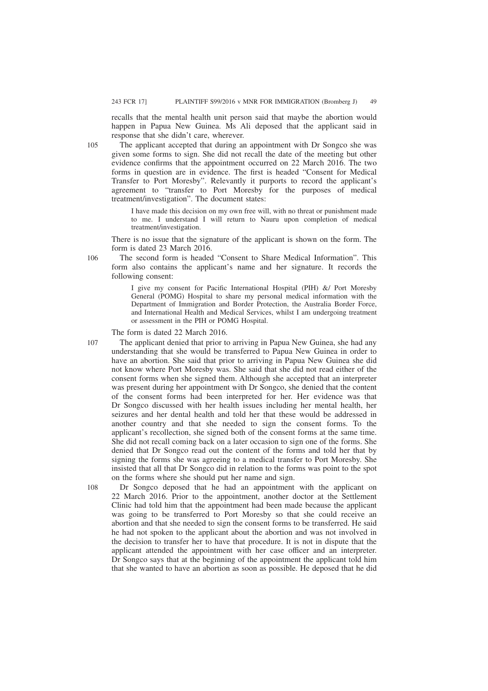recalls that the mental health unit person said that maybe the abortion would happen in Papua New Guinea. Ms Ali deposed that the applicant said in response that she didn't care, wherever.

The applicant accepted that during an appointment with Dr Songco she was given some forms to sign. She did not recall the date of the meeting but other evidence confirms that the appointment occurred on 22 March 2016. The two forms in question are in evidence. The first is headed "Consent for Medical Transfer to Port Moresby". Relevantly it purports to record the applicant's agreement to "transfer to Port Moresby for the purposes of medical treatment/investigation". The document states:

I have made this decision on my own free will, with no threat or punishment made to me. I understand I will return to Nauru upon completion of medical treatment/investigation.

There is no issue that the signature of the applicant is shown on the form. The form is dated 23 March 2016.

The second form is headed "Consent to Share Medical Information". This form also contains the applicant's name and her signature. It records the following consent:

I give my consent for Pacific International Hospital (PIH) &/ Port Moresby General (POMG) Hospital to share my personal medical information with the Department of Immigration and Border Protection, the Australia Border Force, and International Health and Medical Services, whilst I am undergoing treatment or assessment in the PIH or POMG Hospital.

The form is dated 22 March 2016.

- The applicant denied that prior to arriving in Papua New Guinea, she had any understanding that she would be transferred to Papua New Guinea in order to have an abortion. She said that prior to arriving in Papua New Guinea she did not know where Port Moresby was. She said that she did not read either of the consent forms when she signed them. Although she accepted that an interpreter was present during her appointment with Dr Songco, she denied that the content of the consent forms had been interpreted for her. Her evidence was that Dr Songco discussed with her health issues including her mental health, her seizures and her dental health and told her that these would be addressed in another country and that she needed to sign the consent forms. To the applicant's recollection, she signed both of the consent forms at the same time. She did not recall coming back on a later occasion to sign one of the forms. She denied that Dr Songco read out the content of the forms and told her that by signing the forms she was agreeing to a medical transfer to Port Moresby. She insisted that all that Dr Songco did in relation to the forms was point to the spot on the forms where she should put her name and sign.
- Dr Songco deposed that he had an appointment with the applicant on 22 March 2016. Prior to the appointment, another doctor at the Settlement Clinic had told him that the appointment had been made because the applicant was going to be transferred to Port Moresby so that she could receive an abortion and that she needed to sign the consent forms to be transferred. He said he had not spoken to the applicant about the abortion and was not involved in the decision to transfer her to have that procedure. It is not in dispute that the applicant attended the appointment with her case officer and an interpreter. Dr Songco says that at the beginning of the appointment the applicant told him that she wanted to have an abortion as soon as possible. He deposed that he did 108

105

107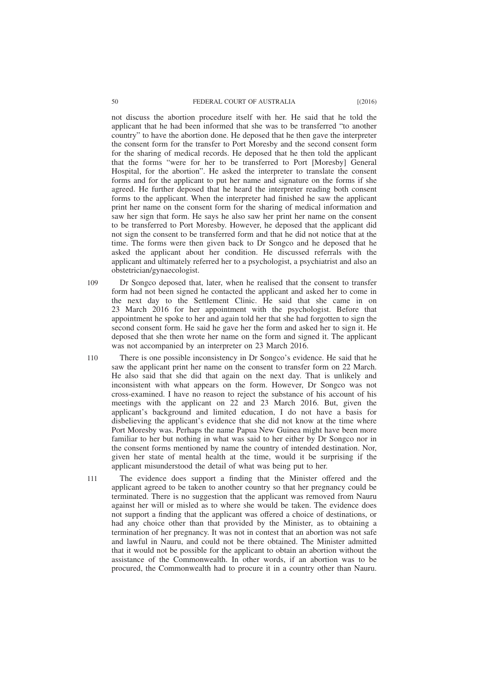not discuss the abortion procedure itself with her. He said that he told the applicant that he had been informed that she was to be transferred "to another country" to have the abortion done. He deposed that he then gave the interpreter the consent form for the transfer to Port Moresby and the second consent form for the sharing of medical records. He deposed that he then told the applicant that the forms "were for her to be transferred to Port [Moresby] General Hospital, for the abortion". He asked the interpreter to translate the consent forms and for the applicant to put her name and signature on the forms if she agreed. He further deposed that he heard the interpreter reading both consent forms to the applicant. When the interpreter had finished he saw the applicant print her name on the consent form for the sharing of medical information and saw her sign that form. He says he also saw her print her name on the consent to be transferred to Port Moresby. However, he deposed that the applicant did not sign the consent to be transferred form and that he did not notice that at the time. The forms were then given back to Dr Songco and he deposed that he asked the applicant about her condition. He discussed referrals with the applicant and ultimately referred her to a psychologist, a psychiatrist and also an obstetrician/gynaecologist.

- Dr Songco deposed that, later, when he realised that the consent to transfer form had not been signed he contacted the applicant and asked her to come in the next day to the Settlement Clinic. He said that she came in on 23 March 2016 for her appointment with the psychologist. Before that appointment he spoke to her and again told her that she had forgotten to sign the second consent form. He said he gave her the form and asked her to sign it. He deposed that she then wrote her name on the form and signed it. The applicant was not accompanied by an interpreter on 23 March 2016. 109
- There is one possible inconsistency in Dr Songco's evidence. He said that he saw the applicant print her name on the consent to transfer form on 22 March. He also said that she did that again on the next day. That is unlikely and inconsistent with what appears on the form. However, Dr Songco was not cross-examined. I have no reason to reject the substance of his account of his meetings with the applicant on 22 and 23 March 2016. But, given the applicant's background and limited education, I do not have a basis for disbelieving the applicant's evidence that she did not know at the time where Port Moresby was. Perhaps the name Papua New Guinea might have been more familiar to her but nothing in what was said to her either by Dr Songco nor in the consent forms mentioned by name the country of intended destination. Nor, given her state of mental health at the time, would it be surprising if the applicant misunderstood the detail of what was being put to her. 110
- The evidence does support a finding that the Minister offered and the applicant agreed to be taken to another country so that her pregnancy could be terminated. There is no suggestion that the applicant was removed from Nauru against her will or misled as to where she would be taken. The evidence does not support a finding that the applicant was offered a choice of destinations, or had any choice other than that provided by the Minister, as to obtaining a termination of her pregnancy. It was not in contest that an abortion was not safe and lawful in Nauru, and could not be there obtained. The Minister admitted that it would not be possible for the applicant to obtain an abortion without the assistance of the Commonwealth. In other words, if an abortion was to be procured, the Commonwealth had to procure it in a country other than Nauru. 111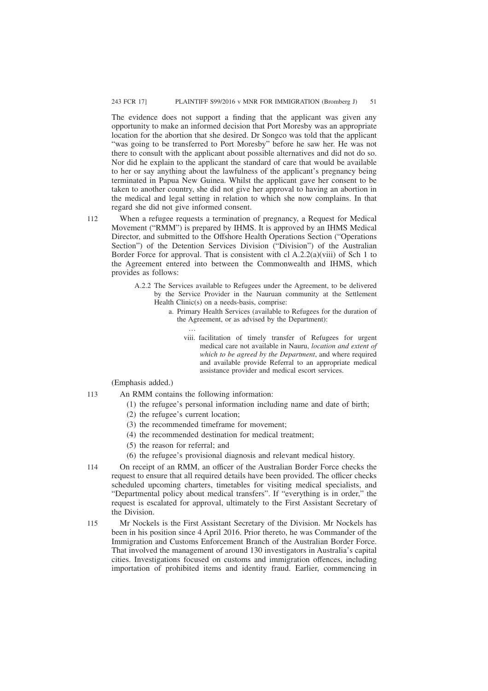#### 243 FCR 17] PLAINTIFF S99/2016 v MNR FOR IMMIGRATION (Bromberg J) 51

The evidence does not support a finding that the applicant was given any opportunity to make an informed decision that Port Moresby was an appropriate location for the abortion that she desired. Dr Songco was told that the applicant "was going to be transferred to Port Moresby" before he saw her. He was not there to consult with the applicant about possible alternatives and did not do so. Nor did he explain to the applicant the standard of care that would be available to her or say anything about the lawfulness of the applicant's pregnancy being terminated in Papua New Guinea. Whilst the applicant gave her consent to be taken to another country, she did not give her approval to having an abortion in the medical and legal setting in relation to which she now complains. In that regard she did not give informed consent.

When a refugee requests a termination of pregnancy, a Request for Medical Movement ("RMM") is prepared by IHMS. It is approved by an IHMS Medical Director, and submitted to the Offshore Health Operations Section ("Operations Section") of the Detention Services Division ("Division") of the Australian Border Force for approval. That is consistent with cl A.2.2(a)(viii) of Sch 1 to the Agreement entered into between the Commonwealth and IHMS, which provides as follows: 112

- A.2.2 The Services available to Refugees under the Agreement, to be delivered by the Service Provider in the Nauruan community at the Settlement Health Clinic(s) on a needs-basis, comprise:
	- a. Primary Health Services (available to Refugees for the duration of the Agreement, or as advised by the Department):
		- viii. facilitation of timely transfer of Refugees for urgent medical care not available in Nauru, *location and extent of which to be agreed by the Department*, and where required and available provide Referral to an appropriate medical assistance provider and medical escort services.

## (Emphasis added.)

An RMM contains the following information: 113

…

- (1) the refugee's personal information including name and date of birth;
- (2) the refugee's current location;
- (3) the recommended timeframe for movement;
- (4) the recommended destination for medical treatment;
- (5) the reason for referral; and
- (6) the refugee's provisional diagnosis and relevant medical history.
- On receipt of an RMM, an officer of the Australian Border Force checks the request to ensure that all required details have been provided. The officer checks scheduled upcoming charters, timetables for visiting medical specialists, and "Departmental policy about medical transfers". If "everything is in order," the request is escalated for approval, ultimately to the First Assistant Secretary of the Division. 114
- Mr Nockels is the First Assistant Secretary of the Division. Mr Nockels has been in his position since 4 April 2016. Prior thereto, he was Commander of the Immigration and Customs Enforcement Branch of the Australian Border Force. That involved the management of around 130 investigators in Australia's capital cities. Investigations focused on customs and immigration offences, including importation of prohibited items and identity fraud. Earlier, commencing in 115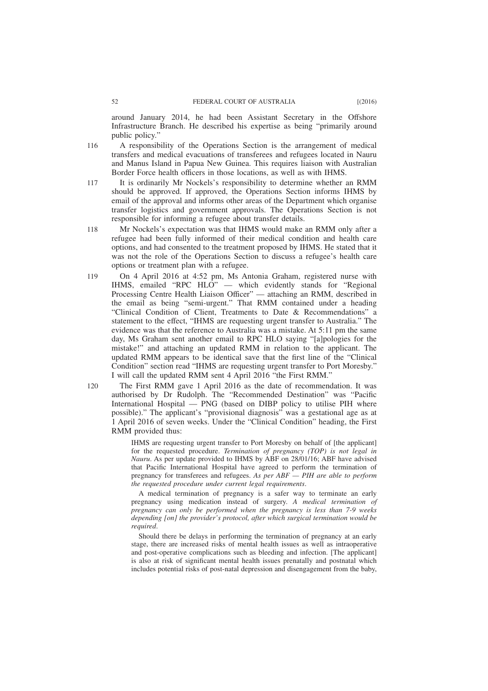around January 2014, he had been Assistant Secretary in the Offshore Infrastructure Branch. He described his expertise as being "primarily around public policy."

A responsibility of the Operations Section is the arrangement of medical transfers and medical evacuations of transferees and refugees located in Nauru and Manus Island in Papua New Guinea. This requires liaison with Australian Border Force health officers in those locations, as well as with IHMS. 116

- It is ordinarily Mr Nockels's responsibility to determine whether an RMM should be approved. If approved, the Operations Section informs IHMS by email of the approval and informs other areas of the Department which organise transfer logistics and government approvals. The Operations Section is not responsible for informing a refugee about transfer details. 117
- Mr Nockels's expectation was that IHMS would make an RMM only after a refugee had been fully informed of their medical condition and health care options, and had consented to the treatment proposed by IHMS. He stated that it was not the role of the Operations Section to discuss a refugee's health care options or treatment plan with a refugee. 118
- On 4 April 2016 at 4:52 pm, Ms Antonia Graham, registered nurse with IHMS, emailed "RPC HLO" — which evidently stands for "Regional Processing Centre Health Liaison Officer" — attaching an RMM, described in the email as being "semi-urgent." That RMM contained under a heading "Clinical Condition of Client, Treatments to Date & Recommendations" a statement to the effect, "IHMS are requesting urgent transfer to Australia." The evidence was that the reference to Australia was a mistake. At 5:11 pm the same day, Ms Graham sent another email to RPC HLO saying "[a]pologies for the mistake!" and attaching an updated RMM in relation to the applicant. The updated RMM appears to be identical save that the first line of the "Clinical Condition" section read "IHMS are requesting urgent transfer to Port Moresby." I will call the updated RMM sent 4 April 2016 "the First RMM." 119
- The First RMM gave 1 April 2016 as the date of recommendation. It was authorised by Dr Rudolph. The "Recommended Destination" was "Pacific International Hospital — PNG (based on DIBP policy to utilise PIH where possible)." The applicant's "provisional diagnosis" was a gestational age as at 1 April 2016 of seven weeks. Under the "Clinical Condition" heading, the First RMM provided thus:  $120$

IHMS are requesting urgent transfer to Port Moresby on behalf of [the applicant] for the requested procedure. *Termination of pregnancy (TOP) is not legal in Nauru*. As per update provided to IHMS by ABF on 28/01/16; ABF have advised that Pacific International Hospital have agreed to perform the termination of pregnancy for transferees and refugees. *As per ABF — PIH are able to perform the requested procedure under current legal requirements*.

A medical termination of pregnancy is a safer way to terminate an early pregnancy using medication instead of surgery. *A medical termination of pregnancy can only be performed when the pregnancy is less than 7-9 weeks depending [on] the provider's protocol, after which surgical termination would be required*.

Should there be delays in performing the termination of pregnancy at an early stage, there are increased risks of mental health issues as well as intraoperative and post-operative complications such as bleeding and infection. [The applicant] is also at risk of significant mental health issues prenatally and postnatal which includes potential risks of post-natal depression and disengagement from the baby,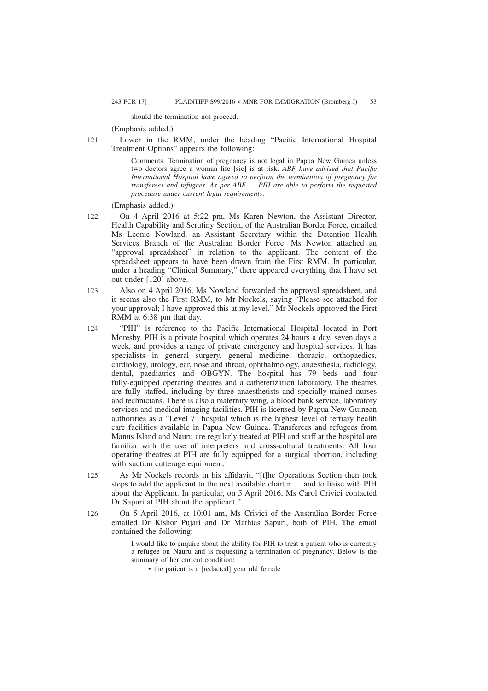should the termination not proceed.

(Emphasis added.)

Lower in the RMM, under the heading "Pacific International Hospital Treatment Options" appears the following: 121

> Comments: Termination of pregnancy is not legal in Papua New Guinea unless two doctors agree a woman life [sic] is at risk. *ABF have advised that Pacific International Hospital have agreed to perform the termination of pregnancy for transferees and refugees. As per ABF — PIH are able to perform the requested procedure under current legal requirements*.

(Emphasis added.)

- On 4 April 2016 at 5:22 pm, Ms Karen Newton, the Assistant Director, Health Capability and Scrutiny Section, of the Australian Border Force, emailed Ms Leonie Nowland, an Assistant Secretary within the Detention Health Services Branch of the Australian Border Force. Ms Newton attached an "approval spreadsheet" in relation to the applicant. The content of the spreadsheet appears to have been drawn from the First RMM. In particular, under a heading "Clinical Summary," there appeared everything that I have set out under [120] above. 122
- Also on 4 April 2016, Ms Nowland forwarded the approval spreadsheet, and it seems also the First RMM, to Mr Nockels, saying "Please see attached for your approval; I have approved this at my level." Mr Nockels approved the First RMM at 6:38 pm that day. 123
- "PIH" is reference to the Pacific International Hospital located in Port Moresby. PIH is a private hospital which operates 24 hours a day, seven days a week, and provides a range of private emergency and hospital services. It has specialists in general surgery, general medicine, thoracic, orthopaedics, cardiology, urology, ear, nose and throat, ophthalmology, anaesthesia, radiology, dental, paediatrics and OBGYN. The hospital has 79 beds and four fully-equipped operating theatres and a catheterization laboratory. The theatres are fully staffed, including by three anaesthetists and specially-trained nurses and technicians. There is also a maternity wing, a blood bank service, laboratory services and medical imaging facilities. PIH is licensed by Papua New Guinean authorities as a "Level 7" hospital which is the highest level of tertiary health care facilities available in Papua New Guinea. Transferees and refugees from Manus Island and Nauru are regularly treated at PIH and staff at the hospital are familiar with the use of interpreters and cross-cultural treatments. All four operating theatres at PIH are fully equipped for a surgical abortion, including with suction cutterage equipment. 124
- As Mr Nockels records in his affidavit, "[t]he Operations Section then took steps to add the applicant to the next available charter … and to liaise with PIH about the Applicant. In particular, on 5 April 2016, Ms Carol Crivici contacted Dr Sapuri at PIH about the applicant." 125
- On 5 April 2016, at 10:01 am, Ms Crivici of the Australian Border Force emailed Dr Kishor Pujari and Dr Mathias Sapuri, both of PIH. The email contained the following: 126

I would like to enquire about the ability for PIH to treat a patient who is currently a refugee on Nauru and is requesting a termination of pregnancy. Below is the summary of her current condition:

• the patient is a [redacted] year old female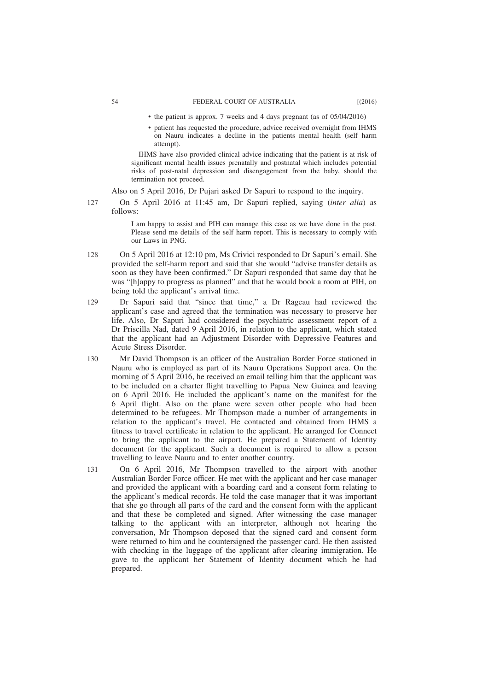- the patient is approx. 7 weeks and 4 days pregnant (as of 05/04/2016)
- patient has requested the procedure, advice received overnight from IHMS on Nauru indicates a decline in the patients mental health (self harm attempt).

IHMS have also provided clinical advice indicating that the patient is at risk of significant mental health issues prenatally and postnatal which includes potential risks of post-natal depression and disengagement from the baby, should the termination not proceed.

Also on 5 April 2016, Dr Pujari asked Dr Sapuri to respond to the inquiry.

On 5 April 2016 at 11:45 am, Dr Sapuri replied, saying (*inter alia*) as follows: 127

> I am happy to assist and PIH can manage this case as we have done in the past. Please send me details of the self harm report. This is necessary to comply with our Laws in PNG.

- On 5 April 2016 at 12:10 pm, Ms Crivici responded to Dr Sapuri's email. She provided the self-harm report and said that she would "advise transfer details as soon as they have been confirmed." Dr Sapuri responded that same day that he was "[h]appy to progress as planned" and that he would book a room at PIH, on being told the applicant's arrival time. 128
- Dr Sapuri said that "since that time," a Dr Rageau had reviewed the applicant's case and agreed that the termination was necessary to preserve her life. Also, Dr Sapuri had considered the psychiatric assessment report of a Dr Priscilla Nad, dated 9 April 2016, in relation to the applicant, which stated that the applicant had an Adjustment Disorder with Depressive Features and Acute Stress Disorder. 129
- Mr David Thompson is an officer of the Australian Border Force stationed in Nauru who is employed as part of its Nauru Operations Support area. On the morning of 5 April 2016, he received an email telling him that the applicant was to be included on a charter flight travelling to Papua New Guinea and leaving on 6 April 2016. He included the applicant's name on the manifest for the 6 April flight. Also on the plane were seven other people who had been determined to be refugees. Mr Thompson made a number of arrangements in relation to the applicant's travel. He contacted and obtained from IHMS a fitness to travel certificate in relation to the applicant. He arranged for Connect to bring the applicant to the airport. He prepared a Statement of Identity document for the applicant. Such a document is required to allow a person travelling to leave Nauru and to enter another country. 130
- On 6 April 2016, Mr Thompson travelled to the airport with another Australian Border Force officer. He met with the applicant and her case manager and provided the applicant with a boarding card and a consent form relating to the applicant's medical records. He told the case manager that it was important that she go through all parts of the card and the consent form with the applicant and that these be completed and signed. After witnessing the case manager talking to the applicant with an interpreter, although not hearing the conversation, Mr Thompson deposed that the signed card and consent form were returned to him and he countersigned the passenger card. He then assisted with checking in the luggage of the applicant after clearing immigration. He gave to the applicant her Statement of Identity document which he had prepared. 131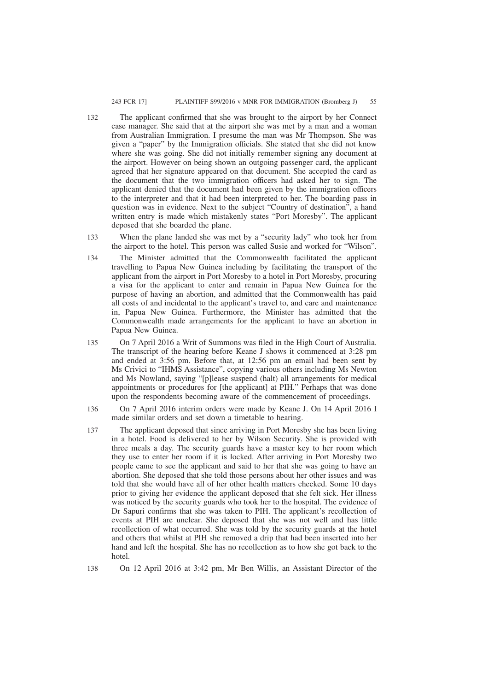#### 243 FCR 17] PLAINTIFF S99/2016 v MNR FOR IMMIGRATION (Bromberg J) 55

- The applicant confirmed that she was brought to the airport by her Connect case manager. She said that at the airport she was met by a man and a woman from Australian Immigration. I presume the man was Mr Thompson. She was given a "paper" by the Immigration officials. She stated that she did not know where she was going. She did not initially remember signing any document at the airport. However on being shown an outgoing passenger card, the applicant agreed that her signature appeared on that document. She accepted the card as the document that the two immigration officers had asked her to sign. The applicant denied that the document had been given by the immigration officers to the interpreter and that it had been interpreted to her. The boarding pass in question was in evidence. Next to the subject "Country of destination", a hand written entry is made which mistakenly states "Port Moresby". The applicant deposed that she boarded the plane. 132
- When the plane landed she was met by a "security lady" who took her from the airport to the hotel. This person was called Susie and worked for "Wilson". 133
- The Minister admitted that the Commonwealth facilitated the applicant travelling to Papua New Guinea including by facilitating the transport of the applicant from the airport in Port Moresby to a hotel in Port Moresby, procuring a visa for the applicant to enter and remain in Papua New Guinea for the purpose of having an abortion, and admitted that the Commonwealth has paid all costs of and incidental to the applicant's travel to, and care and maintenance in, Papua New Guinea. Furthermore, the Minister has admitted that the Commonwealth made arrangements for the applicant to have an abortion in Papua New Guinea. 134
- On 7 April 2016 a Writ of Summons was filed in the High Court of Australia. The transcript of the hearing before Keane J shows it commenced at 3:28 pm and ended at 3:56 pm. Before that, at 12:56 pm an email had been sent by Ms Crivici to "IHMS Assistance", copying various others including Ms Newton and Ms Nowland, saying "[p]lease suspend (halt) all arrangements for medical appointments or procedures for [the applicant] at PIH." Perhaps that was done upon the respondents becoming aware of the commencement of proceedings. 135
- On 7 April 2016 interim orders were made by Keane J. On 14 April 2016 I made similar orders and set down a timetable to hearing. 136
- The applicant deposed that since arriving in Port Moresby she has been living in a hotel. Food is delivered to her by Wilson Security. She is provided with three meals a day. The security guards have a master key to her room which they use to enter her room if it is locked. After arriving in Port Moresby two people came to see the applicant and said to her that she was going to have an abortion. She deposed that she told those persons about her other issues and was told that she would have all of her other health matters checked. Some 10 days prior to giving her evidence the applicant deposed that she felt sick. Her illness was noticed by the security guards who took her to the hospital. The evidence of Dr Sapuri confirms that she was taken to PIH. The applicant's recollection of events at PIH are unclear. She deposed that she was not well and has little recollection of what occurred. She was told by the security guards at the hotel and others that whilst at PIH she removed a drip that had been inserted into her hand and left the hospital. She has no recollection as to how she got back to the hotel. 137

On 12 April 2016 at 3:42 pm, Mr Ben Willis, an Assistant Director of the 138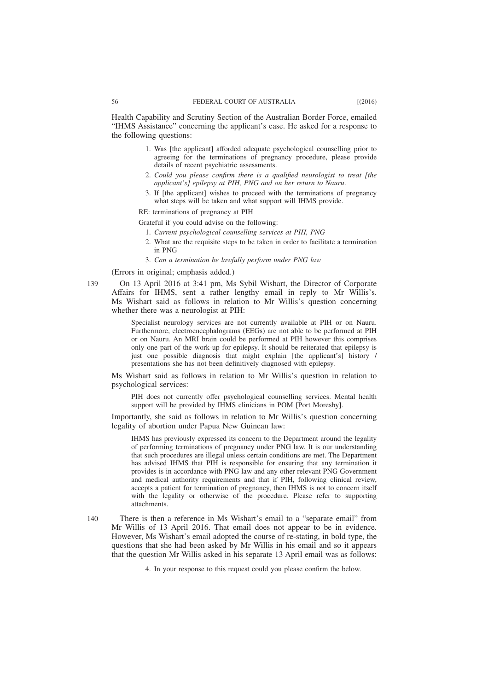Health Capability and Scrutiny Section of the Australian Border Force, emailed "IHMS Assistance" concerning the applicant's case. He asked for a response to the following questions:

- 1. Was [the applicant] afforded adequate psychological counselling prior to agreeing for the terminations of pregnancy procedure, please provide details of recent psychiatric assessments.
- 2. *Could you please confirm there is a qualified neurologist to treat [the applicant's] epilepsy at PIH, PNG and on her return to Nauru*.
- 3. If [the applicant] wishes to proceed with the terminations of pregnancy what steps will be taken and what support will IHMS provide.
- RE: terminations of pregnancy at PIH

Grateful if you could advise on the following:

- 1. *Current psychological counselling services at PIH, PNG*
- 2. What are the requisite steps to be taken in order to facilitate a termination in PNG
- 3. *Can a termination be lawfully perform under PNG law*

(Errors in original; emphasis added.)

On 13 April 2016 at 3:41 pm, Ms Sybil Wishart, the Director of Corporate Affairs for IHMS, sent a rather lengthy email in reply to Mr Willis's. Ms Wishart said as follows in relation to Mr Willis's question concerning whether there was a neurologist at PIH:

Specialist neurology services are not currently available at PIH or on Nauru. Furthermore, electroencephalograms (EEGs) are not able to be performed at PIH or on Nauru. An MRI brain could be performed at PIH however this comprises only one part of the work-up for epilepsy. It should be reiterated that epilepsy is just one possible diagnosis that might explain [the applicant's] history / presentations she has not been definitively diagnosed with epilepsy.

Ms Wishart said as follows in relation to Mr Willis's question in relation to psychological services:

PIH does not currently offer psychological counselling services. Mental health support will be provided by IHMS clinicians in POM [Port Moresby].

Importantly, she said as follows in relation to Mr Willis's question concerning legality of abortion under Papua New Guinean law:

IHMS has previously expressed its concern to the Department around the legality of performing terminations of pregnancy under PNG law. It is our understanding that such procedures are illegal unless certain conditions are met. The Department has advised IHMS that PIH is responsible for ensuring that any termination it provides is in accordance with PNG law and any other relevant PNG Government and medical authority requirements and that if PIH, following clinical review, accepts a patient for termination of pregnancy, then IHMS is not to concern itself with the legality or otherwise of the procedure. Please refer to supporting attachments.

There is then a reference in Ms Wishart's email to a "separate email" from Mr Willis of 13 April 2016. That email does not appear to be in evidence. However, Ms Wishart's email adopted the course of re-stating, in bold type, the questions that she had been asked by Mr Willis in his email and so it appears that the question Mr Willis asked in his separate 13 April email was as follows: 140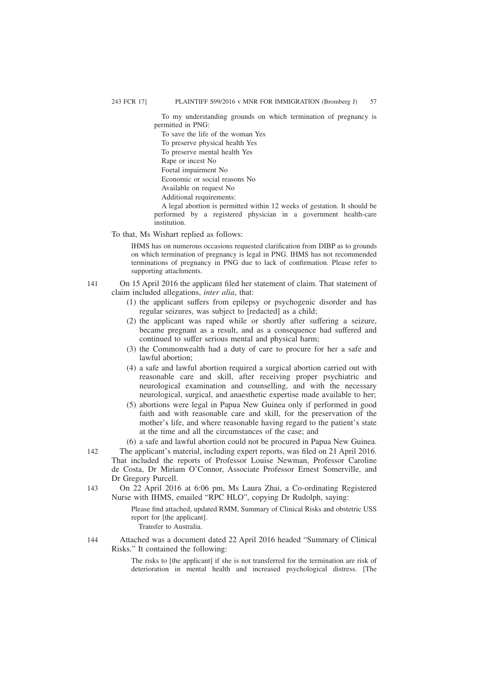To my understanding grounds on which termination of pregnancy is permitted in PNG:

To save the life of the woman Yes

To preserve physical health Yes

To preserve mental health Yes

Rape or incest No

Foetal impairment No

Economic or social reasons No

Available on request No

Additional requirements:

A legal abortion is permitted within 12 weeks of gestation. It should be performed by a registered physician in a government health-care institution.

To that, Ms Wishart replied as follows:

IHMS has on numerous occasions requested clarification from DIBP as to grounds on which termination of pregnancy is legal in PNG. IHMS has not recommended terminations of pregnancy in PNG due to lack of confirmation. Please refer to supporting attachments.

- On 15 April 2016 the applicant filed her statement of claim. That statement of claim included allegations, *inter alia*, that: 141
	- (1) the applicant suffers from epilepsy or psychogenic disorder and has regular seizures, was subject to [redacted] as a child;
	- (2) the applicant was raped while or shortly after suffering a seizure, became pregnant as a result, and as a consequence had suffered and continued to suffer serious mental and physical harm;
	- (3) the Commonwealth had a duty of care to procure for her a safe and lawful abortion;
	- (4) a safe and lawful abortion required a surgical abortion carried out with reasonable care and skill, after receiving proper psychiatric and neurological examination and counselling, and with the necessary neurological, surgical, and anaesthetic expertise made available to her;
	- (5) abortions were legal in Papua New Guinea only if performed in good faith and with reasonable care and skill, for the preservation of the mother's life, and where reasonable having regard to the patient's state at the time and all the circumstances of the case; and
	- (6) a safe and lawful abortion could not be procured in Papua New Guinea.
- The applicant's material, including expert reports, was filed on 21 April 2016. That included the reports of Professor Louise Newman, Professor Caroline de Costa, Dr Miriam O'Connor, Associate Professor Ernest Somerville, and Dr Gregory Purcell. 142
- On 22 April 2016 at 6:06 pm, Ms Laura Zhai, a Co-ordinating Registered Nurse with IHMS, emailed "RPC HLO", copying Dr Rudolph, saying: 143

Please find attached, updated RMM, Summary of Clinical Risks and obstetric USS report for [the applicant].

Transfer to Australia.

Attached was a document dated 22 April 2016 headed "Summary of Clinical Risks." It contained the following: 144

> The risks to [the applicant] if she is not transferred for the termination are risk of deterioration in mental health and increased psychological distress. [The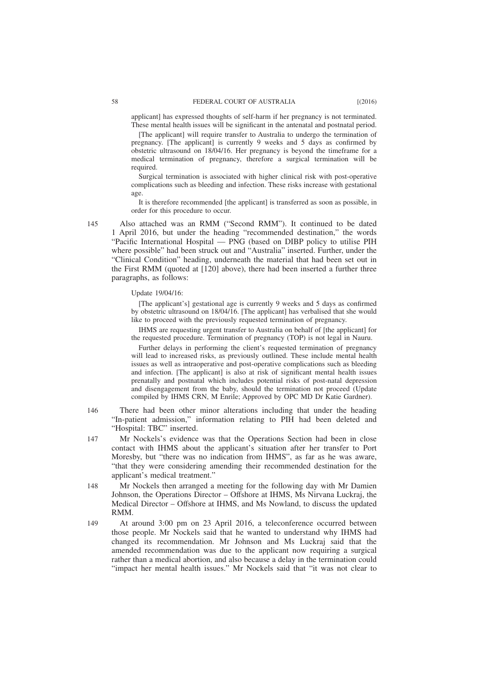applicant] has expressed thoughts of self-harm if her pregnancy is not terminated. These mental health issues will be significant in the antenatal and postnatal period.

[The applicant] will require transfer to Australia to undergo the termination of pregnancy. [The applicant] is currently 9 weeks and 5 days as confirmed by obstetric ultrasound on 18/04/16. Her pregnancy is beyond the timeframe for a medical termination of pregnancy, therefore a surgical termination will be required.

Surgical termination is associated with higher clinical risk with post-operative complications such as bleeding and infection. These risks increase with gestational age.

It is therefore recommended [the applicant] is transferred as soon as possible, in order for this procedure to occur.

145

Also attached was an RMM ("Second RMM"). It continued to be dated 1 April 2016, but under the heading "recommended destination," the words "Pacific International Hospital — PNG (based on DIBP policy to utilise PIH where possible" had been struck out and "Australia" inserted. Further, under the "Clinical Condition" heading, underneath the material that had been set out in the First RMM (quoted at [120] above), there had been inserted a further three paragraphs, as follows:

#### Update 19/04/16:

[The applicant's] gestational age is currently 9 weeks and 5 days as confirmed by obstetric ultrasound on 18/04/16. [The applicant] has verbalised that she would like to proceed with the previously requested termination of pregnancy.

IHMS are requesting urgent transfer to Australia on behalf of [the applicant] for the requested procedure. Termination of pregnancy (TOP) is not legal in Nauru.

Further delays in performing the client's requested termination of pregnancy will lead to increased risks, as previously outlined. These include mental health issues as well as intraoperative and post-operative complications such as bleeding and infection. [The applicant] is also at risk of significant mental health issues prenatally and postnatal which includes potential risks of post-natal depression and disengagement from the baby, should the termination not proceed (Update compiled by IHMS CRN, M Enrile; Approved by OPC MD Dr Katie Gardner).

- There had been other minor alterations including that under the heading "In-patient admission," information relating to PIH had been deleted and "Hospital: TBC" inserted. 146
- Mr Nockels's evidence was that the Operations Section had been in close contact with IHMS about the applicant's situation after her transfer to Port Moresby, but "there was no indication from IHMS", as far as he was aware, "that they were considering amending their recommended destination for the applicant's medical treatment." 147
- Mr Nockels then arranged a meeting for the following day with Mr Damien Johnson, the Operations Director – Offshore at IHMS, Ms Nirvana Luckraj, the Medical Director – Offshore at IHMS, and Ms Nowland, to discuss the updated RMM. 148
- At around 3:00 pm on 23 April 2016, a teleconference occurred between those people. Mr Nockels said that he wanted to understand why IHMS had changed its recommendation. Mr Johnson and Ms Luckraj said that the amended recommendation was due to the applicant now requiring a surgical rather than a medical abortion, and also because a delay in the termination could "impact her mental health issues." Mr Nockels said that "it was not clear to 149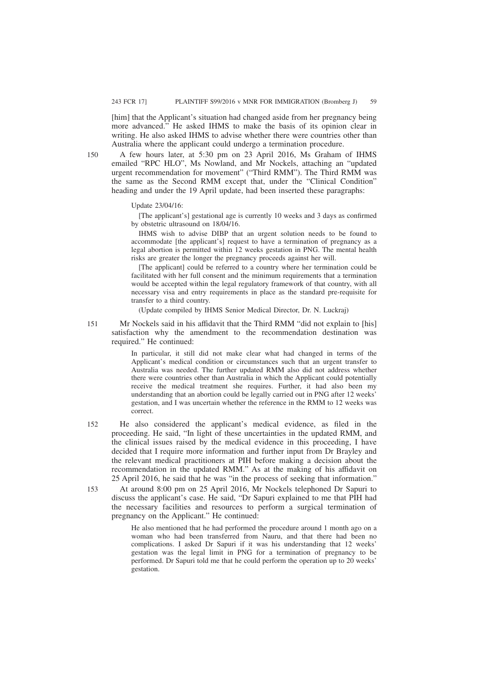[him] that the Applicant's situation had changed aside from her pregnancy being more advanced." He asked IHMS to make the basis of its opinion clear in writing. He also asked IHMS to advise whether there were countries other than Australia where the applicant could undergo a termination procedure.

A few hours later, at 5:30 pm on 23 April 2016, Ms Graham of IHMS emailed "RPC HLO", Ms Nowland, and Mr Nockels, attaching an "updated urgent recommendation for movement" ("Third RMM"). The Third RMM was the same as the Second RMM except that, under the "Clinical Condition" heading and under the 19 April update, had been inserted these paragraphs:

Update 23/04/16:

[The applicant's] gestational age is currently 10 weeks and 3 days as confirmed by obstetric ultrasound on 18/04/16.

IHMS wish to advise DIBP that an urgent solution needs to be found to accommodate [the applicant's] request to have a termination of pregnancy as a legal abortion is permitted within 12 weeks gestation in PNG. The mental health risks are greater the longer the pregnancy proceeds against her will.

[The applicant] could be referred to a country where her termination could be facilitated with her full consent and the minimum requirements that a termination would be accepted within the legal regulatory framework of that country, with all necessary visa and entry requirements in place as the standard pre-requisite for transfer to a third country.

(Update compiled by IHMS Senior Medical Director, Dr. N. Luckraj)

Mr Nockels said in his affidavit that the Third RMM "did not explain to [his] satisfaction why the amendment to the recommendation destination was required." He continued: 151

> In particular, it still did not make clear what had changed in terms of the Applicant's medical condition or circumstances such that an urgent transfer to Australia was needed. The further updated RMM also did not address whether there were countries other than Australia in which the Applicant could potentially receive the medical treatment she requires. Further, it had also been my understanding that an abortion could be legally carried out in PNG after 12 weeks' gestation, and I was uncertain whether the reference in the RMM to 12 weeks was correct.

He also considered the applicant's medical evidence, as filed in the proceeding. He said, "In light of these uncertainties in the updated RMM, and the clinical issues raised by the medical evidence in this proceeding, I have decided that I require more information and further input from Dr Brayley and the relevant medical practitioners at PIH before making a decision about the recommendation in the updated RMM." As at the making of his affidavit on 25 April 2016, he said that he was "in the process of seeking that information." 152

At around 8:00 pm on 25 April 2016, Mr Nockels telephoned Dr Sapuri to discuss the applicant's case. He said, "Dr Sapuri explained to me that PIH had the necessary facilities and resources to perform a surgical termination of pregnancy on the Applicant." He continued: 153

> He also mentioned that he had performed the procedure around 1 month ago on a woman who had been transferred from Nauru, and that there had been no complications. I asked Dr Sapuri if it was his understanding that 12 weeks' gestation was the legal limit in PNG for a termination of pregnancy to be performed. Dr Sapuri told me that he could perform the operation up to 20 weeks' gestation.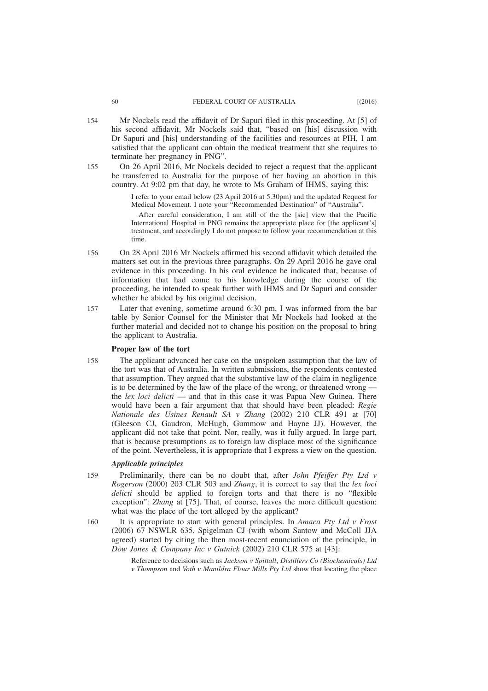- Mr Nockels read the affidavit of Dr Sapuri filed in this proceeding. At [5] of his second affidavit, Mr Nockels said that, "based on [his] discussion with Dr Sapuri and [his] understanding of the facilities and resources at PIH, I am satisfied that the applicant can obtain the medical treatment that she requires to terminate her pregnancy in PNG". 154
- On 26 April 2016, Mr Nockels decided to reject a request that the applicant be transferred to Australia for the purpose of her having an abortion in this country. At 9:02 pm that day, he wrote to Ms Graham of IHMS, saying this: 155

I refer to your email below (23 April 2016 at 5.30pm) and the updated Request for Medical Movement. I note your "Recommended Destination" of "Australia".

After careful consideration, I am still of the the [sic] view that the Pacific International Hospital in PNG remains the appropriate place for [the applicant's] treatment, and accordingly I do not propose to follow your recommendation at this time.

- On 28 April 2016 Mr Nockels affirmed his second affidavit which detailed the matters set out in the previous three paragraphs. On 29 April 2016 he gave oral evidence in this proceeding. In his oral evidence he indicated that, because of information that had come to his knowledge during the course of the proceeding, he intended to speak further with IHMS and Dr Sapuri and consider whether he abided by his original decision. 156
- Later that evening, sometime around 6:30 pm, I was informed from the bar table by Senior Counsel for the Minister that Mr Nockels had looked at the further material and decided not to change his position on the proposal to bring the applicant to Australia. 157

# **Proper law of the tort**

The applicant advanced her case on the unspoken assumption that the law of the tort was that of Australia. In written submissions, the respondents contested that assumption. They argued that the substantive law of the claim in negligence is to be determined by the law of the place of the wrong, or threatened wrong the *lex loci delicti* — and that in this case it was Papua New Guinea. There would have been a fair argument that that should have been pleaded: *Regie Nationale des Usines Renault SA v Zhang* (2002) 210 CLR 491 at [70] (Gleeson CJ, Gaudron, McHugh, Gummow and Hayne JJ). However, the applicant did not take that point. Nor, really, was it fully argued. In large part, that is because presumptions as to foreign law displace most of the significance of the point. Nevertheless, it is appropriate that I express a view on the question. 158

### *Applicable principles*

- Preliminarily, there can be no doubt that, after *John Pfeiffer Pty Ltd v Rogerson* (2000) 203 CLR 503 and *Zhang*, it is correct to say that the *lex loci delicti* should be applied to foreign torts and that there is no "flexible exception": *Zhang* at [75]. That, of course, leaves the more difficult question: what was the place of the tort alleged by the applicant? 159
- It is appropriate to start with general principles. In *Amaca Pty Ltd v Frost* (2006) 67 NSWLR 635, Spigelman CJ (with whom Santow and McColl JJA agreed) started by citing the then most-recent enunciation of the principle, in *Dow Jones & Company Inc v Gutnick* (2002) 210 CLR 575 at [43]: 160

Reference to decisions such as *Jackson v Spittall*, *Distillers Co (Biochemicals) Ltd v Thompson* and *Voth v Manildra Flour Mills Pty Ltd* show that locating the place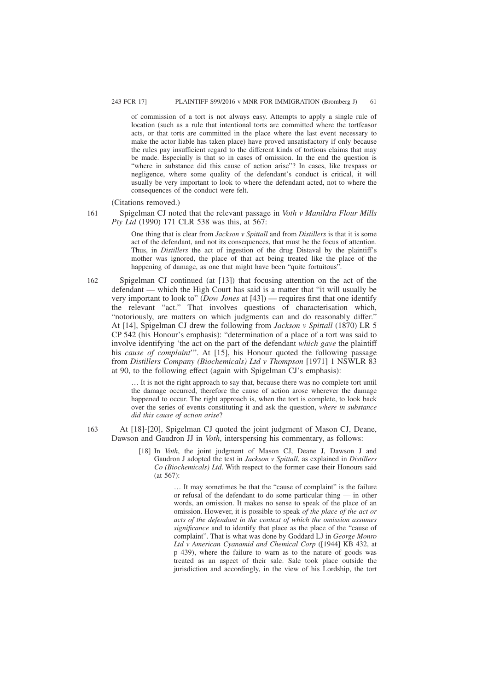#### 243 FCR 17] PLAINTIFF S99/2016 v MNR FOR IMMIGRATION (Bromberg J) 61

of commission of a tort is not always easy. Attempts to apply a single rule of location (such as a rule that intentional torts are committed where the tortfeasor acts, or that torts are committed in the place where the last event necessary to make the actor liable has taken place) have proved unsatisfactory if only because the rules pay insufficient regard to the different kinds of tortious claims that may be made. Especially is that so in cases of omission. In the end the question is "where in substance did this cause of action arise"? In cases, like trespass or negligence, where some quality of the defendant's conduct is critical, it will usually be very important to look to where the defendant acted, not to where the consequences of the conduct were felt.

# (Citations removed.)

161

Spigelman CJ noted that the relevant passage in *Voth v Manildra Flour Mills Pty Ltd* (1990) 171 CLR 538 was this, at 567:

> One thing that is clear from *Jackson v Spittall* and from *Distillers* is that it is some act of the defendant, and not its consequences, that must be the focus of attention. Thus, in *Distillers* the act of ingestion of the drug Distaval by the plaintiff's mother was ignored, the place of that act being treated like the place of the happening of damage, as one that might have been "quite fortuitous".

Spigelman CJ continued (at [13]) that focusing attention on the act of the defendant — which the High Court has said is a matter that "it will usually be very important to look to" (*Dow Jones* at [43]) — requires first that one identify the relevant "act." That involves questions of characterisation which, "notoriously, are matters on which judgments can and do reasonably differ." At [14], Spigelman CJ drew the following from *Jackson v Spittall* (1870) LR 5 CP 542 (his Honour's emphasis): "determination of a place of a tort was said to involve identifying 'the act on the part of the defendant *which gave* the plaintiff his *cause of complaint*". At [15], his Honour quoted the following passage from *Distillers Company (Biochemicals) Ltd v Thompson* [1971] 1 NSWLR 83 at 90, to the following effect (again with Spigelman CJ's emphasis): 162

> … It is not the right approach to say that, because there was no complete tort until the damage occurred, therefore the cause of action arose wherever the damage happened to occur. The right approach is, when the tort is complete, to look back over the series of events constituting it and ask the question, *where in substance did this cause of action arise*?

At [18]-[20], Spigelman CJ quoted the joint judgment of Mason CJ, Deane, Dawson and Gaudron JJ in *Voth*, interspersing his commentary, as follows: 163

> [18] In *Voth*, the joint judgment of Mason CJ, Deane J, Dawson J and Gaudron J adopted the test in *Jackson v Spittall*, as explained in *Distillers Co (Biochemicals) Ltd*. With respect to the former case their Honours said (at 567):

> > … It may sometimes be that the "cause of complaint" is the failure or refusal of the defendant to do some particular thing — in other words, an omission. It makes no sense to speak of the place of an omission. However, it is possible to speak *of the place of the act or acts of the defendant in the context of which the omission assumes significance* and to identify that place as the place of the "cause of complaint". That is what was done by Goddard LJ in *George Monro Ltd v American Cyanamid and Chemical Corp* ([1944] KB 432, at p 439), where the failure to warn as to the nature of goods was treated as an aspect of their sale. Sale took place outside the jurisdiction and accordingly, in the view of his Lordship, the tort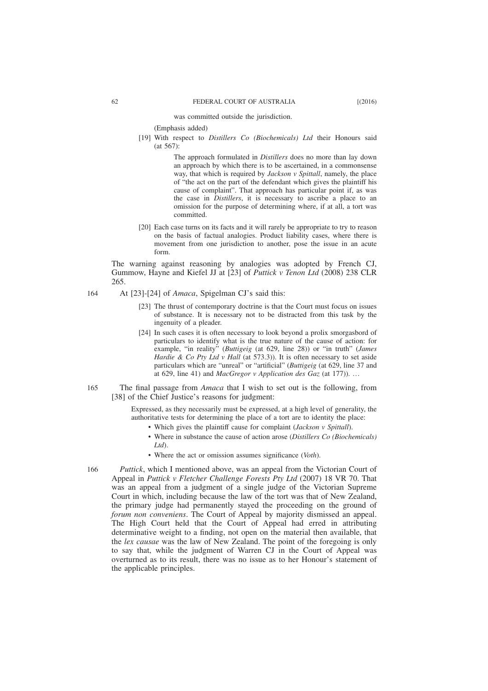was committed outside the jurisdiction.

(Emphasis added)

[19] With respect to *Distillers Co (Biochemicals) Ltd* their Honours said (at 567):

> The approach formulated in *Distillers* does no more than lay down an approach by which there is to be ascertained, in a commonsense way, that which is required by *Jackson v Spittall*, namely, the place of "the act on the part of the defendant which gives the plaintiff his cause of complaint". That approach has particular point if, as was the case in *Distillers*, it is necessary to ascribe a place to an omission for the purpose of determining where, if at all, a tort was committed.

[20] Each case turns on its facts and it will rarely be appropriate to try to reason on the basis of factual analogies. Product liability cases, where there is movement from one jurisdiction to another, pose the issue in an acute form.

The warning against reasoning by analogies was adopted by French CJ, Gummow, Hayne and Kiefel JJ at [23] of *Puttick v Tenon Ltd* (2008) 238 CLR 265.

164

- At [23]-[24] of *Amaca*, Spigelman CJ's said this:
	- [23] The thrust of contemporary doctrine is that the Court must focus on issues of substance. It is necessary not to be distracted from this task by the ingenuity of a pleader.
	- [24] In such cases it is often necessary to look beyond a prolix smorgasbord of particulars to identify what is the true nature of the cause of action: for example, "in reality" (*Buttigeig* (at 629, line 28)) or "in truth" (*James Hardie & Co Pty Ltd v Hall* (at 573.3)). It is often necessary to set aside particulars which are "unreal" or "artificial" (*Buttigeig* (at 629, line 37 and at 629, line 41) and *MacGregor v Application des Gaz* (at 177)). …
- The final passage from *Amaca* that I wish to set out is the following, from [38] of the Chief Justice's reasons for judgment: 165

Expressed, as they necessarily must be expressed, at a high level of generality, the authoritative tests for determining the place of a tort are to identity the place:

- Which gives the plaintiff cause for complaint (*Jackson v Spittall*).
- Where in substance the cause of action arose (*Distillers Co (Biochemicals) Ltd*).
- Where the act or omission assumes significance (*Voth*).
- *Puttick*, which I mentioned above, was an appeal from the Victorian Court of Appeal in *Puttick v Fletcher Challenge Forests Pty Ltd* (2007) 18 VR 70. That was an appeal from a judgment of a single judge of the Victorian Supreme Court in which, including because the law of the tort was that of New Zealand, the primary judge had permanently stayed the proceeding on the ground of *forum non conveniens*. The Court of Appeal by majority dismissed an appeal. The High Court held that the Court of Appeal had erred in attributing determinative weight to a finding, not open on the material then available, that the *lex causae* was the law of New Zealand. The point of the foregoing is only to say that, while the judgment of Warren CJ in the Court of Appeal was overturned as to its result, there was no issue as to her Honour's statement of the applicable principles.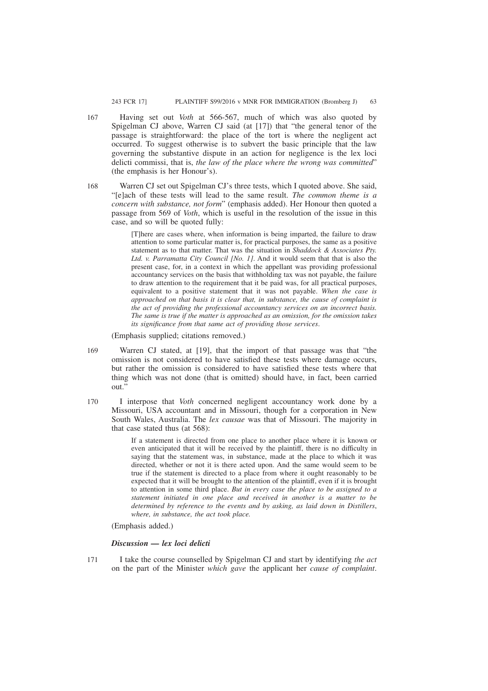- Having set out *Voth* at 566-567, much of which was also quoted by Spigelman CJ above, Warren CJ said (at [17]) that "the general tenor of the passage is straightforward: the place of the tort is where the negligent act occurred. To suggest otherwise is to subvert the basic principle that the law governing the substantive dispute in an action for negligence is the lex loci delicti commissi, that is, *the law of the place where the wrong was committed*" (the emphasis is her Honour's). 167
- Warren CJ set out Spigelman CJ's three tests, which I quoted above. She said, "[e]ach of these tests will lead to the same result. *The common theme is a concern with substance, not form*" (emphasis added). Her Honour then quoted a passage from 569 of *Voth*, which is useful in the resolution of the issue in this case, and so will be quoted fully: 168

[T]here are cases where, when information is being imparted, the failure to draw attention to some particular matter is, for practical purposes, the same as a positive statement as to that matter. That was the situation in *Shaddock & Associates Pty. Ltd. v. Parramatta City Council [No. 1]*. And it would seem that that is also the present case, for, in a context in which the appellant was providing professional accountancy services on the basis that withholding tax was not payable, the failure to draw attention to the requirement that it be paid was, for all practical purposes, equivalent to a positive statement that it was not payable. *When the case is approached on that basis it is clear that, in substance, the cause of complaint is the act of providing the professional accountancy services on an incorrect basis. The same is true if the matter is approached as an omission, for the omission takes its significance from that same act of providing those services*.

(Emphasis supplied; citations removed.)

- Warren CJ stated, at [19], that the import of that passage was that "the omission is not considered to have satisfied these tests where damage occurs, but rather the omission is considered to have satisfied these tests where that thing which was not done (that is omitted) should have, in fact, been carried out." 169
- I interpose that *Voth* concerned negligent accountancy work done by a Missouri, USA accountant and in Missouri, though for a corporation in New South Wales, Australia. The *lex causae* was that of Missouri. The majority in that case stated thus (at 568): 170

If a statement is directed from one place to another place where it is known or even anticipated that it will be received by the plaintiff, there is no difficulty in saying that the statement was, in substance, made at the place to which it was directed, whether or not it is there acted upon. And the same would seem to be true if the statement is directed to a place from where it ought reasonably to be expected that it will be brought to the attention of the plaintiff, even if it is brought to attention in some third place. *But in every case the place to be assigned to a statement initiated in one place and received in another is a matter to be determined by reference to the events and by asking, as laid down in Distillers*, *where, in substance, the act took place.*

(Emphasis added.)

# *Discussion — lex loci delicti*

I take the course counselled by Spigelman CJ and start by identifying *the act* on the part of the Minister *which gave* the applicant her *cause of complaint*. 171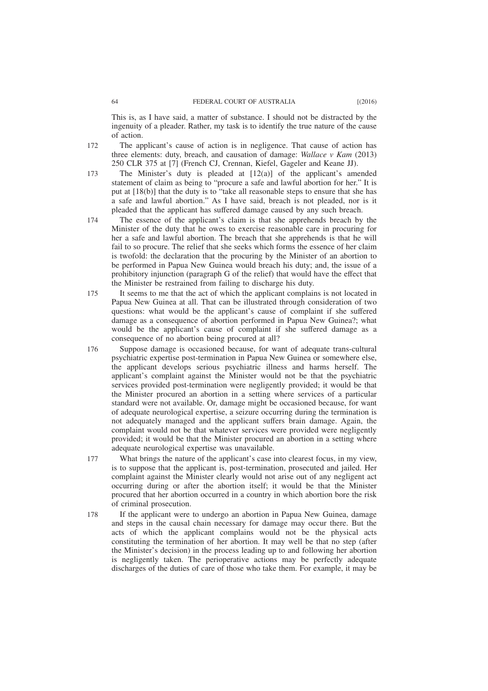This is, as I have said, a matter of substance. I should not be distracted by the ingenuity of a pleader. Rather, my task is to identify the true nature of the cause of action.

- The applicant's cause of action is in negligence. That cause of action has three elements: duty, breach, and causation of damage: *Wallace v Kam* (2013) 250 CLR 375 at [7] (French CJ, Crennan, Kiefel, Gageler and Keane JJ). 172
- The Minister's duty is pleaded at [12(a)] of the applicant's amended statement of claim as being to "procure a safe and lawful abortion for her." It is put at [18(b)] that the duty is to "take all reasonable steps to ensure that she has a safe and lawful abortion." As I have said, breach is not pleaded, nor is it pleaded that the applicant has suffered damage caused by any such breach. 173
- The essence of the applicant's claim is that she apprehends breach by the Minister of the duty that he owes to exercise reasonable care in procuring for her a safe and lawful abortion. The breach that she apprehends is that he will fail to so procure. The relief that she seeks which forms the essence of her claim is twofold: the declaration that the procuring by the Minister of an abortion to be performed in Papua New Guinea would breach his duty; and, the issue of a prohibitory injunction (paragraph G of the relief) that would have the effect that the Minister be restrained from failing to discharge his duty. 174
- It seems to me that the act of which the applicant complains is not located in Papua New Guinea at all. That can be illustrated through consideration of two questions: what would be the applicant's cause of complaint if she suffered damage as a consequence of abortion performed in Papua New Guinea?; what would be the applicant's cause of complaint if she suffered damage as a consequence of no abortion being procured at all? 175
- Suppose damage is occasioned because, for want of adequate trans-cultural psychiatric expertise post-termination in Papua New Guinea or somewhere else, the applicant develops serious psychiatric illness and harms herself. The applicant's complaint against the Minister would not be that the psychiatric services provided post-termination were negligently provided; it would be that the Minister procured an abortion in a setting where services of a particular standard were not available. Or, damage might be occasioned because, for want of adequate neurological expertise, a seizure occurring during the termination is not adequately managed and the applicant suffers brain damage. Again, the complaint would not be that whatever services were provided were negligently provided; it would be that the Minister procured an abortion in a setting where adequate neurological expertise was unavailable. 176
- What brings the nature of the applicant's case into clearest focus, in my view, is to suppose that the applicant is, post-termination, prosecuted and jailed. Her complaint against the Minister clearly would not arise out of any negligent act occurring during or after the abortion itself; it would be that the Minister procured that her abortion occurred in a country in which abortion bore the risk of criminal prosecution. 177
- If the applicant were to undergo an abortion in Papua New Guinea, damage and steps in the causal chain necessary for damage may occur there. But the acts of which the applicant complains would not be the physical acts constituting the termination of her abortion. It may well be that no step (after the Minister's decision) in the process leading up to and following her abortion is negligently taken. The perioperative actions may be perfectly adequate discharges of the duties of care of those who take them. For example, it may be 178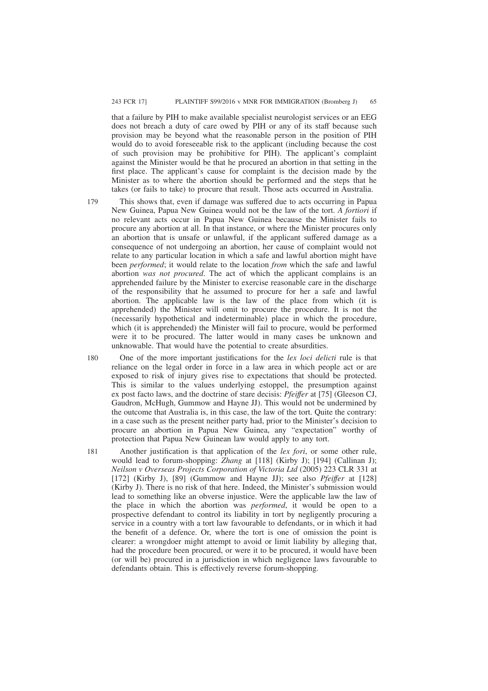#### 243 FCR 17] PLAINTIFF S99/2016 v MNR FOR IMMIGRATION (Bromberg J) 65

that a failure by PIH to make available specialist neurologist services or an EEG does not breach a duty of care owed by PIH or any of its staff because such provision may be beyond what the reasonable person in the position of PIH would do to avoid foreseeable risk to the applicant (including because the cost of such provision may be prohibitive for PIH). The applicant's complaint against the Minister would be that he procured an abortion in that setting in the first place. The applicant's cause for complaint is the decision made by the Minister as to where the abortion should be performed and the steps that he takes (or fails to take) to procure that result. Those acts occurred in Australia.

179

This shows that, even if damage was suffered due to acts occurring in Papua New Guinea, Papua New Guinea would not be the law of the tort. *A fortiori* if no relevant acts occur in Papua New Guinea because the Minister fails to procure any abortion at all. In that instance, or where the Minister procures only an abortion that is unsafe or unlawful, if the applicant suffered damage as a consequence of not undergoing an abortion, her cause of complaint would not relate to any particular location in which a safe and lawful abortion might have been *performed*; it would relate to the location *from* which the safe and lawful abortion *was not procured*. The act of which the applicant complains is an apprehended failure by the Minister to exercise reasonable care in the discharge of the responsibility that he assumed to procure for her a safe and lawful abortion. The applicable law is the law of the place from which (it is apprehended) the Minister will omit to procure the procedure. It is not the (necessarily hypothetical and indeterminable) place in which the procedure, which (it is apprehended) the Minister will fail to procure, would be performed were it to be procured. The latter would in many cases be unknown and unknowable. That would have the potential to create absurdities.

- One of the more important justifications for the *lex loci delicti* rule is that reliance on the legal order in force in a law area in which people act or are exposed to risk of injury gives rise to expectations that should be protected. This is similar to the values underlying estoppel, the presumption against ex post facto laws, and the doctrine of stare decisis: *Pfeiffer* at [75] (Gleeson CJ, Gaudron, McHugh, Gummow and Hayne JJ). This would not be undermined by the outcome that Australia is, in this case, the law of the tort. Quite the contrary: in a case such as the present neither party had, prior to the Minister's decision to procure an abortion in Papua New Guinea, any "expectation" worthy of protection that Papua New Guinean law would apply to any tort. 180
- Another justification is that application of the *lex fori*, or some other rule, would lead to forum-shopping: *Zhang* at [118] (Kirby J); [194] (Callinan J); *Neilson v Overseas Projects Corporation of Victoria Ltd* (2005) 223 CLR 331 at [172] (Kirby J), [89] (Gummow and Hayne JJ); see also *Pfeiffer* at [128] (Kirby J). There is no risk of that here. Indeed, the Minister's submission would lead to something like an obverse injustice. Were the applicable law the law of the place in which the abortion was *performed*, it would be open to a prospective defendant to control its liability in tort by negligently procuring a service in a country with a tort law favourable to defendants, or in which it had the benefit of a defence. Or, where the tort is one of omission the point is clearer: a wrongdoer might attempt to avoid or limit liability by alleging that, had the procedure been procured, or were it to be procured, it would have been (or will be) procured in a jurisdiction in which negligence laws favourable to defendants obtain. This is effectively reverse forum-shopping. 181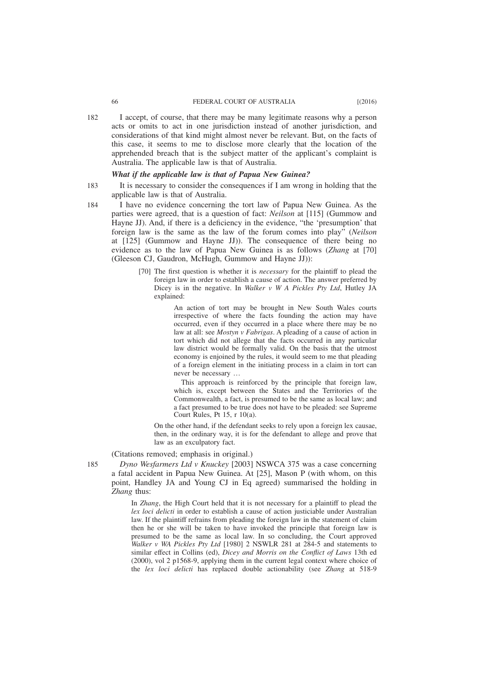I accept, of course, that there may be many legitimate reasons why a person acts or omits to act in one jurisdiction instead of another jurisdiction, and considerations of that kind might almost never be relevant. But, on the facts of this case, it seems to me to disclose more clearly that the location of the apprehended breach that is the subject matter of the applicant's complaint is Australia. The applicable law is that of Australia.

### *What if the applicable law is that of Papua New Guinea?*

- It is necessary to consider the consequences if I am wrong in holding that the applicable law is that of Australia. 183
- I have no evidence concerning the tort law of Papua New Guinea. As the parties were agreed, that is a question of fact: *Neilson* at [115] (Gummow and Hayne JJ). And, if there is a deficiency in the evidence, "the 'presumption' that foreign law is the same as the law of the forum comes into play" (*Neilson* at [125] (Gummow and Hayne JJ)). The consequence of there being no evidence as to the law of Papua New Guinea is as follows (*Zhang* at [70] (Gleeson CJ, Gaudron, McHugh, Gummow and Hayne JJ)): 184
	- [70] The first question is whether it is *necessary* for the plaintiff to plead the foreign law in order to establish a cause of action. The answer preferred by Dicey is in the negative. In *Walker v W A Pickles Pty Ltd*, Hutley JA explained:

An action of tort may be brought in New South Wales courts irrespective of where the facts founding the action may have occurred, even if they occurred in a place where there may be no law at all: see *Mostyn v Fabrigas*. A pleading of a cause of action in tort which did not allege that the facts occurred in any particular law district would be formally valid. On the basis that the utmost economy is enjoined by the rules, it would seem to me that pleading of a foreign element in the initiating process in a claim in tort can never be necessary …

This approach is reinforced by the principle that foreign law, which is, except between the States and the Territories of the Commonwealth, a fact, is presumed to be the same as local law; and a fact presumed to be true does not have to be pleaded: see Supreme Court Rules, Pt 15, r 10(a).

On the other hand, if the defendant seeks to rely upon a foreign lex causae, then, in the ordinary way, it is for the defendant to allege and prove that law as an exculpatory fact.

(Citations removed; emphasis in original.)

*Dyno Wesfarmers Ltd v Knuckey* [2003] NSWCA 375 was a case concerning a fatal accident in Papua New Guinea. At [25], Mason P (with whom, on this point, Handley JA and Young CJ in Eq agreed) summarised the holding in *Zhang* thus:

In *Zhang*, the High Court held that it is not necessary for a plaintiff to plead the *lex loci delicti* in order to establish a cause of action justiciable under Australian law. If the plaintiff refrains from pleading the foreign law in the statement of claim then he or she will be taken to have invoked the principle that foreign law is presumed to be the same as local law. In so concluding, the Court approved *Walker v WA Pickles Pty Ltd* [1980] 2 NSWLR 281 at 284-5 and statements to similar effect in Collins (ed), *Dicey and Morris on the Conflict of Laws* 13th ed (2000), vol 2 p1568-9, applying them in the current legal context where choice of the *lex loci delicti* has replaced double actionability (see *Zhang* at 518-9

182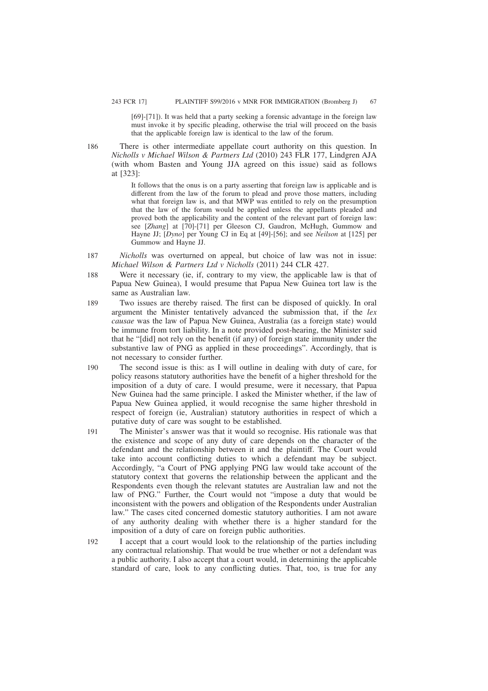[69]-[71]). It was held that a party seeking a forensic advantage in the foreign law must invoke it by specific pleading, otherwise the trial will proceed on the basis that the applicable foreign law is identical to the law of the forum.

There is other intermediate appellate court authority on this question. In *Nicholls v Michael Wilson & Partners Ltd* (2010) 243 FLR 177, Lindgren AJA (with whom Basten and Young JJA agreed on this issue) said as follows at [323]:

186

It follows that the onus is on a party asserting that foreign law is applicable and is different from the law of the forum to plead and prove those matters, including what that foreign law is, and that MWP was entitled to rely on the presumption that the law of the forum would be applied unless the appellants pleaded and proved both the applicability and the content of the relevant part of foreign law: see [*Zhang*] at [70]-[71] per Gleeson CJ, Gaudron, McHugh, Gummow and Hayne JJ; [*Dyno*] per Young CJ in Eq at [49]-[56]; and see *Neilson* at [125] per Gummow and Hayne JJ.

- *Nicholls* was overturned on appeal, but choice of law was not in issue: *Michael Wilson & Partners Ltd v Nicholls* (2011) 244 CLR 427. 187
- Were it necessary (ie, if, contrary to my view, the applicable law is that of Papua New Guinea), I would presume that Papua New Guinea tort law is the same as Australian law. 188
- Two issues are thereby raised. The first can be disposed of quickly. In oral argument the Minister tentatively advanced the submission that, if the *lex causae* was the law of Papua New Guinea, Australia (as a foreign state) would be immune from tort liability. In a note provided post-hearing, the Minister said that he "[did] not rely on the benefit (if any) of foreign state immunity under the substantive law of PNG as applied in these proceedings". Accordingly, that is not necessary to consider further. 189
- The second issue is this: as I will outline in dealing with duty of care, for policy reasons statutory authorities have the benefit of a higher threshold for the imposition of a duty of care. I would presume, were it necessary, that Papua New Guinea had the same principle. I asked the Minister whether, if the law of Papua New Guinea applied, it would recognise the same higher threshold in respect of foreign (ie, Australian) statutory authorities in respect of which a putative duty of care was sought to be established. 190
- The Minister's answer was that it would so recognise. His rationale was that the existence and scope of any duty of care depends on the character of the defendant and the relationship between it and the plaintiff. The Court would take into account conflicting duties to which a defendant may be subject. Accordingly, "a Court of PNG applying PNG law would take account of the statutory context that governs the relationship between the applicant and the Respondents even though the relevant statutes are Australian law and not the law of PNG." Further, the Court would not "impose a duty that would be inconsistent with the powers and obligation of the Respondents under Australian law." The cases cited concerned domestic statutory authorities. I am not aware of any authority dealing with whether there is a higher standard for the imposition of a duty of care on foreign public authorities. 191
- I accept that a court would look to the relationship of the parties including any contractual relationship. That would be true whether or not a defendant was a public authority. I also accept that a court would, in determining the applicable standard of care, look to any conflicting duties. That, too, is true for any 192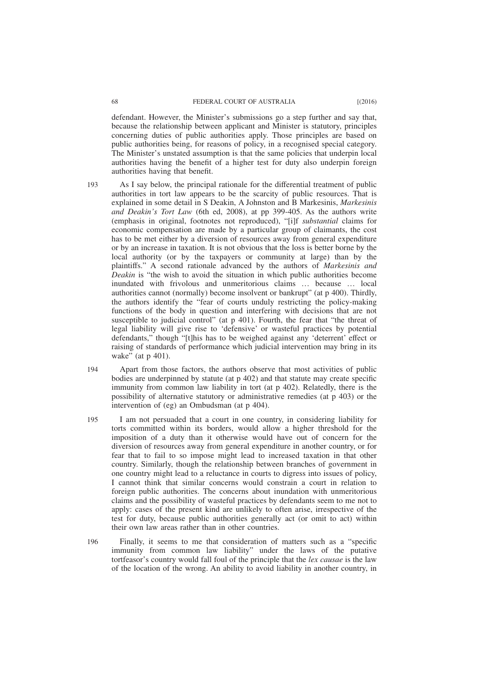defendant. However, the Minister's submissions go a step further and say that, because the relationship between applicant and Minister is statutory, principles concerning duties of public authorities apply. Those principles are based on public authorities being, for reasons of policy, in a recognised special category. The Minister's unstated assumption is that the same policies that underpin local authorities having the benefit of a higher test for duty also underpin foreign authorities having that benefit.

- 193
- As I say below, the principal rationale for the differential treatment of public authorities in tort law appears to be the scarcity of public resources. That is explained in some detail in S Deakin, A Johnston and B Markesinis, *Markesinis and Deakin's Tort Law* (6th ed, 2008), at pp 399-405. As the authors write (emphasis in original, footnotes not reproduced), "[i]f *substantial* claims for economic compensation are made by a particular group of claimants, the cost has to be met either by a diversion of resources away from general expenditure or by an increase in taxation. It is not obvious that the loss is better borne by the local authority (or by the taxpayers or community at large) than by the plaintiffs." A second rationale advanced by the authors of *Markesinis and Deakin* is "the wish to avoid the situation in which public authorities become inundated with frivolous and unmeritorious claims … because … local authorities cannot (normally) become insolvent or bankrupt" (at p 400). Thirdly, the authors identify the "fear of courts unduly restricting the policy-making functions of the body in question and interfering with decisions that are not susceptible to judicial control" (at p 401). Fourth, the fear that "the threat of legal liability will give rise to 'defensive' or wasteful practices by potential defendants," though "[t]his has to be weighed against any 'deterrent' effect or raising of standards of performance which judicial intervention may bring in its wake" (at p 401).
- Apart from those factors, the authors observe that most activities of public bodies are underpinned by statute (at p 402) and that statute may create specific immunity from common law liability in tort (at p 402). Relatedly, there is the possibility of alternative statutory or administrative remedies (at p 403) or the intervention of (eg) an Ombudsman (at p 404). 194
- I am not persuaded that a court in one country, in considering liability for torts committed within its borders, would allow a higher threshold for the imposition of a duty than it otherwise would have out of concern for the diversion of resources away from general expenditure in another country, or for fear that to fail to so impose might lead to increased taxation in that other country. Similarly, though the relationship between branches of government in one country might lead to a reluctance in courts to digress into issues of policy, I cannot think that similar concerns would constrain a court in relation to foreign public authorities. The concerns about inundation with unmeritorious claims and the possibility of wasteful practices by defendants seem to me not to apply: cases of the present kind are unlikely to often arise, irrespective of the test for duty, because public authorities generally act (or omit to act) within their own law areas rather than in other countries. 195
- Finally, it seems to me that consideration of matters such as a "specific immunity from common law liability" under the laws of the putative tortfeasor's country would fall foul of the principle that the *lex causae* is the law of the location of the wrong. An ability to avoid liability in another country, in 196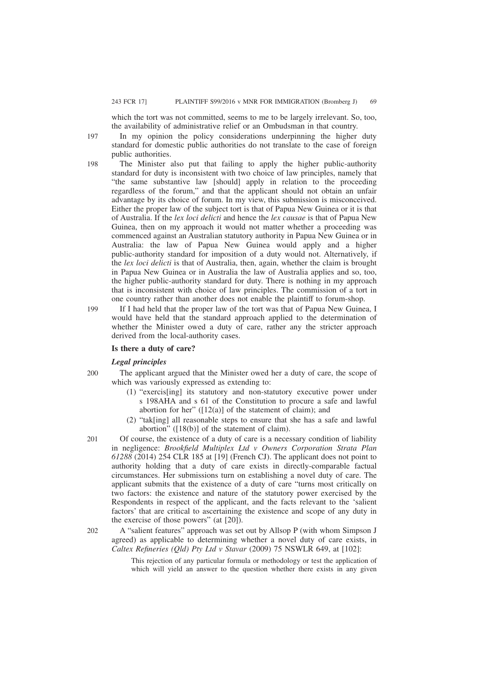which the tort was not committed, seems to me to be largely irrelevant. So, too, the availability of administrative relief or an Ombudsman in that country.

In my opinion the policy considerations underpinning the higher duty standard for domestic public authorities do not translate to the case of foreign public authorities.

- The Minister also put that failing to apply the higher public-authority standard for duty is inconsistent with two choice of law principles, namely that "the same substantive law [should] apply in relation to the proceeding regardless of the forum," and that the applicant should not obtain an unfair advantage by its choice of forum. In my view, this submission is misconceived. Either the proper law of the subject tort is that of Papua New Guinea or it is that of Australia. If the *lex loci delicti* and hence the *lex causae* is that of Papua New Guinea, then on my approach it would not matter whether a proceeding was commenced against an Australian statutory authority in Papua New Guinea or in Australia: the law of Papua New Guinea would apply and a higher public-authority standard for imposition of a duty would not. Alternatively, if the *lex loci delicti* is that of Australia, then, again, whether the claim is brought in Papua New Guinea or in Australia the law of Australia applies and so, too, the higher public-authority standard for duty. There is nothing in my approach that is inconsistent with choice of law principles. The commission of a tort in one country rather than another does not enable the plaintiff to forum-shop.
- If I had held that the proper law of the tort was that of Papua New Guinea, I would have held that the standard approach applied to the determination of whether the Minister owed a duty of care, rather any the stricter approach derived from the local-authority cases.

# **Is there a duty of care?**

# *Legal principles*

- The applicant argued that the Minister owed her a duty of care, the scope of which was variously expressed as extending to: 200
	- (1) "exercis[ing] its statutory and non-statutory executive power under s 198AHA and s 61 of the Constitution to procure a safe and lawful abortion for her"  $([12(a)]$  of the statement of claim); and
	- (2) "tak[ing] all reasonable steps to ensure that she has a safe and lawful abortion" ([18(b)] of the statement of claim).
- Of course, the existence of a duty of care is a necessary condition of liability in negligence: *Brookfield Multiplex Ltd v Owners Corporation Strata Plan 61288* (2014) 254 CLR 185 at [19] (French CJ). The applicant does not point to authority holding that a duty of care exists in directly-comparable factual circumstances. Her submissions turn on establishing a novel duty of care. The applicant submits that the existence of a duty of care "turns most critically on two factors: the existence and nature of the statutory power exercised by the Respondents in respect of the applicant, and the facts relevant to the 'salient factors' that are critical to ascertaining the existence and scope of any duty in the exercise of those powers" (at [20]). 201

A "salient features" approach was set out by Allsop P (with whom Simpson J agreed) as applicable to determining whether a novel duty of care exists, in *Caltex Refineries (Qld) Pty Ltd v Stavar* (2009) 75 NSWLR 649, at [102]:

This rejection of any particular formula or methodology or test the application of which will yield an answer to the question whether there exists in any given

199

197

198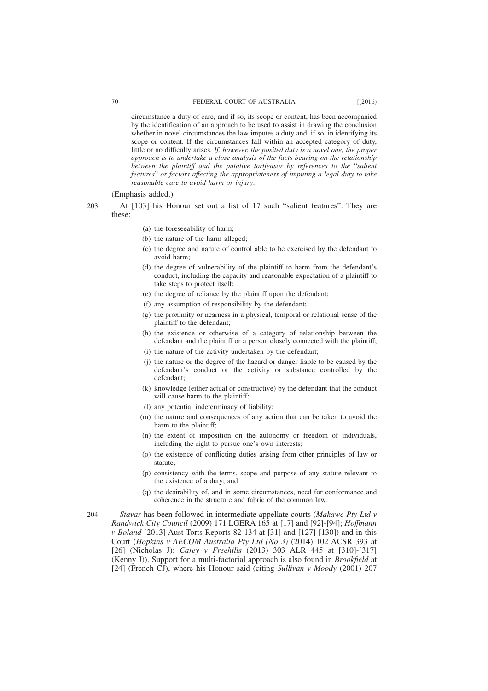circumstance a duty of care, and if so, its scope or content, has been accompanied by the identification of an approach to be used to assist in drawing the conclusion whether in novel circumstances the law imputes a duty and, if so, in identifying its scope or content. If the circumstances fall within an accepted category of duty, little or no difficulty arises. *If, however, the posited duty is a novel one, the proper approach is to undertake a close analysis of the facts bearing on the relationship between the plaintiff and the putative tortfeasor by references to the* "*salient features*" *or factors affecting the appropriateness of imputing a legal duty to take reasonable care to avoid harm or injury*.

## (Emphasis added.)

At [103] his Honour set out a list of 17 such "salient features". They are these: 203

- (a) the foreseeability of harm;
- (b) the nature of the harm alleged;
- (c) the degree and nature of control able to be exercised by the defendant to avoid harm;
- (d) the degree of vulnerability of the plaintiff to harm from the defendant's conduct, including the capacity and reasonable expectation of a plaintiff to take steps to protect itself;
- (e) the degree of reliance by the plaintiff upon the defendant;
- (f) any assumption of responsibility by the defendant;
- (g) the proximity or nearness in a physical, temporal or relational sense of the plaintiff to the defendant;
- (h) the existence or otherwise of a category of relationship between the defendant and the plaintiff or a person closely connected with the plaintiff;
- (i) the nature of the activity undertaken by the defendant;
- (j) the nature or the degree of the hazard or danger liable to be caused by the defendant's conduct or the activity or substance controlled by the defendant;
- (k) knowledge (either actual or constructive) by the defendant that the conduct will cause harm to the plaintiff;
- (l) any potential indeterminacy of liability;
- (m) the nature and consequences of any action that can be taken to avoid the harm to the plaintiff;
- (n) the extent of imposition on the autonomy or freedom of individuals, including the right to pursue one's own interests;
- (o) the existence of conflicting duties arising from other principles of law or statute;
- (p) consistency with the terms, scope and purpose of any statute relevant to the existence of a duty; and
- (q) the desirability of, and in some circumstances, need for conformance and coherence in the structure and fabric of the common law.
- *Stavar* has been followed in intermediate appellate courts (*Makawe Pty Ltd v Randwick City Council* (2009) 171 LGERA 165 at [17] and [92]-[94]; *Hoffmann v Boland* [2013] Aust Torts Reports 82-134 at [31] and [127]-[130]) and in this Court (*Hopkins v AECOM Australia Pty Ltd (No 3)* (2014) 102 ACSR 393 at [26] (Nicholas J); *Carey v Freehills* (2013) 303 ALR 445 at [310]-[317] (Kenny J)). Support for a multi-factorial approach is also found in *Brookfield* at [24] (French CJ), where his Honour said (citing *Sullivan v Moody* (2001) 207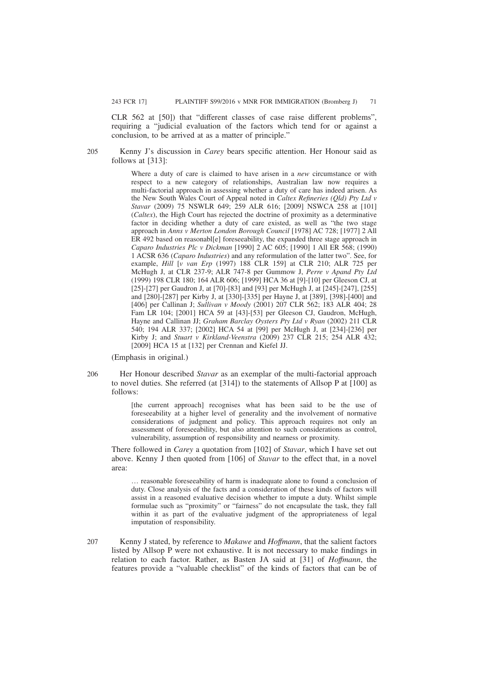CLR 562 at [50]) that "different classes of case raise different problems", requiring a "judicial evaluation of the factors which tend for or against a conclusion, to be arrived at as a matter of principle."

Kenny J's discussion in *Carey* bears specific attention. Her Honour said as follows at [313]: 205

> Where a duty of care is claimed to have arisen in a *new* circumstance or with respect to a new category of relationships, Australian law now requires a multi-factorial approach in assessing whether a duty of care has indeed arisen. As the New South Wales Court of Appeal noted in *Caltex Refineries (Qld) Pty Ltd v Stavar* (2009) 75 NSWLR 649; 259 ALR 616; [2009] NSWCA 258 at [101] (*Caltex*), the High Court has rejected the doctrine of proximity as a determinative factor in deciding whether a duty of care existed, as well as "the two stage approach in *Anns v Merton London Borough Council* [1978] AC 728; [1977] 2 All ER 492 based on reasonabl[e] foreseeability, the expanded three stage approach in *Caparo Industries Plc v Dickman* [1990] 2 AC 605; [1990] 1 All ER 568; (1990) 1 ACSR 636 (*Caparo Industries*) and any reformulation of the latter two". See, for example, *Hill* [*v van Erp* (1997) 188 CLR 159] at CLR 210; ALR 725 per McHugh J, at CLR 237-9; ALR 747-8 per Gummow J, *Perre v Apand Pty Ltd* (1999) 198 CLR 180; 164 ALR 606; [1999] HCA 36 at [9]-[10] per Gleeson CJ, at [25]-[27] per Gaudron J, at [70]-[83] and [93] per McHugh J, at [245]-[247], [255] and [280]-[287] per Kirby J, at [330]-[335] per Hayne J, at [389], [398]-[400] and [406] per Callinan J; *Sullivan v Moody* (2001) 207 CLR 562; 183 ALR 404; 28 Fam LR 104; [2001] HCA 59 at [43]-[53] per Gleeson CJ, Gaudron, McHugh, Hayne and Callinan JJ; *Graham Barclay Oysters Pty Ltd v Ryan* (2002) 211 CLR 540; 194 ALR 337; [2002] HCA 54 at [99] per McHugh J, at [234]-[236] per Kirby J; and *Stuart v Kirkland-Veenstra* (2009) 237 CLR 215; 254 ALR 432; [2009] HCA 15 at [132] per Crennan and Kiefel JJ.

(Emphasis in original.)

206

Her Honour described *Stavar* as an exemplar of the multi-factorial approach to novel duties. She referred (at [314]) to the statements of Allsop P at [100] as follows:

[the current approach] recognises what has been said to be the use of foreseeability at a higher level of generality and the involvement of normative considerations of judgment and policy. This approach requires not only an assessment of foreseeability, but also attention to such considerations as control, vulnerability, assumption of responsibility and nearness or proximity.

There followed in *Carey* a quotation from [102] of *Stavar*, which I have set out above. Kenny J then quoted from [106] of *Stavar* to the effect that, in a novel area:

… reasonable foreseeability of harm is inadequate alone to found a conclusion of duty. Close analysis of the facts and a consideration of these kinds of factors will assist in a reasoned evaluative decision whether to impute a duty. Whilst simple formulae such as "proximity" or "fairness" do not encapsulate the task, they fall within it as part of the evaluative judgment of the appropriateness of legal imputation of responsibility.

Kenny J stated, by reference to *Makawe* and *Hoffmann*, that the salient factors listed by Allsop P were not exhaustive. It is not necessary to make findings in relation to each factor. Rather, as Basten JA said at [31] of *Hoffmann*, the features provide a "valuable checklist" of the kinds of factors that can be of 207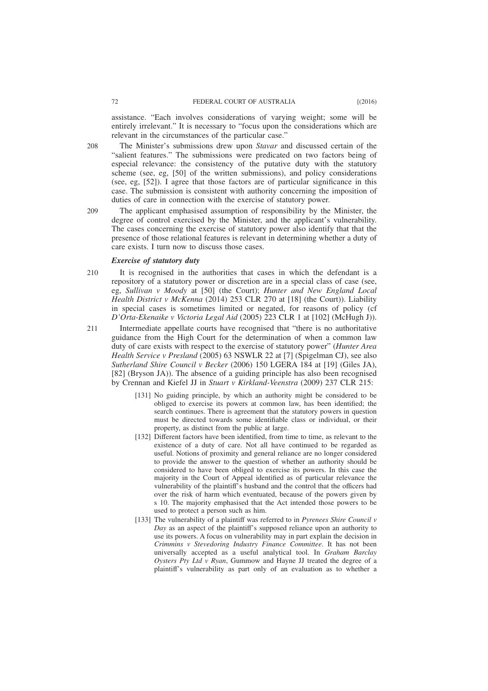assistance. "Each involves considerations of varying weight; some will be entirely irrelevant." It is necessary to "focus upon the considerations which are relevant in the circumstances of the particular case."

The Minister's submissions drew upon *Stavar* and discussed certain of the "salient features." The submissions were predicated on two factors being of especial relevance: the consistency of the putative duty with the statutory scheme (see, eg, [50] of the written submissions), and policy considerations (see, eg, [52]). I agree that those factors are of particular significance in this case. The submission is consistent with authority concerning the imposition of duties of care in connection with the exercise of statutory power.

The applicant emphasised assumption of responsibility by the Minister, the degree of control exercised by the Minister, and the applicant's vulnerability. The cases concerning the exercise of statutory power also identify that that the presence of those relational features is relevant in determining whether a duty of care exists. I turn now to discuss those cases. 209

### *Exercise of statutory duty*

- It is recognised in the authorities that cases in which the defendant is a repository of a statutory power or discretion are in a special class of case (see, eg, *Sullivan v Moody* at [50] (the Court); *Hunter and New England Local Health District v McKenna* (2014) 253 CLR 270 at [18] (the Court)). Liability in special cases is sometimes limited or negated, for reasons of policy (cf *D'Orta-Ekenaike v Victoria Legal Aid* (2005) 223 CLR 1 at [102] (McHugh J)). 210
- Intermediate appellate courts have recognised that "there is no authoritative guidance from the High Court for the determination of when a common law duty of care exists with respect to the exercise of statutory power" (*Hunter Area Health Service v Presland* (2005) 63 NSWLR 22 at [7] (Spigelman CJ), see also *Sutherland Shire Council v Becker* (2006) 150 LGERA 184 at [19] (Giles JA), [82] (Bryson JA)). The absence of a guiding principle has also been recognised by Crennan and Kiefel JJ in *Stuart v Kirkland-Veenstra* (2009) 237 CLR 215: 211
	- [131] No guiding principle, by which an authority might be considered to be obliged to exercise its powers at common law, has been identified; the search continues. There is agreement that the statutory powers in question must be directed towards some identifiable class or individual, or their property, as distinct from the public at large.
	- [132] Different factors have been identified, from time to time, as relevant to the existence of a duty of care. Not all have continued to be regarded as useful. Notions of proximity and general reliance are no longer considered to provide the answer to the question of whether an authority should be considered to have been obliged to exercise its powers. In this case the majority in the Court of Appeal identified as of particular relevance the vulnerability of the plaintiff's husband and the control that the officers had over the risk of harm which eventuated, because of the powers given by s 10. The majority emphasised that the Act intended those powers to be used to protect a person such as him.
	- [133] The vulnerability of a plaintiff was referred to in *Pyrenees Shire Council v Day* as an aspect of the plaintiff's supposed reliance upon an authority to use its powers. A focus on vulnerability may in part explain the decision in *Crimmins v Stevedoring Industry Finance Committee*. It has not been universally accepted as a useful analytical tool. In *Graham Barclay Oysters Pty Ltd v Ryan*, Gummow and Hayne JJ treated the degree of a plaintiff's vulnerability as part only of an evaluation as to whether a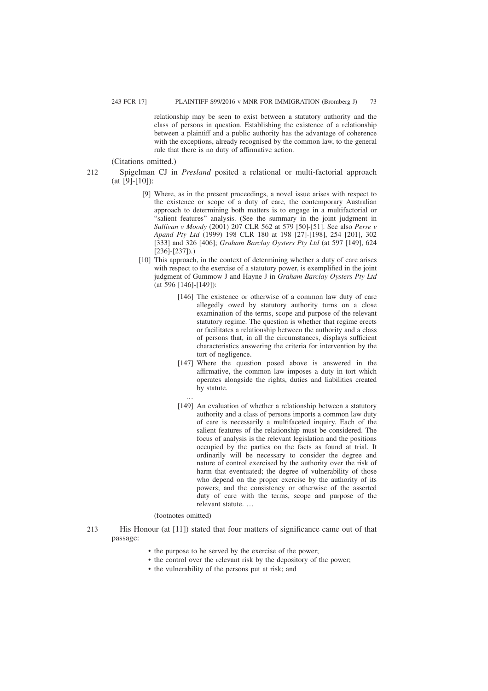relationship may be seen to exist between a statutory authority and the class of persons in question. Establishing the existence of a relationship between a plaintiff and a public authority has the advantage of coherence with the exceptions, already recognised by the common law, to the general rule that there is no duty of affirmative action.

# (Citations omitted.)

- 212
- Spigelman CJ in *Presland* posited a relational or multi-factorial approach (at [9]-[10]):
	- [9] Where, as in the present proceedings, a novel issue arises with respect to the existence or scope of a duty of care, the contemporary Australian approach to determining both matters is to engage in a multifactorial or "salient features" analysis. (See the summary in the joint judgment in *Sullivan v Moody* (2001) 207 CLR 562 at 579 [50]-[51]. See also *Perre v Apand Pty Ltd* (1999) 198 CLR 180 at 198 [27]-[198], 254 [201], 302 [333] and 326 [406]; *Graham Barclay Oysters Pty Ltd* (at 597 [149], 624 [236]-[237]).)
	- [10] This approach, in the context of determining whether a duty of care arises with respect to the exercise of a statutory power, is exemplified in the joint judgment of Gummow J and Hayne J in *Graham Barclay Oysters Pty Ltd* (at 596 [146]-[149]):
		- [146] The existence or otherwise of a common law duty of care allegedly owed by statutory authority turns on a close examination of the terms, scope and purpose of the relevant statutory regime. The question is whether that regime erects or facilitates a relationship between the authority and a class of persons that, in all the circumstances, displays sufficient characteristics answering the criteria for intervention by the tort of negligence.
		- [147] Where the question posed above is answered in the affirmative, the common law imposes a duty in tort which operates alongside the rights, duties and liabilities created by statute.
		- [149] An evaluation of whether a relationship between a statutory authority and a class of persons imports a common law duty of care is necessarily a multifaceted inquiry. Each of the salient features of the relationship must be considered. The focus of analysis is the relevant legislation and the positions occupied by the parties on the facts as found at trial. It ordinarily will be necessary to consider the degree and nature of control exercised by the authority over the risk of harm that eventuated; the degree of vulnerability of those who depend on the proper exercise by the authority of its powers; and the consistency or otherwise of the asserted duty of care with the terms, scope and purpose of the relevant statute. …

# (footnotes omitted)

…

- His Honour (at [11]) stated that four matters of significance came out of that passage: 213
	- the purpose to be served by the exercise of the power;
	- the control over the relevant risk by the depository of the power;
	- the vulnerability of the persons put at risk; and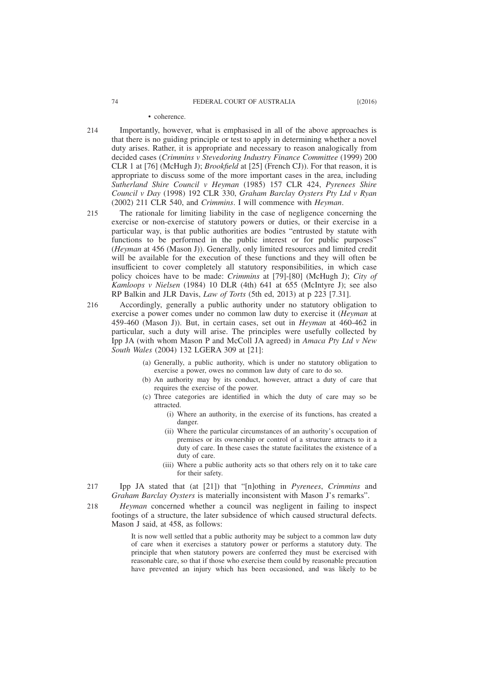- Importantly, however, what is emphasised in all of the above approaches is that there is no guiding principle or test to apply in determining whether a novel duty arises. Rather, it is appropriate and necessary to reason analogically from decided cases (*Crimmins v Stevedoring Industry Finance Committee* (1999) 200 CLR 1 at [76] (McHugh J); *Brookfield* at [25] (French CJ)). For that reason, it is appropriate to discuss some of the more important cases in the area, including *Sutherland Shire Council v Heyman* (1985) 157 CLR 424, *Pyrenees Shire Council v Day* (1998) 192 CLR 330, *Graham Barclay Oysters Pty Ltd v Ryan* (2002) 211 CLR 540, and *Crimmins*. I will commence with *Heyman*. 214
- The rationale for limiting liability in the case of negligence concerning the exercise or non-exercise of statutory powers or duties, or their exercise in a particular way, is that public authorities are bodies "entrusted by statute with functions to be performed in the public interest or for public purposes" (*Heyman* at 456 (Mason J)). Generally, only limited resources and limited credit will be available for the execution of these functions and they will often be insufficient to cover completely all statutory responsibilities, in which case policy choices have to be made: *Crimmins* at [79]-[80] (McHugh J); *City of Kamloops v Nielsen* (1984) 10 DLR (4th) 641 at 655 (McIntyre J); see also RP Balkin and JLR Davis, *Law of Torts* (5th ed, 2013) at p 223 [7.31]. 215
- Accordingly, generally a public authority under no statutory obligation to exercise a power comes under no common law duty to exercise it (*Heyman* at 459-460 (Mason J)). But, in certain cases, set out in *Heyman* at 460-462 in particular, such a duty will arise. The principles were usefully collected by Ipp JA (with whom Mason P and McColl JA agreed) in *Amaca Pty Ltd v New South Wales* (2004) 132 LGERA 309 at [21]: 216
	- (a) Generally, a public authority, which is under no statutory obligation to exercise a power, owes no common law duty of care to do so.
	- (b) An authority may by its conduct, however, attract a duty of care that requires the exercise of the power.
	- (c) Three categories are identified in which the duty of care may so be attracted.
		- (i) Where an authority, in the exercise of its functions, has created a danger.
		- (ii) Where the particular circumstances of an authority's occupation of premises or its ownership or control of a structure attracts to it a duty of care. In these cases the statute facilitates the existence of a duty of care.
		- (iii) Where a public authority acts so that others rely on it to take care for their safety.
- Ipp JA stated that (at [21]) that "[n]othing in *Pyrenees*, *Crimmins* and *Graham Barclay Oysters* is materially inconsistent with Mason J's remarks". 217
- *Heyman* concerned whether a council was negligent in failing to inspect footings of a structure, the later subsidence of which caused structural defects. Mason J said, at 458, as follows: 218

It is now well settled that a public authority may be subject to a common law duty of care when it exercises a statutory power or performs a statutory duty. The principle that when statutory powers are conferred they must be exercised with reasonable care, so that if those who exercise them could by reasonable precaution have prevented an injury which has been occasioned, and was likely to be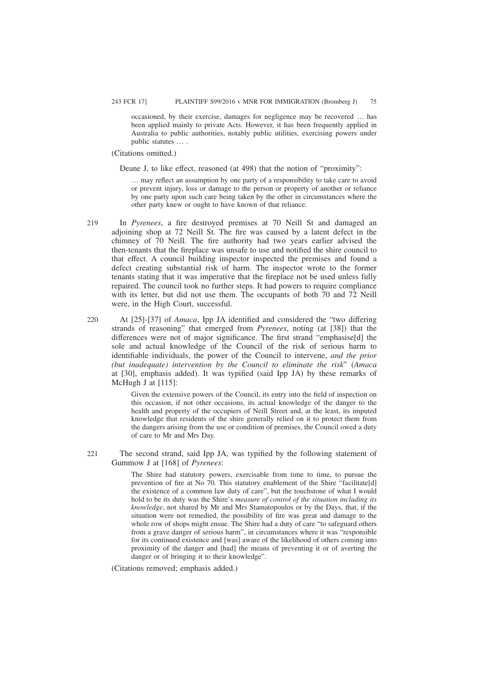#### 243 FCR 17] PLAINTIFF S99/2016 v MNR FOR IMMIGRATION (Bromberg J) 75

occasioned, by their exercise, damages for negligence may be recovered … has been applied mainly to private Acts. However, it has been frequently applied in Australia to public authorities, notably public utilities, exercising powers under public statutes … .

### (Citations omitted.)

Deane J, to like effect, reasoned (at 498) that the notion of "proximity":

… may reflect an assumption by one party of a responsibility to take care to avoid or prevent injury, loss or damage to the person or property of another or reliance by one party upon such care being taken by the other in circumstances where the other party knew or ought to have known of that reliance.

- In *Pyrenees*, a fire destroyed premises at 70 Neill St and damaged an adjoining shop at 72 Neill St. The fire was caused by a latent defect in the chimney of 70 Neill. The fire authority had two years earlier advised the then-tenants that the fireplace was unsafe to use and notified the shire council to that effect. A council building inspector inspected the premises and found a defect creating substantial risk of harm. The inspector wrote to the former tenants stating that it was imperative that the fireplace not be used unless fully repaired. The council took no further steps. It had powers to require compliance with its letter, but did not use them. The occupants of both 70 and 72 Neill were, in the High Court, successful. 219
- At [25]-[37] of *Amaca*, Ipp JA identified and considered the "two differing strands of reasoning" that emerged from *Pyrenees*, noting (at [38]) that the differences were not of major significance. The first strand "emphasise[d] the sole and actual knowledge of the Council of the risk of serious harm to identifiable individuals, the power of the Council to intervene, *and the prior (but inadequate) intervention by the Council to eliminate the risk*" (*Amaca* at [30], emphasis added). It was typified (said Ipp JA) by these remarks of McHugh J at [115]: 220

Given the extensive powers of the Council, its entry into the field of inspection on this occasion, if not other occasions, its actual knowledge of the danger to the health and property of the occupiers of Neill Street and, at the least, its imputed knowledge that residents of the shire generally relied on it to protect them from the dangers arising from the use or condition of premises, the Council owed a duty of care to Mr and Mrs Day.

The second strand, said Ipp JA, was typified by the following statement of Gummow J at [168] of *Pyrenees*: 221

> The Shire had statutory powers, exercisable from time to time, to pursue the prevention of fire at No 70. This statutory enablement of the Shire "facilitate[d] the existence of a common law duty of care", but the touchstone of what I would hold to be its duty was the Shire's *measure of control of the situation including its knowledge*, not shared by Mr and Mrs Stamatopoulos or by the Days, that, if the situation were not remedied, the possibility of fire was great and damage to the whole row of shops might ensue. The Shire had a duty of care "to safeguard others from a grave danger of serious harm", in circumstances where it was "responsible for its continued existence and [was] aware of the likelihood of others coming into proximity of the danger and [had] the means of preventing it or of averting the danger or of bringing it to their knowledge".

(Citations removed; emphasis added.)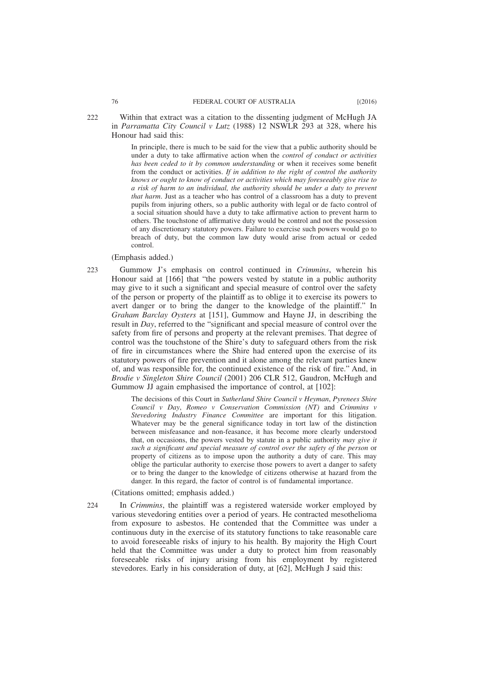Within that extract was a citation to the dissenting judgment of McHugh JA in *Parramatta City Council v Lutz* (1988) 12 NSWLR 293 at 328, where his Honour had said this:

In principle, there is much to be said for the view that a public authority should be under a duty to take affirmative action when the *control of conduct or activities has been ceded to it by common understanding* or when it receives some benefit from the conduct or activities. *If in addition to the right of control the authority knows or ought to know of conduct or activities which may foreseeably give rise to a risk of harm to an individual, the authority should be under a duty to prevent that harm*. Just as a teacher who has control of a classroom has a duty to prevent pupils from injuring others, so a public authority with legal or de facto control of a social situation should have a duty to take affirmative action to prevent harm to others. The touchstone of affirmative duty would be control and not the possession of any discretionary statutory powers. Failure to exercise such powers would go to breach of duty, but the common law duty would arise from actual or ceded control.

# (Emphasis added.)

Gummow J's emphasis on control continued in *Crimmins*, wherein his Honour said at [166] that "the powers vested by statute in a public authority may give to it such a significant and special measure of control over the safety of the person or property of the plaintiff as to oblige it to exercise its powers to avert danger or to bring the danger to the knowledge of the plaintiff." In *Graham Barclay Oysters* at [151], Gummow and Hayne JJ, in describing the result in *Day*, referred to the "significant and special measure of control over the safety from fire of persons and property at the relevant premises. That degree of control was the touchstone of the Shire's duty to safeguard others from the risk of fire in circumstances where the Shire had entered upon the exercise of its statutory powers of fire prevention and it alone among the relevant parties knew of, and was responsible for, the continued existence of the risk of fire." And, in *Brodie v Singleton Shire Council* (2001) 206 CLR 512, Gaudron, McHugh and Gummow JJ again emphasised the importance of control, at [102]: 223

> The decisions of this Court in *Sutherland Shire Council v Heyman*, *Pyrenees Shire Council v Day*, *Romeo v Conservation Commission (NT)* and *Crimmins v Stevedoring Industry Finance Committee* are important for this litigation. Whatever may be the general significance today in tort law of the distinction between misfeasance and non-feasance, it has become more clearly understood that, on occasions, the powers vested by statute in a public authority *may give it such a significant and special measure of control over the safety of the person* or property of citizens as to impose upon the authority a duty of care. This may oblige the particular authority to exercise those powers to avert a danger to safety or to bring the danger to the knowledge of citizens otherwise at hazard from the danger. In this regard, the factor of control is of fundamental importance.

(Citations omitted; emphasis added.)

In *Crimmins*, the plaintiff was a registered waterside worker employed by various stevedoring entities over a period of years. He contracted mesothelioma from exposure to asbestos. He contended that the Committee was under a continuous duty in the exercise of its statutory functions to take reasonable care to avoid foreseeable risks of injury to his health. By majority the High Court held that the Committee was under a duty to protect him from reasonably foreseeable risks of injury arising from his employment by registered stevedores. Early in his consideration of duty, at [62], McHugh J said this: 224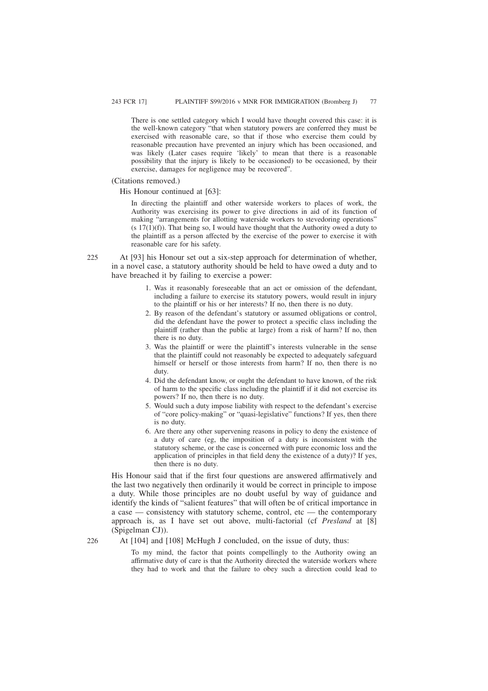There is one settled category which I would have thought covered this case: it is the well-known category "that when statutory powers are conferred they must be exercised with reasonable care, so that if those who exercise them could by reasonable precaution have prevented an injury which has been occasioned, and was likely (Later cases require 'likely' to mean that there is a reasonable possibility that the injury is likely to be occasioned) to be occasioned, by their exercise, damages for negligence may be recovered".

#### (Citations removed.)

His Honour continued at [63]:

In directing the plaintiff and other waterside workers to places of work, the Authority was exercising its power to give directions in aid of its function of making "arrangements for allotting waterside workers to stevedoring operations"  $(s 17(1)(f))$ . That being so, I would have thought that the Authority owed a duty to the plaintiff as a person affected by the exercise of the power to exercise it with reasonable care for his safety.

At [93] his Honour set out a six-step approach for determination of whether, in a novel case, a statutory authority should be held to have owed a duty and to have breached it by failing to exercise a power: 225

- 1. Was it reasonably foreseeable that an act or omission of the defendant, including a failure to exercise its statutory powers, would result in injury to the plaintiff or his or her interests? If no, then there is no duty.
- 2. By reason of the defendant's statutory or assumed obligations or control, did the defendant have the power to protect a specific class including the plaintiff (rather than the public at large) from a risk of harm? If no, then there is no duty.
- 3. Was the plaintiff or were the plaintiff's interests vulnerable in the sense that the plaintiff could not reasonably be expected to adequately safeguard himself or herself or those interests from harm? If no, then there is no duty.
- 4. Did the defendant know, or ought the defendant to have known, of the risk of harm to the specific class including the plaintiff if it did not exercise its powers? If no, then there is no duty.
- 5. Would such a duty impose liability with respect to the defendant's exercise of "core policy-making" or "quasi-legislative" functions? If yes, then there is no duty.
- 6. Are there any other supervening reasons in policy to deny the existence of a duty of care (eg, the imposition of a duty is inconsistent with the statutory scheme, or the case is concerned with pure economic loss and the application of principles in that field deny the existence of a duty)? If yes, then there is no duty.

His Honour said that if the first four questions are answered affirmatively and the last two negatively then ordinarily it would be correct in principle to impose a duty. While those principles are no doubt useful by way of guidance and identify the kinds of "salient features" that will often be of critical importance in a case — consistency with statutory scheme, control, etc — the contemporary approach is, as I have set out above, multi-factorial (cf *Presland* at [8] (Spigelman CJ)).

226

At [104] and [108] McHugh J concluded, on the issue of duty, thus:

To my mind, the factor that points compellingly to the Authority owing an affirmative duty of care is that the Authority directed the waterside workers where they had to work and that the failure to obey such a direction could lead to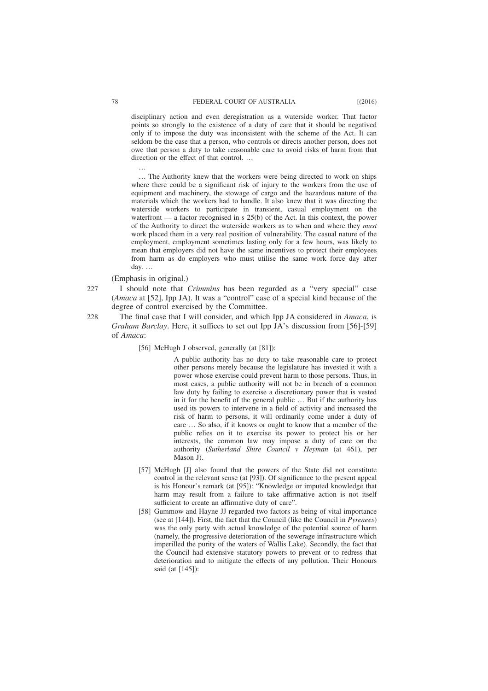disciplinary action and even deregistration as a waterside worker. That factor points so strongly to the existence of a duty of care that it should be negatived only if to impose the duty was inconsistent with the scheme of the Act. It can seldom be the case that a person, who controls or directs another person, does not owe that person a duty to take reasonable care to avoid risks of harm from that direction or the effect of that control. ...

… The Authority knew that the workers were being directed to work on ships where there could be a significant risk of injury to the workers from the use of equipment and machinery, the stowage of cargo and the hazardous nature of the materials which the workers had to handle. It also knew that it was directing the waterside workers to participate in transient, casual employment on the waterfront — a factor recognised in s 25(b) of the Act. In this context, the power of the Authority to direct the waterside workers as to when and where they *must* work placed them in a very real position of vulnerability. The casual nature of the employment, employment sometimes lasting only for a few hours, was likely to mean that employers did not have the same incentives to protect their employees from harm as do employers who must utilise the same work force day after day. …

(Emphasis in original.)

…

- I should note that *Crimmins* has been regarded as a "very special" case (*Amaca* at [52], Ipp JA). It was a "control" case of a special kind because of the degree of control exercised by the Committee. 227
- The final case that I will consider, and which Ipp JA considered in *Amaca*, is *Graham Barclay*. Here, it suffices to set out Ipp JA's discussion from [56]-[59] of *Amaca*: 228
	- [56] McHugh J observed, generally (at [81]):

A public authority has no duty to take reasonable care to protect other persons merely because the legislature has invested it with a power whose exercise could prevent harm to those persons. Thus, in most cases, a public authority will not be in breach of a common law duty by failing to exercise a discretionary power that is vested in it for the benefit of the general public … But if the authority has used its powers to intervene in a field of activity and increased the risk of harm to persons, it will ordinarily come under a duty of care … So also, if it knows or ought to know that a member of the public relies on it to exercise its power to protect his or her interests, the common law may impose a duty of care on the authority (*Sutherland Shire Council v Heyman* (at 461), per Mason J).

- [57] McHugh [J] also found that the powers of the State did not constitute control in the relevant sense (at [93]). Of significance to the present appeal is his Honour's remark (at [95]): "Knowledge or imputed knowledge that harm may result from a failure to take affirmative action is not itself sufficient to create an affirmative duty of care".
- [58] Gummow and Hayne JJ regarded two factors as being of vital importance (see at [144]). First, the fact that the Council (like the Council in *Pyrenees*) was the only party with actual knowledge of the potential source of harm (namely, the progressive deterioration of the sewerage infrastructure which imperilled the purity of the waters of Wallis Lake). Secondly, the fact that the Council had extensive statutory powers to prevent or to redress that deterioration and to mitigate the effects of any pollution. Their Honours said (at [145]):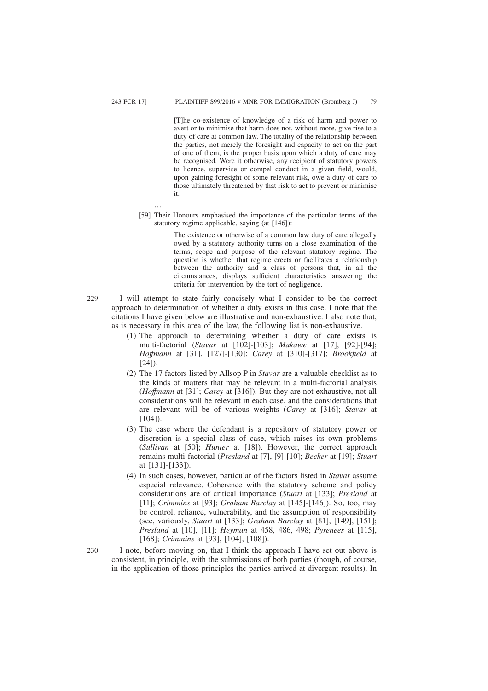[T]he co-existence of knowledge of a risk of harm and power to avert or to minimise that harm does not, without more, give rise to a duty of care at common law. The totality of the relationship between the parties, not merely the foresight and capacity to act on the part of one of them, is the proper basis upon which a duty of care may be recognised. Were it otherwise, any recipient of statutory powers to licence, supervise or compel conduct in a given field, would, upon gaining foresight of some relevant risk, owe a duty of care to those ultimately threatened by that risk to act to prevent or minimise it.

- …
- [59] Their Honours emphasised the importance of the particular terms of the statutory regime applicable, saying (at [146]):

The existence or otherwise of a common law duty of care allegedly owed by a statutory authority turns on a close examination of the terms, scope and purpose of the relevant statutory regime. The question is whether that regime erects or facilitates a relationship between the authority and a class of persons that, in all the circumstances, displays sufficient characteristics answering the criteria for intervention by the tort of negligence.

- I will attempt to state fairly concisely what I consider to be the correct approach to determination of whether a duty exists in this case. I note that the citations I have given below are illustrative and non-exhaustive. I also note that, as is necessary in this area of the law, the following list is non-exhaustive.
	- (1) The approach to determining whether a duty of care exists is multi-factorial (*Stavar* at [102]-[103]; *Makawe* at [17], [92]-[94]; *Hoffmann* at [31], [127]-[130]; *Carey* at [310]-[317]; *Brookfield* at [24]).
	- (2) The 17 factors listed by Allsop P in *Stavar* are a valuable checklist as to the kinds of matters that may be relevant in a multi-factorial analysis (*Hoffmann* at [31]; *Carey* at [316]). But they are not exhaustive, not all considerations will be relevant in each case, and the considerations that are relevant will be of various weights (*Carey* at [316]; *Stavar* at  $[104]$ .
	- (3) The case where the defendant is a repository of statutory power or discretion is a special class of case, which raises its own problems (*Sullivan* at [50]; *Hunter* at [18]). However, the correct approach remains multi-factorial (*Presland* at [7], [9]-[10]; *Becker* at [19]; *Stuart* at [131]-[133]).
	- (4) In such cases, however, particular of the factors listed in *Stavar* assume especial relevance. Coherence with the statutory scheme and policy considerations are of critical importance (*Stuart* at [133]; *Presland* at [11]; *Crimmins* at [93]; *Graham Barclay* at [145]-[146]). So, too, may be control, reliance, vulnerability, and the assumption of responsibility (see, variously, *Stuart* at [133]; *Graham Barclay* at [81], [149], [151]; *Presland* at [10], [11]; *Heyman* at 458, 486, 498; *Pyrenees* at [115], [168]; *Crimmins* at [93], [104], [108]).
- I note, before moving on, that I think the approach I have set out above is consistent, in principle, with the submissions of both parties (though, of course, in the application of those principles the parties arrived at divergent results). In 230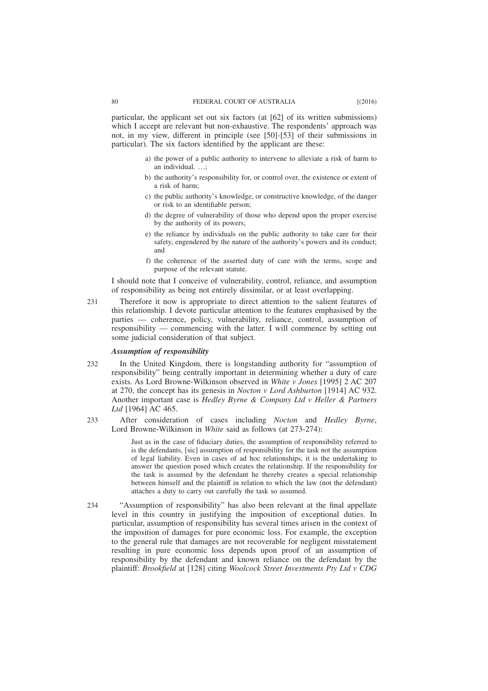particular, the applicant set out six factors (at [62] of its written submissions) which I accept are relevant but non-exhaustive. The respondents' approach was not, in my view, different in principle (see [50]-[53] of their submissions in particular). The six factors identified by the applicant are these:

- a) the power of a public authority to intervene to alleviate a risk of harm to an individual. …;
- b) the authority's responsibility for, or control over, the existence or extent of a risk of harm;
- c) the public authority's knowledge, or constructive knowledge, of the danger or risk to an identifiable person;
- d) the degree of vulnerability of those who depend upon the proper exercise by the authority of its powers;
- e) the reliance by individuals on the public authority to take care for their safety, engendered by the nature of the authority's powers and its conduct; and
- f) the coherence of the asserted duty of care with the terms, scope and purpose of the relevant statute.

I should note that I conceive of vulnerability, control, reliance, and assumption of responsibility as being not entirely dissimilar, or at least overlapping.

Therefore it now is appropriate to direct attention to the salient features of this relationship. I devote particular attention to the features emphasised by the parties — coherence, policy, vulnerability, reliance, control, assumption of responsibility — commencing with the latter. I will commence by setting out some judicial consideration of that subject. 231

## *Assumption of responsibility*

- In the United Kingdom, there is longstanding authority for "assumption of responsibility" being centrally important in determining whether a duty of care exists. As Lord Browne-Wilkinson observed in *White v Jones* [1995] 2 AC 207 at 270, the concept has its genesis in *Nocton v Lord Ashburton* [1914] AC 932. Another important case is *Hedley Byrne & Company Ltd v Heller & Partners Ltd* [1964] AC 465. 232
- After consideration of cases including *Nocton* and *Hedley Byrne*, Lord Browne-Wilkinson in *White* said as follows (at 273-274):  $233$

Just as in the case of fiduciary duties, the assumption of responsibility referred to is the defendants, [sic] assumption of responsibility for the task not the assumption of legal liability. Even in cases of ad hoc relationships, it is the undertaking to answer the question posed which creates the relationship. If the responsibility for the task is assumed by the defendant he thereby creates a special relationship between himself and the plaintiff in relation to which the law (not the defendant) attaches a duty to carry out carefully the task so assumed.

"Assumption of responsibility" has also been relevant at the final appellate level in this country in justifying the imposition of exceptional duties. In particular, assumption of responsibility has several times arisen in the context of the imposition of damages for pure economic loss. For example, the exception to the general rule that damages are not recoverable for negligent misstatement resulting in pure economic loss depends upon proof of an assumption of responsibility by the defendant and known reliance on the defendant by the plaintiff: *Brookfield* at [128] citing *Woolcock Street Investments Pty Ltd v CDG* 234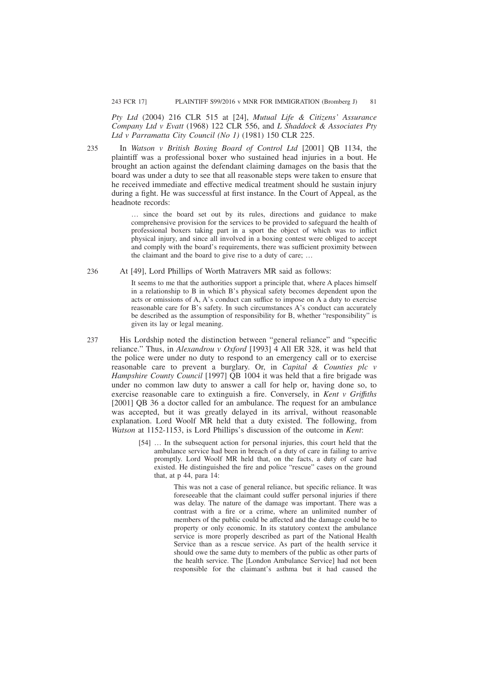*Pty Ltd* (2004) 216 CLR 515 at [24], *Mutual Life & Citizens' Assurance Company Ltd v Evatt* (1968) 122 CLR 556, and *L Shaddock & Associates Pty Ltd v Parramatta City Council (No 1)* (1981) 150 CLR 225.

In *Watson v British Boxing Board of Control Ltd* [2001] QB 1134, the plaintiff was a professional boxer who sustained head injuries in a bout. He brought an action against the defendant claiming damages on the basis that the board was under a duty to see that all reasonable steps were taken to ensure that he received immediate and effective medical treatment should he sustain injury during a fight. He was successful at first instance. In the Court of Appeal, as the headnote records: 235

> … since the board set out by its rules, directions and guidance to make comprehensive provision for the services to be provided to safeguard the health of professional boxers taking part in a sport the object of which was to inflict physical injury, and since all involved in a boxing contest were obliged to accept and comply with the board's requirements, there was sufficient proximity between the claimant and the board to give rise to a duty of care; …

#### At [49], Lord Phillips of Worth Matravers MR said as follows: 236

It seems to me that the authorities support a principle that, where A places himself in a relationship to B in which B's physical safety becomes dependent upon the acts or omissions of A, A's conduct can suffice to impose on A a duty to exercise reasonable care for B's safety. In such circumstances A's conduct can accurately be described as the assumption of responsibility for B, whether "responsibility" is given its lay or legal meaning.

- His Lordship noted the distinction between "general reliance" and "specific reliance." Thus, in *Alexandrou v Oxford* [1993] 4 All ER 328, it was held that the police were under no duty to respond to an emergency call or to exercise reasonable care to prevent a burglary. Or, in *Capital & Counties plc v Hampshire County Council* [1997] QB 1004 it was held that a fire brigade was under no common law duty to answer a call for help or, having done so, to exercise reasonable care to extinguish a fire. Conversely, in *Kent v Griffıths* [2001] QB 36 a doctor called for an ambulance. The request for an ambulance was accepted, but it was greatly delayed in its arrival, without reasonable explanation. Lord Woolf MR held that a duty existed. The following, from *Watson* at 1152-1153, is Lord Phillips's discussion of the outcome in *Kent*: 237
	- [54] … In the subsequent action for personal injuries, this court held that the ambulance service had been in breach of a duty of care in failing to arrive promptly. Lord Woolf MR held that, on the facts, a duty of care had existed. He distinguished the fire and police "rescue" cases on the ground that, at p 44, para 14:

This was not a case of general reliance, but specific reliance. It was foreseeable that the claimant could suffer personal injuries if there was delay. The nature of the damage was important. There was a contrast with a fire or a crime, where an unlimited number of members of the public could be affected and the damage could be to property or only economic. In its statutory context the ambulance service is more properly described as part of the National Health Service than as a rescue service. As part of the health service it should owe the same duty to members of the public as other parts of the health service. The [London Ambulance Service] had not been responsible for the claimant's asthma but it had caused the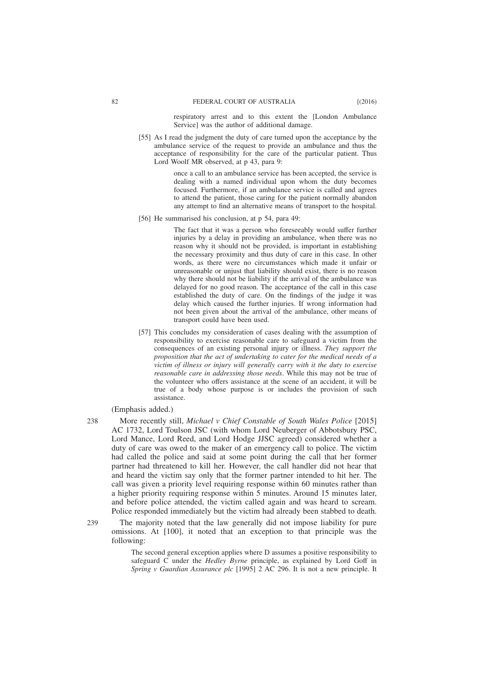[55] As I read the judgment the duty of care turned upon the acceptance by the ambulance service of the request to provide an ambulance and thus the acceptance of responsibility for the care of the particular patient. Thus Lord Woolf MR observed, at p 43, para 9:

> once a call to an ambulance service has been accepted, the service is dealing with a named individual upon whom the duty becomes focused. Furthermore, if an ambulance service is called and agrees to attend the patient, those caring for the patient normally abandon any attempt to find an alternative means of transport to the hospital.

[56] He summarised his conclusion, at p 54, para 49:

The fact that it was a person who foreseeably would suffer further injuries by a delay in providing an ambulance, when there was no reason why it should not be provided, is important in establishing the necessary proximity and thus duty of care in this case. In other words, as there were no circumstances which made it unfair or unreasonable or unjust that liability should exist, there is no reason why there should not be liability if the arrival of the ambulance was delayed for no good reason. The acceptance of the call in this case established the duty of care. On the findings of the judge it was delay which caused the further injuries. If wrong information had not been given about the arrival of the ambulance, other means of transport could have been used.

- [57] This concludes my consideration of cases dealing with the assumption of responsibility to exercise reasonable care to safeguard a victim from the consequences of an existing personal injury or illness. *They support the proposition that the act of undertaking to cater for the medical needs of a victim of illness or injury will generally carry with it the duty to exercise reasonable care in addressing those needs*. While this may not be true of the volunteer who offers assistance at the scene of an accident, it will be true of a body whose purpose is or includes the provision of such assistance.
- (Emphasis added.)

More recently still, *Michael v Chief Constable of South Wales Police* [2015] AC 1732, Lord Toulson JSC (with whom Lord Neuberger of Abbotsbury PSC, Lord Mance, Lord Reed, and Lord Hodge JJSC agreed) considered whether a duty of care was owed to the maker of an emergency call to police. The victim had called the police and said at some point during the call that her former partner had threatened to kill her. However, the call handler did not hear that and heard the victim say only that the former partner intended to hit her. The call was given a priority level requiring response within 60 minutes rather than a higher priority requiring response within 5 minutes. Around 15 minutes later, and before police attended, the victim called again and was heard to scream. Police responded immediately but the victim had already been stabbed to death. 238

The majority noted that the law generally did not impose liability for pure omissions. At [100], it noted that an exception to that principle was the following: 239

> The second general exception applies where D assumes a positive responsibility to safeguard C under the *Hedley Byrne* principle, as explained by Lord Goff in *Spring v Guardian Assurance plc* [1995] 2 AC 296. It is not a new principle. It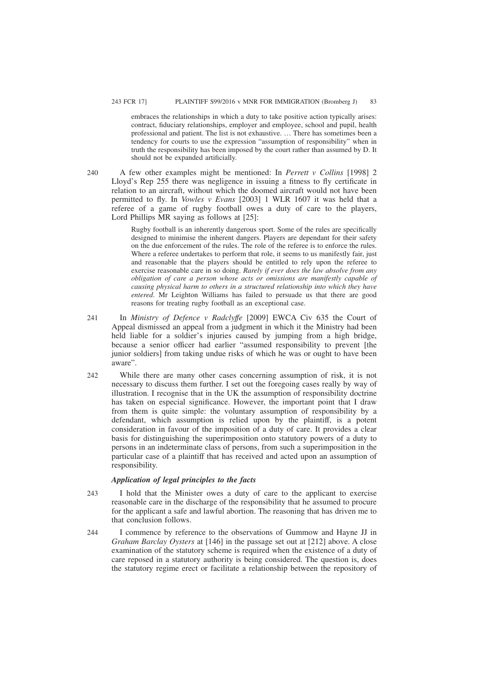embraces the relationships in which a duty to take positive action typically arises: contract, fiduciary relationships, employer and employee, school and pupil, health professional and patient. The list is not exhaustive. … There has sometimes been a tendency for courts to use the expression "assumption of responsibility" when in truth the responsibility has been imposed by the court rather than assumed by D. It should not be expanded artificially.

A few other examples might be mentioned: In *Perrett v Collins* [1998] 2 Lloyd's Rep 255 there was negligence in issuing a fitness to fly certificate in relation to an aircraft, without which the doomed aircraft would not have been permitted to fly. In *Vowles v Evans* [2003] 1 WLR 1607 it was held that a referee of a game of rugby football owes a duty of care to the players, Lord Phillips MR saying as follows at [25]: 240

> Rugby football is an inherently dangerous sport. Some of the rules are specifically designed to minimise the inherent dangers. Players are dependant for their safety on the due enforcement of the rules. The role of the referee is to enforce the rules. Where a referee undertakes to perform that role, it seems to us manifestly fair, just and reasonable that the players should be entitled to rely upon the referee to exercise reasonable care in so doing. *Rarely if ever does the law absolve from any obligation of care a person whose acts or omissions are manifestly capable of causing physical harm to others in a structured relationship into which they have entered*. Mr Leighton Williams has failed to persuade us that there are good reasons for treating rugby football as an exceptional case.

- In *Ministry of Defence v Radclyffe* [2009] EWCA Civ 635 the Court of Appeal dismissed an appeal from a judgment in which it the Ministry had been held liable for a soldier's injuries caused by jumping from a high bridge, because a senior officer had earlier "assumed responsibility to prevent [the junior soldiers] from taking undue risks of which he was or ought to have been aware". 241
- While there are many other cases concerning assumption of risk, it is not necessary to discuss them further. I set out the foregoing cases really by way of illustration. I recognise that in the UK the assumption of responsibility doctrine has taken on especial significance. However, the important point that I draw from them is quite simple: the voluntary assumption of responsibility by a defendant, which assumption is relied upon by the plaintiff, is a potent consideration in favour of the imposition of a duty of care. It provides a clear basis for distinguishing the superimposition onto statutory powers of a duty to persons in an indeterminate class of persons, from such a superimposition in the particular case of a plaintiff that has received and acted upon an assumption of responsibility. 242

# *Application of legal principles to the facts*

- I hold that the Minister owes a duty of care to the applicant to exercise reasonable care in the discharge of the responsibility that he assumed to procure for the applicant a safe and lawful abortion. The reasoning that has driven me to that conclusion follows. 243
- I commence by reference to the observations of Gummow and Hayne JJ in *Graham Barclay Oysters* at [146] in the passage set out at [212] above. A close examination of the statutory scheme is required when the existence of a duty of care reposed in a statutory authority is being considered. The question is, does the statutory regime erect or facilitate a relationship between the repository of 244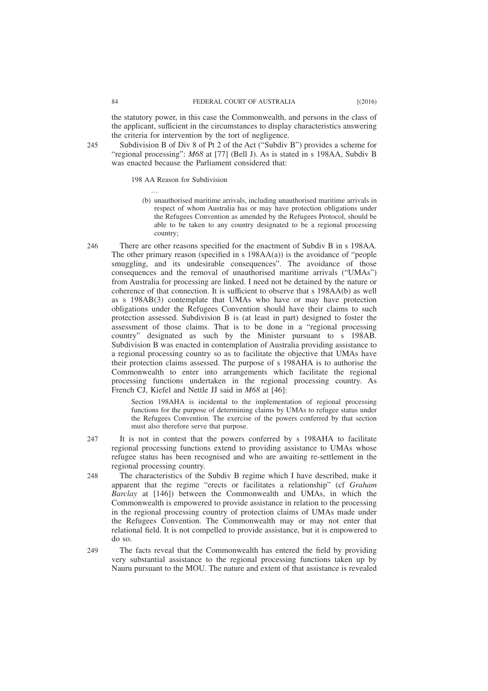the statutory power, in this case the Commonwealth, and persons in the class of the applicant, sufficient in the circumstances to display characteristics answering the criteria for intervention by the tort of negligence.

Subdivision B of Div 8 of Pt 2 of the Act ("Subdiv B") provides a scheme for "regional processing": *M68* at [77] (Bell J). As is stated in s 198AA, Subdiv B was enacted because the Parliament considered that:

198 AA Reason for Subdivision

…

- (b) unauthorised maritime arrivals, including unauthorised maritime arrivals in respect of whom Australia has or may have protection obligations under the Refugees Convention as amended by the Refugees Protocol, should be able to be taken to any country designated to be a regional processing country;
- There are other reasons specified for the enactment of Subdiv B in s 198AA. The other primary reason (specified in s  $198AA(a)$ ) is the avoidance of "people" smuggling, and its undesirable consequences". The avoidance of those consequences and the removal of unauthorised maritime arrivals ("UMAs") from Australia for processing are linked. I need not be detained by the nature or coherence of that connection. It is sufficient to observe that s 198AA(b) as well as s 198AB(3) contemplate that UMAs who have or may have protection obligations under the Refugees Convention should have their claims to such protection assessed. Subdivision B is (at least in part) designed to foster the assessment of those claims. That is to be done in a "regional processing country" designated as such by the Minister pursuant to s 198AB. Subdivision B was enacted in contemplation of Australia providing assistance to a regional processing country so as to facilitate the objective that UMAs have their protection claims assessed. The purpose of s 198AHA is to authorise the Commonwealth to enter into arrangements which facilitate the regional processing functions undertaken in the regional processing country. As French CJ, Kiefel and Nettle JJ said in *M68* at [46]: 246

Section 198AHA is incidental to the implementation of regional processing functions for the purpose of determining claims by UMAs to refugee status under the Refugees Convention. The exercise of the powers conferred by that section must also therefore serve that purpose.

- It is not in contest that the powers conferred by s 198AHA to facilitate regional processing functions extend to providing assistance to UMAs whose refugee status has been recognised and who are awaiting re-settlement in the regional processing country. 247
- The characteristics of the Subdiv B regime which I have described, make it apparent that the regime "erects or facilitates a relationship" (cf *Graham Barclay* at [146]) between the Commonwealth and UMAs, in which the Commonwealth is empowered to provide assistance in relation to the processing in the regional processing country of protection claims of UMAs made under the Refugees Convention. The Commonwealth may or may not enter that relational field. It is not compelled to provide assistance, but it is empowered to do so. 248
- The facts reveal that the Commonwealth has entered the field by providing very substantial assistance to the regional processing functions taken up by Nauru pursuant to the MOU. The nature and extent of that assistance is revealed 249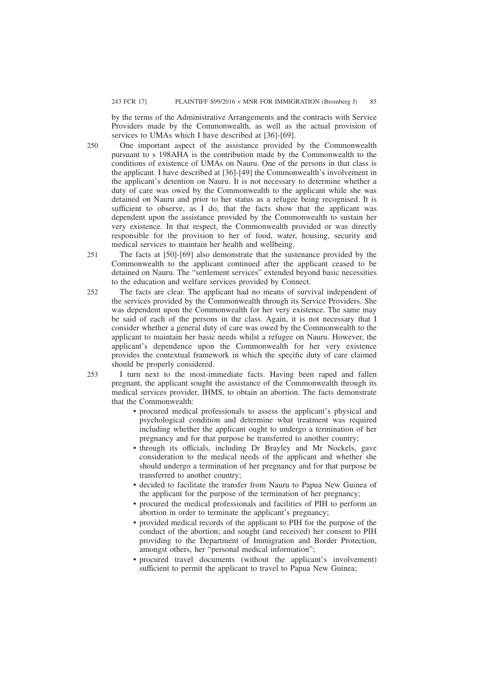by the terms of the Administrative Arrangements and the contracts with Service Providers made by the Commonwealth, as well as the actual provision of services to UMAs which I have described at [36]-[69].

One important aspect of the assistance provided by the Commonwealth pursuant to s 198AHA is the contribution made by the Commonwealth to the conditions of existence of UMAs on Nauru. One of the persons in that class is the applicant. I have described at [36]-[49] the Commonwealth's involvement in the applicant's detention on Nauru. It is not necessary to determine whether a duty of care was owed by the Commonwealth to the applicant while she was detained on Nauru and prior to her status as a refugee being recognised. It is sufficient to observe, as I do, that the facts show that the applicant was dependent upon the assistance provided by the Commonwealth to sustain her very existence. In that respect, the Commonwealth provided or was directly responsible for the provision to her of food, water, housing, security and medical services to maintain her health and wellbeing.

250

- The facts at [50]-[69] also demonstrate that the sustenance provided by the Commonwealth to the applicant continued after the applicant ceased to be detained on Nauru. The "settlement services" extended beyond basic necessities to the education and welfare services provided by Connect. 251
- The facts are clear. The applicant had no means of survival independent of the services provided by the Commonwealth through its Service Providers. She was dependent upon the Commonwealth for her very existence. The same may be said of each of the persons in the class. Again, it is not necessary that I consider whether a general duty of care was owed by the Commonwealth to the applicant to maintain her basic needs whilst a refugee on Nauru. However, the applicant's dependence upon the Commonwealth for her very existence provides the contextual framework in which the specific duty of care claimed should be properly considered. 252
	- I turn next to the most-immediate facts. Having been raped and fallen pregnant, the applicant sought the assistance of the Commonwealth through its medical services provider, IHMS, to obtain an abortion. The facts demonstrate that the Commonwealth:
		- procured medical professionals to assess the applicant's physical and psychological condition and determine what treatment was required including whether the applicant ought to undergo a termination of her pregnancy and for that purpose be transferred to another country;
		- through its officials, including Dr Brayley and Mr Nockels, gave consideration to the medical needs of the applicant and whether she should undergo a termination of her pregnancy and for that purpose be transferred to another country;
		- decided to facilitate the transfer from Nauru to Papua New Guinea of the applicant for the purpose of the termination of her pregnancy;
		- procured the medical professionals and facilities of PIH to perform an abortion in order to terminate the applicant's pregnancy;
		- provided medical records of the applicant to PIH for the purpose of the conduct of the abortion; and sought (and received) her consent to PIH providing to the Department of Immigration and Border Protection, amongst others, her "personal medical information";
		- procured travel documents (without the applicant's involvement) sufficient to permit the applicant to travel to Papua New Guinea;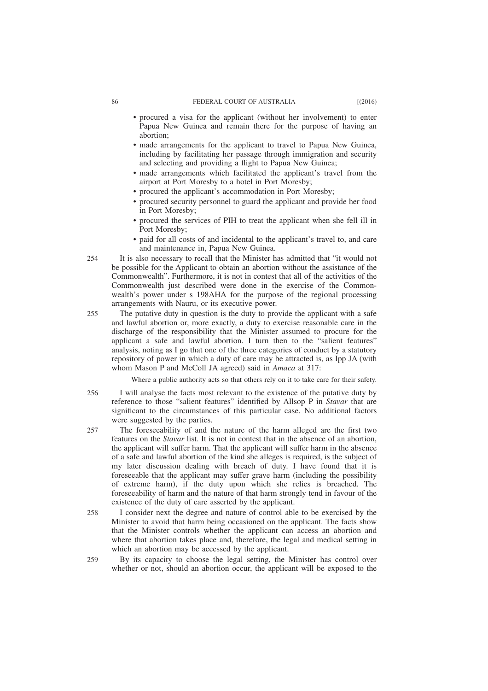#### 86 FEDERAL COURT OF AUSTRALIA [(2016)

- procured a visa for the applicant (without her involvement) to enter Papua New Guinea and remain there for the purpose of having an abortion;
- made arrangements for the applicant to travel to Papua New Guinea, including by facilitating her passage through immigration and security and selecting and providing a flight to Papua New Guinea;
- made arrangements which facilitated the applicant's travel from the airport at Port Moresby to a hotel in Port Moresby;
- procured the applicant's accommodation in Port Moresby;
- procured security personnel to guard the applicant and provide her food in Port Moresby;
- procured the services of PIH to treat the applicant when she fell ill in Port Moresby;
- paid for all costs of and incidental to the applicant's travel to, and care and maintenance in, Papua New Guinea.
- It is also necessary to recall that the Minister has admitted that "it would not be possible for the Applicant to obtain an abortion without the assistance of the Commonwealth". Furthermore, it is not in contest that all of the activities of the Commonwealth just described were done in the exercise of the Commonwealth's power under s 198AHA for the purpose of the regional processing arrangements with Nauru, or its executive power.  $254$
- The putative duty in question is the duty to provide the applicant with a safe and lawful abortion or, more exactly, a duty to exercise reasonable care in the discharge of the responsibility that the Minister assumed to procure for the applicant a safe and lawful abortion. I turn then to the "salient features" analysis, noting as I go that one of the three categories of conduct by a statutory repository of power in which a duty of care may be attracted is, as Ipp JA (with whom Mason P and McColl JA agreed) said in *Amaca* at 317: 255

Where a public authority acts so that others rely on it to take care for their safety.

- I will analyse the facts most relevant to the existence of the putative duty by reference to those "salient features" identified by Allsop P in *Stavar* that are significant to the circumstances of this particular case. No additional factors were suggested by the parties. 256
- The foreseeability of and the nature of the harm alleged are the first two features on the *Stavar* list. It is not in contest that in the absence of an abortion, the applicant will suffer harm. That the applicant will suffer harm in the absence of a safe and lawful abortion of the kind she alleges is required, is the subject of my later discussion dealing with breach of duty. I have found that it is foreseeable that the applicant may suffer grave harm (including the possibility of extreme harm), if the duty upon which she relies is breached. The foreseeability of harm and the nature of that harm strongly tend in favour of the existence of the duty of care asserted by the applicant. 257
- I consider next the degree and nature of control able to be exercised by the Minister to avoid that harm being occasioned on the applicant. The facts show that the Minister controls whether the applicant can access an abortion and where that abortion takes place and, therefore, the legal and medical setting in which an abortion may be accessed by the applicant. 258
- By its capacity to choose the legal setting, the Minister has control over whether or not, should an abortion occur, the applicant will be exposed to the 259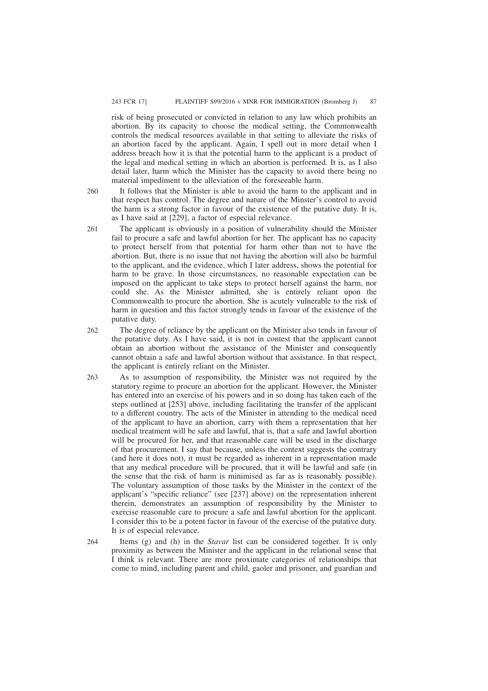#### 243 FCR 17] PLAINTIFF S99/2016 v MNR FOR IMMIGRATION (Bromberg J) 87

risk of being prosecuted or convicted in relation to any law which prohibits an abortion. By its capacity to choose the medical setting, the Commonwealth controls the medical resources available in that setting to alleviate the risks of an abortion faced by the applicant. Again, I spell out in more detail when I address breach how it is that the potential harm to the applicant is a product of the legal and medical setting in which an abortion is performed. It is, as I also detail later, harm which the Minister has the capacity to avoid there being no material impediment to the alleviation of the foreseeable harm.

It follows that the Minister is able to avoid the harm to the applicant and in that respect has control. The degree and nature of the Minster's control to avoid the harm is a strong factor in favour of the existence of the putative duty. It is, as I have said at [229], a factor of especial relevance.

The applicant is obviously in a position of vulnerability should the Minister fail to procure a safe and lawful abortion for her. The applicant has no capacity to protect herself from that potential for harm other than not to have the abortion. But, there is no issue that not having the abortion will also be harmful to the applicant, and the evidence, which I later address, shows the potential for harm to be grave. In those circumstances, no reasonable expectation can be imposed on the applicant to take steps to protect herself against the harm, nor could she. As the Minister admitted, she is entirely reliant upon the Commonwealth to procure the abortion. She is acutely vulnerable to the risk of harm in question and this factor strongly tends in favour of the existence of the putative duty. 261

The degree of reliance by the applicant on the Minister also tends in favour of the putative duty. As I have said, it is not in contest that the applicant cannot obtain an abortion without the assistance of the Minister and consequently cannot obtain a safe and lawful abortion without that assistance. In that respect, the applicant is entirely reliant on the Minister.

As to assumption of responsibility, the Minister was not required by the statutory regime to procure an abortion for the applicant. However, the Minister has entered into an exercise of his powers and in so doing has taken each of the steps outlined at [253] above, including facilitating the transfer of the applicant to a different country. The acts of the Minister in attending to the medical need of the applicant to have an abortion, carry with them a representation that her medical treatment will be safe and lawful, that is, that a safe and lawful abortion will be procured for her, and that reasonable care will be used in the discharge of that procurement. I say that because, unless the context suggests the contrary (and here it does not), it must be regarded as inherent in a representation made that any medical procedure will be procured, that it will be lawful and safe (in the sense that the risk of harm is minimised as far as is reasonably possible). The voluntary assumption of those tasks by the Minister in the context of the applicant's "specific reliance" (see [237] above) on the representation inherent therein, demonstrates an assumption of responsibility by the Minister to exercise reasonable care to procure a safe and lawful abortion for the applicant. I consider this to be a potent factor in favour of the exercise of the putative duty. It is of especial relevance. 263

Items (g) and (h) in the *Stavar* list can be considered together. It is only proximity as between the Minister and the applicant in the relational sense that I think is relevant. There are more proximate categories of relationships that come to mind, including parent and child, gaoler and prisoner, and guardian and

260

262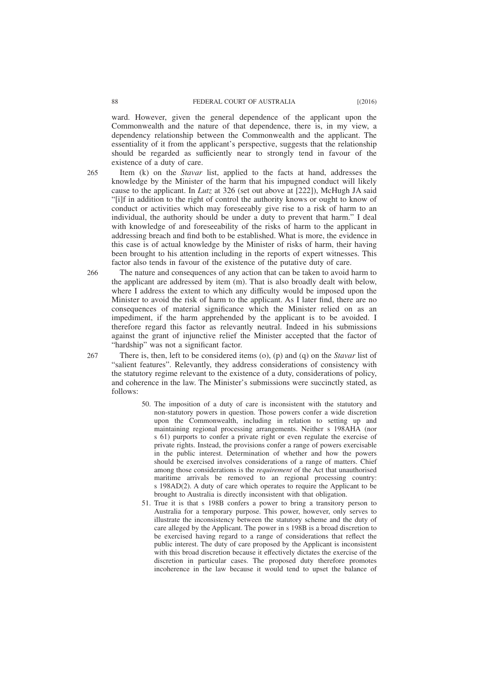ward. However, given the general dependence of the applicant upon the Commonwealth and the nature of that dependence, there is, in my view, a dependency relationship between the Commonwealth and the applicant. The essentiality of it from the applicant's perspective, suggests that the relationship should be regarded as sufficiently near to strongly tend in favour of the existence of a duty of care.

265

267

Item (k) on the *Stavar* list, applied to the facts at hand, addresses the knowledge by the Minister of the harm that his impugned conduct will likely cause to the applicant. In *Lutz* at 326 (set out above at [222]), McHugh JA said "[i]f in addition to the right of control the authority knows or ought to know of conduct or activities which may foreseeably give rise to a risk of harm to an individual, the authority should be under a duty to prevent that harm." I deal with knowledge of and foreseeability of the risks of harm to the applicant in addressing breach and find both to be established. What is more, the evidence in this case is of actual knowledge by the Minister of risks of harm, their having been brought to his attention including in the reports of expert witnesses. This factor also tends in favour of the existence of the putative duty of care.

The nature and consequences of any action that can be taken to avoid harm to the applicant are addressed by item (m). That is also broadly dealt with below, where I address the extent to which any difficulty would be imposed upon the Minister to avoid the risk of harm to the applicant. As I later find, there are no consequences of material significance which the Minister relied on as an impediment, if the harm apprehended by the applicant is to be avoided. I therefore regard this factor as relevantly neutral. Indeed in his submissions against the grant of injunctive relief the Minister accepted that the factor of "hardship" was not a significant factor. 266

There is, then, left to be considered items (o), (p) and (q) on the *Stavar* list of "salient features". Relevantly, they address considerations of consistency with the statutory regime relevant to the existence of a duty, considerations of policy, and coherence in the law. The Minister's submissions were succinctly stated, as follows:

- 50. The imposition of a duty of care is inconsistent with the statutory and non-statutory powers in question. Those powers confer a wide discretion upon the Commonwealth, including in relation to setting up and maintaining regional processing arrangements. Neither s 198AHA (nor s 61) purports to confer a private right or even regulate the exercise of private rights. Instead, the provisions confer a range of powers exercisable in the public interest. Determination of whether and how the powers should be exercised involves considerations of a range of matters. Chief among those considerations is the *requirement* of the Act that unauthorised maritime arrivals be removed to an regional processing country: s 198AD(2). A duty of care which operates to require the Applicant to be brought to Australia is directly inconsistent with that obligation.
- 51. True it is that s 198B confers a power to bring a transitory person to Australia for a temporary purpose. This power, however, only serves to illustrate the inconsistency between the statutory scheme and the duty of care alleged by the Applicant. The power in s 198B is a broad discretion to be exercised having regard to a range of considerations that reflect the public interest. The duty of care proposed by the Applicant is inconsistent with this broad discretion because it effectively dictates the exercise of the discretion in particular cases. The proposed duty therefore promotes incoherence in the law because it would tend to upset the balance of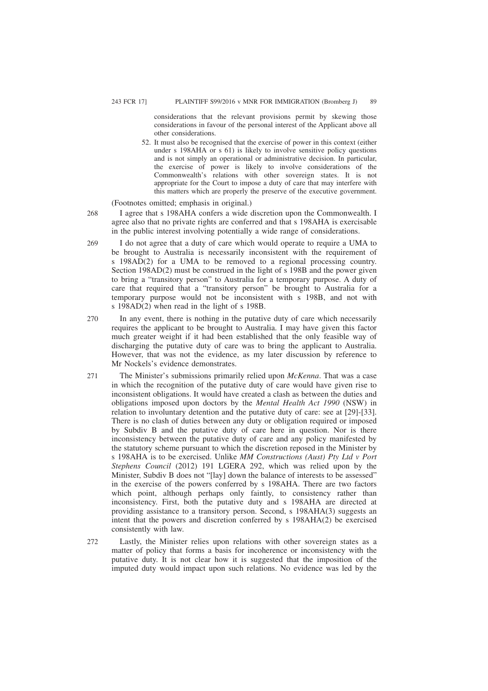considerations that the relevant provisions permit by skewing those considerations in favour of the personal interest of the Applicant above all other considerations.

52. It must also be recognised that the exercise of power in this context (either under s 198AHA or s 61) is likely to involve sensitive policy questions and is not simply an operational or administrative decision. In particular, the exercise of power is likely to involve considerations of the Commonwealth's relations with other sovereign states. It is not appropriate for the Court to impose a duty of care that may interfere with this matters which are properly the preserve of the executive government.

(Footnotes omitted; emphasis in original.)

- I agree that s 198AHA confers a wide discretion upon the Commonwealth. I agree also that no private rights are conferred and that s 198AHA is exercisable in the public interest involving potentially a wide range of considerations. 268
- I do not agree that a duty of care which would operate to require a UMA to be brought to Australia is necessarily inconsistent with the requirement of s 198AD(2) for a UMA to be removed to a regional processing country. Section 198AD(2) must be construed in the light of s 198B and the power given to bring a "transitory person" to Australia for a temporary purpose. A duty of care that required that a "transitory person" be brought to Australia for a temporary purpose would not be inconsistent with s 198B, and not with s 198AD(2) when read in the light of s 198B. 269
- In any event, there is nothing in the putative duty of care which necessarily requires the applicant to be brought to Australia. I may have given this factor much greater weight if it had been established that the only feasible way of discharging the putative duty of care was to bring the applicant to Australia. However, that was not the evidence, as my later discussion by reference to Mr Nockels's evidence demonstrates. 270
- The Minister's submissions primarily relied upon *McKenna*. That was a case in which the recognition of the putative duty of care would have given rise to inconsistent obligations. It would have created a clash as between the duties and obligations imposed upon doctors by the *Mental Health Act 1990* (NSW) in relation to involuntary detention and the putative duty of care: see at [29]-[33]. There is no clash of duties between any duty or obligation required or imposed by Subdiv B and the putative duty of care here in question. Nor is there inconsistency between the putative duty of care and any policy manifested by the statutory scheme pursuant to which the discretion reposed in the Minister by s 198AHA is to be exercised. Unlike *MM Constructions (Aust) Pty Ltd v Port Stephens Council* (2012) 191 LGERA 292, which was relied upon by the Minister, Subdiv B does not "[lay] down the balance of interests to be assessed" in the exercise of the powers conferred by s 198AHA. There are two factors which point, although perhaps only faintly, to consistency rather than inconsistency. First, both the putative duty and s 198AHA are directed at providing assistance to a transitory person. Second, s 198AHA(3) suggests an intent that the powers and discretion conferred by s 198AHA(2) be exercised consistently with law. 271
- Lastly, the Minister relies upon relations with other sovereign states as a matter of policy that forms a basis for incoherence or inconsistency with the putative duty. It is not clear how it is suggested that the imposition of the imputed duty would impact upon such relations. No evidence was led by the 272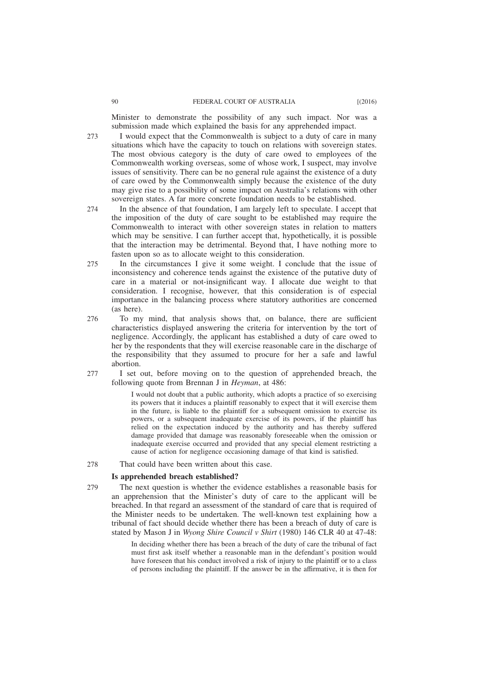Minister to demonstrate the possibility of any such impact. Nor was a submission made which explained the basis for any apprehended impact.

I would expect that the Commonwealth is subject to a duty of care in many situations which have the capacity to touch on relations with sovereign states. The most obvious category is the duty of care owed to employees of the Commonwealth working overseas, some of whose work, I suspect, may involve issues of sensitivity. There can be no general rule against the existence of a duty of care owed by the Commonwealth simply because the existence of the duty may give rise to a possibility of some impact on Australia's relations with other sovereign states. A far more concrete foundation needs to be established.

In the absence of that foundation, I am largely left to speculate. I accept that the imposition of the duty of care sought to be established may require the Commonwealth to interact with other sovereign states in relation to matters which may be sensitive. I can further accept that, hypothetically, it is possible that the interaction may be detrimental. Beyond that, I have nothing more to fasten upon so as to allocate weight to this consideration. 274

- In the circumstances I give it some weight. I conclude that the issue of inconsistency and coherence tends against the existence of the putative duty of care in a material or not-insignificant way. I allocate due weight to that consideration. I recognise, however, that this consideration is of especial importance in the balancing process where statutory authorities are concerned (as here). 275
- To my mind, that analysis shows that, on balance, there are sufficient characteristics displayed answering the criteria for intervention by the tort of negligence. Accordingly, the applicant has established a duty of care owed to her by the respondents that they will exercise reasonable care in the discharge of the responsibility that they assumed to procure for her a safe and lawful abortion. 276
- I set out, before moving on to the question of apprehended breach, the following quote from Brennan J in *Heyman*, at 486: 277

I would not doubt that a public authority, which adopts a practice of so exercising its powers that it induces a plaintiff reasonably to expect that it will exercise them in the future, is liable to the plaintiff for a subsequent omission to exercise its powers, or a subsequent inadequate exercise of its powers, if the plaintiff has relied on the expectation induced by the authority and has thereby suffered damage provided that damage was reasonably foreseeable when the omission or inadequate exercise occurred and provided that any special element restricting a cause of action for negligence occasioning damage of that kind is satisfied.

That could have been written about this case. 278

# **Is apprehended breach established?**

The next question is whether the evidence establishes a reasonable basis for an apprehension that the Minister's duty of care to the applicant will be breached. In that regard an assessment of the standard of care that is required of the Minister needs to be undertaken. The well-known test explaining how a tribunal of fact should decide whether there has been a breach of duty of care is stated by Mason J in *Wyong Shire Council v Shirt* (1980) 146 CLR 40 at 47-48: 279

> In deciding whether there has been a breach of the duty of care the tribunal of fact must first ask itself whether a reasonable man in the defendant's position would have foreseen that his conduct involved a risk of injury to the plaintiff or to a class of persons including the plaintiff. If the answer be in the affirmative, it is then for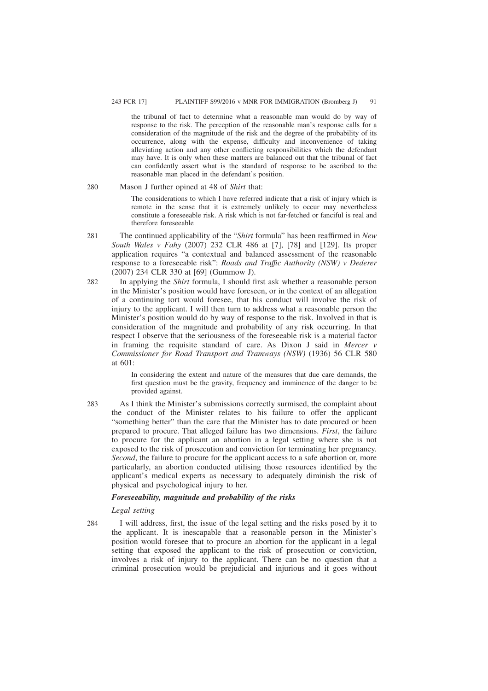the tribunal of fact to determine what a reasonable man would do by way of response to the risk. The perception of the reasonable man's response calls for a consideration of the magnitude of the risk and the degree of the probability of its occurrence, along with the expense, difficulty and inconvenience of taking alleviating action and any other conflicting responsibilities which the defendant may have. It is only when these matters are balanced out that the tribunal of fact can confidently assert what is the standard of response to be ascribed to the reasonable man placed in the defendant's position.

Mason J further opined at 48 of *Shirt* that: 280

> The considerations to which I have referred indicate that a risk of injury which is remote in the sense that it is extremely unlikely to occur may nevertheless constitute a foreseeable risk. A risk which is not far-fetched or fanciful is real and therefore foreseeable

- The continued applicability of the "*Shirt* formula" has been reaffirmed in *New South Wales v Fahy* (2007) 232 CLR 486 at [7], [78] and [129]. Its proper application requires "a contextual and balanced assessment of the reasonable response to a foreseeable risk": *Roads and Traffıc Authority (NSW) v Dederer* (2007) 234 CLR 330 at [69] (Gummow J). 281
- In applying the *Shirt* formula, I should first ask whether a reasonable person in the Minister's position would have foreseen, or in the context of an allegation of a continuing tort would foresee, that his conduct will involve the risk of injury to the applicant. I will then turn to address what a reasonable person the Minister's position would do by way of response to the risk. Involved in that is consideration of the magnitude and probability of any risk occurring. In that respect I observe that the seriousness of the foreseeable risk is a material factor in framing the requisite standard of care. As Dixon J said in *Mercer v Commissioner for Road Transport and Tramways (NSW)* (1936) 56 CLR 580 at 601: 282

In considering the extent and nature of the measures that due care demands, the first question must be the gravity, frequency and imminence of the danger to be provided against.

As I think the Minister's submissions correctly surmised, the complaint about the conduct of the Minister relates to his failure to offer the applicant "something better" than the care that the Minister has to date procured or been prepared to procure. That alleged failure has two dimensions. *First*, the failure to procure for the applicant an abortion in a legal setting where she is not exposed to the risk of prosecution and conviction for terminating her pregnancy. *Second*, the failure to procure for the applicant access to a safe abortion or, more particularly, an abortion conducted utilising those resources identified by the applicant's medical experts as necessary to adequately diminish the risk of physical and psychological injury to her. 283

## *Foreseeability, magnitude and probability of the risks*

### *Legal setting*

- 284
- I will address, first, the issue of the legal setting and the risks posed by it to the applicant. It is inescapable that a reasonable person in the Minister's position would foresee that to procure an abortion for the applicant in a legal setting that exposed the applicant to the risk of prosecution or conviction, involves a risk of injury to the applicant. There can be no question that a criminal prosecution would be prejudicial and injurious and it goes without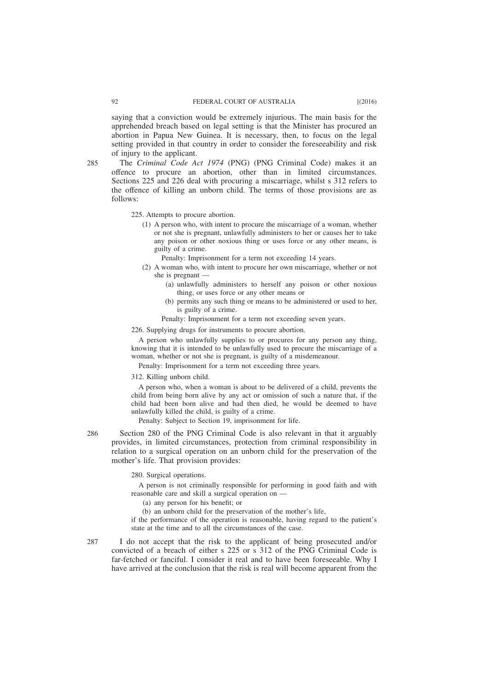saying that a conviction would be extremely injurious. The main basis for the apprehended breach based on legal setting is that the Minister has procured an abortion in Papua New Guinea. It is necessary, then, to focus on the legal setting provided in that country in order to consider the foreseeability and risk of injury to the applicant.

The *Criminal Code Act 1974* (PNG) (PNG Criminal Code) makes it an offence to procure an abortion, other than in limited circumstances. Sections 225 and 226 deal with procuring a miscarriage, whilst s 312 refers to the offence of killing an unborn child. The terms of those provisions are as follows:

225. Attempts to procure abortion.

- (1) A person who, with intent to procure the miscarriage of a woman, whether or not she is pregnant, unlawfully administers to her or causes her to take any poison or other noxious thing or uses force or any other means, is guilty of a crime.
	- Penalty: Imprisonment for a term not exceeding 14 years.
- (2) A woman who, with intent to procure her own miscarriage, whether or not she is pregnant —
	- (a) unlawfully administers to herself any poison or other noxious thing, or uses force or any other means or
	- (b) permits any such thing or means to be administered or used to her, is guilty of a crime.
	- Penalty: Imprisonment for a term not exceeding seven years.

226. Supplying drugs for instruments to procure abortion.

A person who unlawfully supplies to or procures for any person any thing, knowing that it is intended to be unlawfully used to procure the miscarriage of a woman, whether or not she is pregnant, is guilty of a misdemeanour.

Penalty: Imprisonment for a term not exceeding three years.

312. Killing unborn child.

A person who, when a woman is about to be delivered of a child, prevents the child from being born alive by any act or omission of such a nature that, if the child had been born alive and had then died, he would be deemed to have unlawfully killed the child, is guilty of a crime.

Penalty: Subject to Section 19, imprisonment for life.

Section 280 of the PNG Criminal Code is also relevant in that it arguably provides, in limited circumstances, protection from criminal responsibility in relation to a surgical operation on an unborn child for the preservation of the mother's life. That provision provides:

280. Surgical operations.

A person is not criminally responsible for performing in good faith and with reasonable care and skill a surgical operation on —

(a) any person for his benefit; or

(b) an unborn child for the preservation of the mother's life,

if the performance of the operation is reasonable, having regard to the patient's state at the time and to all the circumstances of the case.

I do not accept that the risk to the applicant of being prosecuted and/or convicted of a breach of either s 225 or s 312 of the PNG Criminal Code is far-fetched or fanciful. I consider it real and to have been foreseeable. Why I have arrived at the conclusion that the risk is real will become apparent from the

285

286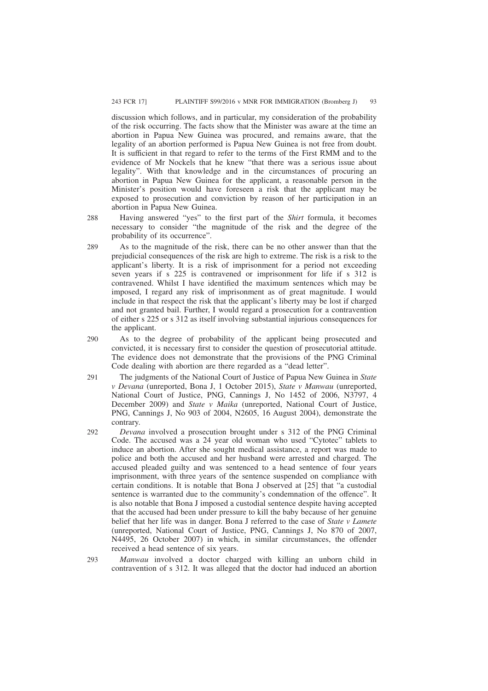discussion which follows, and in particular, my consideration of the probability of the risk occurring. The facts show that the Minister was aware at the time an abortion in Papua New Guinea was procured, and remains aware, that the legality of an abortion performed is Papua New Guinea is not free from doubt. It is sufficient in that regard to refer to the terms of the First RMM and to the evidence of Mr Nockels that he knew "that there was a serious issue about legality". With that knowledge and in the circumstances of procuring an abortion in Papua New Guinea for the applicant, a reasonable person in the Minister's position would have foreseen a risk that the applicant may be exposed to prosecution and conviction by reason of her participation in an abortion in Papua New Guinea.

- Having answered "yes" to the first part of the *Shirt* formula, it becomes necessary to consider "the magnitude of the risk and the degree of the probability of its occurrence". 288
- As to the magnitude of the risk, there can be no other answer than that the prejudicial consequences of the risk are high to extreme. The risk is a risk to the applicant's liberty. It is a risk of imprisonment for a period not exceeding seven years if s 225 is contravened or imprisonment for life if s 312 is contravened. Whilst I have identified the maximum sentences which may be imposed, I regard any risk of imprisonment as of great magnitude. I would include in that respect the risk that the applicant's liberty may be lost if charged and not granted bail. Further, I would regard a prosecution for a contravention of either s 225 or s 312 as itself involving substantial injurious consequences for the applicant. 289
- As to the degree of probability of the applicant being prosecuted and convicted, it is necessary first to consider the question of prosecutorial attitude. The evidence does not demonstrate that the provisions of the PNG Criminal Code dealing with abortion are there regarded as a "dead letter".  $290$
- The judgments of the National Court of Justice of Papua New Guinea in *State v Devana* (unreported, Bona J, 1 October 2015), *State v Manwau* (unreported, National Court of Justice, PNG, Cannings J, No 1452 of 2006, N3797, 4 December 2009) and *State v Maika* (unreported, National Court of Justice, PNG, Cannings J, No 903 of 2004, N2605, 16 August 2004), demonstrate the contrary. 291
- *Devana* involved a prosecution brought under s 312 of the PNG Criminal Code. The accused was a 24 year old woman who used "Cytotec" tablets to induce an abortion. After she sought medical assistance, a report was made to police and both the accused and her husband were arrested and charged. The accused pleaded guilty and was sentenced to a head sentence of four years imprisonment, with three years of the sentence suspended on compliance with certain conditions. It is notable that Bona J observed at [25] that "a custodial sentence is warranted due to the community's condemnation of the offence". It is also notable that Bona J imposed a custodial sentence despite having accepted that the accused had been under pressure to kill the baby because of her genuine belief that her life was in danger. Bona J referred to the case of *State v Lamete* (unreported, National Court of Justice, PNG, Cannings J, No 870 of 2007, N4495, 26 October 2007) in which, in similar circumstances, the offender received a head sentence of six years. 292
- *Manwau* involved a doctor charged with killing an unborn child in contravention of s 312. It was alleged that the doctor had induced an abortion 293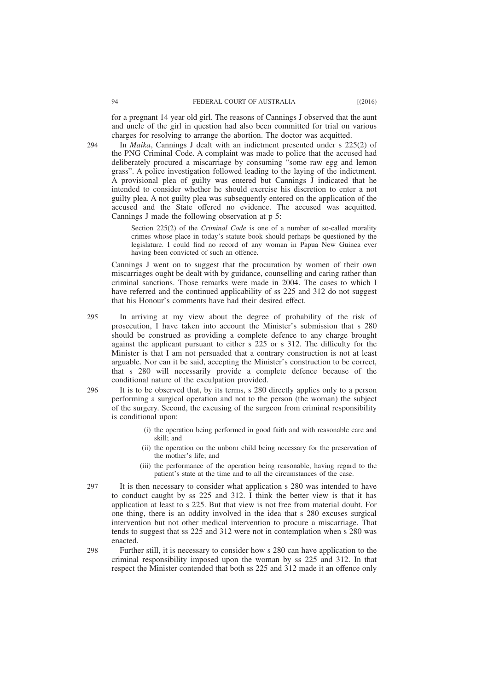for a pregnant 14 year old girl. The reasons of Cannings J observed that the aunt and uncle of the girl in question had also been committed for trial on various charges for resolving to arrange the abortion. The doctor was acquitted.

In *Maika*, Cannings J dealt with an indictment presented under s 225(2) of the PNG Criminal Code. A complaint was made to police that the accused had deliberately procured a miscarriage by consuming "some raw egg and lemon grass". A police investigation followed leading to the laying of the indictment. A provisional plea of guilty was entered but Cannings J indicated that he intended to consider whether he should exercise his discretion to enter a not guilty plea. A not guilty plea was subsequently entered on the application of the accused and the State offered no evidence. The accused was acquitted. Cannings J made the following observation at p 5:

Section 225(2) of the *Criminal Code* is one of a number of so-called morality crimes whose place in today's statute book should perhaps be questioned by the legislature. I could find no record of any woman in Papua New Guinea ever having been convicted of such an offence.

Cannings J went on to suggest that the procuration by women of their own miscarriages ought be dealt with by guidance, counselling and caring rather than criminal sanctions. Those remarks were made in 2004. The cases to which I have referred and the continued applicability of ss 225 and 312 do not suggest that his Honour's comments have had their desired effect.

In arriving at my view about the degree of probability of the risk of prosecution, I have taken into account the Minister's submission that s 280 should be construed as providing a complete defence to any charge brought against the applicant pursuant to either s 225 or s 312. The difficulty for the Minister is that I am not persuaded that a contrary construction is not at least arguable. Nor can it be said, accepting the Minister's construction to be correct, that s 280 will necessarily provide a complete defence because of the conditional nature of the exculpation provided. 295

It is to be observed that, by its terms, s 280 directly applies only to a person performing a surgical operation and not to the person (the woman) the subject of the surgery. Second, the excusing of the surgeon from criminal responsibility is conditional upon:

- (i) the operation being performed in good faith and with reasonable care and  $skill$ ; and
- (ii) the operation on the unborn child being necessary for the preservation of the mother's life; and
- (iii) the performance of the operation being reasonable, having regard to the patient's state at the time and to all the circumstances of the case.
- It is then necessary to consider what application s 280 was intended to have to conduct caught by ss 225 and 312. I think the better view is that it has application at least to s 225. But that view is not free from material doubt. For one thing, there is an oddity involved in the idea that s 280 excuses surgical intervention but not other medical intervention to procure a miscarriage. That tends to suggest that ss 225 and 312 were not in contemplation when s 280 was enacted. 297
- Further still, it is necessary to consider how s 280 can have application to the criminal responsibility imposed upon the woman by ss 225 and 312. In that respect the Minister contended that both ss 225 and 312 made it an offence only 298

294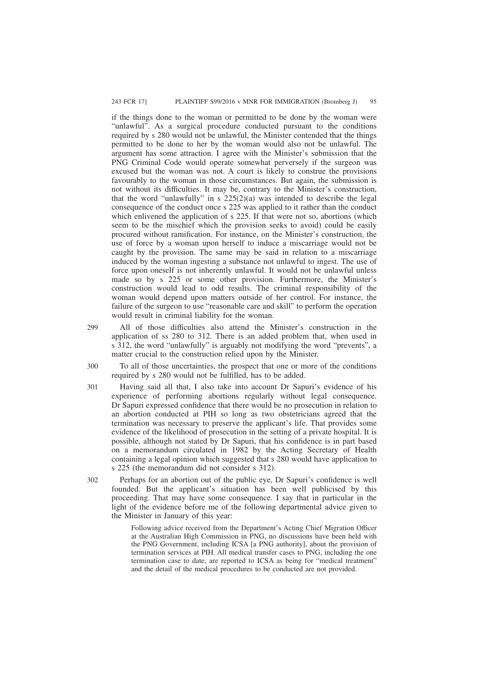if the things done to the woman or permitted to be done by the woman were "unlawful". As a surgical procedure conducted pursuant to the conditions required by s 280 would not be unlawful, the Minister contended that the things permitted to be done to her by the woman would also not be unlawful. The argument has some attraction. I agree with the Minister's submission that the PNG Criminal Code would operate somewhat perversely if the surgeon was excused but the woman was not. A court is likely to construe the provisions favourably to the woman in those circumstances. But again, the submission is not without its difficulties. It may be, contrary to the Minister's construction, that the word "unlawfully" in s 225(2)(a) was intended to describe the legal consequence of the conduct once s 225 was applied to it rather than the conduct which enlivened the application of s 225. If that were not so, abortions (which seem to be the mischief which the provision seeks to avoid) could be easily procured without ramification. For instance, on the Minister's construction, the use of force by a woman upon herself to induce a miscarriage would not be caught by the provision. The same may be said in relation to a miscarriage induced by the woman ingesting a substance not unlawful to ingest. The use of force upon oneself is not inherently unlawful. It would not be unlawful unless made so by s 225 or some other provision. Furthermore, the Minister's construction would lead to odd results. The criminal responsibility of the woman would depend upon matters outside of her control. For instance, the failure of the surgeon to use "reasonable care and skill" to perform the operation would result in criminal liability for the woman.

- All of those difficulties also attend the Minister's construction in the application of ss 280 to 312. There is an added problem that, when used in s 312, the word "unlawfully" is arguably not modifying the word "prevents", a matter crucial to the construction relied upon by the Minister.
- To all of those uncertainties, the prospect that one or more of the conditions required by s 280 would not be fulfilled, has to be added. 300
- Having said all that, I also take into account Dr Sapuri's evidence of his experience of performing abortions regularly without legal consequence. Dr Sapuri expressed confidence that there would be no prosecution in relation to an abortion conducted at PIH so long as two obstetricians agreed that the termination was necessary to preserve the applicant's life. That provides some evidence of the likelihood of prosecution in the setting of a private hospital. It is possible, although not stated by Dr Sapuri, that his confidence is in part based on a memorandum circulated in 1982 by the Acting Secretary of Health containing a legal opinion which suggested that s 280 would have application to s 225 (the memorandum did not consider s 312). 301
- Perhaps for an abortion out of the public eye, Dr Sapuri's confidence is well founded. But the applicant's situation has been well publicised by this proceeding. That may have some consequence. I say that in particular in the light of the evidence before me of the following departmental advice given to the Minister in January of this year: 302

Following advice received from the Department's Acting Chief Migration Officer at the Australian High Commission in PNG, no discussions have been held with the PNG Government, including ICSA [a PNG authority], about the provision of termination services at PIH. All medical transfer cases to PNG, including the one termination case to date, are reported to ICSA as being for "medical treatment" and the detail of the medical procedures to be conducted are not provided.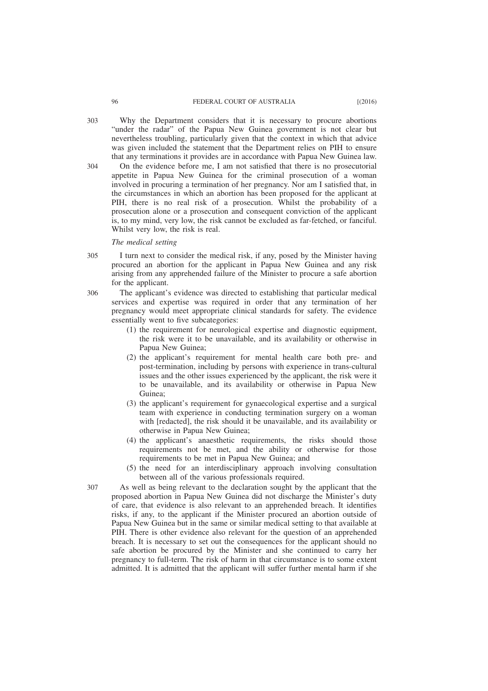#### 96 FEDERAL COURT OF AUSTRALIA [(2016)

- Why the Department considers that it is necessary to procure abortions "under the radar" of the Papua New Guinea government is not clear but nevertheless troubling, particularly given that the context in which that advice was given included the statement that the Department relies on PIH to ensure that any terminations it provides are in accordance with Papua New Guinea law. 303
- On the evidence before me, I am not satisfied that there is no prosecutorial appetite in Papua New Guinea for the criminal prosecution of a woman involved in procuring a termination of her pregnancy. Nor am I satisfied that, in the circumstances in which an abortion has been proposed for the applicant at PIH, there is no real risk of a prosecution. Whilst the probability of a prosecution alone or a prosecution and consequent conviction of the applicant is, to my mind, very low, the risk cannot be excluded as far-fetched, or fanciful. Whilst very low, the risk is real. 304

## *The medical setting*

- I turn next to consider the medical risk, if any, posed by the Minister having procured an abortion for the applicant in Papua New Guinea and any risk arising from any apprehended failure of the Minister to procure a safe abortion for the applicant. 305
- The applicant's evidence was directed to establishing that particular medical services and expertise was required in order that any termination of her pregnancy would meet appropriate clinical standards for safety. The evidence essentially went to five subcategories: 306
	- (1) the requirement for neurological expertise and diagnostic equipment, the risk were it to be unavailable, and its availability or otherwise in Papua New Guinea;
	- (2) the applicant's requirement for mental health care both pre- and post-termination, including by persons with experience in trans-cultural issues and the other issues experienced by the applicant, the risk were it to be unavailable, and its availability or otherwise in Papua New Guinea;
	- (3) the applicant's requirement for gynaecological expertise and a surgical team with experience in conducting termination surgery on a woman with [redacted], the risk should it be unavailable, and its availability or otherwise in Papua New Guinea;
	- (4) the applicant's anaesthetic requirements, the risks should those requirements not be met, and the ability or otherwise for those requirements to be met in Papua New Guinea; and
	- (5) the need for an interdisciplinary approach involving consultation between all of the various professionals required.
	- As well as being relevant to the declaration sought by the applicant that the proposed abortion in Papua New Guinea did not discharge the Minister's duty of care, that evidence is also relevant to an apprehended breach. It identifies risks, if any, to the applicant if the Minister procured an abortion outside of Papua New Guinea but in the same or similar medical setting to that available at PIH. There is other evidence also relevant for the question of an apprehended breach. It is necessary to set out the consequences for the applicant should no safe abortion be procured by the Minister and she continued to carry her pregnancy to full-term. The risk of harm in that circumstance is to some extent admitted. It is admitted that the applicant will suffer further mental harm if she
- 307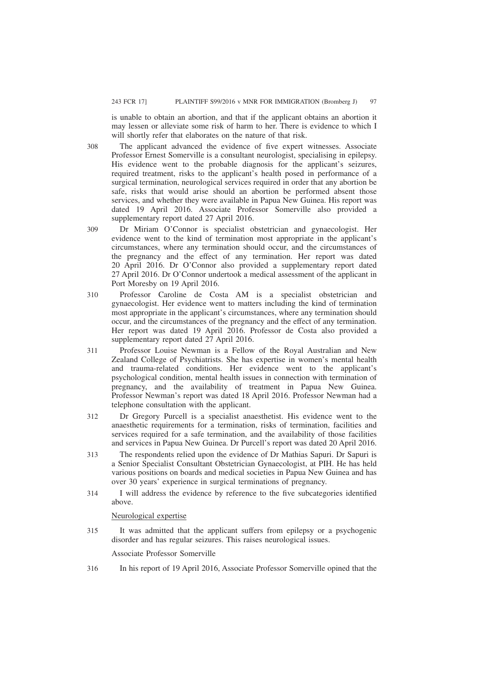is unable to obtain an abortion, and that if the applicant obtains an abortion it may lessen or alleviate some risk of harm to her. There is evidence to which I will shortly refer that elaborates on the nature of that risk.

The applicant advanced the evidence of five expert witnesses. Associate Professor Ernest Somerville is a consultant neurologist, specialising in epilepsy. His evidence went to the probable diagnosis for the applicant's seizures, required treatment, risks to the applicant's health posed in performance of a surgical termination, neurological services required in order that any abortion be safe, risks that would arise should an abortion be performed absent those services, and whether they were available in Papua New Guinea. His report was dated 19 April 2016. Associate Professor Somerville also provided a supplementary report dated 27 April 2016. 308

- Dr Miriam O'Connor is specialist obstetrician and gynaecologist. Her evidence went to the kind of termination most appropriate in the applicant's circumstances, where any termination should occur, and the circumstances of the pregnancy and the effect of any termination. Her report was dated 20 April 2016. Dr O'Connor also provided a supplementary report dated 27 April 2016. Dr O'Connor undertook a medical assessment of the applicant in Port Moresby on 19 April 2016. 309
- Professor Caroline de Costa AM is a specialist obstetrician and gynaecologist. Her evidence went to matters including the kind of termination most appropriate in the applicant's circumstances, where any termination should occur, and the circumstances of the pregnancy and the effect of any termination. Her report was dated 19 April 2016. Professor de Costa also provided a supplementary report dated 27 April 2016. 310
- Professor Louise Newman is a Fellow of the Royal Australian and New Zealand College of Psychiatrists. She has expertise in women's mental health and trauma-related conditions. Her evidence went to the applicant's psychological condition, mental health issues in connection with termination of pregnancy, and the availability of treatment in Papua New Guinea. Professor Newman's report was dated 18 April 2016. Professor Newman had a telephone consultation with the applicant. 311
- Dr Gregory Purcell is a specialist anaesthetist. His evidence went to the anaesthetic requirements for a termination, risks of termination, facilities and services required for a safe termination, and the availability of those facilities and services in Papua New Guinea. Dr Purcell's report was dated 20 April 2016. 312
- The respondents relied upon the evidence of Dr Mathias Sapuri. Dr Sapuri is a Senior Specialist Consultant Obstetrician Gynaecologist, at PIH. He has held various positions on boards and medical societies in Papua New Guinea and has over 30 years' experience in surgical terminations of pregnancy. 313
- I will address the evidence by reference to the five subcategories identified above. 314

# Neurological expertise

It was admitted that the applicant suffers from epilepsy or a psychogenic disorder and has regular seizures. This raises neurological issues. 315

Associate Professor Somerville

In his report of 19 April 2016, Associate Professor Somerville opined that the 316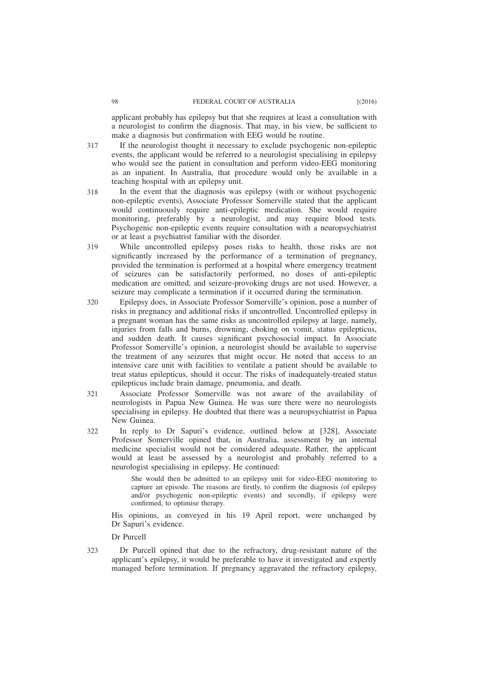applicant probably has epilepsy but that she requires at least a consultation with a neurologist to confirm the diagnosis. That may, in his view, be sufficient to make a diagnosis but confirmation with EEG would be routine.

If the neurologist thought it necessary to exclude psychogenic non-epileptic events, the applicant would be referred to a neurologist specialising in epilepsy who would see the patient in consultation and perform video-EEG monitoring as an inpatient. In Australia, that procedure would only be available in a teaching hospital with an epilepsy unit. 317

In the event that the diagnosis was epilepsy (with or without psychogenic non-epileptic events), Associate Professor Somerville stated that the applicant would continuously require anti-epileptic medication. She would require monitoring, preferably by a neurologist, and may require blood tests. Psychogenic non-epileptic events require consultation with a neuropsychiatrist or at least a psychiatrist familiar with the disorder. 318

While uncontrolled epilepsy poses risks to health, those risks are not significantly increased by the performance of a termination of pregnancy, provided the termination is performed at a hospital where emergency treatment of seizures can be satisfactorily performed, no doses of anti-epileptic medication are omitted, and seizure-provoking drugs are not used. However, a seizure may complicate a termination if it occurred during the termination. 319

Epilepsy does, in Associate Professor Somerville's opinion, pose a number of risks in pregnancy and additional risks if uncontrolled. Uncontrolled epilepsy in a pregnant woman has the same risks as uncontrolled epilepsy at large, namely, injuries from falls and burns, drowning, choking on vomit, status epilepticus, and sudden death. It causes significant psychosocial impact. In Associate Professor Somerville's opinion, a neurologist should be available to supervise the treatment of any seizures that might occur. He noted that access to an intensive care unit with facilities to ventilate a patient should be available to treat status epilepticus, should it occur. The risks of inadequately-treated status epilepticus include brain damage, pneumonia, and death. 320

Associate Professor Somerville was not aware of the availability of neurologists in Papua New Guinea. He was sure there were no neurologists specialising in epilepsy. He doubted that there was a neuropsychiatrist in Papua New Guinea. 321

In reply to Dr Sapuri's evidence, outlined below at [328], Associate Professor Somerville opined that, in Australia, assessment by an internal medicine specialist would not be considered adequate. Rather, the applicant would at least be assessed by a neurologist and probably referred to a neurologist specialising in epilepsy. He continued: 322

> She would then be admitted to an epilepsy unit for video-EEG monitoring to capture an episode. The reasons are firstly, to confirm the diagnosis (of epilepsy and/or psychogenic non-epileptic events) and secondly, if epilepsy were confirmed, to optimise therapy.

His opinions, as conveyed in his 19 April report, were unchanged by Dr Sapuri's evidence.

Dr Purcell

Dr Purcell opined that due to the refractory, drug-resistant nature of the applicant's epilepsy, it would be preferable to have it investigated and expertly managed before termination. If pregnancy aggravated the refractory epilepsy, 323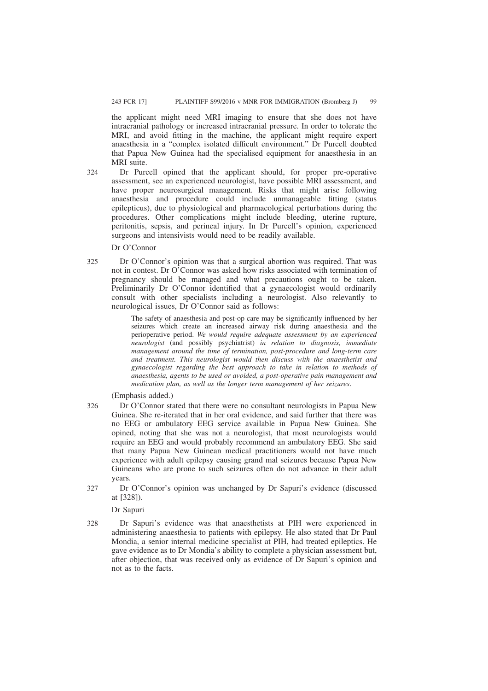the applicant might need MRI imaging to ensure that she does not have intracranial pathology or increased intracranial pressure. In order to tolerate the MRI, and avoid fitting in the machine, the applicant might require expert anaesthesia in a "complex isolated difficult environment." Dr Purcell doubted that Papua New Guinea had the specialised equipment for anaesthesia in an MRI suite.

324

Dr Purcell opined that the applicant should, for proper pre-operative assessment, see an experienced neurologist, have possible MRI assessment, and have proper neurosurgical management. Risks that might arise following anaesthesia and procedure could include unmanageable fitting (status epilepticus), due to physiological and pharmacological perturbations during the procedures. Other complications might include bleeding, uterine rupture, peritonitis, sepsis, and perineal injury. In Dr Purcell's opinion, experienced surgeons and intensivists would need to be readily available.

# Dr O'Connor

325

Dr O'Connor's opinion was that a surgical abortion was required. That was not in contest. Dr O'Connor was asked how risks associated with termination of pregnancy should be managed and what precautions ought to be taken. Preliminarily Dr O'Connor identified that a gynaecologist would ordinarily consult with other specialists including a neurologist. Also relevantly to neurological issues, Dr O'Connor said as follows:

> The safety of anaesthesia and post-op care may be significantly influenced by her seizures which create an increased airway risk during anaesthesia and the perioperative period. *We would require adequate assessment by an experienced neurologist* (and possibly psychiatrist) *in relation to diagnosis, immediate management around the time of termination, post-procedure and long-term care and treatment. This neurologist would then discuss with the anaesthetist and gynaecologist regarding the best approach to take in relation to methods of anaesthesia, agents to be used or avoided, a post-operative pain management and medication plan, as well as the longer term management of her seizures*.

# (Emphasis added.)

- Dr O'Connor stated that there were no consultant neurologists in Papua New Guinea. She re-iterated that in her oral evidence, and said further that there was no EEG or ambulatory EEG service available in Papua New Guinea. She opined, noting that she was not a neurologist, that most neurologists would require an EEG and would probably recommend an ambulatory EEG. She said that many Papua New Guinean medical practitioners would not have much experience with adult epilepsy causing grand mal seizures because Papua New Guineans who are prone to such seizures often do not advance in their adult years. 326
- Dr O'Connor's opinion was unchanged by Dr Sapuri's evidence (discussed at [328]). 327

## Dr Sapuri

Dr Sapuri's evidence was that anaesthetists at PIH were experienced in administering anaesthesia to patients with epilepsy. He also stated that Dr Paul Mondia, a senior internal medicine specialist at PIH, had treated epileptics. He gave evidence as to Dr Mondia's ability to complete a physician assessment but, after objection, that was received only as evidence of Dr Sapuri's opinion and not as to the facts. 328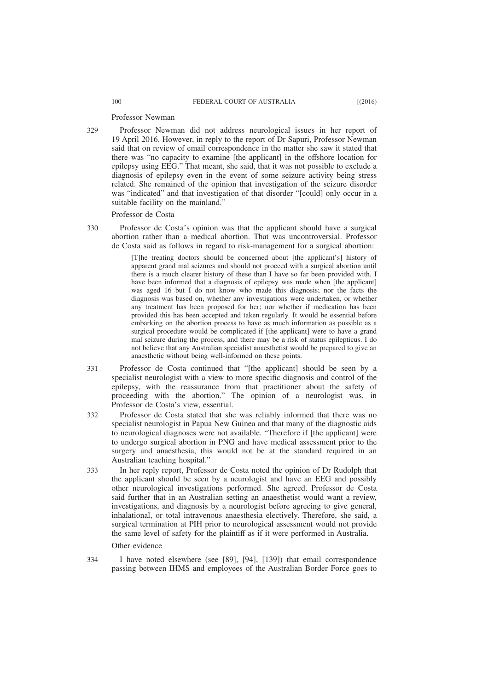### Professor Newman

- Professor Newman did not address neurological issues in her report of 19 April 2016. However, in reply to the report of Dr Sapuri, Professor Newman said that on review of email correspondence in the matter she saw it stated that there was "no capacity to examine [the applicant] in the offshore location for epilepsy using EEG." That meant, she said, that it was not possible to exclude a diagnosis of epilepsy even in the event of some seizure activity being stress related. She remained of the opinion that investigation of the seizure disorder was "indicated" and that investigation of that disorder "[could] only occur in a suitable facility on the mainland."  $329$ 
	- Professor de Costa
- 330

Professor de Costa's opinion was that the applicant should have a surgical abortion rather than a medical abortion. That was uncontroversial. Professor de Costa said as follows in regard to risk-management for a surgical abortion:

[T]he treating doctors should be concerned about [the applicant's] history of apparent grand mal seizures and should not proceed with a surgical abortion until there is a much clearer history of these than I have so far been provided with. I have been informed that a diagnosis of epilepsy was made when [the applicant] was aged 16 but I do not know who made this diagnosis; nor the facts the diagnosis was based on, whether any investigations were undertaken, or whether any treatment has been proposed for her; nor whether if medication has been provided this has been accepted and taken regularly. It would be essential before embarking on the abortion process to have as much information as possible as a surgical procedure would be complicated if [the applicant] were to have a grand mal seizure during the process, and there may be a risk of status epilepticus. I do not believe that any Australian specialist anaesthetist would be prepared to give an anaesthetic without being well-informed on these points.

- Professor de Costa continued that "[the applicant] should be seen by a specialist neurologist with a view to more specific diagnosis and control of the epilepsy, with the reassurance from that practitioner about the safety of proceeding with the abortion." The opinion of a neurologist was, in Professor de Costa's view, essential. 331
- Professor de Costa stated that she was reliably informed that there was no specialist neurologist in Papua New Guinea and that many of the diagnostic aids to neurological diagnoses were not available. "Therefore if [the applicant] were to undergo surgical abortion in PNG and have medical assessment prior to the surgery and anaesthesia, this would not be at the standard required in an Australian teaching hospital." 332
- In her reply report, Professor de Costa noted the opinion of Dr Rudolph that the applicant should be seen by a neurologist and have an EEG and possibly other neurological investigations performed. She agreed. Professor de Costa said further that in an Australian setting an anaesthetist would want a review, investigations, and diagnosis by a neurologist before agreeing to give general, inhalational, or total intravenous anaesthesia electively. Therefore, she said, a surgical termination at PIH prior to neurological assessment would not provide the same level of safety for the plaintiff as if it were performed in Australia. 333

## Other evidence

I have noted elsewhere (see [89], [94], [139]) that email correspondence passing between IHMS and employees of the Australian Border Force goes to 334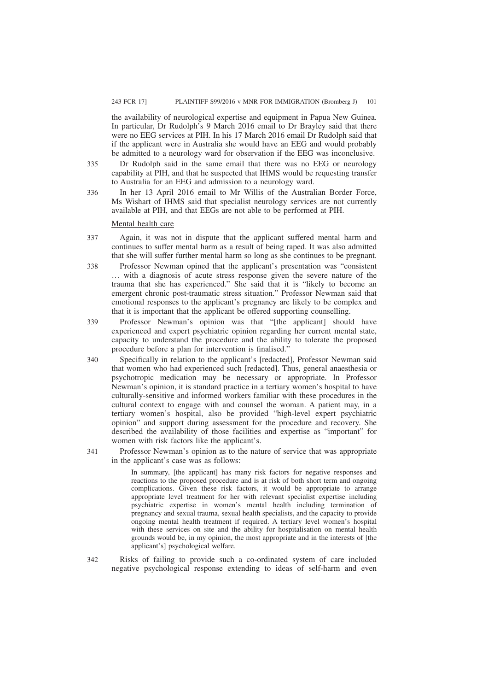the availability of neurological expertise and equipment in Papua New Guinea. In particular, Dr Rudolph's 9 March 2016 email to Dr Brayley said that there were no EEG services at PIH. In his 17 March 2016 email Dr Rudolph said that if the applicant were in Australia she would have an EEG and would probably be admitted to a neurology ward for observation if the EEG was inconclusive.

Dr Rudolph said in the same email that there was no EEG or neurology capability at PIH, and that he suspected that IHMS would be requesting transfer to Australia for an EEG and admission to a neurology ward.

In her 13 April 2016 email to Mr Willis of the Australian Border Force, Ms Wishart of IHMS said that specialist neurology services are not currently available at PIH, and that EEGs are not able to be performed at PIH. 336

# Mental health care

335

- Again, it was not in dispute that the applicant suffered mental harm and continues to suffer mental harm as a result of being raped. It was also admitted that she will suffer further mental harm so long as she continues to be pregnant. 337
- Professor Newman opined that the applicant's presentation was "consistent … with a diagnosis of acute stress response given the severe nature of the trauma that she has experienced." She said that it is "likely to become an emergent chronic post-traumatic stress situation." Professor Newman said that emotional responses to the applicant's pregnancy are likely to be complex and that it is important that the applicant be offered supporting counselling. 338
- Professor Newman's opinion was that "[the applicant] should have experienced and expert psychiatric opinion regarding her current mental state, capacity to understand the procedure and the ability to tolerate the proposed procedure before a plan for intervention is finalised." 339
- Specifically in relation to the applicant's [redacted], Professor Newman said that women who had experienced such [redacted]. Thus, general anaesthesia or psychotropic medication may be necessary or appropriate. In Professor Newman's opinion, it is standard practice in a tertiary women's hospital to have culturally-sensitive and informed workers familiar with these procedures in the cultural context to engage with and counsel the woman. A patient may, in a tertiary women's hospital, also be provided "high-level expert psychiatric opinion" and support during assessment for the procedure and recovery. She described the availability of those facilities and expertise as "important" for women with risk factors like the applicant's. 340
- Professor Newman's opinion as to the nature of service that was appropriate in the applicant's case was as follows: 341

In summary, [the applicant] has many risk factors for negative responses and reactions to the proposed procedure and is at risk of both short term and ongoing complications. Given these risk factors, it would be appropriate to arrange appropriate level treatment for her with relevant specialist expertise including psychiatric expertise in women's mental health including termination of pregnancy and sexual trauma, sexual health specialists, and the capacity to provide ongoing mental health treatment if required. A tertiary level women's hospital with these services on site and the ability for hospitalisation on mental health grounds would be, in my opinion, the most appropriate and in the interests of [the applicant's] psychological welfare.

Risks of failing to provide such a co-ordinated system of care included negative psychological response extending to ideas of self-harm and even 342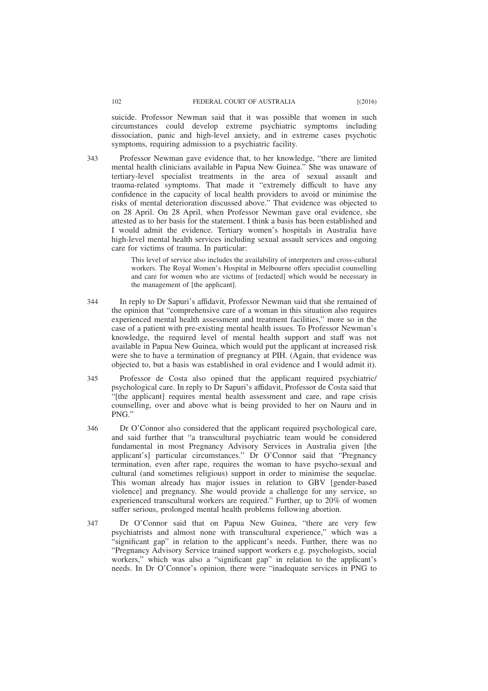suicide. Professor Newman said that it was possible that women in such circumstances could develop extreme psychiatric symptoms including dissociation, panic and high-level anxiety, and in extreme cases psychotic symptoms, requiring admission to a psychiatric facility.

Professor Newman gave evidence that, to her knowledge, "there are limited mental health clinicians available in Papua New Guinea." She was unaware of tertiary-level specialist treatments in the area of sexual assault and trauma-related symptoms. That made it "extremely difficult to have any confidence in the capacity of local health providers to avoid or minimise the risks of mental deterioration discussed above." That evidence was objected to on 28 April. On 28 April, when Professor Newman gave oral evidence, she attested as to her basis for the statement. I think a basis has been established and I would admit the evidence. Tertiary women's hospitals in Australia have high-level mental health services including sexual assault services and ongoing care for victims of trauma. In particular: 343

> This level of service also includes the availability of interpreters and cross-cultural workers. The Royal Women's Hospital in Melbourne offers specialist counselling and care for women who are victims of [redacted] which would be necessary in the management of [the applicant].

- In reply to Dr Sapuri's affidavit, Professor Newman said that she remained of the opinion that "comprehensive care of a woman in this situation also requires experienced mental health assessment and treatment facilities," more so in the case of a patient with pre-existing mental health issues. To Professor Newman's knowledge, the required level of mental health support and staff was not available in Papua New Guinea, which would put the applicant at increased risk were she to have a termination of pregnancy at PIH. (Again, that evidence was objected to, but a basis was established in oral evidence and I would admit it). 344
- Professor de Costa also opined that the applicant required psychiatric/ psychological care. In reply to Dr Sapuri's affidavit, Professor de Costa said that "[the applicant] requires mental health assessment and care, and rape crisis counselling, over and above what is being provided to her on Nauru and in PNG." 345
- Dr O'Connor also considered that the applicant required psychological care, and said further that "a transcultural psychiatric team would be considered fundamental in most Pregnancy Advisory Services in Australia given [the applicant's] particular circumstances." Dr O'Connor said that "Pregnancy termination, even after rape, requires the woman to have psycho-sexual and cultural (and sometimes religious) support in order to minimise the sequelae. This woman already has major issues in relation to GBV [gender-based violence] and pregnancy. She would provide a challenge for any service, so experienced transcultural workers are required." Further, up to 20% of women suffer serious, prolonged mental health problems following abortion. 346
- Dr O'Connor said that on Papua New Guinea, "there are very few psychiatrists and almost none with transcultural experience," which was a "significant gap" in relation to the applicant's needs. Further, there was no "Pregnancy Advisory Service trained support workers e.g. psychologists, social workers," which was also a "significant gap" in relation to the applicant's needs. In Dr O'Connor's opinion, there were "inadequate services in PNG to 347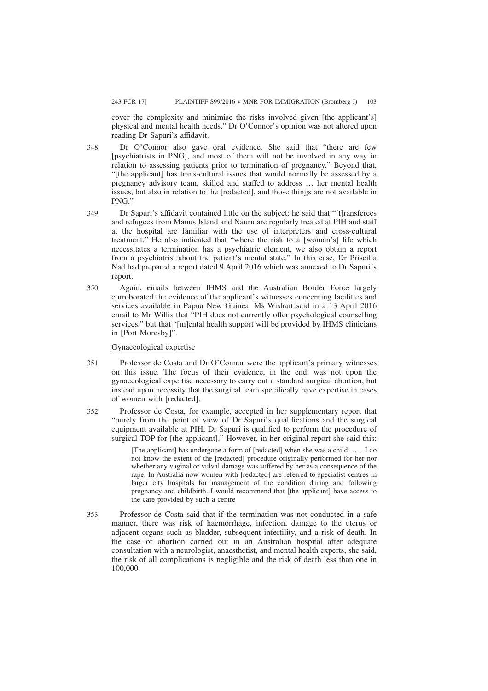cover the complexity and minimise the risks involved given [the applicant's] physical and mental health needs." Dr O'Connor's opinion was not altered upon reading Dr Sapuri's affidavit.

Dr O'Connor also gave oral evidence. She said that "there are few [psychiatrists in PNG], and most of them will not be involved in any way in relation to assessing patients prior to termination of pregnancy." Beyond that, "[the applicant] has trans-cultural issues that would normally be assessed by a pregnancy advisory team, skilled and staffed to address … her mental health issues, but also in relation to the [redacted], and those things are not available in PNG." 348

Dr Sapuri's affidavit contained little on the subject: he said that "[t]ransferees and refugees from Manus Island and Nauru are regularly treated at PIH and staff at the hospital are familiar with the use of interpreters and cross-cultural treatment." He also indicated that "where the risk to a [woman's] life which necessitates a termination has a psychiatric element, we also obtain a report from a psychiatrist about the patient's mental state." In this case, Dr Priscilla Nad had prepared a report dated 9 April 2016 which was annexed to Dr Sapuri's report. 349

Again, emails between IHMS and the Australian Border Force largely corroborated the evidence of the applicant's witnesses concerning facilities and services available in Papua New Guinea. Ms Wishart said in a 13 April 2016 email to Mr Willis that "PIH does not currently offer psychological counselling services," but that "[m]ental health support will be provided by IHMS clinicians in [Port Moresby]". 350

# Gynaecological expertise

- Professor de Costa and Dr O'Connor were the applicant's primary witnesses on this issue. The focus of their evidence, in the end, was not upon the gynaecological expertise necessary to carry out a standard surgical abortion, but instead upon necessity that the surgical team specifically have expertise in cases of women with [redacted]. 351
- Professor de Costa, for example, accepted in her supplementary report that "purely from the point of view of Dr Sapuri's qualifications and the surgical equipment available at PIH, Dr Sapuri is qualified to perform the procedure of surgical TOP for [the applicant]." However, in her original report she said this: 352

[The applicant] has undergone a form of [redacted] when she was a child; … . I do not know the extent of the [redacted] procedure originally performed for her nor whether any vaginal or vulval damage was suffered by her as a consequence of the rape. In Australia now women with [redacted] are referred to specialist centres in larger city hospitals for management of the condition during and following pregnancy and childbirth. I would recommend that [the applicant] have access to the care provided by such a centre

Professor de Costa said that if the termination was not conducted in a safe manner, there was risk of haemorrhage, infection, damage to the uterus or adjacent organs such as bladder, subsequent infertility, and a risk of death. In the case of abortion carried out in an Australian hospital after adequate consultation with a neurologist, anaesthetist, and mental health experts, she said, the risk of all complications is negligible and the risk of death less than one in 100,000. 353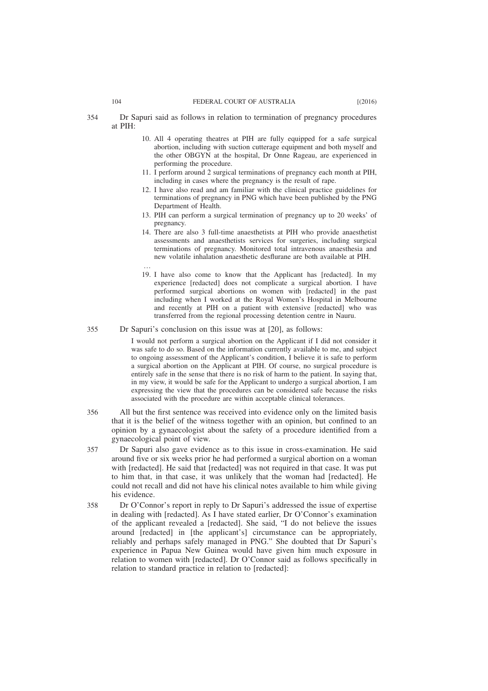- 10. All 4 operating theatres at PIH are fully equipped for a safe surgical abortion, including with suction cutterage equipment and both myself and the other OBGYN at the hospital, Dr Onne Rageau, are experienced in performing the procedure.
- 11. I perform around 2 surgical terminations of pregnancy each month at PIH, including in cases where the pregnancy is the result of rape.
- 12. I have also read and am familiar with the clinical practice guidelines for terminations of pregnancy in PNG which have been published by the PNG Department of Health.
- 13. PIH can perform a surgical termination of pregnancy up to 20 weeks' of pregnancy.
- 14. There are also 3 full-time anaesthetists at PIH who provide anaesthetist assessments and anaesthetists services for surgeries, including surgical terminations of pregnancy. Monitored total intravenous anaesthesia and new volatile inhalation anaesthetic desflurane are both available at PIH. …
- 19. I have also come to know that the Applicant has [redacted]. In my experience [redacted] does not complicate a surgical abortion. I have performed surgical abortions on women with [redacted] in the past including when I worked at the Royal Women's Hospital in Melbourne and recently at PIH on a patient with extensive [redacted] who was transferred from the regional processing detention centre in Nauru.

Dr Sapuri's conclusion on this issue was at [20], as follows: 355

> I would not perform a surgical abortion on the Applicant if I did not consider it was safe to do so. Based on the information currently available to me, and subject to ongoing assessment of the Applicant's condition, I believe it is safe to perform a surgical abortion on the Applicant at PIH. Of course, no surgical procedure is entirely safe in the sense that there is no risk of harm to the patient. In saying that, in my view, it would be safe for the Applicant to undergo a surgical abortion, I am expressing the view that the procedures can be considered safe because the risks associated with the procedure are within acceptable clinical tolerances.

- All but the first sentence was received into evidence only on the limited basis that it is the belief of the witness together with an opinion, but confined to an opinion by a gynaecologist about the safety of a procedure identified from a gynaecological point of view. 356
- Dr Sapuri also gave evidence as to this issue in cross-examination. He said around five or six weeks prior he had performed a surgical abortion on a woman with [redacted]. He said that [redacted] was not required in that case. It was put to him that, in that case, it was unlikely that the woman had [redacted]. He could not recall and did not have his clinical notes available to him while giving his evidence. 357
- Dr O'Connor's report in reply to Dr Sapuri's addressed the issue of expertise in dealing with [redacted]. As I have stated earlier, Dr O'Connor's examination of the applicant revealed a [redacted]. She said, "I do not believe the issues around [redacted] in [the applicant's] circumstance can be appropriately, reliably and perhaps safely managed in PNG." She doubted that Dr Sapuri's experience in Papua New Guinea would have given him much exposure in relation to women with [redacted]. Dr O'Connor said as follows specifically in relation to standard practice in relation to [redacted]: 358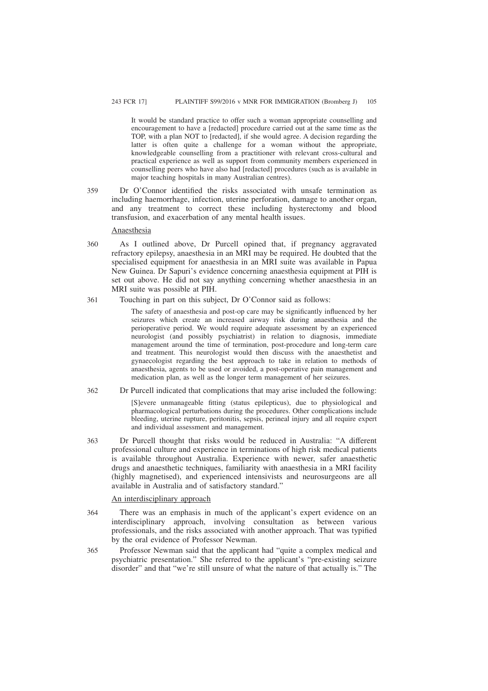It would be standard practice to offer such a woman appropriate counselling and encouragement to have a [redacted] procedure carried out at the same time as the TOP, with a plan NOT to [redacted], if she would agree. A decision regarding the latter is often quite a challenge for a woman without the appropriate, knowledgeable counselling from a practitioner with relevant cross-cultural and practical experience as well as support from community members experienced in counselling peers who have also had [redacted] procedures (such as is available in major teaching hospitals in many Australian centres).

Dr O'Connor identified the risks associated with unsafe termination as including haemorrhage, infection, uterine perforation, damage to another organ, and any treatment to correct these including hysterectomy and blood transfusion, and exacerbation of any mental health issues. 359

# Anaesthesia

- As I outlined above, Dr Purcell opined that, if pregnancy aggravated refractory epilepsy, anaesthesia in an MRI may be required. He doubted that the specialised equipment for anaesthesia in an MRI suite was available in Papua New Guinea. Dr Sapuri's evidence concerning anaesthesia equipment at PIH is set out above. He did not say anything concerning whether anaesthesia in an MRI suite was possible at PIH. 360
- Touching in part on this subject, Dr O'Connor said as follows: 361

The safety of anaesthesia and post-op care may be significantly influenced by her seizures which create an increased airway risk during anaesthesia and the perioperative period. We would require adequate assessment by an experienced neurologist (and possibly psychiatrist) in relation to diagnosis, immediate management around the time of termination, post-procedure and long-term care and treatment. This neurologist would then discuss with the anaesthetist and gynaecologist regarding the best approach to take in relation to methods of anaesthesia, agents to be used or avoided, a post-operative pain management and medication plan, as well as the longer term management of her seizures.

Dr Purcell indicated that complications that may arise included the following: 362

> [S]evere unmanageable fitting (status epilepticus), due to physiological and pharmacological perturbations during the procedures. Other complications include bleeding, uterine rupture, peritonitis, sepsis, perineal injury and all require expert and individual assessment and management.

Dr Purcell thought that risks would be reduced in Australia: "A different professional culture and experience in terminations of high risk medical patients is available throughout Australia. Experience with newer, safer anaesthetic drugs and anaesthetic techniques, familiarity with anaesthesia in a MRI facility (highly magnetised), and experienced intensivists and neurosurgeons are all available in Australia and of satisfactory standard." 363

## An interdisciplinary approach

- There was an emphasis in much of the applicant's expert evidence on an interdisciplinary approach, involving consultation as between various professionals, and the risks associated with another approach. That was typified by the oral evidence of Professor Newman. 364
- Professor Newman said that the applicant had "quite a complex medical and psychiatric presentation." She referred to the applicant's "pre-existing seizure disorder" and that "we're still unsure of what the nature of that actually is." The 365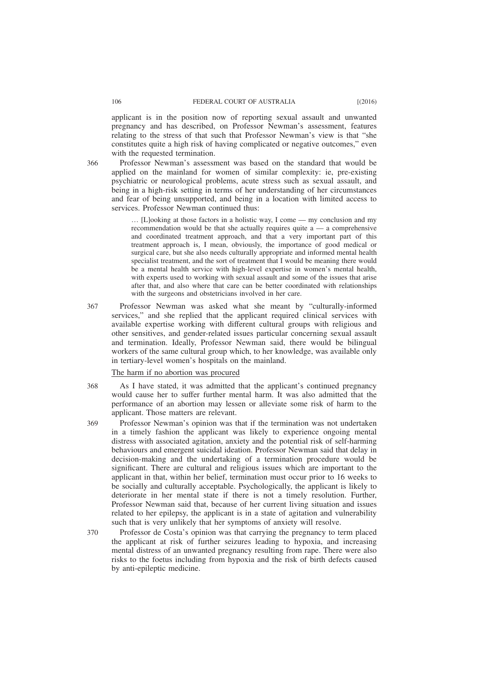applicant is in the position now of reporting sexual assault and unwanted pregnancy and has described, on Professor Newman's assessment, features relating to the stress of that such that Professor Newman's view is that "she constitutes quite a high risk of having complicated or negative outcomes," even with the requested termination.

366

Professor Newman's assessment was based on the standard that would be applied on the mainland for women of similar complexity: ie, pre-existing psychiatric or neurological problems, acute stress such as sexual assault, and being in a high-risk setting in terms of her understanding of her circumstances and fear of being unsupported, and being in a location with limited access to services. Professor Newman continued thus:

… [L]ooking at those factors in a holistic way, I come — my conclusion and my recommendation would be that she actually requires quite  $a - a$  comprehensive and coordinated treatment approach, and that a very important part of this treatment approach is, I mean, obviously, the importance of good medical or surgical care, but she also needs culturally appropriate and informed mental health specialist treatment, and the sort of treatment that I would be meaning there would be a mental health service with high-level expertise in women's mental health, with experts used to working with sexual assault and some of the issues that arise after that, and also where that care can be better coordinated with relationships with the surgeons and obstetricians involved in her care.

Professor Newman was asked what she meant by "culturally-informed services," and she replied that the applicant required clinical services with available expertise working with different cultural groups with religious and other sensitives, and gender-related issues particular concerning sexual assault and termination. Ideally, Professor Newman said, there would be bilingual workers of the same cultural group which, to her knowledge, was available only in tertiary-level women's hospitals on the mainland. 367

## The harm if no abortion was procured

- As I have stated, it was admitted that the applicant's continued pregnancy would cause her to suffer further mental harm. It was also admitted that the performance of an abortion may lessen or alleviate some risk of harm to the applicant. Those matters are relevant. 368
- Professor Newman's opinion was that if the termination was not undertaken in a timely fashion the applicant was likely to experience ongoing mental distress with associated agitation, anxiety and the potential risk of self-harming behaviours and emergent suicidal ideation. Professor Newman said that delay in decision-making and the undertaking of a termination procedure would be significant. There are cultural and religious issues which are important to the applicant in that, within her belief, termination must occur prior to 16 weeks to be socially and culturally acceptable. Psychologically, the applicant is likely to deteriorate in her mental state if there is not a timely resolution. Further, Professor Newman said that, because of her current living situation and issues related to her epilepsy, the applicant is in a state of agitation and vulnerability such that is very unlikely that her symptoms of anxiety will resolve. 369
- Professor de Costa's opinion was that carrying the pregnancy to term placed the applicant at risk of further seizures leading to hypoxia, and increasing mental distress of an unwanted pregnancy resulting from rape. There were also risks to the foetus including from hypoxia and the risk of birth defects caused by anti-epileptic medicine. 370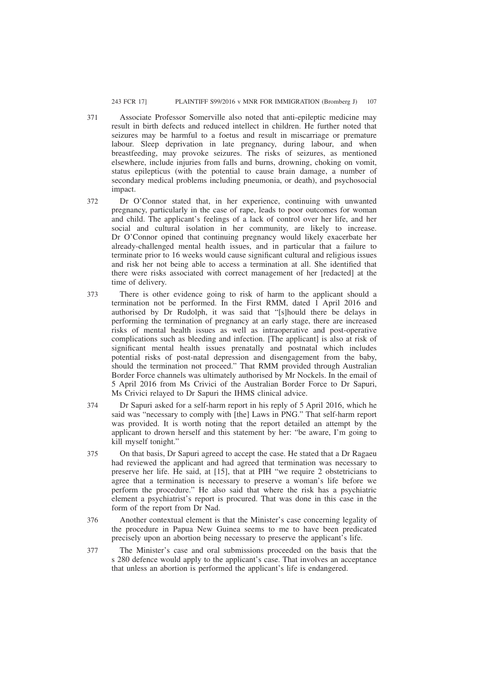- Associate Professor Somerville also noted that anti-epileptic medicine may result in birth defects and reduced intellect in children. He further noted that seizures may be harmful to a foetus and result in miscarriage or premature labour. Sleep deprivation in late pregnancy, during labour, and when breastfeeding, may provoke seizures. The risks of seizures, as mentioned elsewhere, include injuries from falls and burns, drowning, choking on vomit, status epilepticus (with the potential to cause brain damage, a number of secondary medical problems including pneumonia, or death), and psychosocial impact. 371
- Dr O'Connor stated that, in her experience, continuing with unwanted pregnancy, particularly in the case of rape, leads to poor outcomes for woman and child. The applicant's feelings of a lack of control over her life, and her social and cultural isolation in her community, are likely to increase. Dr O'Connor opined that continuing pregnancy would likely exacerbate her already-challenged mental health issues, and in particular that a failure to terminate prior to 16 weeks would cause significant cultural and religious issues and risk her not being able to access a termination at all. She identified that there were risks associated with correct management of her [redacted] at the time of delivery. 372
- There is other evidence going to risk of harm to the applicant should a termination not be performed. In the First RMM, dated 1 April 2016 and authorised by Dr Rudolph, it was said that "[s]hould there be delays in performing the termination of pregnancy at an early stage, there are increased risks of mental health issues as well as intraoperative and post-operative complications such as bleeding and infection. [The applicant] is also at risk of significant mental health issues prenatally and postnatal which includes potential risks of post-natal depression and disengagement from the baby, should the termination not proceed." That RMM provided through Australian Border Force channels was ultimately authorised by Mr Nockels. In the email of 5 April 2016 from Ms Crivici of the Australian Border Force to Dr Sapuri, Ms Crivici relayed to Dr Sapuri the IHMS clinical advice. 373
- Dr Sapuri asked for a self-harm report in his reply of 5 April 2016, which he said was "necessary to comply with [the] Laws in PNG." That self-harm report was provided. It is worth noting that the report detailed an attempt by the applicant to drown herself and this statement by her: "be aware, I'm going to kill myself tonight." 374
- On that basis, Dr Sapuri agreed to accept the case. He stated that a Dr Ragaeu had reviewed the applicant and had agreed that termination was necessary to preserve her life. He said, at [15], that at PIH "we require 2 obstetricians to agree that a termination is necessary to preserve a woman's life before we perform the procedure." He also said that where the risk has a psychiatric element a psychiatrist's report is procured. That was done in this case in the form of the report from Dr Nad. 375
- Another contextual element is that the Minister's case concerning legality of the procedure in Papua New Guinea seems to me to have been predicated precisely upon an abortion being necessary to preserve the applicant's life. 376
- The Minister's case and oral submissions proceeded on the basis that the s 280 defence would apply to the applicant's case. That involves an acceptance that unless an abortion is performed the applicant's life is endangered. 377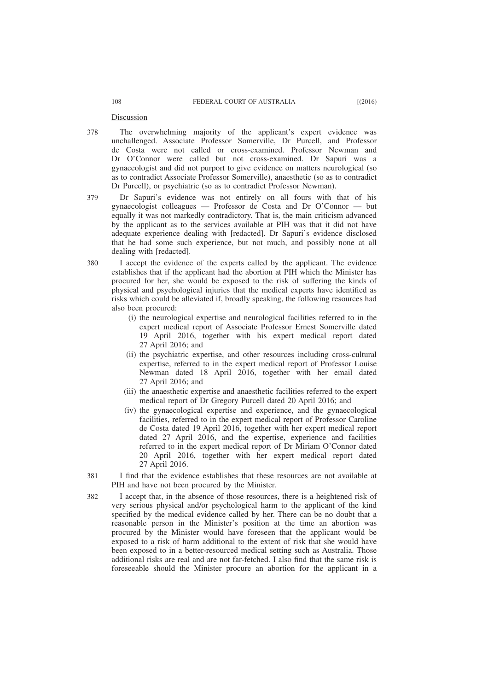### Discussion

- The overwhelming majority of the applicant's expert evidence was unchallenged. Associate Professor Somerville, Dr Purcell, and Professor de Costa were not called or cross-examined. Professor Newman and Dr O'Connor were called but not cross-examined. Dr Sapuri was a gynaecologist and did not purport to give evidence on matters neurological (so as to contradict Associate Professor Somerville), anaesthetic (so as to contradict Dr Purcell), or psychiatric (so as to contradict Professor Newman). 378
- Dr Sapuri's evidence was not entirely on all fours with that of his gynaecologist colleagues — Professor de Costa and Dr O'Connor — but equally it was not markedly contradictory. That is, the main criticism advanced by the applicant as to the services available at PIH was that it did not have adequate experience dealing with [redacted]. Dr Sapuri's evidence disclosed that he had some such experience, but not much, and possibly none at all dealing with [redacted]. 379
- I accept the evidence of the experts called by the applicant. The evidence establishes that if the applicant had the abortion at PIH which the Minister has procured for her, she would be exposed to the risk of suffering the kinds of physical and psychological injuries that the medical experts have identified as risks which could be alleviated if, broadly speaking, the following resources had also been procured: 380
	- (i) the neurological expertise and neurological facilities referred to in the expert medical report of Associate Professor Ernest Somerville dated 19 April 2016, together with his expert medical report dated 27 April 2016; and
	- (ii) the psychiatric expertise, and other resources including cross-cultural expertise, referred to in the expert medical report of Professor Louise Newman dated 18 April 2016, together with her email dated 27 April 2016; and
	- (iii) the anaesthetic expertise and anaesthetic facilities referred to the expert medical report of Dr Gregory Purcell dated 20 April 2016; and
	- (iv) the gynaecological expertise and experience, and the gynaecological facilities, referred to in the expert medical report of Professor Caroline de Costa dated 19 April 2016, together with her expert medical report dated 27 April 2016, and the expertise, experience and facilities referred to in the expert medical report of Dr Miriam O'Connor dated 20 April 2016, together with her expert medical report dated 27 April 2016.
- I find that the evidence establishes that these resources are not available at PIH and have not been procured by the Minister. 381
- I accept that, in the absence of those resources, there is a heightened risk of very serious physical and/or psychological harm to the applicant of the kind specified by the medical evidence called by her. There can be no doubt that a reasonable person in the Minister's position at the time an abortion was procured by the Minister would have foreseen that the applicant would be exposed to a risk of harm additional to the extent of risk that she would have been exposed to in a better-resourced medical setting such as Australia. Those additional risks are real and are not far-fetched. I also find that the same risk is foreseeable should the Minister procure an abortion for the applicant in a 382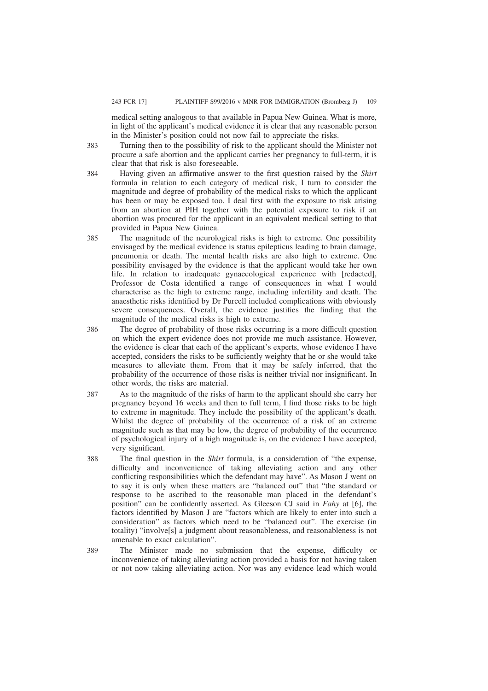medical setting analogous to that available in Papua New Guinea. What is more, in light of the applicant's medical evidence it is clear that any reasonable person in the Minister's position could not now fail to appreciate the risks.

Turning then to the possibility of risk to the applicant should the Minister not procure a safe abortion and the applicant carries her pregnancy to full-term, it is clear that that risk is also foreseeable.

- Having given an affirmative answer to the first question raised by the *Shirt* formula in relation to each category of medical risk, I turn to consider the magnitude and degree of probability of the medical risks to which the applicant has been or may be exposed too. I deal first with the exposure to risk arising from an abortion at PIH together with the potential exposure to risk if an abortion was procured for the applicant in an equivalent medical setting to that provided in Papua New Guinea. 384
- The magnitude of the neurological risks is high to extreme. One possibility envisaged by the medical evidence is status epilepticus leading to brain damage, pneumonia or death. The mental health risks are also high to extreme. One possibility envisaged by the evidence is that the applicant would take her own life. In relation to inadequate gynaecological experience with [redacted], Professor de Costa identified a range of consequences in what I would characterise as the high to extreme range, including infertility and death. The anaesthetic risks identified by Dr Purcell included complications with obviously severe consequences. Overall, the evidence justifies the finding that the magnitude of the medical risks is high to extreme. 385

The degree of probability of those risks occurring is a more difficult question on which the expert evidence does not provide me much assistance. However, the evidence is clear that each of the applicant's experts, whose evidence I have accepted, considers the risks to be sufficiently weighty that he or she would take measures to alleviate them. From that it may be safely inferred, that the probability of the occurrence of those risks is neither trivial nor insignificant. In other words, the risks are material. 386

- As to the magnitude of the risks of harm to the applicant should she carry her pregnancy beyond 16 weeks and then to full term, I find those risks to be high to extreme in magnitude. They include the possibility of the applicant's death. Whilst the degree of probability of the occurrence of a risk of an extreme magnitude such as that may be low, the degree of probability of the occurrence of psychological injury of a high magnitude is, on the evidence I have accepted, very significant.
- The final question in the *Shirt* formula, is a consideration of "the expense, difficulty and inconvenience of taking alleviating action and any other conflicting responsibilities which the defendant may have". As Mason J went on to say it is only when these matters are "balanced out" that "the standard or response to be ascribed to the reasonable man placed in the defendant's position" can be confidently asserted. As Gleeson CJ said in *Fahy* at [6], the factors identified by Mason J are "factors which are likely to enter into such a consideration" as factors which need to be "balanced out". The exercise (in totality) "involve[s] a judgment about reasonableness, and reasonableness is not amenable to exact calculation". 388
- The Minister made no submission that the expense, difficulty or inconvenience of taking alleviating action provided a basis for not having taken or not now taking alleviating action. Nor was any evidence lead which would 389

383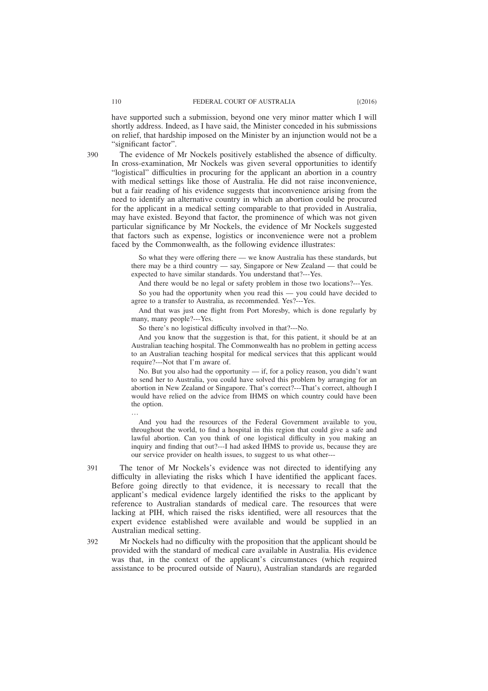have supported such a submission, beyond one very minor matter which I will shortly address. Indeed, as I have said, the Minister conceded in his submissions on relief, that hardship imposed on the Minister by an injunction would not be a "significant factor".

The evidence of Mr Nockels positively established the absence of difficulty. In cross-examination, Mr Nockels was given several opportunities to identify "logistical" difficulties in procuring for the applicant an abortion in a country with medical settings like those of Australia. He did not raise inconvenience, but a fair reading of his evidence suggests that inconvenience arising from the need to identify an alternative country in which an abortion could be procured for the applicant in a medical setting comparable to that provided in Australia, may have existed. Beyond that factor, the prominence of which was not given particular significance by Mr Nockels, the evidence of Mr Nockels suggested that factors such as expense, logistics or inconvenience were not a problem faced by the Commonwealth, as the following evidence illustrates:

So what they were offering there — we know Australia has these standards, but there may be a third country — say, Singapore or New Zealand — that could be expected to have similar standards. You understand that?---Yes.

And there would be no legal or safety problem in those two locations?---Yes. So you had the opportunity when you read this — you could have decided to

agree to a transfer to Australia, as recommended. Yes?---Yes.

And that was just one flight from Port Moresby, which is done regularly by many, many people?---Yes.

So there's no logistical difficulty involved in that?---No.

And you know that the suggestion is that, for this patient, it should be at an Australian teaching hospital. The Commonwealth has no problem in getting access to an Australian teaching hospital for medical services that this applicant would require?---Not that I'm aware of.

No. But you also had the opportunity — if, for a policy reason, you didn't want to send her to Australia, you could have solved this problem by arranging for an abortion in New Zealand or Singapore. That's correct?---That's correct, although I would have relied on the advice from IHMS on which country could have been the option.

And you had the resources of the Federal Government available to you, throughout the world, to find a hospital in this region that could give a safe and lawful abortion. Can you think of one logistical difficulty in you making an inquiry and finding that out?---I had asked IHMS to provide us, because they are our service provider on health issues, to suggest to us what other---

- The tenor of Mr Nockels's evidence was not directed to identifying any difficulty in alleviating the risks which I have identified the applicant faces. Before going directly to that evidence, it is necessary to recall that the applicant's medical evidence largely identified the risks to the applicant by reference to Australian standards of medical care. The resources that were lacking at PIH, which raised the risks identified, were all resources that the expert evidence established were available and would be supplied in an Australian medical setting. 391
- Mr Nockels had no difficulty with the proposition that the applicant should be provided with the standard of medical care available in Australia. His evidence was that, in the context of the applicant's circumstances (which required assistance to be procured outside of Nauru), Australian standards are regarded 392

390

…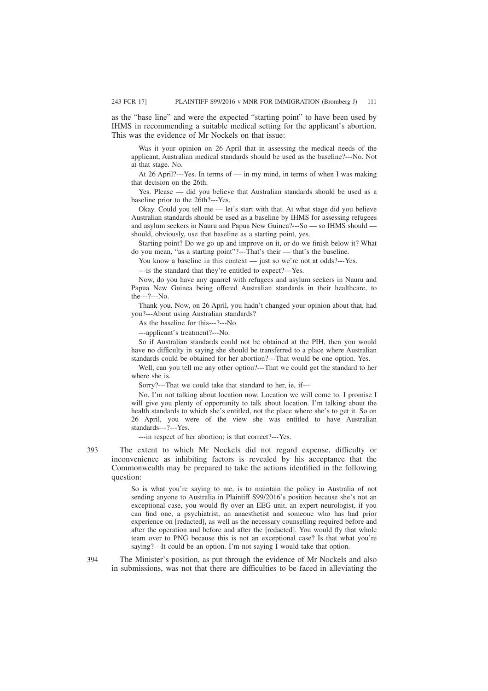as the "base line" and were the expected "starting point" to have been used by IHMS in recommending a suitable medical setting for the applicant's abortion. This was the evidence of Mr Nockels on that issue:

Was it your opinion on 26 April that in assessing the medical needs of the applicant, Australian medical standards should be used as the baseline?---No. Not at that stage. No.

At 26 April?---Yes. In terms of — in my mind, in terms of when I was making that decision on the 26th.

Yes. Please — did you believe that Australian standards should be used as a baseline prior to the 26th?---Yes.

Okay. Could you tell me — let's start with that. At what stage did you believe Australian standards should be used as a baseline by IHMS for assessing refugees and asylum seekers in Nauru and Papua New Guinea?---So — so IHMS should should, obviously, use that baseline as a starting point, yes.

Starting point? Do we go up and improve on it, or do we finish below it? What do you mean, "as a starting point"?---That's their — that's the baseline.

You know a baseline in this context — just so we're not at odds?---Yes.

---is the standard that they're entitled to expect?---Yes.

Now, do you have any quarrel with refugees and asylum seekers in Nauru and Papua New Guinea being offered Australian standards in their healthcare, to the---?---No.

Thank you. Now, on 26 April, you hadn't changed your opinion about that, had you?---About using Australian standards?

As the baseline for this---?---No.

---applicant's treatment?---No.

So if Australian standards could not be obtained at the PIH, then you would have no difficulty in saying she should be transferred to a place where Australian standards could be obtained for her abortion?---That would be one option. Yes.

Well, can you tell me any other option?---That we could get the standard to her where she is.

Sorry?---That we could take that standard to her, ie, if---

No. I'm not talking about location now. Location we will come to. I promise I will give you plenty of opportunity to talk about location. I'm talking about the health standards to which she's entitled, not the place where she's to get it. So on 26 April, you were of the view she was entitled to have Australian standards---?---Yes.

---in respect of her abortion; is that correct?---Yes.

The extent to which Mr Nockels did not regard expense, difficulty or inconvenience as inhibiting factors is revealed by his acceptance that the Commonwealth may be prepared to take the actions identified in the following question: 393

> So is what you're saying to me, is to maintain the policy in Australia of not sending anyone to Australia in Plaintiff S99/2016's position because she's not an exceptional case, you would fly over an EEG unit, an expert neurologist, if you can find one, a psychiatrist, an anaesthetist and someone who has had prior experience on [redacted], as well as the necessary counselling required before and after the operation and before and after the [redacted]. You would fly that whole team over to PNG because this is not an exceptional case? Is that what you're saying?---It could be an option. I'm not saying  $\overline{I}$  would take that option.

394

The Minister's position, as put through the evidence of Mr Nockels and also in submissions, was not that there are difficulties to be faced in alleviating the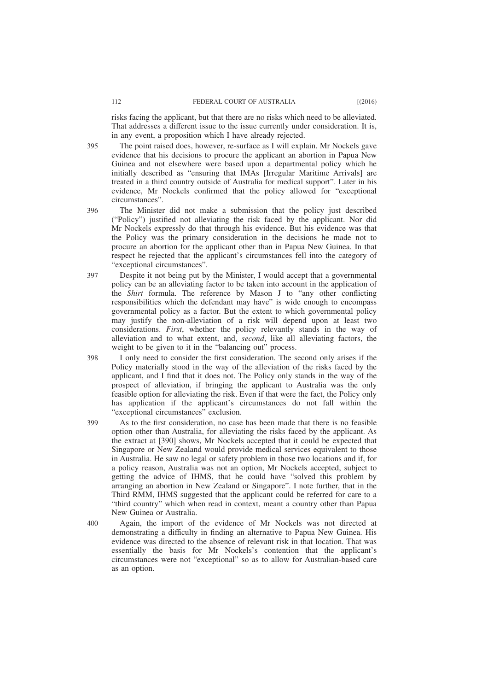risks facing the applicant, but that there are no risks which need to be alleviated. That addresses a different issue to the issue currently under consideration. It is, in any event, a proposition which I have already rejected.

The point raised does, however, re-surface as I will explain. Mr Nockels gave evidence that his decisions to procure the applicant an abortion in Papua New Guinea and not elsewhere were based upon a departmental policy which he initially described as "ensuring that IMAs [Irregular Maritime Arrivals] are treated in a third country outside of Australia for medical support". Later in his evidence, Mr Nockels confirmed that the policy allowed for "exceptional circumstances".

The Minister did not make a submission that the policy just described ("Policy") justified not alleviating the risk faced by the applicant. Nor did Mr Nockels expressly do that through his evidence. But his evidence was that the Policy was the primary consideration in the decisions he made not to procure an abortion for the applicant other than in Papua New Guinea. In that respect he rejected that the applicant's circumstances fell into the category of "exceptional circumstances". 396

- Despite it not being put by the Minister, I would accept that a governmental policy can be an alleviating factor to be taken into account in the application of the *Shirt* formula. The reference by Mason J to "any other conflicting responsibilities which the defendant may have" is wide enough to encompass governmental policy as a factor. But the extent to which governmental policy may justify the non-alleviation of a risk will depend upon at least two considerations. *First*, whether the policy relevantly stands in the way of alleviation and to what extent, and, *second*, like all alleviating factors, the weight to be given to it in the "balancing out" process. 397
- I only need to consider the first consideration. The second only arises if the Policy materially stood in the way of the alleviation of the risks faced by the applicant, and I find that it does not. The Policy only stands in the way of the prospect of alleviation, if bringing the applicant to Australia was the only feasible option for alleviating the risk. Even if that were the fact, the Policy only has application if the applicant's circumstances do not fall within the "exceptional circumstances" exclusion. 398
- As to the first consideration, no case has been made that there is no feasible option other than Australia, for alleviating the risks faced by the applicant. As the extract at [390] shows, Mr Nockels accepted that it could be expected that Singapore or New Zealand would provide medical services equivalent to those in Australia. He saw no legal or safety problem in those two locations and if, for a policy reason, Australia was not an option, Mr Nockels accepted, subject to getting the advice of IHMS, that he could have "solved this problem by arranging an abortion in New Zealand or Singapore". I note further, that in the Third RMM, IHMS suggested that the applicant could be referred for care to a "third country" which when read in context, meant a country other than Papua New Guinea or Australia. 399
- Again, the import of the evidence of Mr Nockels was not directed at demonstrating a difficulty in finding an alternative to Papua New Guinea. His evidence was directed to the absence of relevant risk in that location. That was essentially the basis for Mr Nockels's contention that the applicant's circumstances were not "exceptional" so as to allow for Australian-based care as an option. 400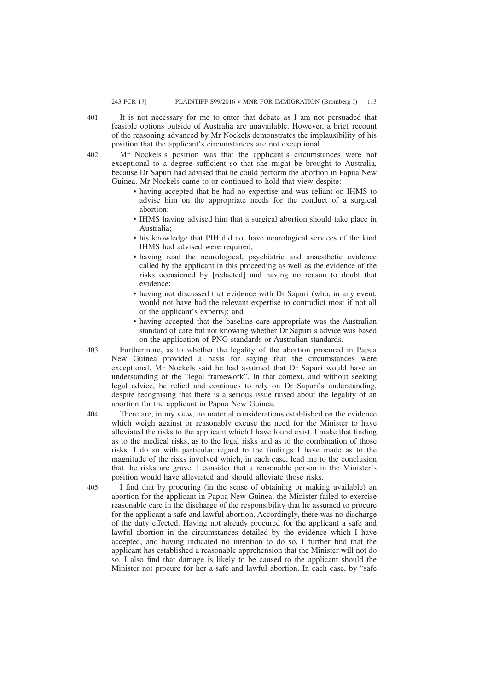It is not necessary for me to enter that debate as I am not persuaded that feasible options outside of Australia are unavailable. However, a brief recount of the reasoning advanced by Mr Nockels demonstrates the implausibility of his position that the applicant's circumstances are not exceptional.

Mr Nockels's position was that the applicant's circumstances were not exceptional to a degree sufficient so that she might be brought to Australia, because Dr Sapuri had advised that he could perform the abortion in Papua New Guinea. Mr Nockels came to or continued to hold that view despite:

- having accepted that he had no expertise and was reliant on IHMS to advise him on the appropriate needs for the conduct of a surgical abortion;
- IHMS having advised him that a surgical abortion should take place in Australia;
- his knowledge that PIH did not have neurological services of the kind IHMS had advised were required;
- having read the neurological, psychiatric and anaesthetic evidence called by the applicant in this proceeding as well as the evidence of the risks occasioned by [redacted] and having no reason to doubt that evidence;
- having not discussed that evidence with Dr Sapuri (who, in any event, would not have had the relevant expertise to contradict most if not all of the applicant's experts); and
- having accepted that the baseline care appropriate was the Australian standard of care but not knowing whether Dr Sapuri's advice was based on the application of PNG standards or Australian standards.
- Furthermore, as to whether the legality of the abortion procured in Papua New Guinea provided a basis for saying that the circumstances were exceptional, Mr Nockels said he had assumed that Dr Sapuri would have an understanding of the "legal framework". In that context, and without seeking legal advice, he relied and continues to rely on Dr Sapuri's understanding, despite recognising that there is a serious issue raised about the legality of an abortion for the applicant in Papua New Guinea. 403
	- There are, in my view, no material considerations established on the evidence which weigh against or reasonably excuse the need for the Minister to have alleviated the risks to the applicant which I have found exist. I make that finding as to the medical risks, as to the legal risks and as to the combination of those risks. I do so with particular regard to the findings I have made as to the magnitude of the risks involved which, in each case, lead me to the conclusion that the risks are grave. I consider that a reasonable person in the Minister's position would have alleviated and should alleviate those risks.
- I find that by procuring (in the sense of obtaining or making available) an abortion for the applicant in Papua New Guinea, the Minister failed to exercise reasonable care in the discharge of the responsibility that he assumed to procure for the applicant a safe and lawful abortion. Accordingly, there was no discharge of the duty effected. Having not already procured for the applicant a safe and lawful abortion in the circumstances detailed by the evidence which I have accepted, and having indicated no intention to do so, I further find that the applicant has established a reasonable apprehension that the Minister will not do so. I also find that damage is likely to be caused to the applicant should the Minister not procure for her a safe and lawful abortion. In each case, by "safe 405

401

402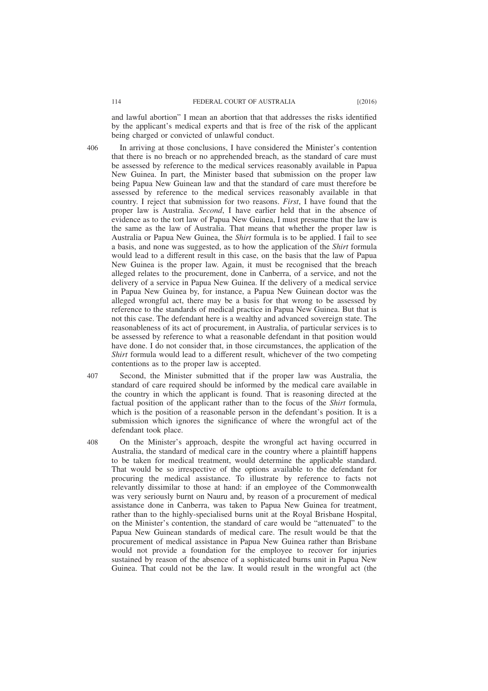and lawful abortion" I mean an abortion that that addresses the risks identified by the applicant's medical experts and that is free of the risk of the applicant being charged or convicted of unlawful conduct.

In arriving at those conclusions, I have considered the Minister's contention that there is no breach or no apprehended breach, as the standard of care must be assessed by reference to the medical services reasonably available in Papua New Guinea. In part, the Minister based that submission on the proper law being Papua New Guinean law and that the standard of care must therefore be assessed by reference to the medical services reasonably available in that country. I reject that submission for two reasons. *First*, I have found that the proper law is Australia. *Second*, I have earlier held that in the absence of evidence as to the tort law of Papua New Guinea, I must presume that the law is the same as the law of Australia. That means that whether the proper law is Australia or Papua New Guinea, the *Shirt* formula is to be applied. I fail to see a basis, and none was suggested, as to how the application of the *Shirt* formula would lead to a different result in this case, on the basis that the law of Papua New Guinea is the proper law. Again, it must be recognised that the breach alleged relates to the procurement, done in Canberra, of a service, and not the delivery of a service in Papua New Guinea. If the delivery of a medical service in Papua New Guinea by, for instance, a Papua New Guinean doctor was the alleged wrongful act, there may be a basis for that wrong to be assessed by reference to the standards of medical practice in Papua New Guinea. But that is not this case. The defendant here is a wealthy and advanced sovereign state. The reasonableness of its act of procurement, in Australia, of particular services is to be assessed by reference to what a reasonable defendant in that position would have done. I do not consider that, in those circumstances, the application of the *Shirt* formula would lead to a different result, whichever of the two competing contentions as to the proper law is accepted.

Second, the Minister submitted that if the proper law was Australia, the standard of care required should be informed by the medical care available in the country in which the applicant is found. That is reasoning directed at the factual position of the applicant rather than to the focus of the *Shirt* formula, which is the position of a reasonable person in the defendant's position. It is a submission which ignores the significance of where the wrongful act of the defendant took place. 407

On the Minister's approach, despite the wrongful act having occurred in Australia, the standard of medical care in the country where a plaintiff happens to be taken for medical treatment, would determine the applicable standard. That would be so irrespective of the options available to the defendant for procuring the medical assistance. To illustrate by reference to facts not relevantly dissimilar to those at hand: if an employee of the Commonwealth was very seriously burnt on Nauru and, by reason of a procurement of medical assistance done in Canberra, was taken to Papua New Guinea for treatment, rather than to the highly-specialised burns unit at the Royal Brisbane Hospital, on the Minister's contention, the standard of care would be "attenuated" to the Papua New Guinean standards of medical care. The result would be that the procurement of medical assistance in Papua New Guinea rather than Brisbane would not provide a foundation for the employee to recover for injuries sustained by reason of the absence of a sophisticated burns unit in Papua New Guinea. That could not be the law. It would result in the wrongful act (the 408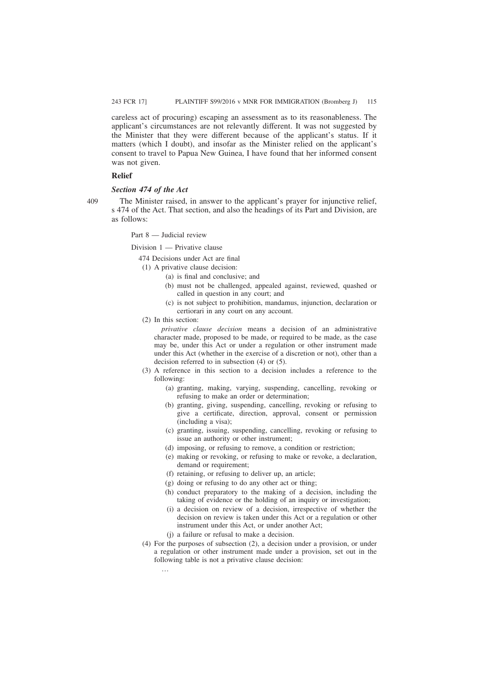careless act of procuring) escaping an assessment as to its reasonableness. The applicant's circumstances are not relevantly different. It was not suggested by the Minister that they were different because of the applicant's status. If it matters (which I doubt), and insofar as the Minister relied on the applicant's consent to travel to Papua New Guinea, I have found that her informed consent was not given.

# **Relief**

## *Section 474 of the Act*

409

The Minister raised, in answer to the applicant's prayer for injunctive relief, s 474 of the Act. That section, and also the headings of its Part and Division, are as follows:

## Part 8 — Judicial review

Division  $1 -$  Privative clause

- 474 Decisions under Act are final
- (1) A privative clause decision:
	- (a) is final and conclusive; and
	- (b) must not be challenged, appealed against, reviewed, quashed or called in question in any court; and
	- (c) is not subject to prohibition, mandamus, injunction, declaration or certiorari in any court on any account.
- (2) In this section:

…

*privative clause decision* means a decision of an administrative character made, proposed to be made, or required to be made, as the case may be, under this Act or under a regulation or other instrument made under this Act (whether in the exercise of a discretion or not), other than a decision referred to in subsection (4) or (5).

- (3) A reference in this section to a decision includes a reference to the following:
	- (a) granting, making, varying, suspending, cancelling, revoking or refusing to make an order or determination;
	- (b) granting, giving, suspending, cancelling, revoking or refusing to give a certificate, direction, approval, consent or permission (including a visa);
	- (c) granting, issuing, suspending, cancelling, revoking or refusing to issue an authority or other instrument;
	- (d) imposing, or refusing to remove, a condition or restriction;
	- (e) making or revoking, or refusing to make or revoke, a declaration, demand or requirement;
	- (f) retaining, or refusing to deliver up, an article;
	- (g) doing or refusing to do any other act or thing;
	- (h) conduct preparatory to the making of a decision, including the taking of evidence or the holding of an inquiry or investigation;
	- (i) a decision on review of a decision, irrespective of whether the decision on review is taken under this Act or a regulation or other instrument under this Act, or under another Act;
	- (j) a failure or refusal to make a decision.
- (4) For the purposes of subsection (2), a decision under a provision, or under a regulation or other instrument made under a provision, set out in the following table is not a privative clause decision: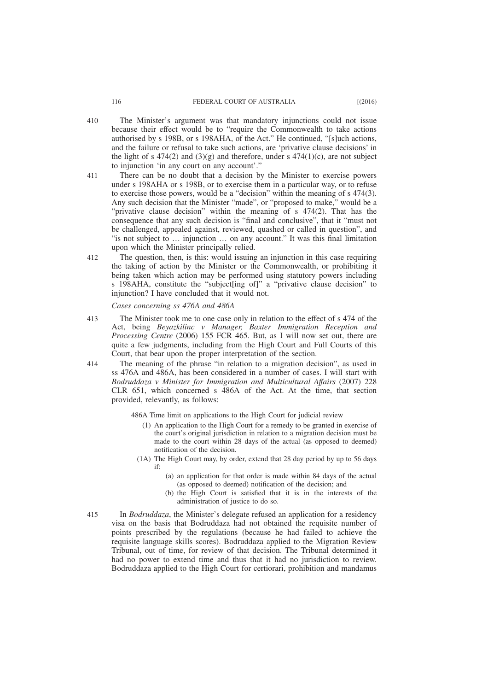#### 116 FEDERAL COURT OF AUSTRALIA [(2016)

- The Minister's argument was that mandatory injunctions could not issue because their effect would be to "require the Commonwealth to take actions authorised by s 198B, or s 198AHA, of the Act." He continued, "[s]uch actions, and the failure or refusal to take such actions, are 'privative clause decisions' in the light of s  $474(2)$  and  $(3)(g)$  and therefore, under s  $474(1)(c)$ , are not subject to injunction 'in any court on any account'.' 410
- There can be no doubt that a decision by the Minister to exercise powers under s 198AHA or s 198B, or to exercise them in a particular way, or to refuse to exercise those powers, would be a "decision" within the meaning of s 474(3). Any such decision that the Minister "made", or "proposed to make," would be a "privative clause decision" within the meaning of s 474(2). That has the consequence that any such decision is "final and conclusive", that it "must not be challenged, appealed against, reviewed, quashed or called in question", and "is not subject to … injunction … on any account." It was this final limitation upon which the Minister principally relied. 411
- The question, then, is this: would issuing an injunction in this case requiring the taking of action by the Minister or the Commonwealth, or prohibiting it being taken which action may be performed using statutory powers including s 198AHA, constitute the "subject[ing of]" a "privative clause decision" to injunction? I have concluded that it would not. 412

*Cases concerning ss 476A and 486A*

- The Minister took me to one case only in relation to the effect of s 474 of the Act, being *Beyazkilinc v Manager, Baxter Immigration Reception and Processing Centre* (2006) 155 FCR 465. But, as I will now set out, there are quite a few judgments, including from the High Court and Full Courts of this Court, that bear upon the proper interpretation of the section. 413
- The meaning of the phrase "in relation to a migration decision", as used in ss 476A and 486A, has been considered in a number of cases. I will start with *Bodruddaza v Minister for Immigration and Multicultural Affairs* (2007) 228 CLR 651, which concerned s 486A of the Act. At the time, that section provided, relevantly, as follows: 414

486A Time limit on applications to the High Court for judicial review

- (1) An application to the High Court for a remedy to be granted in exercise of the court's original jurisdiction in relation to a migration decision must be made to the court within 28 days of the actual (as opposed to deemed) notification of the decision.
- (1A) The High Court may, by order, extend that 28 day period by up to 56 days if:
	- (a) an application for that order is made within 84 days of the actual (as opposed to deemed) notification of the decision; and
	- (b) the High Court is satisfied that it is in the interests of the administration of justice to do so.
- In *Bodruddaza*, the Minister's delegate refused an application for a residency visa on the basis that Bodruddaza had not obtained the requisite number of points prescribed by the regulations (because he had failed to achieve the requisite language skills scores). Bodruddaza applied to the Migration Review Tribunal, out of time, for review of that decision. The Tribunal determined it had no power to extend time and thus that it had no jurisdiction to review. Bodruddaza applied to the High Court for certiorari, prohibition and mandamus 415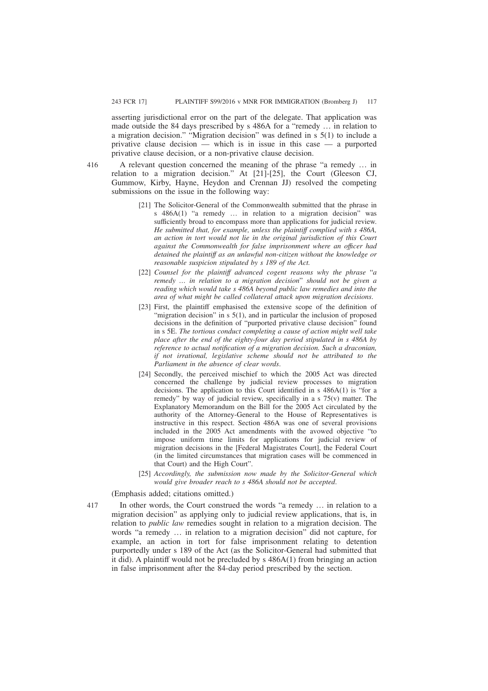asserting jurisdictional error on the part of the delegate. That application was made outside the 84 days prescribed by s 486A for a "remedy … in relation to a migration decision." "Migration decision" was defined in  $\frac{1}{5}(1)$  to include a privative clause decision — which is in issue in this case — a purported privative clause decision, or a non-privative clause decision.

A relevant question concerned the meaning of the phrase "a remedy … in relation to a migration decision." At [21]-[25], the Court (Gleeson CJ, Gummow, Kirby, Hayne, Heydon and Crennan JJ) resolved the competing submissions on the issue in the following way:

- [21] The Solicitor-General of the Commonwealth submitted that the phrase in s 486A(1) "a remedy ... in relation to a migration decision" was sufficiently broad to encompass more than applications for judicial review. *He submitted that, for example, unless the plaintiff complied with s 486A, an action in tort would not lie in the original jurisdiction of this Court against the Commonwealth for false imprisonment where an offıcer had detained the plaintiff as an unlawful non-citizen without the knowledge or reasonable suspicion stipulated by s 189 of the Act.*
- [22] *Counsel for the plaintiff advanced cogent reasons why the phrase* "*a remedy … in relation to a migration decision*" *should not be given a reading which would take s 486A beyond public law remedies and into the area of what might be called collateral attack upon migration decisions*.
- [23] First, the plaintiff emphasised the extensive scope of the definition of "migration decision" in s 5(1), and in particular the inclusion of proposed decisions in the definition of "purported privative clause decision" found in s 5E. *The tortious conduct completing a cause of action might well take place after the end of the eighty-four day period stipulated in s 486A by reference to actual notification of a migration decision. Such a draconian, if not irrational, legislative scheme should not be attributed to the Parliament in the absence of clear words*.
- [24] Secondly, the perceived mischief to which the 2005 Act was directed concerned the challenge by judicial review processes to migration decisions. The application to this Court identified in s 486A(1) is "for a remedy" by way of judicial review, specifically in a s  $75(v)$  matter. The Explanatory Memorandum on the Bill for the 2005 Act circulated by the authority of the Attorney-General to the House of Representatives is instructive in this respect. Section 486A was one of several provisions included in the 2005 Act amendments with the avowed objective "to impose uniform time limits for applications for judicial review of migration decisions in the [Federal Magistrates Court], the Federal Court (in the limited circumstances that migration cases will be commenced in that Court) and the High Court".
- [25] *Accordingly, the submission now made by the Solicitor-General which would give broader reach to s 486A should not be accepted*.

(Emphasis added; citations omitted.)

416

In other words, the Court construed the words "a remedy … in relation to a migration decision" as applying only to judicial review applications, that is, in relation to *public law* remedies sought in relation to a migration decision. The words "a remedy … in relation to a migration decision" did not capture, for example, an action in tort for false imprisonment relating to detention purportedly under s 189 of the Act (as the Solicitor-General had submitted that it did). A plaintiff would not be precluded by s 486A(1) from bringing an action in false imprisonment after the 84-day period prescribed by the section. 417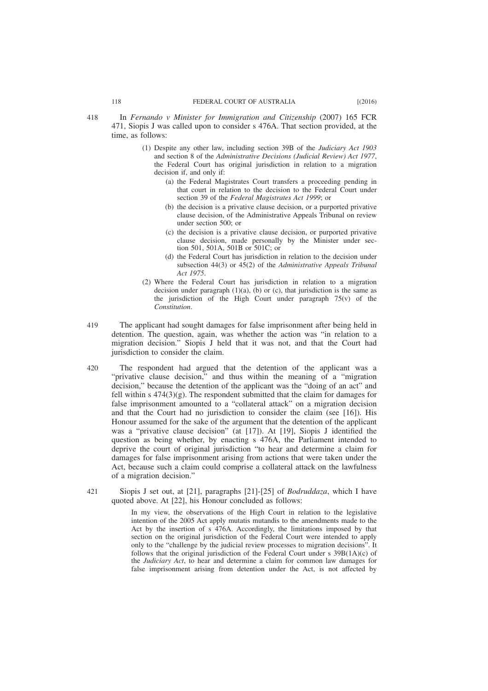- In *Fernando v Minister for Immigration and Citizenship* (2007) 165 FCR 471, Siopis J was called upon to consider s 476A. That section provided, at the time, as follows:
	- (1) Despite any other law, including section 39B of the *Judiciary Act 1903* and section 8 of the *Administrative Decisions (Judicial Review) Act 1977*, the Federal Court has original jurisdiction in relation to a migration decision if, and only if:
		- (a) the Federal Magistrates Court transfers a proceeding pending in that court in relation to the decision to the Federal Court under section 39 of the *Federal Magistrates Act 1999*; or
		- (b) the decision is a privative clause decision, or a purported privative clause decision, of the Administrative Appeals Tribunal on review under section 500; or
		- (c) the decision is a privative clause decision, or purported privative clause decision, made personally by the Minister under section 501, 501A, 501B or 501C; or
		- (d) the Federal Court has jurisdiction in relation to the decision under subsection 44(3) or 45(2) of the *Administrative Appeals Tribunal Act 1975*.
	- (2) Where the Federal Court has jurisdiction in relation to a migration decision under paragraph  $(1)(a)$ ,  $(b)$  or  $(c)$ , that jurisdiction is the same as the jurisdiction of the High Court under paragraph  $75(v)$  of the *Constitution*.
- The applicant had sought damages for false imprisonment after being held in detention. The question, again, was whether the action was "in relation to a migration decision." Siopis J held that it was not, and that the Court had jurisdiction to consider the claim. 419
- The respondent had argued that the detention of the applicant was a "privative clause decision," and thus within the meaning of a "migration" decision," because the detention of the applicant was the "doing of an act" and fell within s  $474(3)(g)$ . The respondent submitted that the claim for damages for false imprisonment amounted to a "collateral attack" on a migration decision and that the Court had no jurisdiction to consider the claim (see [16]). His Honour assumed for the sake of the argument that the detention of the applicant was a "privative clause decision" (at [17]). At [19], Siopis J identified the question as being whether, by enacting s 476A, the Parliament intended to deprive the court of original jurisdiction "to hear and determine a claim for damages for false imprisonment arising from actions that were taken under the Act, because such a claim could comprise a collateral attack on the lawfulness of a migration decision." 420
- Siopis J set out, at [21], paragraphs [21]-[25] of *Bodruddaza*, which I have quoted above. At [22], his Honour concluded as follows: 421

In my view, the observations of the High Court in relation to the legislative intention of the 2005 Act apply mutatis mutandis to the amendments made to the Act by the insertion of s 476A. Accordingly, the limitations imposed by that section on the original jurisdiction of the Federal Court were intended to apply only to the "challenge by the judicial review processes to migration decisions". It follows that the original jurisdiction of the Federal Court under s 39B(1A)(c) of the *Judiciary Act*, to hear and determine a claim for common law damages for false imprisonment arising from detention under the Act, is not affected by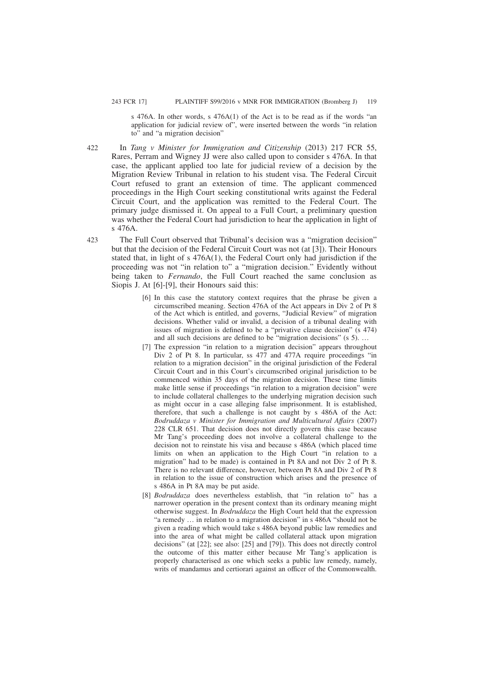s 476A. In other words, s 476A(1) of the Act is to be read as if the words "an application for judicial review of", were inserted between the words "in relation to" and "a migration decision"

- In *Tang v Minister for Immigration and Citizenship* (2013) 217 FCR 55, Rares, Perram and Wigney JJ were also called upon to consider s 476A. In that case, the applicant applied too late for judicial review of a decision by the Migration Review Tribunal in relation to his student visa. The Federal Circuit Court refused to grant an extension of time. The applicant commenced proceedings in the High Court seeking constitutional writs against the Federal Circuit Court, and the application was remitted to the Federal Court. The primary judge dismissed it. On appeal to a Full Court, a preliminary question was whether the Federal Court had jurisdiction to hear the application in light of s 476A.
- The Full Court observed that Tribunal's decision was a "migration decision" but that the decision of the Federal Circuit Court was not (at [3]). Their Honours stated that, in light of s 476A(1), the Federal Court only had jurisdiction if the proceeding was not "in relation to" a "migration decision." Evidently without being taken to *Fernando*, the Full Court reached the same conclusion as Siopis J. At [6]-[9], their Honours said this: 423
	- [6] In this case the statutory context requires that the phrase be given a circumscribed meaning. Section 476A of the Act appears in Div 2 of Pt 8 of the Act which is entitled, and governs, "Judicial Review" of migration decisions. Whether valid or invalid, a decision of a tribunal dealing with issues of migration is defined to be a "privative clause decision"  $(s, 474)$ and all such decisions are defined to be "migration decisions" (s 5). ...
	- [7] The expression "in relation to a migration decision" appears throughout Div 2 of Pt 8. In particular, ss  $477$  and  $477A$  require proceedings "in relation to a migration decision" in the original jurisdiction of the Federal Circuit Court and in this Court's circumscribed original jurisdiction to be commenced within 35 days of the migration decision. These time limits make little sense if proceedings "in relation to a migration decision" were to include collateral challenges to the underlying migration decision such as might occur in a case alleging false imprisonment. It is established, therefore, that such a challenge is not caught by s 486A of the Act: *Bodruddaza v Minister for Immigration and Multicultural Affairs* (2007) 228 CLR 651. That decision does not directly govern this case because Mr Tang's proceeding does not involve a collateral challenge to the decision not to reinstate his visa and because s 486A (which placed time limits on when an application to the High Court "in relation to a migration" had to be made) is contained in Pt 8A and not Div 2 of Pt 8. There is no relevant difference, however, between Pt 8A and Div 2 of Pt 8 in relation to the issue of construction which arises and the presence of s 486A in Pt 8A may be put aside.
	- [8] *Bodruddaza* does nevertheless establish, that "in relation to" has a narrower operation in the present context than its ordinary meaning might otherwise suggest. In *Bodruddaza* the High Court held that the expression "a remedy … in relation to a migration decision" in s 486A "should not be given a reading which would take s 486A beyond public law remedies and into the area of what might be called collateral attack upon migration decisions" (at [22]; see also: [25] and [79]). This does not directly control the outcome of this matter either because Mr Tang's application is properly characterised as one which seeks a public law remedy, namely, writs of mandamus and certiorari against an officer of the Commonwealth.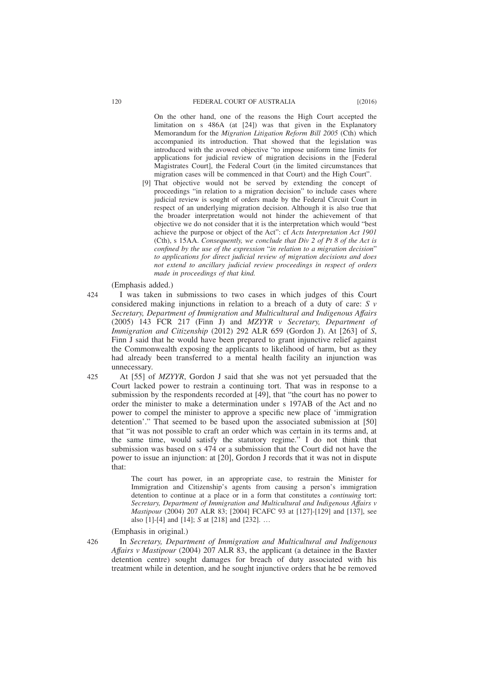On the other hand, one of the reasons the High Court accepted the limitation on s 486A (at [24]) was that given in the Explanatory Memorandum for the *Migration Litigation Reform Bill 2005* (Cth) which accompanied its introduction. That showed that the legislation was introduced with the avowed objective "to impose uniform time limits for applications for judicial review of migration decisions in the [Federal Magistrates Court], the Federal Court (in the limited circumstances that migration cases will be commenced in that Court) and the High Court".

[9] That objective would not be served by extending the concept of proceedings "in relation to a migration decision" to include cases where judicial review is sought of orders made by the Federal Circuit Court in respect of an underlying migration decision. Although it is also true that the broader interpretation would not hinder the achievement of that objective we do not consider that it is the interpretation which would "best achieve the purpose or object of the Act": cf *Acts Interpretation Act 1901* (Cth), s 15AA. *Consequently, we conclude that Div 2 of Pt 8 of the Act is confined by the use of the expression* "*in relation to a migration decision*" *to applications for direct judicial review of migration decisions and does not extend to ancillary judicial review proceedings in respect of orders made in proceedings of that kind.*

(Emphasis added.)

- I was taken in submissions to two cases in which judges of this Court considered making injunctions in relation to a breach of a duty of care: *S v Secretary, Department of Immigration and Multicultural and Indigenous Affairs* (2005) 143 FCR 217 (Finn J) and *MZYYR v Secretary, Department of Immigration and Citizenship* (2012) 292 ALR 659 (Gordon J). At [263] of *S*, Finn J said that he would have been prepared to grant injunctive relief against the Commonwealth exposing the applicants to likelihood of harm, but as they had already been transferred to a mental health facility an injunction was unnecessary. 424
- At [55] of *MZYYR*, Gordon J said that she was not yet persuaded that the Court lacked power to restrain a continuing tort. That was in response to a submission by the respondents recorded at [49], that "the court has no power to order the minister to make a determination under s 197AB of the Act and no power to compel the minister to approve a specific new place of 'immigration detention'." That seemed to be based upon the associated submission at [50] that "it was not possible to craft an order which was certain in its terms and, at the same time, would satisfy the statutory regime." I do not think that submission was based on s 474 or a submission that the Court did not have the power to issue an injunction: at [20], Gordon J records that it was not in dispute that: 425

The court has power, in an appropriate case, to restrain the Minister for Immigration and Citizenship's agents from causing a person's immigration detention to continue at a place or in a form that constitutes a *continuing* tort: *Secretary, Department of Immigration and Multicultural and Indigenous Affairs v Mastipour* (2004) 207 ALR 83; [2004] FCAFC 93 at [127]-[129] and [137], see also [1]-[4] and [14]; *S* at [218] and [232]. …

(Emphasis in original.)

426

In *Secretary, Department of Immigration and Multicultural and Indigenous Affairs v Mastipour* (2004) 207 ALR 83, the applicant (a detainee in the Baxter detention centre) sought damages for breach of duty associated with his treatment while in detention, and he sought injunctive orders that he be removed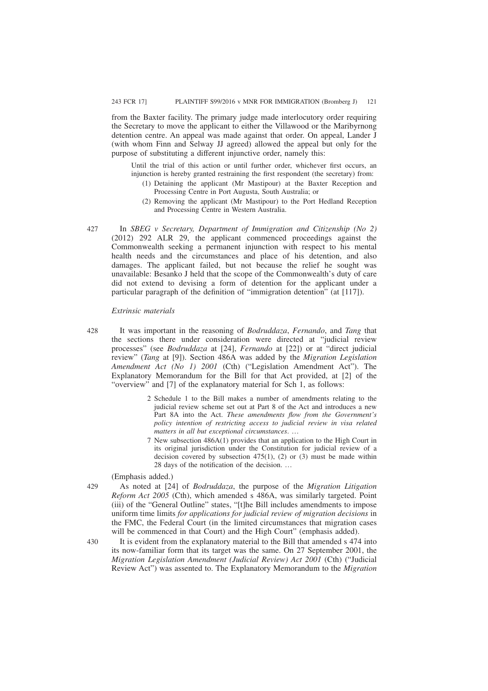from the Baxter facility. The primary judge made interlocutory order requiring the Secretary to move the applicant to either the Villawood or the Maribyrnong detention centre. An appeal was made against that order. On appeal, Lander J (with whom Finn and Selway JJ agreed) allowed the appeal but only for the purpose of substituting a different injunctive order, namely this:

Until the trial of this action or until further order, whichever first occurs, an injunction is hereby granted restraining the first respondent (the secretary) from:

- (1) Detaining the applicant (Mr Mastipour) at the Baxter Reception and Processing Centre in Port Augusta, South Australia; or
- (2) Removing the applicant (Mr Mastipour) to the Port Hedland Reception and Processing Centre in Western Australia.
- In *SBEG v Secretary, Department of Immigration and Citizenship (No 2)* (2012) 292 ALR 29, the applicant commenced proceedings against the Commonwealth seeking a permanent injunction with respect to his mental health needs and the circumstances and place of his detention, and also damages. The applicant failed, but not because the relief he sought was unavailable: Besanko J held that the scope of the Commonwealth's duty of care did not extend to devising a form of detention for the applicant under a particular paragraph of the definition of "immigration detention" (at [117]). 427

# *Extrinsic materials*

- It was important in the reasoning of *Bodruddaza*, *Fernando*, and *Tang* that the sections there under consideration were directed at "judicial review processes" (see *Bodruddaza* at [24], *Fernando* at [22]) or at "direct judicial review" (*Tang* at [9]). Section 486A was added by the *Migration Legislation Amendment Act (No 1) 2001* (Cth) ("Legislation Amendment Act"). The Explanatory Memorandum for the Bill for that Act provided, at [2] of the "overview" and [7] of the explanatory material for Sch 1, as follows: 428
	- 2 Schedule 1 to the Bill makes a number of amendments relating to the judicial review scheme set out at Part 8 of the Act and introduces a new Part 8A into the Act. *These amendments flow from the Government's policy intention of restricting access to judicial review in visa related matters in all but exceptional circumstances*. …
	- 7 New subsection 486A(1) provides that an application to the High Court in its original jurisdiction under the Constitution for judicial review of a decision covered by subsection  $475(1)$ , (2) or (3) must be made within 28 days of the notification of the decision. …

(Emphasis added.)

- As noted at [24] of *Bodruddaza*, the purpose of the *Migration Litigation Reform Act 2005* (Cth), which amended s 486A, was similarly targeted. Point (iii) of the "General Outline" states, "[t]he Bill includes amendments to impose uniform time limits *for applications for judicial review of migration decisions* in the FMC, the Federal Court (in the limited circumstances that migration cases will be commenced in that Court) and the High Court" (emphasis added). 429
- It is evident from the explanatory material to the Bill that amended s 474 into its now-familiar form that its target was the same. On 27 September 2001, the *Migration Legislation Amendment (Judicial Review) Act 2001* (Cth) ("Judicial Review Act") was assented to. The Explanatory Memorandum to the *Migration* 430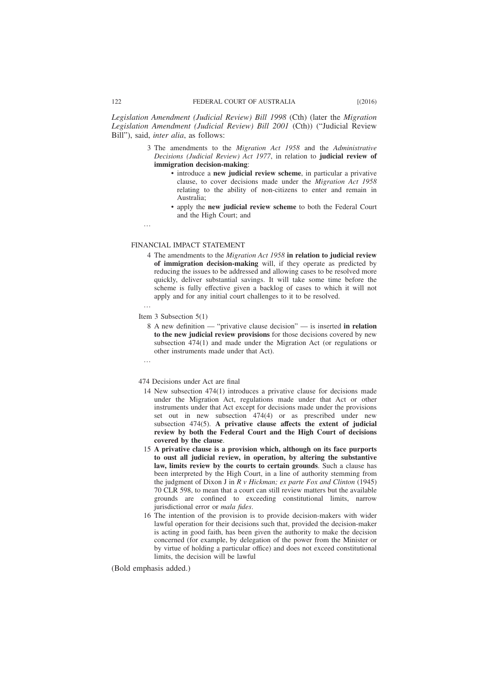*Legislation Amendment (Judicial Review) Bill 1998* (Cth) (later the *Migration Legislation Amendment (Judicial Review) Bill 2001* (Cth)) ("Judicial Review Bill"), said, *inter alia*, as follows:

- 3 The amendments to the *Migration Act 1958* and the *Administrative Decisions (Judicial Review) Act 1977*, in relation to **judicial review of immigration decision-making**:
	- introduce a **new judicial review scheme**, in particular a privative clause, to cover decisions made under the *Migration Act 1958* relating to the ability of non-citizens to enter and remain in Australia;
	- apply the **new judicial review scheme** to both the Federal Court and the High Court; and

### FINANCIAL IMPACT STATEMENT

- 4 The amendments to the *Migration Act 1958* **in relation to judicial review of immigration decision-making** will, if they operate as predicted by reducing the issues to be addressed and allowing cases to be resolved more quickly, deliver substantial savings. It will take some time before the scheme is fully effective given a backlog of cases to which it will not apply and for any initial court challenges to it to be resolved.
- …
- Item 3 Subsection 5(1)
	- 8 A new definition "privative clause decision" is inserted **in relation to the new judicial review provisions** for those decisions covered by new subsection 474(1) and made under the Migration Act (or regulations or other instruments made under that Act).
	- …

…

- 474 Decisions under Act are final
	- 14 New subsection 474(1) introduces a privative clause for decisions made under the Migration Act, regulations made under that Act or other instruments under that Act except for decisions made under the provisions set out in new subsection 474(4) or as prescribed under new subsection 474(5). **A privative clause affects the extent of judicial review by both the Federal Court and the High Court of decisions covered by the clause**.
	- 15 **A privative clause is a provision which, although on its face purports to oust all judicial review, in operation, by altering the substantive law, limits review by the courts to certain grounds**. Such a clause has been interpreted by the High Court, in a line of authority stemming from the judgment of Dixon J in *R v Hickman; ex parte Fox and Clinton* (1945) 70 CLR 598, to mean that a court can still review matters but the available grounds are confined to exceeding constitutional limits, narrow jurisdictional error or *mala fides*.
	- 16 The intention of the provision is to provide decision-makers with wider lawful operation for their decisions such that, provided the decision-maker is acting in good faith, has been given the authority to make the decision concerned (for example, by delegation of the power from the Minister or by virtue of holding a particular office) and does not exceed constitutional limits, the decision will be lawful

(Bold emphasis added.)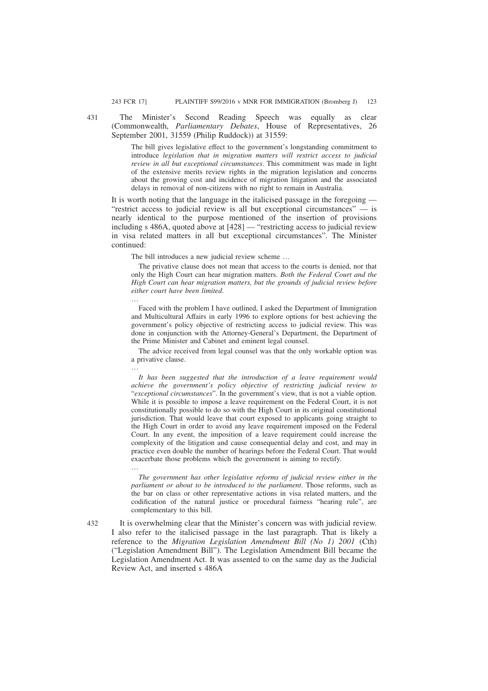The Minister's Second Reading Speech was equally as clear (Commonwealth, *Parliamentary Debates*, House of Representatives, 26 September 2001, 31559 (Philip Ruddock)) at 31559:

The bill gives legislative effect to the government's longstanding commitment to introduce *legislation that in migration matters will restrict access to judicial review in all but exceptional circumstances*. This commitment was made in light of the extensive merits review rights in the migration legislation and concerns about the growing cost and incidence of migration litigation and the associated delays in removal of non-citizens with no right to remain in Australia.

It is worth noting that the language in the italicised passage in the foregoing — "restrict access to judicial review is all but exceptional circumstances" — is nearly identical to the purpose mentioned of the insertion of provisions including s 486A, quoted above at [428] — "restricting access to judicial review in visa related matters in all but exceptional circumstances". The Minister continued:

The bill introduces a new judicial review scheme …

The privative clause does not mean that access to the courts is denied, nor that only the High Court can hear migration matters. *Both the Federal Court and the High Court can hear migration matters, but the grounds of judicial review before either court have been limited*.

Faced with the problem I have outlined, I asked the Department of Immigration and Multicultural Affairs in early 1996 to explore options for best achieving the government's policy objective of restricting access to judicial review. This was done in conjunction with the Attorney-General's Department, the Department of the Prime Minister and Cabinet and eminent legal counsel.

The advice received from legal counsel was that the only workable option was a privative clause.

…

…

*It has been suggested that the introduction of a leave requirement would achieve the government's policy objective of restricting judicial review to* "*exceptional circumstances*". In the government's view, that is not a viable option. While it is possible to impose a leave requirement on the Federal Court, it is not constitutionally possible to do so with the High Court in its original constitutional jurisdiction. That would leave that court exposed to applicants going straight to the High Court in order to avoid any leave requirement imposed on the Federal Court. In any event, the imposition of a leave requirement could increase the complexity of the litigation and cause consequential delay and cost, and may in practice even double the number of hearings before the Federal Court. That would exacerbate those problems which the government is aiming to rectify. …

*The government has other legislative reforms of judicial review either in the parliament or about to be introduced to the parliament*. Those reforms, such as the bar on class or other representative actions in visa related matters, and the codification of the natural justice or procedural fairness "hearing rule", are complementary to this bill.

432

It is overwhelming clear that the Minister's concern was with judicial review. I also refer to the italicised passage in the last paragraph. That is likely a reference to the *Migration Legislation Amendment Bill (No 1) 2001* (Cth) ("Legislation Amendment Bill"). The Legislation Amendment Bill became the Legislation Amendment Act. It was assented to on the same day as the Judicial Review Act, and inserted s 486A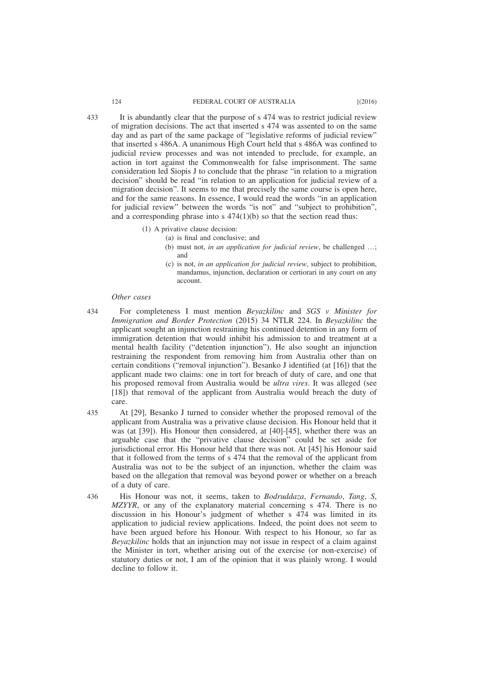### 124 **FEDERAL COURT OF AUSTRALIA** [(2016)

- It is abundantly clear that the purpose of s 474 was to restrict judicial review of migration decisions. The act that inserted s 474 was assented to on the same day and as part of the same package of "legislative reforms of judicial review" that inserted s 486A. A unanimous High Court held that s 486A was confined to judicial review processes and was not intended to preclude, for example, an action in tort against the Commonwealth for false imprisonment. The same consideration led Siopis J to conclude that the phrase "in relation to a migration decision" should be read "in relation to an application for judicial review of a migration decision". It seems to me that precisely the same course is open here, and for the same reasons. In essence, I would read the words "in an application for judicial review" between the words "is not" and "subject to prohibition", and a corresponding phrase into s  $474(1)(b)$  so that the section read thus:
	- (1) A privative clause decision:
		- (a) is final and conclusive; and
			- (b) must not, *in an application for judicial review*, be challenged …; and
			- (c) is not, *in an application for judicial review*, subject to prohibition, mandamus, injunction, declaration or certiorari in any court on any account.

## *Other cases*

- For completeness I must mention *Beyazkilinc* and *SGS v Minister for Immigration and Border Protection* (2015) 34 NTLR 224. In *Beyazkilinc* the applicant sought an injunction restraining his continued detention in any form of immigration detention that would inhibit his admission to and treatment at a mental health facility ("detention injunction"). He also sought an injunction restraining the respondent from removing him from Australia other than on certain conditions ("removal injunction"). Besanko J identified (at [16]) that the applicant made two claims: one in tort for breach of duty of care, and one that his proposed removal from Australia would be *ultra vires*. It was alleged (see [18]) that removal of the applicant from Australia would breach the duty of care. 434
- At [29], Besanko J turned to consider whether the proposed removal of the applicant from Australia was a privative clause decision. His Honour held that it was (at [39]). His Honour then considered, at [40]-[45], whether there was an arguable case that the "privative clause decision" could be set aside for jurisdictional error. His Honour held that there was not. At [45] his Honour said that it followed from the terms of s 474 that the removal of the applicant from Australia was not to be the subject of an injunction, whether the claim was based on the allegation that removal was beyond power or whether on a breach of a duty of care. 435
- His Honour was not, it seems, taken to *Bodruddaza*, *Fernando*, *Tang*, *S*, *MZYYR*, or any of the explanatory material concerning s 474. There is no discussion in his Honour's judgment of whether s 474 was limited in its application to judicial review applications. Indeed, the point does not seem to have been argued before his Honour. With respect to his Honour, so far as *Beyazkilinc* holds that an injunction may not issue in respect of a claim against the Minister in tort, whether arising out of the exercise (or non-exercise) of statutory duties or not, I am of the opinion that it was plainly wrong. I would decline to follow it. 436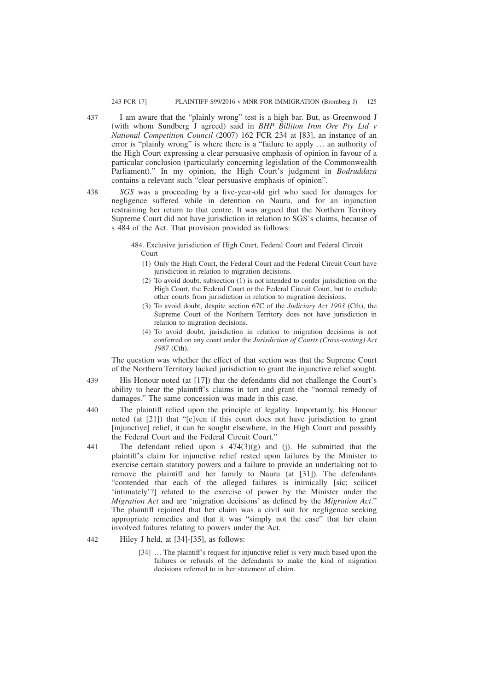### 243 FCR 17] PLAINTIFF S99/2016 v MNR FOR IMMIGRATION (Bromberg J) 125

- I am aware that the "plainly wrong" test is a high bar. But, as Greenwood J (with whom Sundberg J agreed) said in *BHP Billiton Iron Ore Pty Ltd v National Competition Council* (2007) 162 FCR 234 at [83], an instance of an error is "plainly wrong" is where there is a "failure to apply … an authority of the High Court expressing a clear persuasive emphasis of opinion in favour of a particular conclusion (particularly concerning legislation of the Commonwealth Parliament)." In my opinion, the High Court's judgment in *Bodruddaza* contains a relevant such "clear persuasive emphasis of opinion". 437
- *SGS* was a proceeding by a five-year-old girl who sued for damages for negligence suffered while in detention on Nauru, and for an injunction restraining her return to that centre. It was argued that the Northern Territory Supreme Court did not have jurisdiction in relation to SGS's claims, because of s 484 of the Act. That provision provided as follows: 438

484. Exclusive jurisdiction of High Court, Federal Court and Federal Circuit Court

- (1) Only the High Court, the Federal Court and the Federal Circuit Court have jurisdiction in relation to migration decisions.
- (2) To avoid doubt, subsection (1) is not intended to confer jurisdiction on the High Court, the Federal Court or the Federal Circuit Court, but to exclude other courts from jurisdiction in relation to migration decisions.
- (3) To avoid doubt, despite section 67C of the *Judiciary Act 1903* (Cth), the Supreme Court of the Northern Territory does not have jurisdiction in relation to migration decisions.
- (4) To avoid doubt, jurisdiction in relation to migration decisions is not conferred on any court under the *Jurisdiction of Courts (Cross-vesting) Act 1987* (Cth).

The question was whether the effect of that section was that the Supreme Court of the Northern Territory lacked jurisdiction to grant the injunctive relief sought.

- His Honour noted (at [17]) that the defendants did not challenge the Court's ability to hear the plaintiff's claims in tort and grant the "normal remedy of damages." The same concession was made in this case. 439
- The plaintiff relied upon the principle of legality. Importantly, his Honour noted (at [21]) that "[e]ven if this court does not have jurisdiction to grant [injunctive] relief, it can be sought elsewhere, in the High Court and possibly the Federal Court and the Federal Circuit Court." 440
- The defendant relied upon s  $474(3)(g)$  and (j). He submitted that the plaintiff's claim for injunctive relief rested upon failures by the Minister to exercise certain statutory powers and a failure to provide an undertaking not to remove the plaintiff and her family to Nauru (at [31]). The defendants "contended that each of the alleged failures is inimically [sic; scilicet 'intimately'?] related to the exercise of power by the Minister under the *Migration Act* and are 'migration decisions' as defined by the *Migration Act*." The plaintiff rejoined that her claim was a civil suit for negligence seeking appropriate remedies and that it was "simply not the case" that her claim involved failures relating to powers under the Act. 441

#### Hiley J held, at [34]-[35], as follows: 442

[34] ... The plaintiff's request for injunctive relief is very much based upon the failures or refusals of the defendants to make the kind of migration decisions referred to in her statement of claim.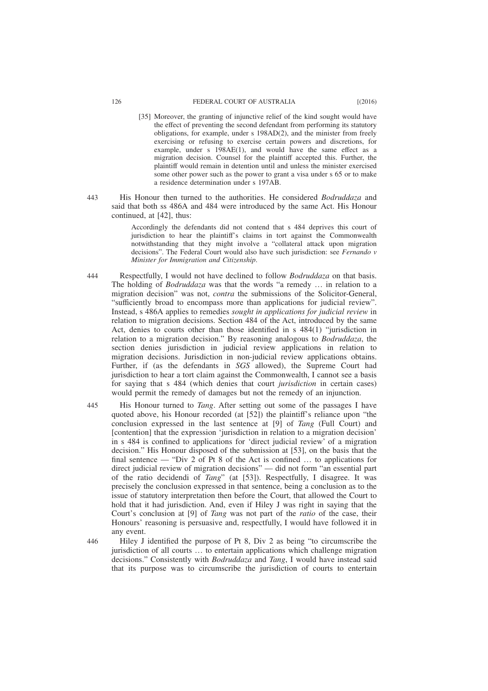### 126 FEDERAL COURT OF AUSTRALIA [(2016)

- [35] Moreover, the granting of injunctive relief of the kind sought would have the effect of preventing the second defendant from performing its statutory obligations, for example, under s 198AD(2), and the minister from freely exercising or refusing to exercise certain powers and discretions, for example, under s 198AE(1), and would have the same effect as a migration decision. Counsel for the plaintiff accepted this. Further, the plaintiff would remain in detention until and unless the minister exercised some other power such as the power to grant a visa under s 65 or to make a residence determination under s 197AB.
- His Honour then turned to the authorities. He considered *Bodruddaza* and said that both ss 486A and 484 were introduced by the same Act. His Honour continued, at [42], thus: 443

Accordingly the defendants did not contend that s 484 deprives this court of jurisdiction to hear the plaintiff's claims in tort against the Commonwealth notwithstanding that they might involve a "collateral attack upon migration decisions". The Federal Court would also have such jurisdiction: see *Fernando v Minister for Immigration and Citizenship*.

- Respectfully, I would not have declined to follow *Bodruddaza* on that basis. The holding of *Bodruddaza* was that the words "a remedy … in relation to a migration decision" was not, *contra* the submissions of the Solicitor-General, "sufficiently broad to encompass more than applications for judicial review". Instead, s 486A applies to remedies *sought in applications for judicial review* in relation to migration decisions. Section 484 of the Act, introduced by the same Act, denies to courts other than those identified in s 484(1) "jurisdiction in relation to a migration decision." By reasoning analogous to *Bodruddaza*, the section denies jurisdiction in judicial review applications in relation to migration decisions. Jurisdiction in non-judicial review applications obtains. Further, if (as the defendants in *SGS* allowed), the Supreme Court had jurisdiction to hear a tort claim against the Commonwealth, I cannot see a basis for saying that s 484 (which denies that court *jurisdiction* in certain cases) would permit the remedy of damages but not the remedy of an injunction. 444
- His Honour turned to *Tang*. After setting out some of the passages I have quoted above, his Honour recorded (at [52]) the plaintiff's reliance upon "the conclusion expressed in the last sentence at [9] of *Tang* (Full Court) and [contention] that the expression 'jurisdiction in relation to a migration decision' in s 484 is confined to applications for 'direct judicial review' of a migration decision." His Honour disposed of the submission at [53], on the basis that the final sentence — "Div 2 of Pt 8 of the Act is confined … to applications for direct judicial review of migration decisions" — did not form "an essential part of the ratio decidendi of *Tang*" (at [53]). Respectfully, I disagree. It was precisely the conclusion expressed in that sentence, being a conclusion as to the issue of statutory interpretation then before the Court, that allowed the Court to hold that it had jurisdiction. And, even if Hiley J was right in saying that the Court's conclusion at [9] of *Tang* was not part of the *ratio* of the case, their Honours' reasoning is persuasive and, respectfully, I would have followed it in any event. 445
- Hiley J identified the purpose of Pt 8, Div 2 as being "to circumscribe the jurisdiction of all courts … to entertain applications which challenge migration decisions." Consistently with *Bodruddaza* and *Tang*, I would have instead said that its purpose was to circumscribe the jurisdiction of courts to entertain 446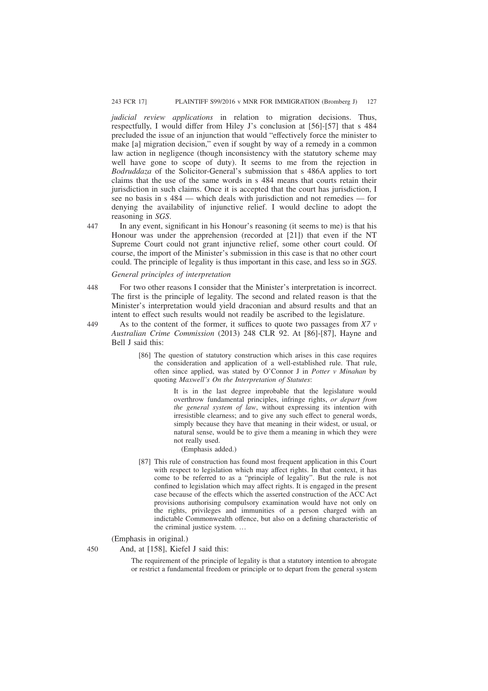### 243 FCR 17] PLAINTIFF S99/2016 v MNR FOR IMMIGRATION (Bromberg J) 127

*judicial review applications* in relation to migration decisions. Thus, respectfully, I would differ from Hiley J's conclusion at [56]-[57] that s 484 precluded the issue of an injunction that would "effectively force the minister to make [a] migration decision," even if sought by way of a remedy in a common law action in negligence (though inconsistency with the statutory scheme may well have gone to scope of duty). It seems to me from the rejection in *Bodruddaza* of the Solicitor-General's submission that s 486A applies to tort claims that the use of the same words in s 484 means that courts retain their jurisdiction in such claims. Once it is accepted that the court has jurisdiction, I see no basis in s 484 — which deals with jurisdiction and not remedies — for denying the availability of injunctive relief. I would decline to adopt the reasoning in *SGS*.

In any event, significant in his Honour's reasoning (it seems to me) is that his Honour was under the apprehension (recorded at [21]) that even if the NT Supreme Court could not grant injunctive relief, some other court could. Of course, the import of the Minister's submission in this case is that no other court could. The principle of legality is thus important in this case, and less so in *SGS*. 447

*General principles of interpretation*

- For two other reasons I consider that the Minister's interpretation is incorrect. The first is the principle of legality. The second and related reason is that the Minister's interpretation would yield draconian and absurd results and that an intent to effect such results would not readily be ascribed to the legislature. 448
	- As to the content of the former, it suffices to quote two passages from *X7 v Australian Crime Commission* (2013) 248 CLR 92. At [86]-[87], Hayne and Bell J said this:
		- [86] The question of statutory construction which arises in this case requires the consideration and application of a well-established rule. That rule, often since applied, was stated by O'Connor J in *Potter v Minahan* by quoting *Maxwell's On the Interpretation of Statutes*:

It is in the last degree improbable that the legislature would overthrow fundamental principles, infringe rights, *or depart from the general system of law*, without expressing its intention with irresistible clearness; and to give any such effect to general words, simply because they have that meaning in their widest, or usual, or natural sense, would be to give them a meaning in which they were not really used.

- (Emphasis added.)
- [87] This rule of construction has found most frequent application in this Court with respect to legislation which may affect rights. In that context, it has come to be referred to as a "principle of legality". But the rule is not confined to legislation which may affect rights. It is engaged in the present case because of the effects which the asserted construction of the ACC Act provisions authorising compulsory examination would have not only on the rights, privileges and immunities of a person charged with an indictable Commonwealth offence, but also on a defining characteristic of the criminal justice system. …
- (Emphasis in original.)

And, at [158], Kiefel J said this:

The requirement of the principle of legality is that a statutory intention to abrogate or restrict a fundamental freedom or principle or to depart from the general system

449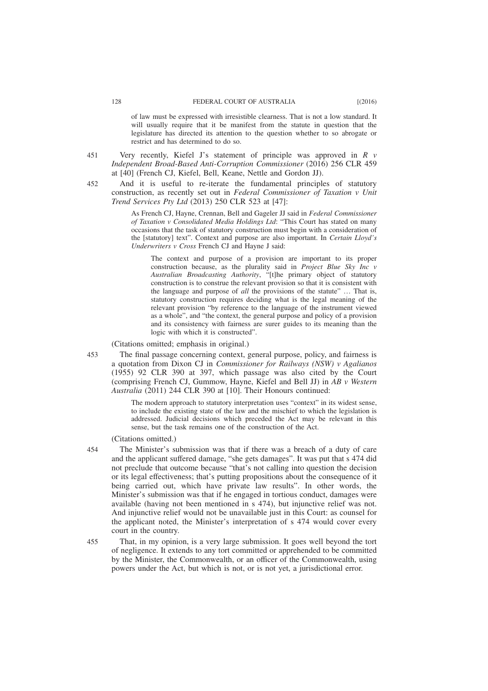of law must be expressed with irresistible clearness. That is not a low standard. It will usually require that it be manifest from the statute in question that the legislature has directed its attention to the question whether to so abrogate or restrict and has determined to do so.

- Very recently, Kiefel J's statement of principle was approved in *R v Independent Broad-Based Anti-Corruption Commissioner* (2016) 256 CLR 459 at [40] (French CJ, Kiefel, Bell, Keane, Nettle and Gordon JJ). 451
	- And it is useful to re-iterate the fundamental principles of statutory construction, as recently set out in *Federal Commissioner of Taxation v Unit Trend Services Pty Ltd* (2013) 250 CLR 523 at [47]:

As French CJ, Hayne, Crennan, Bell and Gageler JJ said in *Federal Commissioner of Taxation v Consolidated Media Holdings Ltd*: "This Court has stated on many occasions that the task of statutory construction must begin with a consideration of the [statutory] text". Context and purpose are also important. In *Certain Lloyd's Underwriters v Cross* French CJ and Hayne J said:

The context and purpose of a provision are important to its proper construction because, as the plurality said in *Project Blue Sky Inc v Australian Broadcasting Authority*, "[t]he primary object of statutory construction is to construe the relevant provision so that it is consistent with the language and purpose of *all* the provisions of the statute" … That is, statutory construction requires deciding what is the legal meaning of the relevant provision "by reference to the language of the instrument viewed as a whole", and "the context, the general purpose and policy of a provision and its consistency with fairness are surer guides to its meaning than the logic with which it is constructed".

- (Citations omitted; emphasis in original.)
- The final passage concerning context, general purpose, policy, and fairness is a quotation from Dixon CJ in *Commissioner for Railways (NSW) v Agalianos* (1955) 92 CLR 390 at 397, which passage was also cited by the Court (comprising French CJ, Gummow, Hayne, Kiefel and Bell JJ) in *AB v Western Australia* (2011) 244 CLR 390 at [10]. Their Honours continued: 453

The modern approach to statutory interpretation uses "context" in its widest sense, to include the existing state of the law and the mischief to which the legislation is addressed. Judicial decisions which preceded the Act may be relevant in this sense, but the task remains one of the construction of the Act.

(Citations omitted.)

- The Minister's submission was that if there was a breach of a duty of care and the applicant suffered damage, "she gets damages". It was put that s 474 did not preclude that outcome because "that's not calling into question the decision or its legal effectiveness; that's putting propositions about the consequence of it being carried out, which have private law results". In other words, the Minister's submission was that if he engaged in tortious conduct, damages were available (having not been mentioned in s 474), but injunctive relief was not. And injunctive relief would not be unavailable just in this Court: as counsel for the applicant noted, the Minister's interpretation of s 474 would cover every court in the country. 454
- That, in my opinion, is a very large submission. It goes well beyond the tort of negligence. It extends to any tort committed or apprehended to be committed by the Minister, the Commonwealth, or an officer of the Commonwealth, using powers under the Act, but which is not, or is not yet, a jurisdictional error. 455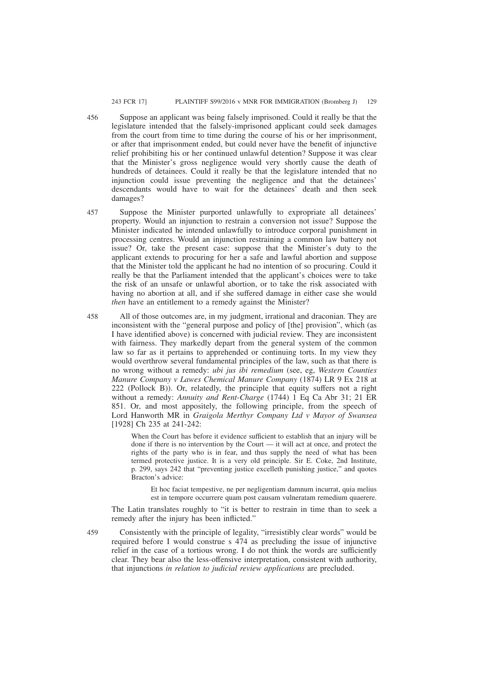### 243 FCR 17] PLAINTIFF S99/2016 v MNR FOR IMMIGRATION (Bromberg J) 129

- Suppose an applicant was being falsely imprisoned. Could it really be that the legislature intended that the falsely-imprisoned applicant could seek damages from the court from time to time during the course of his or her imprisonment, or after that imprisonment ended, but could never have the benefit of injunctive relief prohibiting his or her continued unlawful detention? Suppose it was clear that the Minister's gross negligence would very shortly cause the death of hundreds of detainees. Could it really be that the legislature intended that no injunction could issue preventing the negligence and that the detainees' descendants would have to wait for the detainees' death and then seek damages? 456
- Suppose the Minister purported unlawfully to expropriate all detainees' property. Would an injunction to restrain a conversion not issue? Suppose the Minister indicated he intended unlawfully to introduce corporal punishment in processing centres. Would an injunction restraining a common law battery not issue? Or, take the present case: suppose that the Minister's duty to the applicant extends to procuring for her a safe and lawful abortion and suppose that the Minister told the applicant he had no intention of so procuring. Could it really be that the Parliament intended that the applicant's choices were to take the risk of an unsafe or unlawful abortion, or to take the risk associated with having no abortion at all, and if she suffered damage in either case she would *then* have an entitlement to a remedy against the Minister? 457
- All of those outcomes are, in my judgment, irrational and draconian. They are inconsistent with the "general purpose and policy of [the] provision", which (as I have identified above) is concerned with judicial review. They are inconsistent with fairness. They markedly depart from the general system of the common law so far as it pertains to apprehended or continuing torts. In my view they would overthrow several fundamental principles of the law, such as that there is no wrong without a remedy: *ubi jus ibi remedium* (see, eg, *Western Counties Manure Company v Lawes Chemical Manure Company* (1874) LR 9 Ex 218 at 222 (Pollock B)). Or, relatedly, the principle that equity suffers not a right without a remedy: *Annuity and Rent-Charge* (1744) 1 Eq Ca Abr 31; 21 ER 851. Or, and most appositely, the following principle, from the speech of Lord Hanworth MR in *Graigola Merthyr Company Ltd v Mayor of Swansea* [1928] Ch 235 at 241-242: 458

When the Court has before it evidence sufficient to establish that an injury will be done if there is no intervention by the Court — it will act at once, and protect the rights of the party who is in fear, and thus supply the need of what has been termed protective justice. It is a very old principle. Sir E. Coke, 2nd Institute, p. 299, says 242 that "preventing justice excelleth punishing justice," and quotes Bracton's advice:

Et hoc faciat tempestive, ne per negligentiam damnum incurrat, quia melius est in tempore occurrere quam post causam vulneratam remedium quaerere.

The Latin translates roughly to "it is better to restrain in time than to seek a remedy after the injury has been inflicted."

Consistently with the principle of legality, "irresistibly clear words" would be required before I would construe s 474 as precluding the issue of injunctive relief in the case of a tortious wrong. I do not think the words are sufficiently clear. They bear also the less-offensive interpretation, consistent with authority, that injunctions *in relation to judicial review applications* are precluded. 459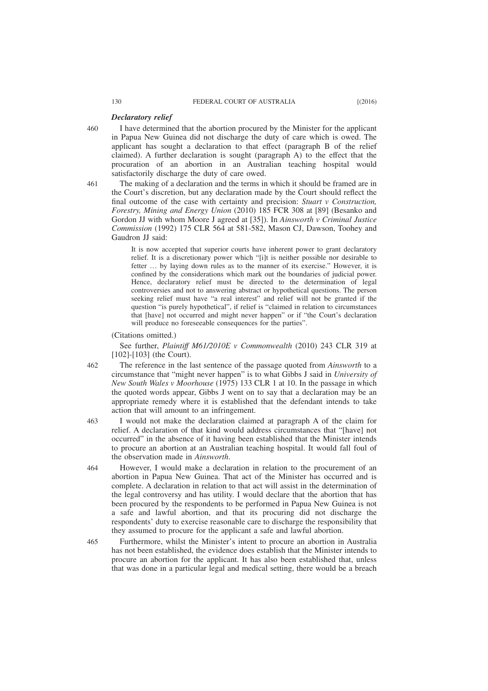### *Declaratory relief*

I have determined that the abortion procured by the Minister for the applicant in Papua New Guinea did not discharge the duty of care which is owed. The applicant has sought a declaration to that effect (paragraph B of the relief claimed). A further declaration is sought (paragraph A) to the effect that the procuration of an abortion in an Australian teaching hospital would satisfactorily discharge the duty of care owed.

461

460

The making of a declaration and the terms in which it should be framed are in the Court's discretion, but any declaration made by the Court should reflect the final outcome of the case with certainty and precision: *Stuart v Construction, Forestry, Mining and Energy Union* (2010) 185 FCR 308 at [89] (Besanko and Gordon JJ with whom Moore J agreed at [35]). In *Ainsworth v Criminal Justice Commission* (1992) 175 CLR 564 at 581-582, Mason CJ, Dawson, Toohey and Gaudron JJ said:

It is now accepted that superior courts have inherent power to grant declaratory relief. It is a discretionary power which "[i]t is neither possible nor desirable to fetter … by laying down rules as to the manner of its exercise." However, it is confined by the considerations which mark out the boundaries of judicial power. Hence, declaratory relief must be directed to the determination of legal controversies and not to answering abstract or hypothetical questions. The person seeking relief must have "a real interest" and relief will not be granted if the question "is purely hypothetical", if relief is "claimed in relation to circumstances that [have] not occurred and might never happen" or if "the Court's declaration will produce no foreseeable consequences for the parties".

(Citations omitted.)

See further, *Plaintiff M61/2010E v Commonwealth* (2010) 243 CLR 319 at [102]-[103] (the Court).

The reference in the last sentence of the passage quoted from *Ainsworth* to a circumstance that "might never happen" is to what Gibbs J said in *University of New South Wales v Moorhouse* (1975) 133 CLR 1 at 10. In the passage in which the quoted words appear, Gibbs J went on to say that a declaration may be an appropriate remedy where it is established that the defendant intends to take action that will amount to an infringement. 462

I would not make the declaration claimed at paragraph A of the claim for relief. A declaration of that kind would address circumstances that "[have] not occurred" in the absence of it having been established that the Minister intends to procure an abortion at an Australian teaching hospital. It would fall foul of the observation made in *Ainsworth*. 463

- However, I would make a declaration in relation to the procurement of an abortion in Papua New Guinea. That act of the Minister has occurred and is complete. A declaration in relation to that act will assist in the determination of the legal controversy and has utility. I would declare that the abortion that has been procured by the respondents to be performed in Papua New Guinea is not a safe and lawful abortion, and that its procuring did not discharge the respondents' duty to exercise reasonable care to discharge the responsibility that they assumed to procure for the applicant a safe and lawful abortion. 464
- Furthermore, whilst the Minister's intent to procure an abortion in Australia has not been established, the evidence does establish that the Minister intends to procure an abortion for the applicant. It has also been established that, unless that was done in a particular legal and medical setting, there would be a breach 465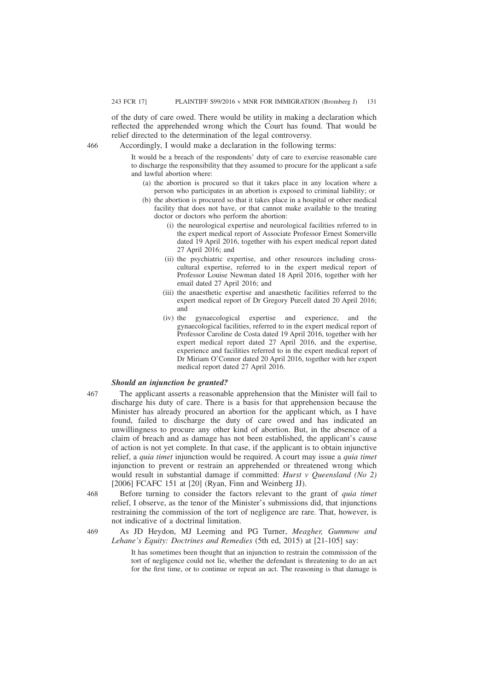of the duty of care owed. There would be utility in making a declaration which reflected the apprehended wrong which the Court has found. That would be relief directed to the determination of the legal controversy.

Accordingly, I would make a declaration in the following terms:

It would be a breach of the respondents' duty of care to exercise reasonable care to discharge the responsibility that they assumed to procure for the applicant a safe and lawful abortion where:

- (a) the abortion is procured so that it takes place in any location where a person who participates in an abortion is exposed to criminal liability; or
- (b) the abortion is procured so that it takes place in a hospital or other medical facility that does not have, or that cannot make available to the treating doctor or doctors who perform the abortion:
	- (i) the neurological expertise and neurological facilities referred to in the expert medical report of Associate Professor Ernest Somerville dated 19 April 2016, together with his expert medical report dated 27 April 2016; and
	- (ii) the psychiatric expertise, and other resources including crosscultural expertise, referred to in the expert medical report of Professor Louise Newman dated 18 April 2016, together with her email dated 27 April 2016; and
	- (iii) the anaesthetic expertise and anaesthetic facilities referred to the expert medical report of Dr Gregory Purcell dated 20 April 2016; and
	- (iv) the gynaecological expertise and experience, and the gynaecological facilities, referred to in the expert medical report of Professor Caroline de Costa dated 19 April 2016, together with her expert medical report dated 27 April 2016, and the expertise, experience and facilities referred to in the expert medical report of Dr Miriam O'Connor dated 20 April 2016, together with her expert medical report dated 27 April 2016.

# *Should an injunction be granted?*

- The applicant asserts a reasonable apprehension that the Minister will fail to discharge his duty of care. There is a basis for that apprehension because the Minister has already procured an abortion for the applicant which, as I have found, failed to discharge the duty of care owed and has indicated an unwillingness to procure any other kind of abortion. But, in the absence of a claim of breach and as damage has not been established, the applicant's cause of action is not yet complete. In that case, if the applicant is to obtain injunctive relief, a *quia timet* injunction would be required. A court may issue a *quia timet* injunction to prevent or restrain an apprehended or threatened wrong which would result in substantial damage if committed: *Hurst v Queensland (No 2)* [2006] FCAFC 151 at [20] (Ryan, Finn and Weinberg JJ). 467
- Before turning to consider the factors relevant to the grant of *quia timet* relief, I observe, as the tenor of the Minister's submissions did, that injunctions restraining the commission of the tort of negligence are rare. That, however, is not indicative of a doctrinal limitation. 468

As JD Heydon, MJ Leeming and PG Turner, *Meagher, Gummow and Lehane's Equity: Doctrines and Remedies* (5th ed, 2015) at [21-105] say:

It has sometimes been thought that an injunction to restrain the commission of the tort of negligence could not lie, whether the defendant is threatening to do an act for the first time, or to continue or repeat an act. The reasoning is that damage is

466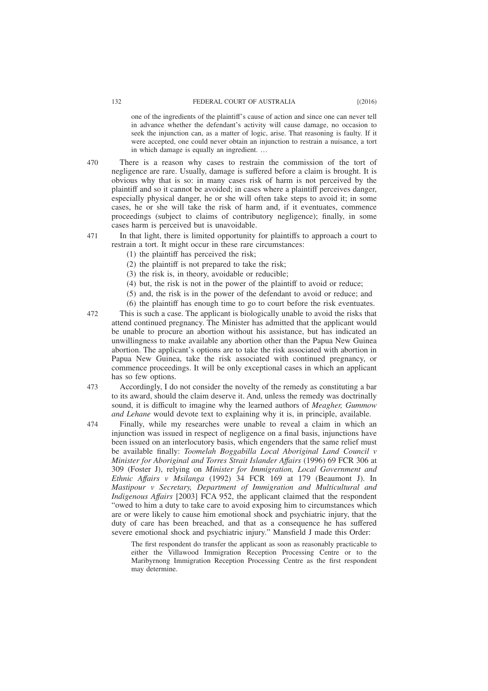one of the ingredients of the plaintiff's cause of action and since one can never tell in advance whether the defendant's activity will cause damage, no occasion to seek the injunction can, as a matter of logic, arise. That reasoning is faulty. If it were accepted, one could never obtain an injunction to restrain a nuisance, a tort in which damage is equally an ingredient. …

There is a reason why cases to restrain the commission of the tort of negligence are rare. Usually, damage is suffered before a claim is brought. It is obvious why that is so: in many cases risk of harm is not perceived by the plaintiff and so it cannot be avoided; in cases where a plaintiff perceives danger, especially physical danger, he or she will often take steps to avoid it; in some cases, he or she will take the risk of harm and, if it eventuates, commence proceedings (subject to claims of contributory negligence); finally, in some cases harm is perceived but is unavoidable. 470

- In that light, there is limited opportunity for plaintiffs to approach a court to restrain a tort. It might occur in these rare circumstances: 471
	- (1) the plaintiff has perceived the risk;
	- (2) the plaintiff is not prepared to take the risk;
	- (3) the risk is, in theory, avoidable or reducible;
	- (4) but, the risk is not in the power of the plaintiff to avoid or reduce;
	- (5) and, the risk is in the power of the defendant to avoid or reduce; and
	- (6) the plaintiff has enough time to go to court before the risk eventuates.
- This is such a case. The applicant is biologically unable to avoid the risks that attend continued pregnancy. The Minister has admitted that the applicant would be unable to procure an abortion without his assistance, but has indicated an unwillingness to make available any abortion other than the Papua New Guinea abortion. The applicant's options are to take the risk associated with abortion in Papua New Guinea, take the risk associated with continued pregnancy, or commence proceedings. It will be only exceptional cases in which an applicant has so few options. 472
- Accordingly, I do not consider the novelty of the remedy as constituting a bar to its award, should the claim deserve it. And, unless the remedy was doctrinally sound, it is difficult to imagine why the learned authors of *Meagher, Gummow and Lehane* would devote text to explaining why it is, in principle, available. 473
- Finally, while my researches were unable to reveal a claim in which an injunction was issued in respect of negligence on a final basis, injunctions have been issued on an interlocutory basis, which engenders that the same relief must be available finally: *Toomelah Boggabilla Local Aboriginal Land Council v Minister for Aboriginal and Torres Strait Islander Affairs* (1996) 69 FCR 306 at 309 (Foster J), relying on *Minister for Immigration, Local Government and Ethnic Affairs v Msilanga* (1992) 34 FCR 169 at 179 (Beaumont J). In *Mastipour v Secretary, Department of Immigration and Multicultural and Indigenous Affairs* [2003] FCA 952, the applicant claimed that the respondent "owed to him a duty to take care to avoid exposing him to circumstances which are or were likely to cause him emotional shock and psychiatric injury, that the duty of care has been breached, and that as a consequence he has suffered severe emotional shock and psychiatric injury." Mansfield J made this Order: 474

The first respondent do transfer the applicant as soon as reasonably practicable to either the Villawood Immigration Reception Processing Centre or to the Maribyrnong Immigration Reception Processing Centre as the first respondent may determine.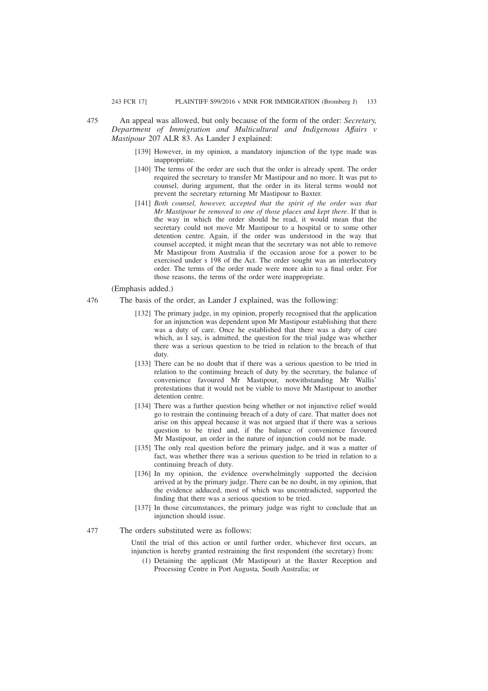- An appeal was allowed, but only because of the form of the order: *Secretary, Department of Immigration and Multicultural and Indigenous Affairs v Mastipour* 207 ALR 83. As Lander J explained:
	- [139] However, in my opinion, a mandatory injunction of the type made was inappropriate.
	- [140] The terms of the order are such that the order is already spent. The order required the secretary to transfer Mr Mastipour and no more. It was put to counsel, during argument, that the order in its literal terms would not prevent the secretary returning Mr Mastipour to Baxter.
	- [141] *Both counsel, however, accepted that the spirit of the order was that Mr Mastipour be removed to one of those places and kept there*. If that is the way in which the order should be read, it would mean that the secretary could not move Mr Mastipour to a hospital or to some other detention centre. Again, if the order was understood in the way that counsel accepted, it might mean that the secretary was not able to remove Mr Mastipour from Australia if the occasion arose for a power to be exercised under s 198 of the Act. The order sought was an interlocutory order. The terms of the order made were more akin to a final order. For those reasons, the terms of the order were inappropriate.
	- (Emphasis added.)
- The basis of the order, as Lander J explained, was the following: 476
	- [132] The primary judge, in my opinion, properly recognised that the application for an injunction was dependent upon Mr Mastipour establishing that there was a duty of care. Once he established that there was a duty of care which, as I say, is admitted, the question for the trial judge was whether there was a serious question to be tried in relation to the breach of that duty.
	- [133] There can be no doubt that if there was a serious question to be tried in relation to the continuing breach of duty by the secretary, the balance of convenience favoured Mr Mastipour, notwithstanding Mr Wallis' protestations that it would not be viable to move Mr Mastipour to another detention centre.
	- [134] There was a further question being whether or not injunctive relief would go to restrain the continuing breach of a duty of care. That matter does not arise on this appeal because it was not argued that if there was a serious question to be tried and, if the balance of convenience favoured Mr Mastipour, an order in the nature of injunction could not be made.
	- [135] The only real question before the primary judge, and it was a matter of fact, was whether there was a serious question to be tried in relation to a continuing breach of duty.
	- [136] In my opinion, the evidence overwhelmingly supported the decision arrived at by the primary judge. There can be no doubt, in my opinion, that the evidence adduced, most of which was uncontradicted, supported the finding that there was a serious question to be tried.
	- [137] In those circumstances, the primary judge was right to conclude that an injunction should issue.
- The orders substituted were as follows: 477

Until the trial of this action or until further order, whichever first occurs, an injunction is hereby granted restraining the first respondent (the secretary) from:

(1) Detaining the applicant (Mr Mastipour) at the Baxter Reception and Processing Centre in Port Augusta, South Australia; or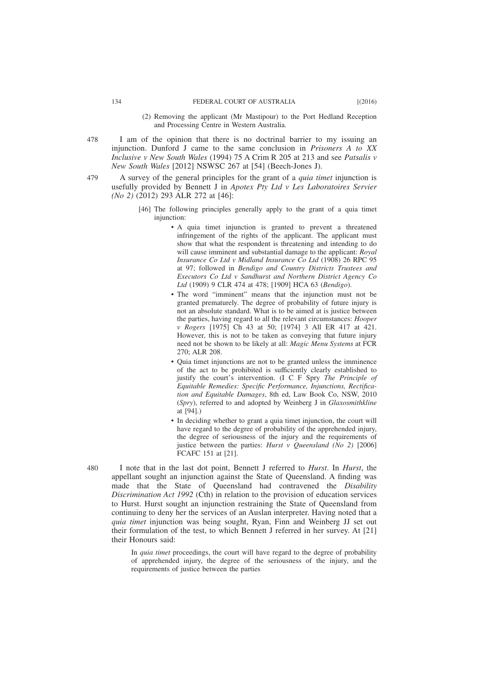- (2) Removing the applicant (Mr Mastipour) to the Port Hedland Reception and Processing Centre in Western Australia.
- I am of the opinion that there is no doctrinal barrier to my issuing an injunction. Dunford J came to the same conclusion in *Prisoners A to XX Inclusive v New South Wales* (1994) 75 A Crim R 205 at 213 and see *Patsalis v New South Wales* [2012] NSWSC 267 at [54] (Beech-Jones J). 478
- A survey of the general principles for the grant of a *quia timet* injunction is usefully provided by Bennett J in *Apotex Pty Ltd v Les Laboratoires Servier (No 2)* (2012) 293 ALR 272 at [46]: 479
	- [46] The following principles generally apply to the grant of a quia timet injunction:
		- A quia timet injunction is granted to prevent a threatened infringement of the rights of the applicant. The applicant must show that what the respondent is threatening and intending to do will cause imminent and substantial damage to the applicant: *Royal Insurance Co Ltd v Midland Insurance Co Ltd* (1908) 26 RPC 95 at 97; followed in *Bendigo and Country Districts Trustees and Executors Co Ltd v Sandhurst and Northern District Agency Co Ltd* (1909) 9 CLR 474 at 478; [1909] HCA 63 (*Bendigo*).
		- The word "imminent" means that the injunction must not be granted prematurely. The degree of probability of future injury is not an absolute standard. What is to be aimed at is justice between the parties, having regard to all the relevant circumstances: *Hooper v Rogers* [1975] Ch 43 at 50; [1974] 3 All ER 417 at 421. However, this is not to be taken as conveying that future injury need not be shown to be likely at all: *Magic Menu Systems* at FCR 270; ALR 208.
		- Quia timet injunctions are not to be granted unless the imminence of the act to be prohibited is sufficiently clearly established to justify the court's intervention. (I C F Spry *The Principle of Equitable Remedies: Specific Performance, Injunctions, Rectification and Equitable Damages*, 8th ed, Law Book Co, NSW, 2010 (*Spry*), referred to and adopted by Weinberg J in *Glaxosmithkline* at [94].)
		- In deciding whether to grant a quia timet injunction, the court will have regard to the degree of probability of the apprehended injury, the degree of seriousness of the injury and the requirements of justice between the parties: *Hurst v Queensland (No 2)* [2006] FCAFC 151 at [21].
	- I note that in the last dot point, Bennett J referred to *Hurst*. In *Hurst*, the appellant sought an injunction against the State of Queensland. A finding was made that the State of Queensland had contravened the *Disability Discrimination Act 1992* (Cth) in relation to the provision of education services to Hurst. Hurst sought an injunction restraining the State of Queensland from continuing to deny her the services of an Auslan interpreter. Having noted that a *quia timet* injunction was being sought, Ryan, Finn and Weinberg JJ set out their formulation of the test, to which Bennett J referred in her survey. At [21] their Honours said:

In *quia timet* proceedings, the court will have regard to the degree of probability of apprehended injury, the degree of the seriousness of the injury, and the requirements of justice between the parties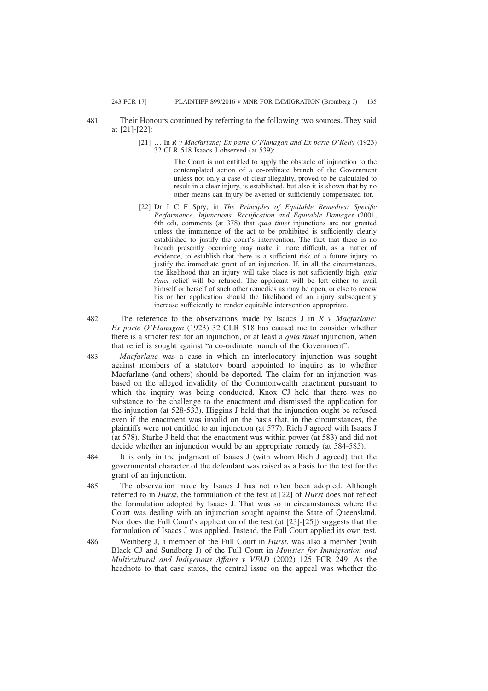- Their Honours continued by referring to the following two sources. They said at [21]-[22]:
	- [21] … In *R v Macfarlane; Ex parte O'Flanagan and Ex parte O'Kelly* (1923) 32 CLR 518 Isaacs J observed (at 539):

The Court is not entitled to apply the obstacle of injunction to the contemplated action of a co-ordinate branch of the Government unless not only a case of clear illegality, proved to be calculated to result in a clear injury, is established, but also it is shown that by no other means can injury be averted or sufficiently compensated for.

- [22] Dr I C F Spry, in *The Principles of Equitable Remedies: Specific Performance, Injunctions, Rectification and Equitable Damages* (2001, 6th ed), comments (at 378) that *quia timet* injunctions are not granted unless the imminence of the act to be prohibited is sufficiently clearly established to justify the court's intervention. The fact that there is no breach presently occurring may make it more difficult, as a matter of evidence, to establish that there is a sufficient risk of a future injury to justify the immediate grant of an injunction. If, in all the circumstances, the likelihood that an injury will take place is not sufficiently high, *quia timet* relief will be refused. The applicant will be left either to avail himself or herself of such other remedies as may be open, or else to renew his or her application should the likelihood of an injury subsequently increase sufficiently to render equitable intervention appropriate.
- The reference to the observations made by Isaacs J in *R v Macfarlane; Ex parte O'Flanagan* (1923) 32 CLR 518 has caused me to consider whether there is a stricter test for an injunction, or at least a *quia timet* injunction, when that relief is sought against "a co-ordinate branch of the Government". 482
- *Macfarlane* was a case in which an interlocutory injunction was sought against members of a statutory board appointed to inquire as to whether Macfarlane (and others) should be deported. The claim for an injunction was based on the alleged invalidity of the Commonwealth enactment pursuant to which the inquiry was being conducted. Knox CJ held that there was no substance to the challenge to the enactment and dismissed the application for the injunction (at 528-533). Higgins J held that the injunction ought be refused even if the enactment was invalid on the basis that, in the circumstances, the plaintiffs were not entitled to an injunction (at 577). Rich J agreed with Isaacs J (at 578). Starke J held that the enactment was within power (at 583) and did not decide whether an injunction would be an appropriate remedy (at 584-585). 483
- It is only in the judgment of Isaacs J (with whom Rich J agreed) that the governmental character of the defendant was raised as a basis for the test for the grant of an injunction. 484
- The observation made by Isaacs J has not often been adopted. Although referred to in *Hurst*, the formulation of the test at [22] of *Hurst* does not reflect the formulation adopted by Isaacs J. That was so in circumstances where the Court was dealing with an injunction sought against the State of Queensland. Nor does the Full Court's application of the test (at [23]-[25]) suggests that the formulation of Isaacs J was applied. Instead, the Full Court applied its own test. 485
- Weinberg J, a member of the Full Court in *Hurst*, was also a member (with Black CJ and Sundberg J) of the Full Court in *Minister for Immigration and Multicultural and Indigenous Affairs v VFAD* (2002) 125 FCR 249. As the headnote to that case states, the central issue on the appeal was whether the 486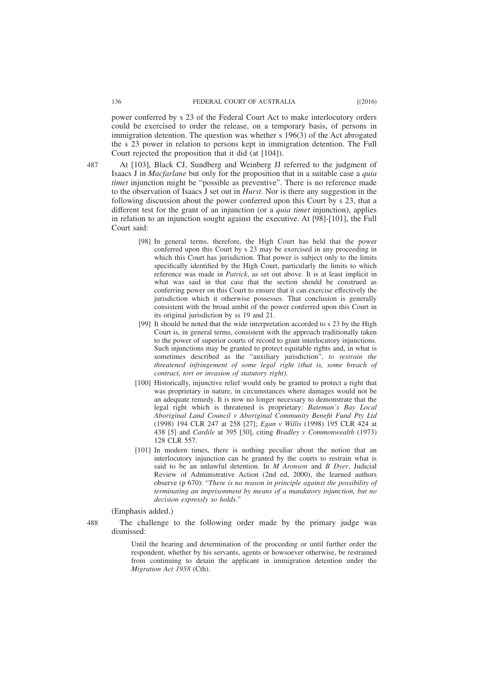power conferred by s 23 of the Federal Court Act to make interlocutory orders could be exercised to order the release, on a temporary basis, of persons in immigration detention. The question was whether s 196(3) of the Act abrogated the s 23 power in relation to persons kept in immigration detention. The Full Court rejected the proposition that it did (at [104]).

487

At [103], Black CJ, Sundberg and Weinberg JJ referred to the judgment of Isaacs J in *Macfarlane* but only for the proposition that in a suitable case a *quia timet* injunction might be "possible as preventive". There is no reference made to the observation of Isaacs J set out in *Hurst*. Nor is there any suggestion in the following discussion about the power conferred upon this Court by s 23, that a different test for the grant of an injunction (or a *quia timet* injunction), applies in relation to an injunction sought against the executive. At [98]-[101], the Full Court said:

- [98] In general terms, therefore, the High Court has held that the power conferred upon this Court by s 23 may be exercised in any proceeding in which this Court has jurisdiction. That power is subject only to the limits specifically identified by the High Court, particularly the limits to which reference was made in *Patrick*, as set out above. It is at least implicit in what was said in that case that the section should be construed as conferring power on this Court to ensure that it can exercise effectively the jurisdiction which it otherwise possesses. That conclusion is generally consistent with the broad ambit of the power conferred upon this Court in its original jurisdiction by ss 19 and 21.
- [99] It should be noted that the wide interpretation accorded to s 23 by the High Court is, in general terms, consistent with the approach traditionally taken to the power of superior courts of record to grant interlocutory injunctions. Such injunctions may be granted to protect equitable rights and, in what is sometimes described as the "auxiliary jurisdiction", *to restrain the threatened infringement of some legal right (that is, some breach of contract, tort or invasion of statutory right)*.
- [100] Historically, injunctive relief would only be granted to protect a right that was proprietary in nature, in circumstances where damages would not be an adequate remedy. It is now no longer necessary to demonstrate that the legal right which is threatened is proprietary: *Bateman's Bay Local Aboriginal Land Council v Aboriginal Community Benefit Fund Pty Ltd* (1998) 194 CLR 247 at 258 [27]; *Egan v Willis* (1998) 195 CLR 424 at 438 [5] and *Cardile* at 395 [30], citing *Bradley v Commonwealth* (1973) 128 CLR 557.
- [101] In modern times, there is nothing peculiar about the notion that an interlocutory injunction can be granted by the courts to restrain what is said to be an unlawful detention. In *M Aronson* and *B Dyer*, Judicial Review of Administrative Action (2nd ed, 2000), the learned authors observe (p 670): "*There is no reason in principle against the possibility of terminating an imprisonment by means of a mandatory injunction, but no decision expressly so holds.*"

(Emphasis added.)

The challenge to the following order made by the primary judge was dismissed: 488

> Until the hearing and determination of the proceeding or until further order the respondent, whether by his servants, agents or howsoever otherwise, be restrained from continuing to detain the applicant in immigration detention under the *Migration Act 1958* (Cth).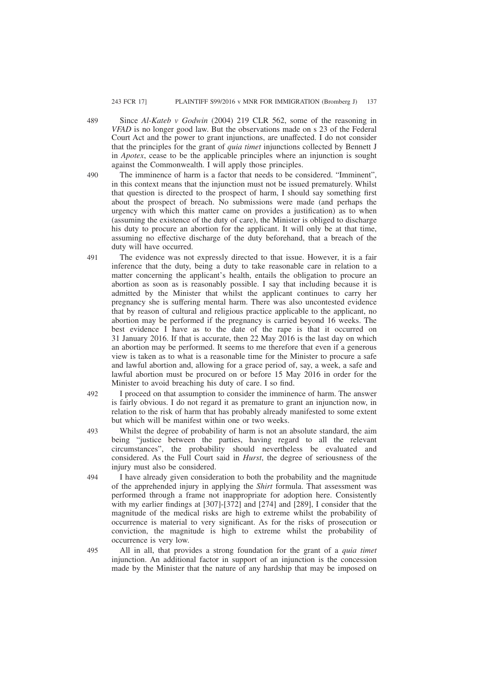- Since *Al-Kateb v Godwin* (2004) 219 CLR 562, some of the reasoning in *VFAD* is no longer good law. But the observations made on s 23 of the Federal Court Act and the power to grant injunctions, are unaffected. I do not consider that the principles for the grant of *quia timet* injunctions collected by Bennett J in *Apotex*, cease to be the applicable principles where an injunction is sought against the Commonwealth. I will apply those principles. 489
- The imminence of harm is a factor that needs to be considered. "Imminent", in this context means that the injunction must not be issued prematurely. Whilst that question is directed to the prospect of harm, I should say something first about the prospect of breach. No submissions were made (and perhaps the urgency with which this matter came on provides a justification) as to when (assuming the existence of the duty of care), the Minister is obliged to discharge his duty to procure an abortion for the applicant. It will only be at that time, assuming no effective discharge of the duty beforehand, that a breach of the duty will have occurred. 490
- The evidence was not expressly directed to that issue. However, it is a fair inference that the duty, being a duty to take reasonable care in relation to a matter concerning the applicant's health, entails the obligation to procure an abortion as soon as is reasonably possible. I say that including because it is admitted by the Minister that whilst the applicant continues to carry her pregnancy she is suffering mental harm. There was also uncontested evidence that by reason of cultural and religious practice applicable to the applicant, no abortion may be performed if the pregnancy is carried beyond 16 weeks. The best evidence I have as to the date of the rape is that it occurred on 31 January 2016. If that is accurate, then 22 May 2016 is the last day on which an abortion may be performed. It seems to me therefore that even if a generous view is taken as to what is a reasonable time for the Minister to procure a safe and lawful abortion and, allowing for a grace period of, say, a week, a safe and lawful abortion must be procured on or before 15 May 2016 in order for the Minister to avoid breaching his duty of care. I so find. 491
- I proceed on that assumption to consider the imminence of harm. The answer is fairly obvious. I do not regard it as premature to grant an injunction now, in relation to the risk of harm that has probably already manifested to some extent but which will be manifest within one or two weeks. 492
- Whilst the degree of probability of harm is not an absolute standard, the aim being "justice between the parties, having regard to all the relevant circumstances", the probability should nevertheless be evaluated and considered. As the Full Court said in *Hurst*, the degree of seriousness of the injury must also be considered. 493
- I have already given consideration to both the probability and the magnitude of the apprehended injury in applying the *Shirt* formula. That assessment was performed through a frame not inappropriate for adoption here. Consistently with my earlier findings at [307]-[372] and [274] and [289], I consider that the magnitude of the medical risks are high to extreme whilst the probability of occurrence is material to very significant. As for the risks of prosecution or conviction, the magnitude is high to extreme whilst the probability of occurrence is very low. 494
- All in all, that provides a strong foundation for the grant of a *quia timet* injunction. An additional factor in support of an injunction is the concession made by the Minister that the nature of any hardship that may be imposed on 495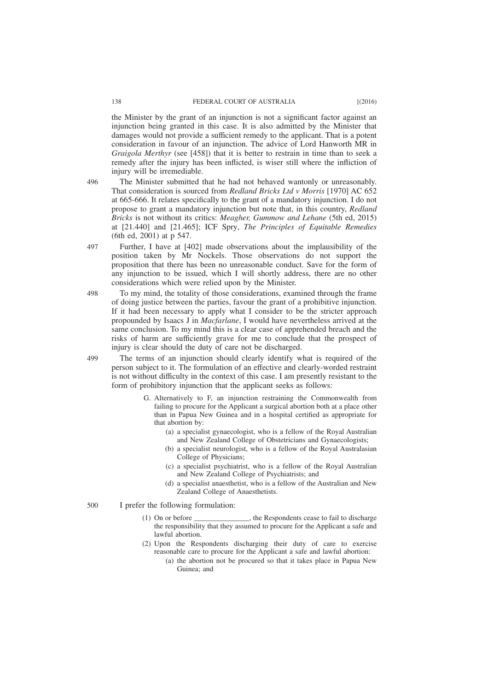the Minister by the grant of an injunction is not a significant factor against an injunction being granted in this case. It is also admitted by the Minister that damages would not provide a sufficient remedy to the applicant. That is a potent consideration in favour of an injunction. The advice of Lord Hanworth MR in *Graigola Merthyr* (see [458]) that it is better to restrain in time than to seek a remedy after the injury has been inflicted, is wiser still where the infliction of injury will be irremediable.

496

- The Minister submitted that he had not behaved wantonly or unreasonably. That consideration is sourced from *Redland Bricks Ltd v Morris* [1970] AC 652 at 665-666. It relates specifically to the grant of a mandatory injunction. I do not propose to grant a mandatory injunction but note that, in this country, *Redland Bricks* is not without its critics: *Meagher, Gummow and Lehane* (5th ed, 2015) at [21.440] and [21.465]; ICF Spry, *The Principles of Equitable Remedies* (6th ed, 2001) at p 547.
- Further, I have at [402] made observations about the implausibility of the position taken by Mr Nockels. Those observations do not support the proposition that there has been no unreasonable conduct. Save for the form of any injunction to be issued, which I will shortly address, there are no other considerations which were relied upon by the Minister. 497
- To my mind, the totality of those considerations, examined through the frame of doing justice between the parties, favour the grant of a prohibitive injunction. If it had been necessary to apply what I consider to be the stricter approach propounded by Isaacs J in *Macfarlane*, I would have nevertheless arrived at the same conclusion. To my mind this is a clear case of apprehended breach and the risks of harm are sufficiently grave for me to conclude that the prospect of injury is clear should the duty of care not be discharged. 498

The terms of an injunction should clearly identify what is required of the person subject to it. The formulation of an effective and clearly-worded restraint is not without difficulty in the context of this case. I am presently resistant to the form of prohibitory injunction that the applicant seeks as follows:

- G. Alternatively to F, an injunction restraining the Commonwealth from failing to procure for the Applicant a surgical abortion both at a place other than in Papua New Guinea and in a hospital certified as appropriate for that abortion by:
	- (a) a specialist gynaecologist, who is a fellow of the Royal Australian and New Zealand College of Obstetricians and Gynaecologists;
	- (b) a specialist neurologist, who is a fellow of the Royal Australasian College of Physicians;
	- (c) a specialist psychiatrist, who is a fellow of the Royal Australian and New Zealand College of Psychiatrists; and
	- (d) a specialist anaesthetist, who is a fellow of the Australian and New Zealand College of Anaesthetists.

I prefer the following formulation:

- (1) On or before \_\_\_\_\_\_\_\_\_\_\_\_\_\_\_, the Respondents cease to fail to discharge the responsibility that they assumed to procure for the Applicant a safe and lawful abortion.
- (2) Upon the Respondents discharging their duty of care to exercise reasonable care to procure for the Applicant a safe and lawful abortion:
	- (a) the abortion not be procured so that it takes place in Papua New Guinea; and

499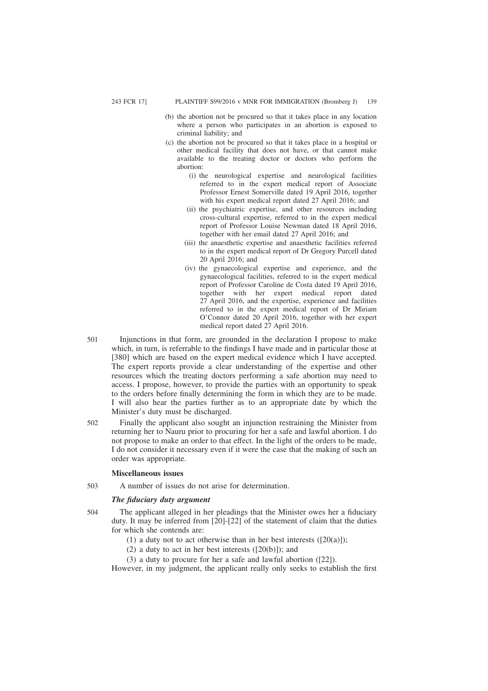- (b) the abortion not be procured so that it takes place in any location where a person who participates in an abortion is exposed to criminal liability; and
- (c) the abortion not be procured so that it takes place in a hospital or other medical facility that does not have, or that cannot make available to the treating doctor or doctors who perform the abortion:
	- (i) the neurological expertise and neurological facilities referred to in the expert medical report of Associate Professor Ernest Somerville dated 19 April 2016, together with his expert medical report dated 27 April 2016; and
	- (ii) the psychiatric expertise, and other resources including cross-cultural expertise, referred to in the expert medical report of Professor Louise Newman dated 18 April 2016, together with her email dated 27 April 2016; and
	- (iii) the anaesthetic expertise and anaesthetic facilities referred to in the expert medical report of Dr Gregory Purcell dated 20 April 2016; and
	- (iv) the gynaecological expertise and experience, and the gynaecological facilities, referred to in the expert medical report of Professor Caroline de Costa dated 19 April 2016, together with her expert medical report dated 27 April 2016, and the expertise, experience and facilities referred to in the expert medical report of Dr Miriam O'Connor dated 20 April 2016, together with her expert medical report dated 27 April 2016.
- Injunctions in that form, are grounded in the declaration I propose to make which, in turn, is referrable to the findings I have made and in particular those at [380] which are based on the expert medical evidence which I have accepted. The expert reports provide a clear understanding of the expertise and other resources which the treating doctors performing a safe abortion may need to access. I propose, however, to provide the parties with an opportunity to speak to the orders before finally determining the form in which they are to be made. I will also hear the parties further as to an appropriate date by which the Minister's duty must be discharged. 501
- Finally the applicant also sought an injunction restraining the Minister from returning her to Nauru prior to procuring for her a safe and lawful abortion. I do not propose to make an order to that effect. In the light of the orders to be made, I do not consider it necessary even if it were the case that the making of such an order was appropriate. 502

### **Miscellaneous issues**

A number of issues do not arise for determination. 503

# *The fiduciary duty argument*

- The applicant alleged in her pleadings that the Minister owes her a fiduciary duty. It may be inferred from [20]-[22] of the statement of claim that the duties for which she contends are: 504
	- (1) a duty not to act otherwise than in her best interests  $([20(a)]);$
	- (2) a duty to act in her best interests  $([20(b)])$ ; and
	- (3) a duty to procure for her a safe and lawful abortion ([22]).

However, in my judgment, the applicant really only seeks to establish the first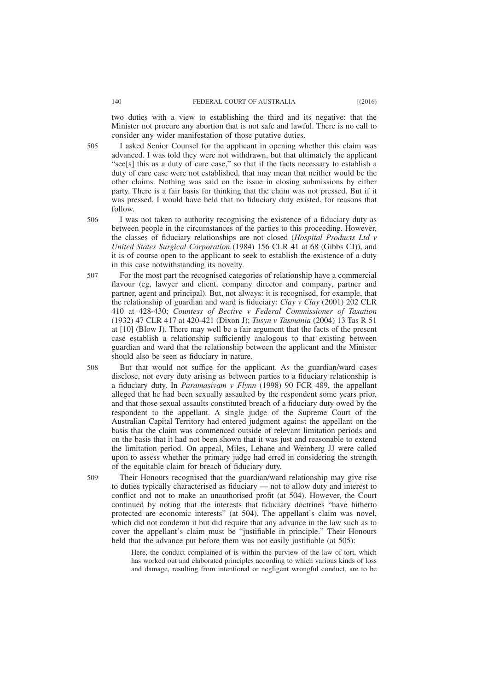two duties with a view to establishing the third and its negative: that the Minister not procure any abortion that is not safe and lawful. There is no call to consider any wider manifestation of those putative duties.

I asked Senior Counsel for the applicant in opening whether this claim was advanced. I was told they were not withdrawn, but that ultimately the applicant "see[s] this as a duty of care case," so that if the facts necessary to establish a duty of care case were not established, that may mean that neither would be the other claims. Nothing was said on the issue in closing submissions by either party. There is a fair basis for thinking that the claim was not pressed. But if it was pressed, I would have held that no fiduciary duty existed, for reasons that follow.

506

509

I was not taken to authority recognising the existence of a fiduciary duty as between people in the circumstances of the parties to this proceeding. However, the classes of fiduciary relationships are not closed (*Hospital Products Ltd v United States Surgical Corporation* (1984) 156 CLR 41 at 68 (Gibbs CJ)), and it is of course open to the applicant to seek to establish the existence of a duty in this case notwithstanding its novelty.

- For the most part the recognised categories of relationship have a commercial flavour (eg, lawyer and client, company director and company, partner and partner, agent and principal). But, not always: it is recognised, for example, that the relationship of guardian and ward is fiduciary: *Clay v Clay* (2001) 202 CLR 410 at 428-430; *Countess of Bective v Federal Commissioner of Taxation* (1932) 47 CLR 417 at 420-421 (Dixon J); *Tusyn v Tasmania* (2004) 13 Tas R 51 at [10] (Blow J). There may well be a fair argument that the facts of the present case establish a relationship sufficiently analogous to that existing between guardian and ward that the relationship between the applicant and the Minister should also be seen as fiduciary in nature. 507
- But that would not suffice for the applicant. As the guardian/ward cases disclose, not every duty arising as between parties to a fiduciary relationship is a fiduciary duty. In *Paramasivam v Flynn* (1998) 90 FCR 489, the appellant alleged that he had been sexually assaulted by the respondent some years prior, and that those sexual assaults constituted breach of a fiduciary duty owed by the respondent to the appellant. A single judge of the Supreme Court of the Australian Capital Territory had entered judgment against the appellant on the basis that the claim was commenced outside of relevant limitation periods and on the basis that it had not been shown that it was just and reasonable to extend the limitation period. On appeal, Miles, Lehane and Weinberg JJ were called upon to assess whether the primary judge had erred in considering the strength of the equitable claim for breach of fiduciary duty. 508

Their Honours recognised that the guardian/ward relationship may give rise to duties typically characterised as fiduciary — not to allow duty and interest to conflict and not to make an unauthorised profit (at 504). However, the Court continued by noting that the interests that fiduciary doctrines "have hitherto protected are economic interests" (at 504). The appellant's claim was novel, which did not condemn it but did require that any advance in the law such as to cover the appellant's claim must be "justifiable in principle." Their Honours held that the advance put before them was not easily justifiable (at 505):

Here, the conduct complained of is within the purview of the law of tort, which has worked out and elaborated principles according to which various kinds of loss and damage, resulting from intentional or negligent wrongful conduct, are to be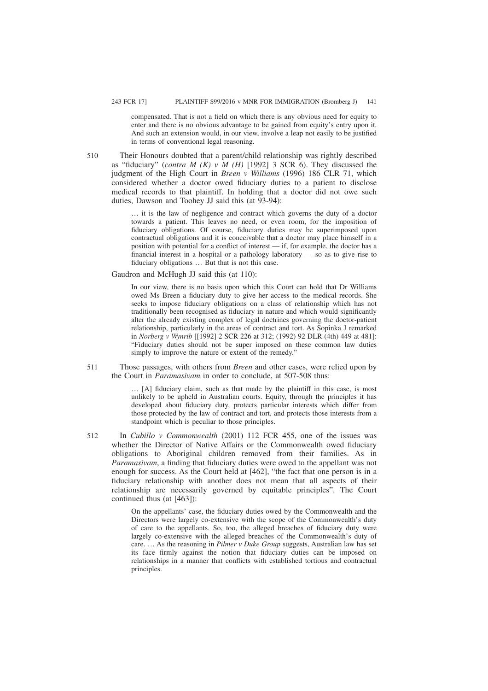compensated. That is not a field on which there is any obvious need for equity to enter and there is no obvious advantage to be gained from equity's entry upon it. And such an extension would, in our view, involve a leap not easily to be justified in terms of conventional legal reasoning.

Their Honours doubted that a parent/child relationship was rightly described as "fiduciary" (*contra M (K) v M (H)* [1992] 3 SCR 6). They discussed the judgment of the High Court in *Breen v Williams* (1996) 186 CLR 71, which considered whether a doctor owed fiduciary duties to a patient to disclose medical records to that plaintiff. In holding that a doctor did not owe such duties, Dawson and Toohey JJ said this (at 93-94): 510

> … it is the law of negligence and contract which governs the duty of a doctor towards a patient. This leaves no need, or even room, for the imposition of fiduciary obligations. Of course, fiduciary duties may be superimposed upon contractual obligations and it is conceivable that a doctor may place himself in a position with potential for a conflict of interest — if, for example, the doctor has a financial interest in a hospital or a pathology laboratory — so as to give rise to fiduciary obligations … But that is not this case.

Gaudron and McHugh JJ said this (at 110):

In our view, there is no basis upon which this Court can hold that Dr Williams owed Ms Breen a fiduciary duty to give her access to the medical records. She seeks to impose fiduciary obligations on a class of relationship which has not traditionally been recognised as fiduciary in nature and which would significantly alter the already existing complex of legal doctrines governing the doctor-patient relationship, particularly in the areas of contract and tort. As Sopinka J remarked in *Norberg v Wynrib* [[1992] 2 SCR 226 at 312; (1992) 92 DLR (4th) 449 at 481]: "Fiduciary duties should not be super imposed on these common law duties simply to improve the nature or extent of the remedy."

Those passages, with others from *Breen* and other cases, were relied upon by the Court in *Paramasivam* in order to conclude, at 507-508 thus: 511

> … [A] fiduciary claim, such as that made by the plaintiff in this case, is most unlikely to be upheld in Australian courts. Equity, through the principles it has developed about fiduciary duty, protects particular interests which differ from those protected by the law of contract and tort, and protects those interests from a standpoint which is peculiar to those principles.

In *Cubillo v Commonwealth* (2001) 112 FCR 455, one of the issues was whether the Director of Native Affairs or the Commonwealth owed fiduciary obligations to Aboriginal children removed from their families. As in *Paramasivam*, a finding that fiduciary duties were owed to the appellant was not enough for success. As the Court held at [462], "the fact that one person is in a fiduciary relationship with another does not mean that all aspects of their relationship are necessarily governed by equitable principles". The Court continued thus (at [463]): 512

> On the appellants' case, the fiduciary duties owed by the Commonwealth and the Directors were largely co-extensive with the scope of the Commonwealth's duty of care to the appellants. So, too, the alleged breaches of fiduciary duty were largely co-extensive with the alleged breaches of the Commonwealth's duty of care. … As the reasoning in *Pilmer v Duke Group* suggests, Australian law has set its face firmly against the notion that fiduciary duties can be imposed on relationships in a manner that conflicts with established tortious and contractual principles.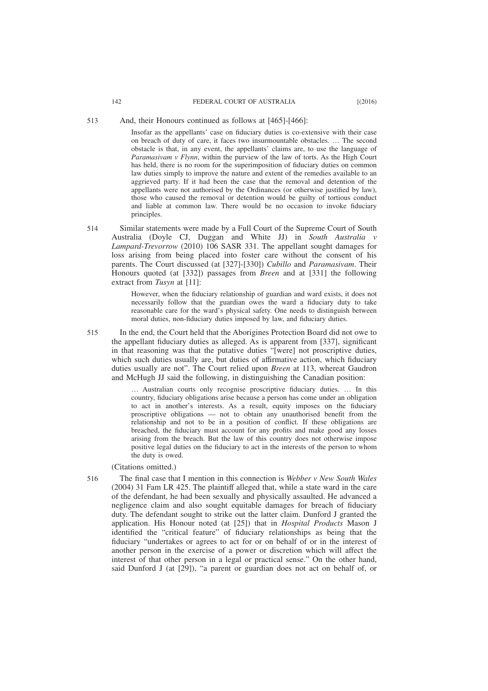Insofar as the appellants' case on fiduciary duties is co-extensive with their case on breach of duty of care, it faces two insurmountable obstacles. … The second obstacle is that, in any event, the appellants' claims are, to use the language of *Paramasivam v Flynn*, within the purview of the law of torts. As the High Court has held, there is no room for the superimposition of fiduciary duties on common law duties simply to improve the nature and extent of the remedies available to an aggrieved party. If it had been the case that the removal and detention of the appellants were not authorised by the Ordinances (or otherwise justified by law), those who caused the removal or detention would be guilty of tortious conduct and liable at common law. There would be no occasion to invoke fiduciary principles.

Similar statements were made by a Full Court of the Supreme Court of South Australia (Doyle CJ, Duggan and White JJ) in *South Australia v Lampard-Trevorrow* (2010) 106 SASR 331. The appellant sought damages for loss arising from being placed into foster care without the consent of his parents. The Court discussed (at [327]-[330]) *Cubillo* and *Paramasivam*. Their Honours quoted (at [332]) passages from *Breen* and at [331] the following extract from *Tusyn* at [11]: 514

> However, when the fiduciary relationship of guardian and ward exists, it does not necessarily follow that the guardian owes the ward a fiduciary duty to take reasonable care for the ward's physical safety. One needs to distinguish between moral duties, non-fiduciary duties imposed by law, and fiduciary duties.

In the end, the Court held that the Aborigines Protection Board did not owe to the appellant fiduciary duties as alleged. As is apparent from [337], significant in that reasoning was that the putative duties "[were] not proscriptive duties, which such duties usually are, but duties of affirmative action, which fiduciary duties usually are not". The Court relied upon *Breen* at 113, whereat Gaudron and McHugh JJ said the following, in distinguishing the Canadian position: 515

> … Australian courts only recognise proscriptive fiduciary duties. … In this country, fiduciary obligations arise because a person has come under an obligation to act in another's interests. As a result, equity imposes on the fiduciary proscriptive obligations — not to obtain any unauthorised benefit from the relationship and not to be in a position of conflict. If these obligations are breached, the fiduciary must account for any profits and make good any losses arising from the breach. But the law of this country does not otherwise impose positive legal duties on the fiduciary to act in the interests of the person to whom the duty is owed.

(Citations omitted.)

The final case that I mention in this connection is *Webber v New South Wales* (2004) 31 Fam LR 425. The plaintiff alleged that, while a state ward in the care of the defendant, he had been sexually and physically assaulted. He advanced a negligence claim and also sought equitable damages for breach of fiduciary duty. The defendant sought to strike out the latter claim. Dunford J granted the application. His Honour noted (at [25]) that in *Hospital Products* Mason J identified the "critical feature" of fiduciary relationships as being that the fiduciary "undertakes or agrees to act for or on behalf of or in the interest of another person in the exercise of a power or discretion which will affect the interest of that other person in a legal or practical sense." On the other hand, said Dunford J (at [29]), "a parent or guardian does not act on behalf of, or 516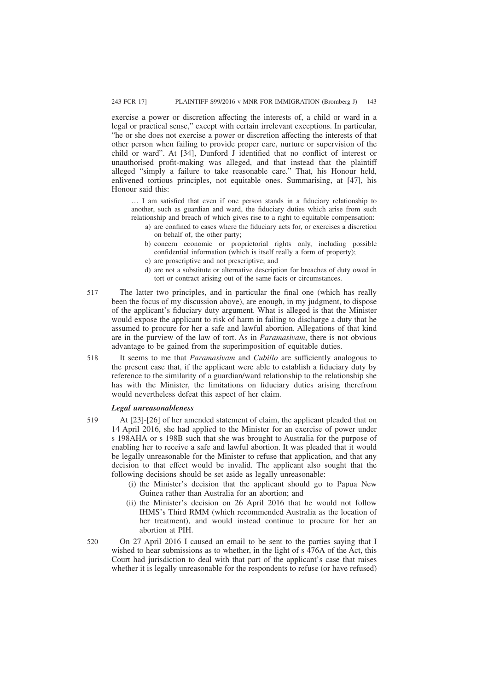exercise a power or discretion affecting the interests of, a child or ward in a legal or practical sense," except with certain irrelevant exceptions. In particular, "he or she does not exercise a power or discretion affecting the interests of that other person when failing to provide proper care, nurture or supervision of the child or ward". At [34], Dunford J identified that no conflict of interest or unauthorised profit-making was alleged, and that instead that the plaintiff alleged "simply a failure to take reasonable care." That, his Honour held, enlivened tortious principles, not equitable ones. Summarising, at [47], his Honour said this:

… I am satisfied that even if one person stands in a fiduciary relationship to another, such as guardian and ward, the fiduciary duties which arise from such relationship and breach of which gives rise to a right to equitable compensation:

- a) are confined to cases where the fiduciary acts for, or exercises a discretion on behalf of, the other party;
- b) concern economic or proprietorial rights only, including possible confidential information (which is itself really a form of property);
- c) are proscriptive and not prescriptive; and
- d) are not a substitute or alternative description for breaches of duty owed in tort or contract arising out of the same facts or circumstances.
- The latter two principles, and in particular the final one (which has really been the focus of my discussion above), are enough, in my judgment, to dispose of the applicant's fiduciary duty argument. What is alleged is that the Minister would expose the applicant to risk of harm in failing to discharge a duty that he assumed to procure for her a safe and lawful abortion. Allegations of that kind are in the purview of the law of tort. As in *Paramasivam*, there is not obvious advantage to be gained from the superimposition of equitable duties. 517
- It seems to me that *Paramasivam* and *Cubillo* are sufficiently analogous to the present case that, if the applicant were able to establish a fiduciary duty by reference to the similarity of a guardian/ward relationship to the relationship she has with the Minister, the limitations on fiduciary duties arising therefrom would nevertheless defeat this aspect of her claim. 518

# *Legal unreasonableness*

- At [23]-[26] of her amended statement of claim, the applicant pleaded that on 14 April 2016, she had applied to the Minister for an exercise of power under s 198AHA or s 198B such that she was brought to Australia for the purpose of enabling her to receive a safe and lawful abortion. It was pleaded that it would be legally unreasonable for the Minister to refuse that application, and that any decision to that effect would be invalid. The applicant also sought that the following decisions should be set aside as legally unreasonable: 519
	- (i) the Minister's decision that the applicant should go to Papua New Guinea rather than Australia for an abortion; and
	- (ii) the Minister's decision on 26 April 2016 that he would not follow IHMS's Third RMM (which recommended Australia as the location of her treatment), and would instead continue to procure for her an abortion at PIH.
- On 27 April 2016 I caused an email to be sent to the parties saying that I wished to hear submissions as to whether, in the light of s 476A of the Act, this Court had jurisdiction to deal with that part of the applicant's case that raises whether it is legally unreasonable for the respondents to refuse (or have refused) 520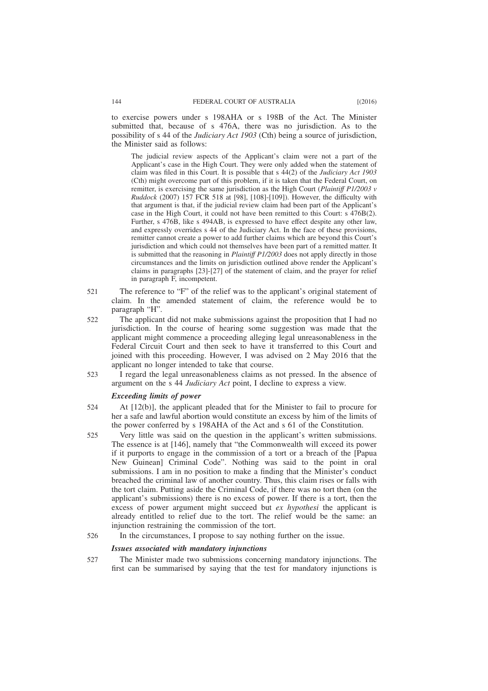to exercise powers under s 198AHA or s 198B of the Act. The Minister submitted that, because of s 476A, there was no jurisdiction. As to the possibility of s 44 of the *Judiciary Act 1903* (Cth) being a source of jurisdiction, the Minister said as follows:

The judicial review aspects of the Applicant's claim were not a part of the Applicant's case in the High Court. They were only added when the statement of claim was filed in this Court. It is possible that s 44(2) of the *Judiciary Act 1903* (Cth) might overcome part of this problem, if it is taken that the Federal Court, on remitter, is exercising the same jurisdiction as the High Court (*Plaintiff P1/2003 v Ruddock* (2007) 157 FCR 518 at [98], [108]-[109]). However, the difficulty with that argument is that, if the judicial review claim had been part of the Applicant's case in the High Court, it could not have been remitted to this Court: s 476B(2). Further, s 476B, like s 494AB, is expressed to have effect despite any other law, and expressly overrides s 44 of the Judiciary Act. In the face of these provisions, remitter cannot create a power to add further claims which are beyond this Court's jurisdiction and which could not themselves have been part of a remitted matter. It is submitted that the reasoning in *Plaintiff P1/2003* does not apply directly in those circumstances and the limits on jurisdiction outlined above render the Applicant's claims in paragraphs [23]-[27] of the statement of claim, and the prayer for relief in paragraph F, incompetent.

- The reference to "F" of the relief was to the applicant's original statement of claim. In the amended statement of claim, the reference would be to paragraph "H". 521
- The applicant did not make submissions against the proposition that I had no jurisdiction. In the course of hearing some suggestion was made that the applicant might commence a proceeding alleging legal unreasonableness in the Federal Circuit Court and then seek to have it transferred to this Court and joined with this proceeding. However, I was advised on 2 May 2016 that the applicant no longer intended to take that course. 522
- I regard the legal unreasonableness claims as not pressed. In the absence of argument on the s 44 *Judiciary Act* point, I decline to express a view. 523

# *Exceeding limits of power*

- At [12(b)], the applicant pleaded that for the Minister to fail to procure for her a safe and lawful abortion would constitute an excess by him of the limits of the power conferred by s 198AHA of the Act and s 61 of the Constitution. 524
- Very little was said on the question in the applicant's written submissions. The essence is at [146], namely that "the Commonwealth will exceed its power if it purports to engage in the commission of a tort or a breach of the [Papua New Guinean] Criminal Code". Nothing was said to the point in oral submissions. I am in no position to make a finding that the Minister's conduct breached the criminal law of another country. Thus, this claim rises or falls with the tort claim. Putting aside the Criminal Code, if there was no tort then (on the applicant's submissions) there is no excess of power. If there is a tort, then the excess of power argument might succeed but *ex hypothesi* the applicant is already entitled to relief due to the tort. The relief would be the same: an injunction restraining the commission of the tort. 525
- In the circumstances, I propose to say nothing further on the issue. 526

# *Issues associated with mandatory injunctions*

The Minister made two submissions concerning mandatory injunctions. The first can be summarised by saying that the test for mandatory injunctions is 527